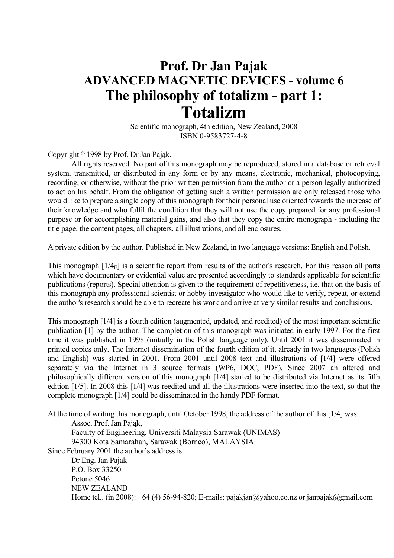# **Prof. Dr Jan Pajak ADVANCED MAGNETIC DEVICES - volume 6 The philosophy of totalizm - part 1: Totalizm**

 Scientific monograph, 4th edition, New Zealand, 2008 ISBN 0-9583727-4-8

Copyright  $\circ$  1998 by Prof. Dr Jan Pająk.

 All rights reserved. No part of this monograph may be reproduced, stored in a database or retrieval system, transmitted, or distributed in any form or by any means, electronic, mechanical, photocopying, recording, or otherwise, without the prior written permission from the author or a person legally authorized to act on his behalf. From the obligation of getting such a written permission are only released those who would like to prepare a single copy of this monograph for their personal use oriented towards the increase of their knowledge and who fulfil the condition that they will not use the copy prepared for any professional purpose or for accomplishing material gains, and also that they copy the entire monograph - including the title page, the content pages, all chapters, all illustrations, and all enclosures.

A private edition by the author. Published in New Zealand, in two language versions: English and Polish.

This monograph  $[1/4<sub>E</sub>]$  is a scientific report from results of the author's research. For this reason all parts which have documentary or evidential value are presented accordingly to standards applicable for scientific publications (reports). Special attention is given to the requirement of repetitiveness, i.e. that on the basis of this monograph any professional scientist or hobby investigator who would like to verify, repeat, or extend the author's research should be able to recreate his work and arrive at very similar results and conclusions.

This monograph [1/4] is a fourth edition (augmented, updated, and reedited) of the most important scientific publication [1] by the author. The completion of this monograph was initiated in early 1997. For the first time it was published in 1998 (initially in the Polish language only). Until 2001 it was disseminated in printed copies only. The Internet dissemination of the fourth edition of it, already in two languages (Polish and English) was started in 2001. From 2001 until 2008 text and illustrations of [1/4] were offered separately via the Internet in 3 source formats (WP6, DOC, PDF). Since 2007 an altered and philosophically different version of this monograph [1/4] started to be distributed via Internet as its fifth edition [1/5]. In 2008 this [1/4] was reedited and all the illustrations were inserted into the text, so that the complete monograph [1/4] could be disseminated in the handy PDF format.

At the time of writing this monograph, until October 1998, the address of the author of this [1/4] was:

 Assoc. Prof. Jan Pająk, Faculty of Engineering, Universiti Malaysia Sarawak (UNIMAS)

94300 Kota Samarahan, Sarawak (Borneo), MALAYSIA

Since February 2001 the author's address is:

 Dr Eng. Jan Pająk P.O. Box 33250 Petone 5046 NEW ZEALAND Home tel.. (in 2008):  $+64$  (4) 56-94-820; E-mails: pajakjan@yahoo.co.nz or janpajak@gmail.com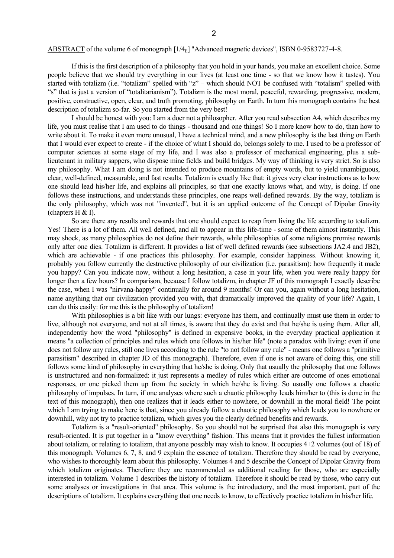#### ABSTRACT of the volume 6 of monograph [1/4<sub>E</sub>] "Advanced magnetic devices", ISBN 0-9583727-4-8.

 If this is the first description of a philosophy that you hold in your hands, you make an excellent choice. Some people believe that we should try everything in our lives (at least one time - so that we know how it tastes). You started with totalizm (i.e. "totalizm" spelled with "z" – which should NOT be confused with "totalism" spelled with "s" that is just a version of "totalitarianism"). Totali**z**m is the most moral, peaceful, rewarding, progressive, modern, positive, constructive, open, clear, and truth promoting, philosophy on Earth. In turn this monograph contains the best description of totalizm so-far. So you started from the very best!

 I should be honest with you: I am a doer not a philosopher. After you read subsection A4, which describes my life, you must realise that I am used to do things - thousand and one things! So I more know how to do, than how to write about it. To make it even more unusual, I have a technical mind, and a new philosophy is the last thing on Earth that I would ever expect to create - if the choice of what I should do, belongs solely to me. I used to be a professor of computer sciences at some stage of my life, and I was also a professor of mechanical engineering, plus a sublieutenant in military sappers, who dispose mine fields and build bridges. My way of thinking is very strict. So is also my philosophy. What I am doing is not intended to produce mountains of empty words, but to yield unambiguous, clear, well-defined, measurable, and fast results. Totalizm is exactly like that: it gives very clear instructions as to how one should lead his/her life, and explains all principles, so that one exactly knows what, and why, is doing. If one follows these instructions, and understands these principles, one reaps well-defined rewards. By the way, totalizm is the only philosophy, which was not "invented", but it is an applied outcome of the Concept of Dipolar Gravity (chapters  $H \& I$ ).

 So are there any results and rewards that one should expect to reap from living the life according to totalizm. Yes! There is a lot of them. All well defined, and all to appear in this life-time - some of them almost instantly. This may shock, as many philosophies do not define their rewards, while philosophies of some religions promise rewards only after one dies. Totalizm is different. It provides a list of well defined rewards (see subsections JA2.4 and JB2), which are achievable - if one practices this philosophy. For example, consider happiness. Without knowing it, probably you follow currently the destructive philosophy of our civilization (i.e. parasitism): how frequently it made you happy? Can you indicate now, without a long hesitation, a case in your life, when you were really happy for longer then a few hours? In comparison, because I follow totalizm, in chapter JF of this monograph I exactly describe the case, when I was "nirvana-happy" continually for around 9 months! Or can you, again without a long hesitation, name anything that our civilization provided you with, that dramatically improved the quality of your life? Again, I can do this easily: for me this is the philosophy of totalizm!

 With philosophies is a bit like with our lungs: everyone has them, and continually must use them in order to live, although not everyone, and not at all times, is aware that they do exist and that he/she is using them. After all, independently how the word "philosophy" is defined in expensive books, in the everyday practical application it means "a collection of principles and rules which one follows in his/her life" (note a paradox with living: even if one does not follow any rules, still one lives according to the rule "to not follow any rule" - means one follows a "primitive parasitism" described in chapter JD of this monograph). Therefore, even if one is not aware of doing this, one still follows some kind of philosophy in everything that he/she is doing. Only that usually the philosophy that one follows is unstructured and non-formalized: it just represents a medley of rules which either are outcome of ones emotional responses, or one picked them up from the society in which he/she is living. So usually one follows a chaotic philosophy of impulses. In turn, if one analyses where such a chaotic philosophy leads him/her to (this is done in the text of this monograph), then one realizes that it leads either to nowhere, or downhill in the moral field! The point which I am trying to make here is that, since you already follow a chaotic philosophy which leads you to nowhere or downhill, why not try to practice totalizm, which gives you the clearly defined benefits and rewards.

 Totalizm is a "result-oriented" philosophy. So you should not be surprised that also this monograph is very result-oriented. It is put together in a "know everything" fashion. This means that it provides the fullest information about totalizm, or relating to totalizm, that anyone possibly may wish to know. It occupies 4+2 volumes (out of 18) of this monograph. Volumes 6, 7, 8, and 9 explain the essence of totalizm. Therefore they should be read by everyone, who wishes to thoroughly learn about this philosophy. Volumes 4 and 5 describe the Concept of Dipolar Gravity from which totalizm originates. Therefore they are recommended as additional reading for those, who are especially interested in totalizm. Volume 1 describes the history of totalizm. Therefore it should be read by those, who carry out some analyses or investigations in that area. This volume is the introductory, and the most important, part of the descriptions of totalizm. It explains everything that one needs to know, to effectively practice totalizm in his/her life.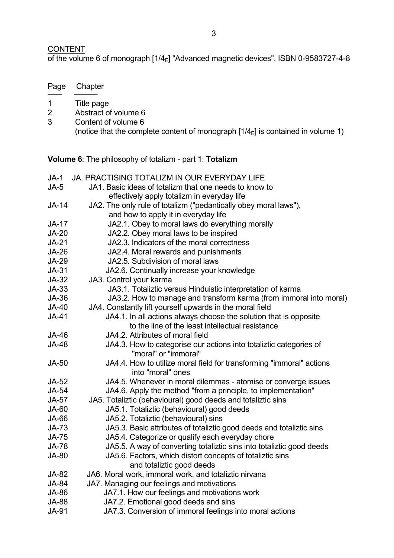## **CONTENT**

Page Chapter ─── ─────

of the volume 6 of monograph [1/4<sub>E</sub>] "Advanced magnetic devices", ISBN 0-9583727-4-8

| $\mathbf 1$    | Title page                                                                                            |
|----------------|-------------------------------------------------------------------------------------------------------|
| $\overline{2}$ | Abstract of volume 6                                                                                  |
| 3              | Content of volume 6                                                                                   |
|                | (notice that the complete content of monograph $[1/4_{\rm E}]$ is contained in volume 1)              |
|                |                                                                                                       |
|                | <b>Volume 6:</b> The philosophy of totalizm - part 1: <b>Totalizm</b>                                 |
| $JA-1$         | <b>JA. PRACTISING TOTALIZM IN OUR EVERYDAY LIFE</b>                                                   |
| JA-5           | JA1. Basic ideas of totalizm that one needs to know to<br>effectively apply totalizm in everyday life |
| <b>JA-14</b>   | JA2. The only rule of totalizm ("pedantically obey moral laws"),                                      |
|                | and how to apply it in everyday life                                                                  |
| <b>JA-17</b>   | JA2.1. Obey to moral laws do everything morally                                                       |
| <b>JA-20</b>   | JA2.2. Obey moral laws to be inspired                                                                 |
| <b>JA-21</b>   | JA2.3. Indicators of the moral correctness                                                            |
| <b>JA-26</b>   | JA2.4. Moral rewards and punishments                                                                  |
| <b>JA-29</b>   | JA2.5. Subdivision of moral laws                                                                      |
| $JA-31$        | JA2.6. Continually increase your knowledge                                                            |
| JA-32          | JA3. Control your karma                                                                               |
| $JA-33$        | JA3.1. Totaliztic versus Hinduistic interpretation of karma                                           |
| JA-36          | JA3.2. How to manage and transform karma (from immoral into moral)                                    |
| <b>JA-40</b>   | JA4. Constantly lift yourself upwards in the moral field                                              |
| JA-41          | JA4.1. In all actions always choose the solution that is opposite                                     |
|                | to the line of the least intellectual resistance                                                      |
| <b>JA-46</b>   | JA4.2. Attributes of moral field                                                                      |
| <b>JA-48</b>   | JA4.3. How to categorise our actions into totaliztic categories of<br>"moral" or "immoral"            |
| <b>JA-50</b>   | JA4.4. How to utilize moral field for transforming "immoral" actions<br>into "moral" ones             |
| JA-52          | JA4.5. Whenever in moral dilemmas - atomise or converge issues                                        |
| <b>JA-54</b>   | JA4.6. Apply the method "from a principle, to implementation"                                         |
| <b>JA-57</b>   | JA5. Totaliztic (behavioural) good deeds and totaliztic sins                                          |
| <b>JA-60</b>   | JA5.1. Totaliztic (behavioural) good deeds                                                            |
| JA-66          | JA5.2. Totaliztic (behavioural) sins                                                                  |
| JA-73          | JA5.3. Basic attributes of totaliztic good deeds and totaliztic sins                                  |
| <b>JA-75</b>   | JA5.4. Categorize or qualify each everyday chore                                                      |
| <b>JA-78</b>   | JA5.5. A way of converting totaliztic sins into totaliztic good deeds                                 |
| <b>JA-80</b>   | JA5.6. Factors, which distort concepts of totaliztic sins                                             |
|                | and totaliztic good deeds                                                                             |
| JA-82          | JA6. Moral work, immoral work, and totaliztic nirvana                                                 |
| <b>JA-84</b>   | JA7. Managing our feelings and motivations                                                            |
| <b>JA-86</b>   | JA7.1. How our feelings and motivations work                                                          |
| <b>JA-88</b>   | JA7.2. Emotional good deeds and sins                                                                  |
| <b>JA-91</b>   | JA7.3. Conversion of immoral feelings into moral actions                                              |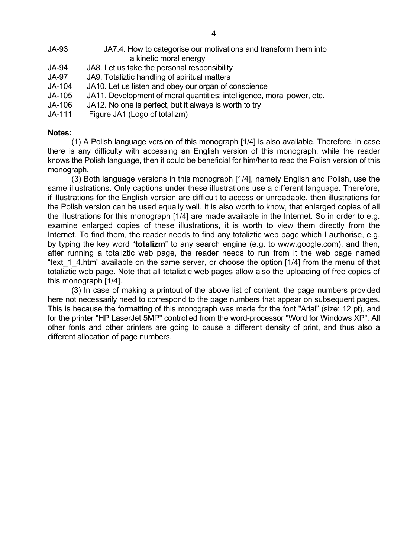| JA-93         | JA7.4. How to categorise our motivations and transform them into<br>a kinetic moral energy |
|---------------|--------------------------------------------------------------------------------------------|
| <b>JA-94</b>  | JA8. Let us take the personal responsibility                                               |
| <b>JA-97</b>  | JA9. Totaliztic handling of spiritual matters                                              |
| JA-104        | JA10. Let us listen and obey our organ of conscience                                       |
| <b>JA-105</b> | JA11. Development of moral quantities: intelligence, moral power, etc.                     |

- JA-106 JA12. No one is perfect, but it always is worth to try
- JA-111 Figure JA1 (Logo of totalizm)

#### **Notes:**

 (1) A Polish language version of this monograph [1/4] is also available. Therefore, in case there is any difficulty with accessing an English version of this monograph, while the reader knows the Polish language, then it could be beneficial for him/her to read the Polish version of this monograph.

 (3) Both language versions in this monograph [1/4], namely English and Polish, use the same illustrations. Only captions under these illustrations use a different language. Therefore, if illustrations for the English version are difficult to access or unreadable, then illustrations for the Polish version can be used equally well. It is also worth to know, that enlarged copies of all the illustrations for this monograph [1/4] are made available in the Internet. So in order to e.g. examine enlarged copies of these illustrations, it is worth to view them directly from the Internet. To find them, the reader needs to find any totaliztic web page which I authorise, e.g. by typing the key word "**totalizm**" to any search engine (e.g. to www.google.com), and then, after running a totaliztic web page, the reader needs to run from it the web page named "text 1 4.htm" available on the same server, or choose the option [1/4] from the menu of that totaliztic web page. Note that all totaliztic web pages allow also the uploading of free copies of this monograph [1/4].

 (3) In case of making a printout of the above list of content, the page numbers provided here not necessarily need to correspond to the page numbers that appear on subsequent pages. This is because the formatting of this monograph was made for the font "Arial" (size: 12 pt), and for the printer "HP LaserJet 5MP" controlled from the word-processor "Word for Windows XP". All other fonts and other printers are going to cause a different density of print, and thus also a different allocation of page numbers.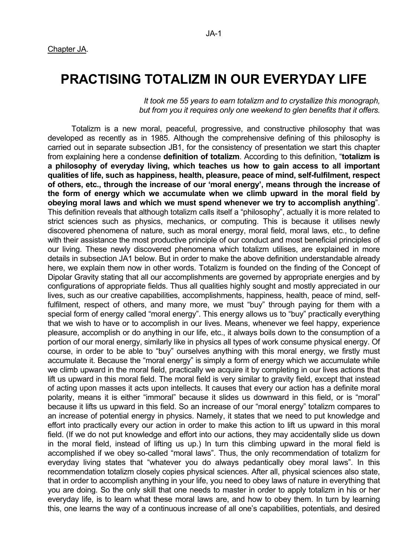## **PRACTISING TOTALIZM IN OUR EVERYDAY LIFE**

 *It took me 55 years to earn totalizm and to crystallize this monograph, but from you it requires only one weekend to glen benefits that it offers.*

 Totalizm is a new moral, peaceful, progressive, and constructive philosophy that was developed as recently as in 1985. Although the comprehensive defining of this philosophy is carried out in separate subsection JB1, for the consistency of presentation we start this chapter from explaining here a condense **definition of totalizm**. According to this definition, "**totalizm is a philosophy of everyday living, which teaches us how to gain access to all important qualities of life, such as happiness, health, pleasure, peace of mind, self-fulfilment, respect of others, etc., through the increase of our 'moral energy', means through the increase of the form of energy which we accumulate when we climb upward in the moral field by obeying moral laws and which we must spend whenever we try to accomplish anything**". This definition reveals that although totalizm calls itself a "philosophy", actually it is more related to strict sciences such as physics, mechanics, or computing. This is because it utilises newly discovered phenomena of nature, such as moral energy, moral field, moral laws, etc., to define with their assistance the most productive principle of our conduct and most beneficial principles of our living. These newly discovered phenomena which totalizm utilises, are explained in more details in subsection JA1 below. But in order to make the above definition understandable already here, we explain them now in other words. Totalizm is founded on the finding of the Concept of Dipolar Gravity stating that all our accomplishments are governed by appropriate energies and by configurations of appropriate fields. Thus all qualities highly sought and mostly appreciated in our lives, such as our creative capabilities, accomplishments, happiness, health, peace of mind, selffulfilment, respect of others, and many more, we must "buy" through paying for them with a special form of energy called "moral energy". This energy allows us to "buy" practically everything that we wish to have or to accomplish in our lives. Means, whenever we feel happy, experience pleasure, accomplish or do anything in our life, etc., it always boils down to the consumption of a portion of our moral energy, similarly like in physics all types of work consume physical energy. Of course, in order to be able to "buy" ourselves anything with this moral energy, we firstly must accumulate it. Because the "moral energy" is simply a form of energy which we accumulate while we climb upward in the moral field, practically we acquire it by completing in our lives actions that lift us upward in this moral field. The moral field is very similar to gravity field, except that instead of acting upon masses it acts upon intellects. It causes that every our action has a definite moral polarity, means it is either "immoral" because it slides us downward in this field, or is "moral" because it lifts us upward in this field. So an increase of our "moral energy" totalizm compares to an increase of potential energy in physics. Namely, it states that we need to put knowledge and effort into practically every our action in order to make this action to lift us upward in this moral field. (If we do not put knowledge and effort into our actions, they may accidentally slide us down in the moral field, instead of lifting us up.) In turn this climbing upward in the moral field is accomplished if we obey so-called "moral laws". Thus, the only recommendation of totalizm for everyday living states that "whatever you do always pedantically obey moral laws". In this recommendation totalizm closely copies physical sciences. After all, physical sciences also state, that in order to accomplish anything in your life, you need to obey laws of nature in everything that you are doing. So the only skill that one needs to master in order to apply totalizm in his or her everyday life, is to learn what these moral laws are, and how to obey them. In turn by learning this, one learns the way of a continuous increase of all one's capabilities, potentials, and desired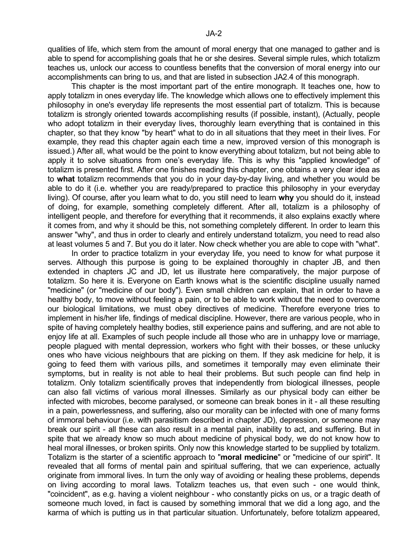qualities of life, which stem from the amount of moral energy that one managed to gather and is able to spend for accomplishing goals that he or she desires. Several simple rules, which totalizm teaches us, unlock our access to countless benefits that the conversion of moral energy into our accomplishments can bring to us, and that are listed in subsection JA2.4 of this monograph.

 This chapter is the most important part of the entire monograph. It teaches one, how to apply totalizm in ones everyday life. The knowledge which allows one to effectively implement this philosophy in one's everyday life represents the most essential part of totalizm. This is because totalizm is strongly oriented towards accomplishing results (if possible, instant), (Actually, people who adopt totalizm in their everyday lives, thoroughly learn everything that is contained in this chapter, so that they know "by heart" what to do in all situations that they meet in their lives. For example, they read this chapter again each time a new, improved version of this monograph is issued.) After all, what would be the point to know everything about totalizm, but not being able to apply it to solve situations from one's everyday life. This is why this "applied knowledge" of totalizm is presented first. After one finishes reading this chapter, one obtains a very clear idea as to **what** totalizm recommends that you do in your day-by-day living, and whether you would be able to do it (i.e. whether you are ready/prepared to practice this philosophy in your everyday living). Of course, after you learn what to do, you still need to learn **why** you should do it, instead of doing, for example, something completely different. After all, totalizm is a philosophy of intelligent people, and therefore for everything that it recommends, it also explains exactly where it comes from, and why it should be this, not something completely different. In order to learn this answer "why", and thus in order to clearly and entirely understand totalizm, you need to read also at least volumes 5 and 7. But you do it later. Now check whether you are able to cope with "what".

 In order to practice totalizm in your everyday life, you need to know for what purpose it serves. Although this purpose is going to be explained thoroughly in chapter JB, and then extended in chapters JC and JD, let us illustrate here comparatively, the major purpose of totalizm. So here it is. Everyone on Earth knows what is the scientific discipline usually named "medicine" (or "medicine of our body"). Even small children can explain, that in order to have a healthy body, to move without feeling a pain, or to be able to work without the need to overcome our biological limitations, we must obey directives of medicine. Therefore everyone tries to implement in his/her life, findings of medical discipline. However, there are various people, who in spite of having completely healthy bodies, still experience pains and suffering, and are not able to enjoy life at all. Examples of such people include all those who are in unhappy love or marriage, people plagued with mental depression, workers who fight with their bosses, or these unlucky ones who have vicious neighbours that are picking on them. If they ask medicine for help, it is going to feed them with various pills, and sometimes it temporally may even eliminate their symptoms, but in reality is not able to heal their problems. But such people can find help in totalizm. Only totalizm scientifically proves that independently from biological illnesses, people can also fall victims of various moral illnesses. Similarly as our physical body can either be infected with microbes, become paralysed, or someone can break bones in it - all these resulting in a pain, powerlessness, and suffering, also our morality can be infected with one of many forms of immoral behaviour (i.e. with parasitism described in chapter JD), depression, or someone may break our spirit - all these can also result in a mental pain, inability to act, and suffering. But in spite that we already know so much about medicine of physical body, we do not know how to heal moral illnesses, or broken spirits. Only now this knowledge started to be supplied by totalizm. Totalizm is the starter of a scientific approach to "**moral medicine**" or "medicine of our spirit". It revealed that all forms of mental pain and spiritual suffering, that we can experience, actually originate from immoral lives. In turn the only way of avoiding or healing these problems, depends on living according to moral laws. Totalizm teaches us, that even such - one would think, "coincident", as e.g. having a violent neighbour - who constantly picks on us, or a tragic death of someone much loved, in fact is caused by something immoral that we did a long ago, and the karma of which is putting us in that particular situation. Unfortunately, before totalizm appeared,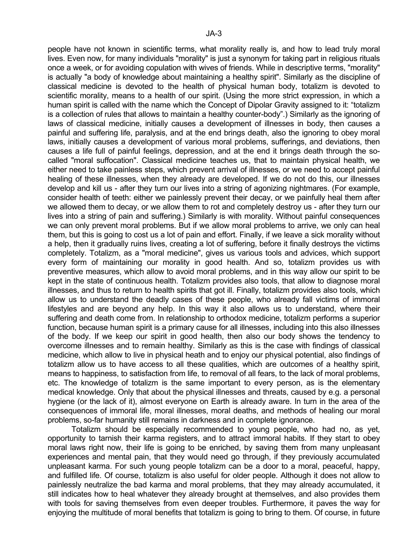people have not known in scientific terms, what morality really is, and how to lead truly moral lives. Even now, for many individuals "morality" is just a synonym for taking part in religious rituals once a week, or for avoiding copulation with wives of friends. While in descriptive terms, "morality" is actually "a body of knowledge about maintaining a healthy spirit". Similarly as the discipline of classical medicine is devoted to the health of physical human body, totalizm is devoted to scientific morality, means to a health of our spirit. (Using the more strict expression, in which a human spirit is called with the name which the Concept of Dipolar Gravity assigned to it: "totalizm is a collection of rules that allows to maintain a healthy counter-body".) Similarly as the ignoring of laws of classical medicine, initially causes a development of illnesses in body, then causes a painful and suffering life, paralysis, and at the end brings death, also the ignoring to obey moral laws, initially causes a development of various moral problems, sufferings, and deviations, then causes a life full of painful feelings, depression, and at the end it brings death through the socalled "moral suffocation". Classical medicine teaches us, that to maintain physical health, we either need to take painless steps, which prevent arrival of illnesses, or we need to accept painful healing of these illnesses, when they already are developed. If we do not do this, our illnesses develop and kill us - after they turn our lives into a string of agonizing nightmares. (For example, consider health of teeth: either we painlessly prevent their decay, or we painfully heal them after we allowed them to decay, or we allow them to rot and completely destroy us - after they turn our lives into a string of pain and suffering.) Similarly is with morality. Without painful consequences we can only prevent moral problems. But if we allow moral problems to arrive, we only can heal them, but this is going to cost us a lot of pain and effort. Finally, if we leave a sick morality without a help, then it gradually ruins lives, creating a lot of suffering, before it finally destroys the victims completely. Totalizm, as a "moral medicine", gives us various tools and advices, which support every form of maintaining our morality in good health. And so, totalizm provides us with preventive measures, which allow to avoid moral problems, and in this way allow our spirit to be kept in the state of continuous health. Totalizm provides also tools, that allow to diagnose moral illnesses, and thus to return to health spirits that got ill. Finally, totalizm provides also tools, which allow us to understand the deadly cases of these people, who already fall victims of immoral lifestyles and are beyond any help. In this way it also allows us to understand, where their suffering and death come from. In relationship to orthodox medicine, totalizm performs a superior function, because human spirit is a primary cause for all illnesses, including into this also illnesses of the body. If we keep our spirit in good health, then also our body shows the tendency to overcome illnesses and to remain healthy. Similarly as this is the case with findings of classical medicine, which allow to live in physical heath and to enjoy our physical potential, also findings of totalizm allow us to have access to all these qualities, which are outcomes of a healthy spirit, means to happiness, to satisfaction from life, to removal of all fears, to the lack of moral problems, etc. The knowledge of totalizm is the same important to every person, as is the elementary medical knowledge. Only that about the physical illnesses and threats, caused by e.g. a personal hygiene (or the lack of it), almost everyone on Earth is already aware. In turn in the area of the consequences of immoral life, moral illnesses, moral deaths, and methods of healing our moral problems, so-far humanity still remains in darkness and in complete ignorance.

 Totalizm should be especially recommended to young people, who had no, as yet, opportunity to tarnish their karma registers, and to attract immoral habits. If they start to obey moral laws right now, their life is going to be enriched, by saving them from many unpleasant experiences and mental pain, that they would need go through, if they previously accumulated unpleasant karma. For such young people totalizm can be a door to a moral, peaceful, happy, and fulfilled life. Of course, totalizm is also useful for older people. Although it does not allow to painlessly neutralize the bad karma and moral problems, that they may already accumulated, it still indicates how to heal whatever they already brought at themselves, and also provides them with tools for saving themselves from even deeper troubles. Furthermore, it paves the way for enjoying the multitude of moral benefits that totalizm is going to bring to them. Of course, in future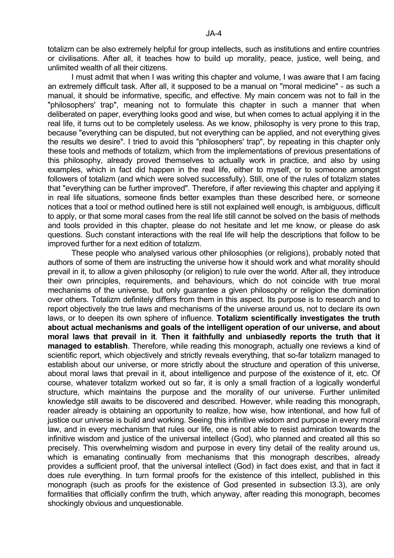totalizm can be also extremely helpful for group intellects, such as institutions and entire countries or civilisations. After all, it teaches how to build up morality, peace, justice, well being, and unlimited wealth of all their citizens.

 I must admit that when I was writing this chapter and volume, I was aware that I am facing an extremely difficult task. After all, it supposed to be a manual on "moral medicine" - as such a manual, it should be informative, specific, and effective. My main concern was not to fall in the "philosophers' trap", meaning not to formulate this chapter in such a manner that when deliberated on paper, everything looks good and wise, but when comes to actual applying it in the real life, it turns out to be completely useless. As we know, philosophy is very prone to this trap, because "everything can be disputed, but not everything can be applied, and not everything gives the results we desire". I tried to avoid this "philosophers' trap", by repeating in this chapter only these tools and methods of totalizm, which from the implementations of previous presentations of this philosophy, already proved themselves to actually work in practice, and also by using examples, which in fact did happen in the real life, either to myself, or to someone amongst followers of totalizm (and which were solved successfully). Still, one of the rules of totalizm states that "everything can be further improved". Therefore, if after reviewing this chapter and applying it in real life situations, someone finds better examples than these described here, or someone notices that a tool or method outlined here is still not explained well enough, is ambiguous, difficult to apply, or that some moral cases from the real life still cannot be solved on the basis of methods and tools provided in this chapter, please do not hesitate and let me know, or please do ask questions. Such constant interactions with the real life will help the descriptions that follow to be improved further for a next edition of totalizm.

 These people who analysed various other philosophies (or religions), probably noted that authors of some of them are instructing the universe how it should work and what morality should prevail in it, to allow a given philosophy (or religion) to rule over the world. After all, they introduce their own principles, requirements, and behaviours, which do not coincide with true moral mechanisms of the universe, but only guarantee a given philosophy or religion the domination over others. Totalizm definitely differs from them in this aspect. Its purpose is to research and to report objectively the true laws and mechanisms of the universe around us, not to declare its own laws, or to deepen its own sphere of influence. **Totalizm scientifically investigates the truth about actual mechanisms and goals of the intelligent operation of our universe, and about moral laws that prevail in it**. **Then it faithfully and unbiasedly reports the truth that it managed to establish**. Therefore, while reading this monograph, actually one reviews a kind of scientific report, which objectively and strictly reveals everything, that so-far totalizm managed to establish about our universe, or more strictly about the structure and operation of this universe, about moral laws that prevail in it, about intelligence and purpose of the existence of it, etc. Of course, whatever totalizm worked out so far, it is only a small fraction of a logically wonderful structure, which maintains the purpose and the morality of our universe. Further unlimited knowledge still awaits to be discovered and described. However, while reading this monograph, reader already is obtaining an opportunity to realize, how wise, how intentional, and how full of justice our universe is build and working. Seeing this infinitive wisdom and purpose in every moral law, and in every mechanism that rules our life, one is not able to resist admiration towards the infinitive wisdom and justice of the universal intellect (God), who planned and created all this so precisely. This overwhelming wisdom and purpose in every tiny detail of the reality around us, which is emanating continually from mechanisms that this monograph describes, already provides a sufficient proof, that the universal intellect (God) in fact does exist, and that in fact it does rule everything. In turn formal proofs for the existence of this intellect, published in this monograph (such as proofs for the existence of God presented in subsection I3.3), are only formalities that officially confirm the truth, which anyway, after reading this monograph, becomes shockingly obvious and unquestionable.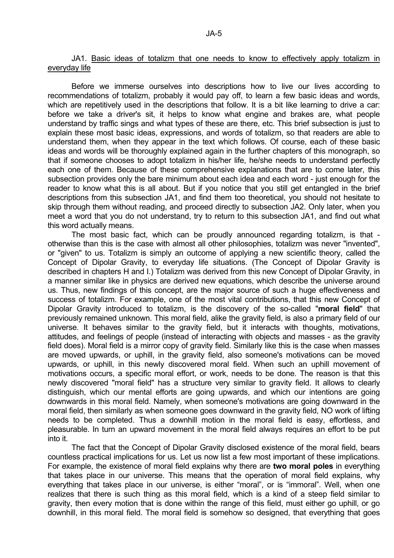## JA1. Basic ideas of totalizm that one needs to know to effectively apply totalizm in everyday life

 Before we immerse ourselves into descriptions how to live our lives according to recommendations of totalizm, probably it would pay off, to learn a few basic ideas and words, which are repetitively used in the descriptions that follow. It is a bit like learning to drive a car: before we take a driver's sit, it helps to know what engine and brakes are, what people understand by traffic sings and what types of these are there, etc. This brief subsection is just to explain these most basic ideas, expressions, and words of totalizm, so that readers are able to understand them, when they appear in the text which follows. Of course, each of these basic ideas and words will be thoroughly explained again in the further chapters of this monograph, so that if someone chooses to adopt totalizm in his/her life, he/she needs to understand perfectly each one of them. Because of these comprehensive explanations that are to come later, this subsection provides only the bare minimum about each idea and each word - just enough for the reader to know what this is all about. But if you notice that you still get entangled in the brief descriptions from this subsection JA1, and find them too theoretical, you should not hesitate to skip through them without reading, and proceed directly to subsection JA2. Only later, when you meet a word that you do not understand, try to return to this subsection JA1, and find out what this word actually means.

 The most basic fact, which can be proudly announced regarding totalizm, is that otherwise than this is the case with almost all other philosophies, totalizm was never "invented", or "given" to us. Totalizm is simply an outcome of applying a new scientific theory, called the Concept of Dipolar Gravity, to everyday life situations. (The Concept of Dipolar Gravity is described in chapters H and I.) Totalizm was derived from this new Concept of Dipolar Gravity, in a manner similar like in physics are derived new equations, which describe the universe around us. Thus, new findings of this concept, are the major source of such a huge effectiveness and success of totalizm. For example, one of the most vital contributions, that this new Concept of Dipolar Gravity introduced to totalizm, is the discovery of the so-called "**moral field**" that previously remained unknown. This moral field, alike the gravity field, is also a primary field of our universe. It behaves similar to the gravity field, but it interacts with thoughts, motivations, attitudes, and feelings of people (instead of interacting with objects and masses - as the gravity field does). Moral field is a mirror copy of gravity field. Similarly like this is the case when masses are moved upwards, or uphill, in the gravity field, also someone's motivations can be moved upwards, or uphill, in this newly discovered moral field. When such an uphill movement of motivations occurs, a specific moral effort, or work, needs to be done. The reason is that this newly discovered "moral field" has a structure very similar to gravity field. It allows to clearly distinguish, which our mental efforts are going upwards, and which our intentions are going downwards in this moral field. Namely, when someone's motivations are going downward in the moral field, then similarly as when someone goes downward in the gravity field, NO work of lifting needs to be completed. Thus a downhill motion in the moral field is easy, effortless, and pleasurable. In turn an upward movement in the moral field always requires an effort to be put into it.

 The fact that the Concept of Dipolar Gravity disclosed existence of the moral field, bears countless practical implications for us. Let us now list a few most important of these implications. For example, the existence of moral field explains why there are **two moral poles** in everything that takes place in our universe. This means that the operation of moral field explains, why everything that takes place in our universe, is either "moral", or is "immoral". Well, when one realizes that there is such thing as this moral field, which is a kind of a steep field similar to gravity, then every motion that is done within the range of this field, must either go uphill, or go downhill, in this moral field. The moral field is somehow so designed, that everything that goes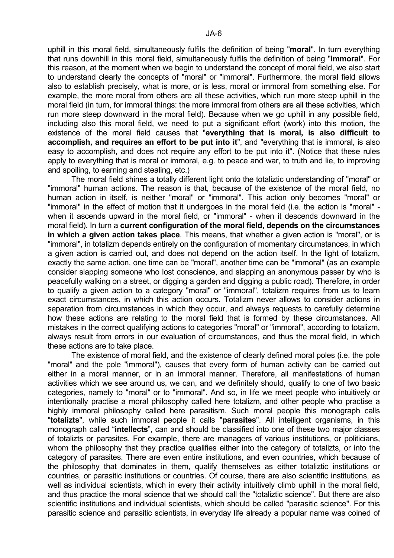uphill in this moral field, simultaneously fulfils the definition of being "**moral**". In turn everything that runs downhill in this moral field, simultaneously fulfils the definition of being "**immoral**". For this reason, at the moment when we begin to understand the concept of moral field, we also start to understand clearly the concepts of "moral" or "immoral". Furthermore, the moral field allows also to establish precisely, what is more, or is less, moral or immoral from something else. For example, the more moral from others are all these activities, which run more steep uphill in the moral field (in turn, for immoral things: the more immoral from others are all these activities, which run more steep downward in the moral field). Because when we go uphill in any possible field, including also this moral field, we need to put a significant effort (work) into this motion, the existence of the moral field causes that "**everything that is moral, is also difficult to accomplish, and requires an effort to be put into it**", and "everything that is immoral, is also easy to accomplish, and does not require any effort to be put into it". (Notice that these rules apply to everything that is moral or immoral, e.g. to peace and war, to truth and lie, to improving and spoiling, to earning and stealing, etc.)

 The moral field shines a totally different light onto the totaliztic understanding of "moral" or "immoral" human actions. The reason is that, because of the existence of the moral field, no human action in itself, is neither "moral" or "immoral". This action only becomes "moral" or "immoral" in the effect of motion that it undergoes in the moral field (i.e. the action is "moral" when it ascends upward in the moral field, or "immoral" - when it descends downward in the moral field). In turn a **current configuration of the moral field, depends on the circumstances in which a given action takes place**. This means, that whether a given action is "moral", or is "immoral", in totalizm depends entirely on the configuration of momentary circumstances, in which a given action is carried out, and does not depend on the action itself. In the light of totalizm, exactly the same action, one time can be "moral", another time can be "immoral" (as an example consider slapping someone who lost conscience, and slapping an anonymous passer by who is peacefully walking on a street, or digging a garden and digging a public road). Therefore, in order to qualify a given action to a category "moral" or "immoral", totalizm requires from us to learn exact circumstances, in which this action occurs. Totalizm never allows to consider actions in separation from circumstances in which they occur, and always requests to carefully determine how these actions are relating to the moral field that is formed by these circumstances. All mistakes in the correct qualifying actions to categories "moral" or "immoral", according to totalizm, always result from errors in our evaluation of circumstances, and thus the moral field, in which these actions are to take place.

 The existence of moral field, and the existence of clearly defined moral poles (i.e. the pole "moral" and the pole "immoral"), causes that every form of human activity can be carried out either in a moral manner, or in an immoral manner. Therefore, all manifestations of human activities which we see around us, we can, and we definitely should, qualify to one of two basic categories, namely to "moral" or to "immoral". And so, in life we meet people who intuitively or intentionally practise a moral philosophy called here totalizm, and other people who practise a highly immoral philosophy called here parasitism. Such moral people this monograph calls "**totalizts**", while such immoral people it calls "**parasites**". All intelligent organisms, in this monograph called "**intellects**", can and should be classified into one of these two major classes of totalizts or parasites. For example, there are managers of various institutions, or politicians, whom the philosophy that they practice qualifies either into the category of totalizts, or into the category of parasites. There are even entire institutions, and even countries, which because of the philosophy that dominates in them, qualify themselves as either totaliztic institutions or countries, or parasitic institutions or countries. Of course, there are also scientific institutions, as well as individual scientists, which in every their activity intuitively climb uphill in the moral field, and thus practice the moral science that we should call the "totaliztic science". But there are also scientific institutions and individual scientists, which should be called "parasitic science". For this parasitic science and parasitic scientists, in everyday life already a popular name was coined of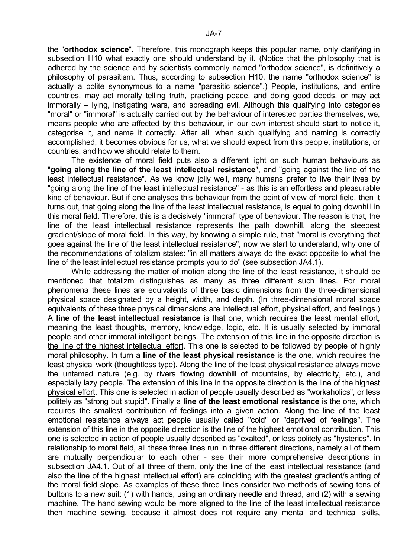the "**orthodox science**". Therefore, this monograph keeps this popular name, only clarifying in subsection H10 what exactly one should understand by it. (Notice that the philosophy that is adhered by the science and by scientists commonly named "orthodox science", is definitively a philosophy of parasitism. Thus, according to subsection H10, the name "orthodox science" is actually a polite synonymous to a name "parasitic science".) People, institutions, and entire countries, may act morally telling truth, practicing peace, and doing good deeds, or may act immorally – lying, instigating wars, and spreading evil. Although this qualifying into categories "moral" or "immoral" is actually carried out by the behaviour of interested parties themselves, we, means people who are affected by this behaviour, in our own interest should start to notice it, categorise it, and name it correctly. After all, when such qualifying and naming is correctly accomplished, it becomes obvious for us, what we should expect from this people, institutions, or countries, and how we should relate to them.

 The existence of moral field puts also a different light on such human behaviours as "**going along the line of the least intellectual resistance**", and "going against the line of the least intellectual resistance". As we know jolly well, many humans prefer to live their lives by "going along the line of the least intellectual resistance" - as this is an effortless and pleasurable kind of behaviour. But if one analyses this behaviour from the point of view of moral field, then it turns out, that going along the line of the least intellectual resistance, is equal to going downhill in this moral field. Therefore, this is a decisively "immoral" type of behaviour. The reason is that, the line of the least intellectual resistance represents the path downhill, along the steepest gradient/slope of moral field. In this way, by knowing a simple rule, that "moral is everything that goes against the line of the least intellectual resistance", now we start to understand, why one of the recommendations of totalizm states: "in all matters always do the exact opposite to what the line of the least intellectual resistance prompts you to do" (see subsection JA4.1).

 While addressing the matter of motion along the line of the least resistance, it should be mentioned that totalizm distinguishes as many as three different such lines. For moral phenomena these lines are equivalents of three basic dimensions from the three-dimensional physical space designated by a height, width, and depth. (In three-dimensional moral space equivalents of these three physical dimensions are intellectual effort, physical effort, and feelings.) A **line of the least intellectual resistance** is that one, which requires the least mental effort, meaning the least thoughts, memory, knowledge, logic, etc. It is usually selected by immoral people and other immoral intelligent beings. The extension of this line in the opposite direction is the line of the highest intellectual effort. This one is selected to be followed by people of highly moral philosophy. In turn a **line of the least physical resistance** is the one, which requires the least physical work (thoughtless type). Along the line of the least physical resistance always move the untamed nature (e.g. by rivers flowing downhill of mountains, by electricity, etc.), and especially lazy people. The extension of this line in the opposite direction is the line of the highest physical effort. This one is selected in action of people usually described as "workaholics", or less politely as "strong but stupid". Finally a **line of the least emotional resistance** is the one, which requires the smallest contribution of feelings into a given action. Along the line of the least emotional resistance always act people usually called "cold" or "deprived of feelings". The extension of this line in the opposite direction is the line of the highest emotional contribution. This one is selected in action of people usually described as "exalted", or less politely as "hysterics". In relationship to moral field, all these three lines run in three different directions, namely all of them are mutually perpendicular to each other - see their more comprehensive descriptions in subsection JA4.1. Out of all three of them, only the line of the least intellectual resistance (and also the line of the highest intellectual effort) are coinciding with the greatest gradient/slanting of the moral field slope. As examples of these three lines consider two methods of sewing tens of buttons to a new suit: (1) with hands, using an ordinary needle and thread, and (2) with a sewing machine. The hand sewing would be more aligned to the line of the least intellectual resistance then machine sewing, because it almost does not require any mental and technical skills,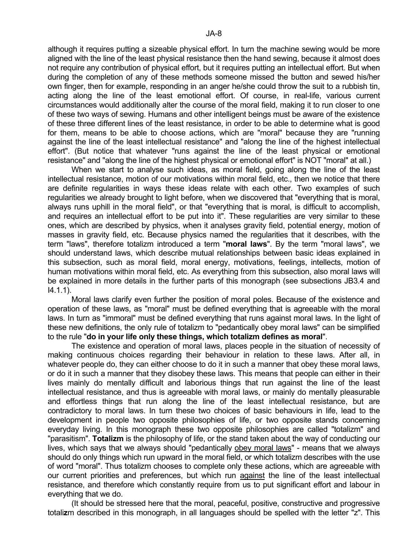although it requires putting a sizeable physical effort. In turn the machine sewing would be more aligned with the line of the least physical resistance then the hand sewing, because it almost does not require any contribution of physical effort, but it requires putting an intellectual effort. But when during the completion of any of these methods someone missed the button and sewed his/her own finger, then for example, responding in an anger he/she could throw the suit to a rubbish tin, acting along the line of the least emotional effort. Of course, in real-life, various current circumstances would additionally alter the course of the moral field, making it to run closer to one of these two ways of sewing. Humans and other intelligent beings must be aware of the existence of these three different lines of the least resistance, in order to be able to determine what is good for them, means to be able to choose actions, which are "moral" because they are "running against the line of the least intellectual resistance" and "along the line of the highest intellectual effort". (But notice that whatever "runs against the line of the least physical or emotional resistance" and "along the line of the highest physical or emotional effort" is NOT "moral" at all.)

 When we start to analyse such ideas, as moral field, going along the line of the least intellectual resistance, motion of our motivations within moral field, etc., then we notice that there are definite regularities in ways these ideas relate with each other. Two examples of such regularities we already brought to light before, when we discovered that "everything that is moral, always runs uphill in the moral field", or that "everything that is moral, is difficult to accomplish, and requires an intellectual effort to be put into it". These regularities are very similar to these ones, which are described by physics, when it analyses gravity field, potential energy, motion of masses in gravity field, etc. Because physics named the regularities that it describes, with the term "laws", therefore totalizm introduced a term "**moral laws**". By the term "moral laws", we should understand laws, which describe mutual relationships between basic ideas explained in this subsection, such as moral field, moral energy, motivations, feelings, intellects, motion of human motivations within moral field, etc. As everything from this subsection, also moral laws will be explained in more details in the further parts of this monograph (see subsections JB3.4 and I4.1.1).

 Moral laws clarify even further the position of moral poles. Because of the existence and operation of these laws, as "moral" must be defined everything that is agreeable with the moral laws. In turn as "immoral" must be defined everything that runs against moral laws. In the light of these new definitions, the only rule of totalizm to "pedantically obey moral laws" can be simplified to the rule "**do in your life only these things, which totalizm defines as moral**".

 The existence and operation of moral laws, places people in the situation of necessity of making continuous choices regarding their behaviour in relation to these laws. After all, in whatever people do, they can either choose to do it in such a manner that obey these moral laws, or do it in such a manner that they disobey these laws. This means that people can either in their lives mainly do mentally difficult and laborious things that run against the line of the least intellectual resistance, and thus is agreeable with moral laws, or mainly do mentally pleasurable and effortless things that run along the line of the least intellectual resistance, but are contradictory to moral laws. In turn these two choices of basic behaviours in life, lead to the development in people two opposite philosophies of life, or two opposite stands concerning everyday living. In this monograph these two opposite philosophies are called "totalizm" and "parasitism". **Totalizm** is the philosophy of life, or the stand taken about the way of conducting our lives, which says that we always should "pedantically obey moral laws" - means that we always should do only things which run upward in the moral field, or which totalizm describes with the use of word "moral". Thus totalizm chooses to complete only these actions, which are agreeable with our current priorities and preferences, but which run against the line of the least intellectual resistance, and therefore which constantly require from us to put significant effort and labour in everything that we do.

 (It should be stressed here that the moral, peaceful, positive, constructive and progressive totali**z**m described in this monograph, in all languages should be spelled with the letter "z". This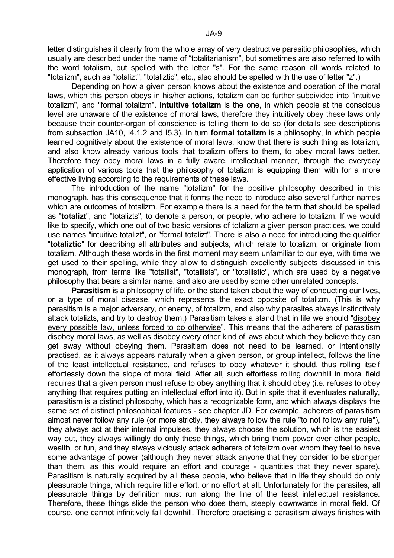letter distinguishes it clearly from the whole array of very destructive parasitic philosophies, which usually are described under the name of "totalitarianism", but sometimes are also referred to with the word totali**s**m, but spelled with the letter "s". For the same reason all words related to "totalizm", such as "totalizt", "totaliztic", etc., also should be spelled with the use of letter "z".)

 Depending on how a given person knows about the existence and operation of the moral laws, which this person obeys in his/her actions, totalizm can be further subdivided into "intuitive totalizm", and "formal totalizm". **Intuitive totalizm** is the one, in which people at the conscious level are unaware of the existence of moral laws, therefore they intuitively obey these laws only because their counter-organ of conscience is telling them to do so (for details see descriptions from subsection JA10, I4.1.2 and I5.3). In turn **formal totalizm** is a philosophy, in which people learned cognitively about the existence of moral laws, know that there is such thing as totalizm, and also know already various tools that totalizm offers to them, to obey moral laws better. Therefore they obey moral laws in a fully aware, intellectual manner, through the everyday application of various tools that the philosophy of totalizm is equipping them with for a more effective living according to the requirements of these laws.

 The introduction of the name "totalizm" for the positive philosophy described in this monograph, has this consequence that it forms the need to introduce also several further names which are outcomes of totalizm. For example there is a need for the term that should be spelled as "**totalizt**", and "totalizts", to denote a person, or people, who adhere to totalizm. If we would like to specify, which one out of two basic versions of totalizm a given person practices, we could use names "intuitive totalizt", or "formal totalizt". There is also a need for introducing the qualifier "**totaliztic**" for describing all attributes and subjects, which relate to totalizm, or originate from totalizm. Although these words in the first moment may seem unfamiliar to our eye, with time we get used to their spelling, while they allow to distinguish excellently subjects discussed in this monograph, from terms like "totallist", "totallists", or "totallistic", which are used by a negative philosophy that bears a similar name, and also are used by some other unrelated concepts.

**Parasitism** is a philosophy of life, or the stand taken about the way of conducting our lives, or a type of moral disease, which represents the exact opposite of totalizm. (This is why parasitism is a major adversary, or enemy, of totalizm, and also why parasites always instinctively attack totalizts, and try to destroy them.) Parasitism takes a stand that in life we should "disobey every possible law, unless forced to do otherwise". This means that the adherers of parasitism disobey moral laws, as well as disobey every other kind of laws about which they believe they can get away without obeying them. Parasitism does not need to be learned, or intentionally practised, as it always appears naturally when a given person, or group intellect, follows the line of the least intellectual resistance, and refuses to obey whatever it should, thus rolling itself effortlessly down the slope of moral field. After all, such effortless rolling downhill in moral field requires that a given person must refuse to obey anything that it should obey (i.e. refuses to obey anything that requires putting an intellectual effort into it). But in spite that it eventuates naturally, parasitism is a distinct philosophy, which has a recognizable form, and which always displays the same set of distinct philosophical features - see chapter JD. For example, adherers of parasitism almost never follow any rule (or more strictly, they always follow the rule "to not follow any rule"), they always act at their internal impulses, they always choose the solution, which is the easiest way out, they always willingly do only these things, which bring them power over other people, wealth, or fun, and they always viciously attack adherers of totalizm over whom they feel to have some advantage of power (although they never attack anyone that they consider to be stronger than them, as this would require an effort and courage - quantities that they never spare). Parasitism is naturally acquired by all these people, who believe that in life they should do only pleasurable things, which require little effort, or no effort at all. Unfortunately for the parasites, all pleasurable things by definition must run along the line of the least intellectual resistance. Therefore, these things slide the person who does them, steeply downwards in moral field. Of course, one cannot infinitively fall downhill. Therefore practising a parasitism always finishes with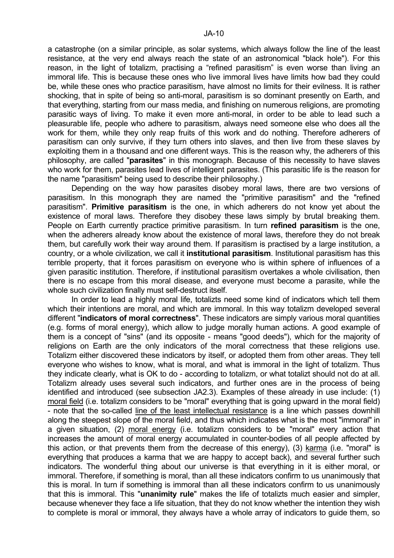a catastrophe (on a similar principle, as solar systems, which always follow the line of the least resistance, at the very end always reach the state of an astronomical "black hole"). For this reason, in the light of totalizm, practising a "refined parasitism" is even worse than living an immoral life. This is because these ones who live immoral lives have limits how bad they could be, while these ones who practice parasitism, have almost no limits for their evilness. It is rather shocking, that in spite of being so anti-moral, parasitism is so dominant presently on Earth, and that everything, starting from our mass media, and finishing on numerous religions, are promoting parasitic ways of living. To make it even more anti-moral, in order to be able to lead such a pleasurable life, people who adhere to parasitism, always need someone else who does all the work for them, while they only reap fruits of this work and do nothing. Therefore adherers of parasitism can only survive, if they turn others into slaves, and then live from these slaves by exploiting them in a thousand and one different ways. This is the reason why, the adherers of this philosophy, are called "**parasites**" in this monograph. Because of this necessity to have slaves who work for them, parasites lead lives of intelligent parasites. (This parasitic life is the reason for the name "parasitism" being used to describe their philosophy.)

 Depending on the way how parasites disobey moral laws, there are two versions of parasitism. In this monograph they are named the "primitive parasitism" and the "refined parasitism". **Primitive parasitism** is the one, in which adherers do not know yet about the existence of moral laws. Therefore they disobey these laws simply by brutal breaking them. People on Earth currently practice primitive parasitism. In turn **refined parasitism** is the one, when the adherers already know about the existence of moral laws, therefore they do not break them, but carefully work their way around them. If parasitism is practised by a large institution, a country, or a whole civilization, we call it **institutional parasitism**. Institutional parasitism has this terrible property, that it forces parasitism on everyone who is within sphere of influences of a given parasitic institution. Therefore, if institutional parasitism overtakes a whole civilisation, then there is no escape from this moral disease, and everyone must become a parasite, while the whole such civilization finally must self-destruct itself.

 In order to lead a highly moral life, totalizts need some kind of indicators which tell them which their intentions are moral, and which are immoral. In this way totalizm developed several different "**indicators of moral correctness**". These indicators are simply various moral quantities (e.g. forms of moral energy), which allow to judge morally human actions. A good example of them is a concept of "sins" (and its opposite - means "good deeds"), which for the majority of religions on Earth are the only indicators of the moral correctness that these religions use. Totalizm either discovered these indicators by itself, or adopted them from other areas. They tell everyone who wishes to know, what is moral, and what is immoral in the light of totalizm. Thus they indicate clearly, what is OK to do - according to totalizm, or what totalizt should not do at all. Totalizm already uses several such indicators, and further ones are in the process of being identified and introduced (see subsection JA2.3). Examples of these already in use include: (1) moral field (i.e. totalizm considers to be "moral" everything that is going upward in the moral field) - note that the so-called line of the least intellectual resistance is a line which passes downhill along the steepest slope of the moral field, and thus which indicates what is the most "immoral" in a given situation, (2) moral energy (i.e. totalizm considers to be "moral" every action that increases the amount of moral energy accumulated in counter-bodies of all people affected by this action, or that prevents them from the decrease of this energy), (3) karma (i.e. "moral" is everything that produces a karma that we are happy to accept back), and several further such indicators. The wonderful thing about our universe is that everything in it is either moral, or immoral. Therefore, if something is moral, than all these indicators confirm to us unanimously that this is moral. In turn if something is immoral than all these indicators confirm to us unanimously that this is immoral. This "**unanimity rule**" makes the life of totalizts much easier and simpler, because whenever they face a life situation, that they do not know whether the intention they wish to complete is moral or immoral, they always have a whole array of indicators to guide them, so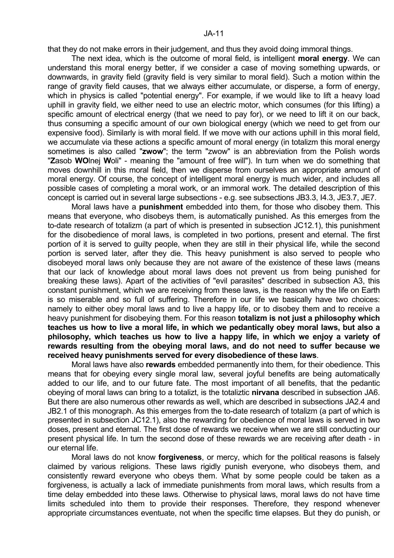that they do not make errors in their judgement, and thus they avoid doing immoral things.

 The next idea, which is the outcome of moral field, is intelligent **moral energy**. We can understand this moral energy better, if we consider a case of moving something upwards, or downwards, in gravity field (gravity field is very similar to moral field). Such a motion within the range of gravity field causes, that we always either accumulate, or disperse, a form of energy, which in physics is called "potential energy". For example, if we would like to lift a heavy load uphill in gravity field, we either need to use an electric motor, which consumes (for this lifting) a specific amount of electrical energy (that we need to pay for), or we need to lift it on our back, thus consuming a specific amount of our own biological energy (which we need to get from our expensive food). Similarly is with moral field. If we move with our actions uphill in this moral field, we accumulate via these actions a specific amount of moral energy (in totalizm this moral energy sometimes is also called "**zwow**"; the term "zwow" is an abbreviation from the Polish words "**Z**asob **WO**lnej **W**oli" - meaning the "amount of free will"). In turn when we do something that moves downhill in this moral field, then we disperse from ourselves an appropriate amount of moral energy. Of course, the concept of intelligent moral energy is much wider, and includes all possible cases of completing a moral work, or an immoral work. The detailed description of this concept is carried out in several large subsections - e.g. see subsections JB3.3, I4.3, JE3.7, JE7.

 Moral laws have a **punishment** embedded into them, for those who disobey them. This means that everyone, who disobeys them, is automatically punished. As this emerges from the to-date research of totalizm (a part of which is presented in subsection JC12.1), this punishment for the disobedience of moral laws, is completed in two portions, present and eternal. The first portion of it is served to guilty people, when they are still in their physical life, while the second portion is served later, after they die. This heavy punishment is also served to people who disobeyed moral laws only because they are not aware of the existence of these laws (means that our lack of knowledge about moral laws does not prevent us from being punished for breaking these laws). Apart of the activities of "evil parasites" described in subsection A3, this constant punishment, which we are receiving from these laws, is the reason why the life on Earth is so miserable and so full of suffering. Therefore in our life we basically have two choices: namely to either obey moral laws and to live a happy life, or to disobey them and to receive a heavy punishment for disobeying them. For this reason **totalizm is not just a philosophy which teaches us how to live a moral life, in which we pedantically obey moral laws, but also a philosophy, which teaches us how to live a happy life, in which we enjoy a variety of rewards resulting from the obeying moral laws, and do not need to suffer because we received heavy punishments served for every disobedience of these laws**.

 Moral laws have also **rewards** embedded permanently into them, for their obedience. This means that for obeying every single moral law, several joyful benefits are being automatically added to our life, and to our future fate. The most important of all benefits, that the pedantic obeying of moral laws can bring to a totalizt, is the totaliztic **nirvana** described in subsection JA6. But there are also numerous other rewards as well, which are described in subsections JA2.4 and JB2.1 of this monograph. As this emerges from the to-date research of totalizm (a part of which is presented in subsection JC12.1), also the rewarding for obedience of moral laws is served in two doses, present and eternal. The first dose of rewards we receive when we are still conducting our present physical life. In turn the second dose of these rewards we are receiving after death - in our eternal life.

 Moral laws do not know **forgiveness**, or mercy, which for the political reasons is falsely claimed by various religions. These laws rigidly punish everyone, who disobeys them, and consistently reward everyone who obeys them. What by some people could be taken as a forgiveness, is actually a lack of immediate punishments from moral laws, which results from a time delay embedded into these laws. Otherwise to physical laws, moral laws do not have time limits scheduled into them to provide their responses. Therefore, they respond whenever appropriate circumstances eventuate, not when the specific time elapses. But they do punish, or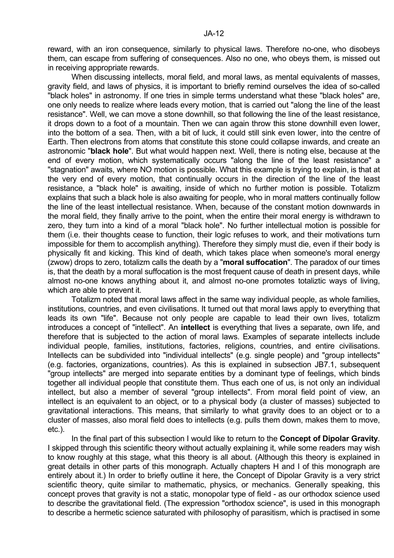reward, with an iron consequence, similarly to physical laws. Therefore no-one, who disobeys them, can escape from suffering of consequences. Also no one, who obeys them, is missed out in receiving appropriate rewards.

 When discussing intellects, moral field, and moral laws, as mental equivalents of masses, gravity field, and laws of physics, it is important to briefly remind ourselves the idea of so-called "black holes" in astronomy. If one tries in simple terms understand what these "black holes" are, one only needs to realize where leads every motion, that is carried out "along the line of the least resistance". Well, we can move a stone downhill, so that following the line of the least resistance, it drops down to a foot of a mountain. Then we can again throw this stone downhill even lower, into the bottom of a sea. Then, with a bit of luck, it could still sink even lower, into the centre of Earth. Then electrons from atoms that constitute this stone could collapse inwards, and create an astronomic "**black hole**". But what would happen next. Well, there is noting else, because at the end of every motion, which systematically occurs "along the line of the least resistance" a "stagnation" awaits, where NO motion is possible. What this example is trying to explain, is that at the very end of every motion, that continually occurs in the direction of the line of the least resistance, a "black hole" is awaiting, inside of which no further motion is possible. Totalizm explains that such a black hole is also awaiting for people, who in moral matters continually follow the line of the least intellectual resistance. When, because of the constant motion downwards in the moral field, they finally arrive to the point, when the entire their moral energy is withdrawn to zero, they turn into a kind of a moral "black hole". No further intellectual motion is possible for them (i.e. their thoughts cease to function, their logic refuses to work, and their motivations turn impossible for them to accomplish anything). Therefore they simply must die, even if their body is physically fit and kicking. This kind of death, which takes place when someone's moral energy (zwow) drops to zero, totalizm calls the death by a "**moral suffocation**". The paradox of our times is, that the death by a moral suffocation is the most frequent cause of death in present days, while almost no-one knows anything about it, and almost no-one promotes totaliztic ways of living, which are able to prevent it.

 Totalizm noted that moral laws affect in the same way individual people, as whole families, institutions, countries, and even civilisations. It turned out that moral laws apply to everything that leads its own "life". Because not only people are capable to lead their own lives, totalizm introduces a concept of "intellect". An **intellect** is everything that lives a separate, own life, and therefore that is subjected to the action of moral laws. Examples of separate intellects include individual people, families, institutions, factories, religions, countries, and entire civilisations. Intellects can be subdivided into "individual intellects" (e.g. single people) and "group intellects" (e.g. factories, organizations, countries). As this is explained in subsection JB7.1, subsequent "group intellects" are merged into separate entities by a dominant type of feelings, which binds together all individual people that constitute them. Thus each one of us, is not only an individual intellect, but also a member of several "group intellects". From moral field point of view, an intellect is an equivalent to an object, or to a physical body (a cluster of masses) subjected to gravitational interactions. This means, that similarly to what gravity does to an object or to a cluster of masses, also moral field does to intellects (e.g. pulls them down, makes them to move, etc.).

 In the final part of this subsection I would like to return to the **Concept of Dipolar Gravity**. I skipped through this scientific theory without actually explaining it, while some readers may wish to know roughly at this stage, what this theory is all about. (Although this theory is explained in great details in other parts of this monograph. Actually chapters H and I of this monograph are entirely about it.) In order to briefly outline it here, the Concept of Dipolar Gravity is a very strict scientific theory, quite similar to mathematic, physics, or mechanics. Generally speaking, this concept proves that gravity is not a static, monopolar type of field - as our orthodox science used to describe the gravitational field. (The expression "orthodox science", is used in this monograph to describe a hermetic science saturated with philosophy of parasitism, which is practised in some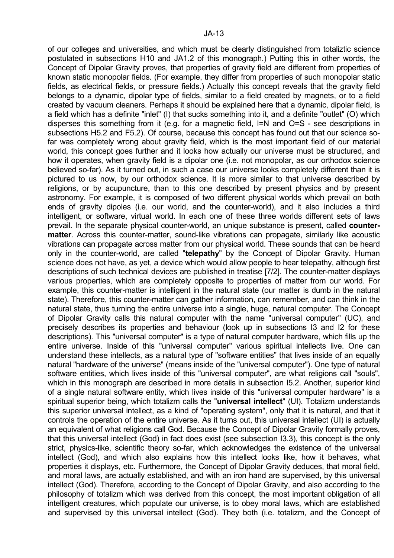of our colleges and universities, and which must be clearly distinguished from totaliztic science postulated in subsections H10 and JA1.2 of this monograph.) Putting this in other words, the Concept of Dipolar Gravity proves, that properties of gravity field are different from properties of known static monopolar fields. (For example, they differ from properties of such monopolar static fields, as electrical fields, or pressure fields.) Actually this concept reveals that the gravity field belongs to a dynamic, dipolar type of fields, similar to a field created by magnets, or to a field created by vacuum cleaners. Perhaps it should be explained here that a dynamic, dipolar field, is a field which has a definite "inlet" (I) that sucks something into it, and a definite "outlet" (O) which disperses this something from it (e.g. for a magnetic field, I=N and O=S - see descriptions in subsections H5.2 and F5.2). Of course, because this concept has found out that our science sofar was completely wrong about gravity field, which is the most important field of our material world, this concept goes further and it looks how actually our universe must be structured, and how it operates, when gravity field is a dipolar one (i.e. not monopolar, as our orthodox science believed so-far). As it turned out, in such a case our universe looks completely different than it is pictured to us now, by our orthodox science. It is more similar to that universe described by religions, or by acupuncture, than to this one described by present physics and by present astronomy. For example, it is composed of two different physical worlds which prevail on both ends of gravity dipoles (i.e. our world, and the counter-world), and it also includes a third intelligent, or software, virtual world. In each one of these three worlds different sets of laws prevail. In the separate physical counter-world, an unique substance is present, called **countermatter**. Across this counter-matter, sound-like vibrations can propagate, similarly like acoustic vibrations can propagate across matter from our physical world. These sounds that can be heard only in the counter-world, are called "**telepathy**" by the Concept of Dipolar Gravity. Human science does not have, as yet, a device which would allow people to hear telepathy, although first descriptions of such technical devices are published in treatise [7/2]. The counter-matter displays various properties, which are completely opposite to properties of matter from our world. For example, this counter-matter is intelligent in the natural state (our matter is dumb in the natural state). Therefore, this counter-matter can gather information, can remember, and can think in the natural state, thus turning the entire universe into a single, huge, natural computer. The Concept of Dipolar Gravity calls this natural computer with the name "universal computer" (UC), and precisely describes its properties and behaviour (look up in subsections I3 and I2 for these descriptions). This "universal computer" is a type of natural computer hardware, which fills up the entire universe. Inside of this "universal computer" various spiritual intellects live. One can understand these intellects, as a natural type of "software entities" that lives inside of an equally natural "hardware of the universe" (means inside of the "universal computer"). One type of natural software entities, which lives inside of this "universal computer", are what religions call "souls", which in this monograph are described in more details in subsection I5.2. Another, superior kind of a single natural software entity, which lives inside of this "universal computer hardware" is a spiritual superior being, which totalizm calls the "**universal intellect**" (UI). Totalizm understands this superior universal intellect, as a kind of "operating system", only that it is natural, and that it controls the operation of the entire universe. As it turns out, this universal intellect (UI) is actually an equivalent of what religions call God. Because the Concept of Dipolar Gravity formally proves, that this universal intellect (God) in fact does exist (see subsection I3.3), this concept is the only strict, physics-like, scientific theory so-far, which acknowledges the existence of the universal intellect (God), and which also explains how this intellect looks like, how it behaves, what properties it displays, etc. Furthermore, the Concept of Dipolar Gravity deduces, that moral field, and moral laws, are actually established, and with an iron hand are supervised, by this universal intellect (God). Therefore, according to the Concept of Dipolar Gravity, and also according to the philosophy of totalizm which was derived from this concept, the most important obligation of all intelligent creatures, which populate our universe, is to obey moral laws, which are established and supervised by this universal intellect (God). They both (i.e. totalizm, and the Concept of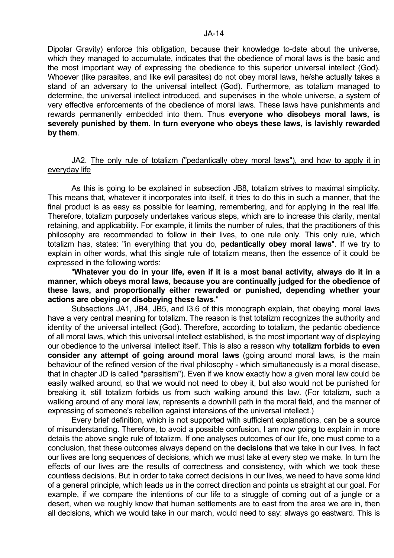Dipolar Gravity) enforce this obligation, because their knowledge to-date about the universe, which they managed to accumulate, indicates that the obedience of moral laws is the basic and the most important way of expressing the obedience to this superior universal intellect (God). Whoever (like parasites, and like evil parasites) do not obey moral laws, he/she actually takes a stand of an adversary to the universal intellect (God). Furthermore, as totalizm managed to determine, the universal intellect introduced, and supervises in the whole universe, a system of very effective enforcements of the obedience of moral laws. These laws have punishments and rewards permanently embedded into them. Thus **everyone who disobeys moral laws, is severely punished by them. In turn everyone who obeys these laws, is lavishly rewarded by them**.

## JA2. The only rule of totalizm ("pedantically obey moral laws"), and how to apply it in everyday life

 As this is going to be explained in subsection JB8, totalizm strives to maximal simplicity. This means that, whatever it incorporates into itself, it tries to do this in such a manner, that the final product is as easy as possible for learning, remembering, and for applying in the real life. Therefore, totalizm purposely undertakes various steps, which are to increase this clarity, mental retaining, and applicability. For example, it limits the number of rules, that the practitioners of this philosophy are recommended to follow in their lives, to one rule only. This only rule, which totalizm has, states: "in everything that you do, **pedantically obey moral laws**". If we try to explain in other words, what this single rule of totalizm means, then the essence of it could be expressed in the following words:

 "**Whatever you do in your life, even if it is a most banal activity, always do it in a manner, which obeys moral laws, because you are continually judged for the obedience of these laws, and proportionally either rewarded or punished, depending whether your actions are obeying or disobeying these laws**."

 Subsections JA1, JB4, JB5, and I3.6 of this monograph explain, that obeying moral laws have a very central meaning for totalizm. The reason is that totalizm recognizes the authority and identity of the universal intellect (God). Therefore, according to totalizm, the pedantic obedience of all moral laws, which this universal intellect established, is the most important way of displaying our obedience to the universal intellect itself. This is also a reason why **totalizm forbids to even consider any attempt of going around moral laws** (going around moral laws, is the main behaviour of the refined version of the rival philosophy - which simultaneously is a moral disease, that in chapter JD is called "parasitism"). Even if we know exactly how a given moral law could be easily walked around, so that we would not need to obey it, but also would not be punished for breaking it, still totalizm forbids us from such walking around this law. (For totalizm, such a walking around of any moral law, represents a downhill path in the moral field, and the manner of expressing of someone's rebellion against intensions of the universal intellect.)

 Every brief definition, which is not supported with sufficient explanations, can be a source of misunderstanding. Therefore, to avoid a possible confusion, I am now going to explain in more details the above single rule of totalizm. If one analyses outcomes of our life, one must come to a conclusion, that these outcomes always depend on the **decisions** that we take in our lives. In fact our lives are long sequences of decisions, which we must take at every step we make. In turn the effects of our lives are the results of correctness and consistency, with which we took these countless decisions. But in order to take correct decisions in our lives, we need to have some kind of a general principle, which leads us in the correct direction and points us straight at our goal. For example, if we compare the intentions of our life to a struggle of coming out of a jungle or a desert, when we roughly know that human settlements are to east from the area we are in, then all decisions, which we would take in our march, would need to say: always go eastward. This is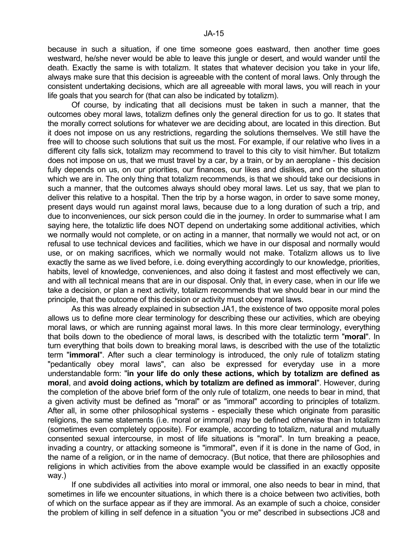because in such a situation, if one time someone goes eastward, then another time goes westward, he/she never would be able to leave this jungle or desert, and would wander until the death. Exactly the same is with totalizm. It states that whatever decision you take in your life, always make sure that this decision is agreeable with the content of moral laws. Only through the consistent undertaking decisions, which are all agreeable with moral laws, you will reach in your life goals that you search for (that can also be indicated by totalizm).

 Of course, by indicating that all decisions must be taken in such a manner, that the outcomes obey moral laws, totalizm defines only the general direction for us to go. It states that the morally correct solutions for whatever we are deciding about, are located in this direction. But it does not impose on us any restrictions, regarding the solutions themselves. We still have the free will to choose such solutions that suit us the most. For example, if our relative who lives in a different city falls sick, totalizm may recommend to travel to this city to visit him/her. But totalizm does not impose on us, that we must travel by a car, by a train, or by an aeroplane - this decision fully depends on us, on our priorities, our finances, our likes and dislikes, and on the situation which we are in. The only thing that totalizm recommends, is that we should take our decisions in such a manner, that the outcomes always should obey moral laws. Let us say, that we plan to deliver this relative to a hospital. Then the trip by a horse wagon, in order to save some money, present days would run against moral laws, because due to a long duration of such a trip, and due to inconveniences, our sick person could die in the journey. In order to summarise what I am saying here, the totaliztic life does NOT depend on undertaking some additional activities, which we normally would not complete, or on acting in a manner, that normally we would not act, or on refusal to use technical devices and facilities, which we have in our disposal and normally would use, or on making sacrifices, which we normally would not make. Totalizm allows us to live exactly the same as we lived before, i.e. doing everything accordingly to our knowledge, priorities, habits, level of knowledge, conveniences, and also doing it fastest and most effectively we can, and with all technical means that are in our disposal. Only that, in every case, when in our life we take a decision, or plan a next activity, totalizm recommends that we should bear in our mind the principle, that the outcome of this decision or activity must obey moral laws.

 As this was already explained in subsection JA1, the existence of two opposite moral poles allows us to define more clear terminology for describing these our activities, which are obeying moral laws, or which are running against moral laws. In this more clear terminology, everything that boils down to the obedience of moral laws, is described with the totaliztic term "**moral**". In turn everything that boils down to breaking moral laws, is described with the use of the totaliztic term "**immoral**". After such a clear terminology is introduced, the only rule of totalizm stating "pedantically obey moral laws", can also be expressed for everyday use in a more understandable form: "**in your life do only these actions, which by totalizm are defined as moral**, and **avoid doing actions, which by totalizm are defined as immoral**". However, during the completion of the above brief form of the only rule of totalizm, one needs to bear in mind, that a given activity must be defined as "moral" or as "immoral" according to principles of totalizm. After all, in some other philosophical systems - especially these which originate from parasitic religions, the same statements (i.e. moral or immoral) may be defined otherwise than in totalizm (sometimes even completely opposite). For example, according to totalizm, natural and mutually consented sexual intercourse, in most of life situations is "moral". In turn breaking a peace, invading a country, or attacking someone is "immoral", even if it is done in the name of God, in the name of a religion, or in the name of democracy. (But notice, that there are philosophies and religions in which activities from the above example would be classified in an exactly opposite way.)

 If one subdivides all activities into moral or immoral, one also needs to bear in mind, that sometimes in life we encounter situations, in which there is a choice between two activities, both of which on the surface appear as if they are immoral. As an example of such a choice, consider the problem of killing in self defence in a situation "you or me" described in subsections JC8 and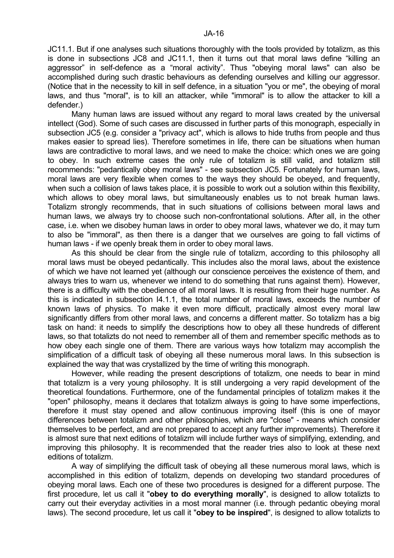JC11.1. But if one analyses such situations thoroughly with the tools provided by totalizm, as this is done in subsections JC8 and JC11.1, then it turns out that moral laws define "killing an aggressor" in self-defence as a "moral activity". Thus "obeying moral laws" can also be accomplished during such drastic behaviours as defending ourselves and killing our aggressor. (Notice that in the necessity to kill in self defence, in a situation "you or me", the obeying of moral laws, and thus "moral", is to kill an attacker, while "immoral" is to allow the attacker to kill a defender.)

 Many human laws are issued without any regard to moral laws created by the universal intellect (God). Some of such cases are discussed in further parts of this monograph, especially in subsection JC5 (e.g. consider a "privacy act", which is allows to hide truths from people and thus makes easier to spread lies). Therefore sometimes in life, there can be situations when human laws are contradictive to moral laws, and we need to make the choice: which ones we are going to obey. In such extreme cases the only rule of totalizm is still valid, and totalizm still recommends: "pedantically obey moral laws" - see subsection JC5. Fortunately for human laws, moral laws are very flexible when comes to the ways they should be obeyed, and frequently, when such a collision of laws takes place, it is possible to work out a solution within this flexibility, which allows to obey moral laws, but simultaneously enables us to not break human laws. Totalizm strongly recommends, that in such situations of collisions between moral laws and human laws, we always try to choose such non-confrontational solutions. After all, in the other case, i.e. when we disobey human laws in order to obey moral laws, whatever we do, it may turn to also be "immoral", as then there is a danger that we ourselves are going to fall victims of human laws - if we openly break them in order to obey moral laws.

 As this should be clear from the single rule of totalizm, according to this philosophy all moral laws must be obeyed pedantically. This includes also the moral laws, about the existence of which we have not learned yet (although our conscience perceives the existence of them, and always tries to warn us, whenever we intend to do something that runs against them). However, there is a difficulty with the obedience of all moral laws. It is resulting from their huge number. As this is indicated in subsection I4.1.1, the total number of moral laws, exceeds the number of known laws of physics. To make it even more difficult, practically almost every moral law significantly differs from other moral laws, and concerns a different matter. So totalizm has a big task on hand: it needs to simplify the descriptions how to obey all these hundreds of different laws, so that totalizts do not need to remember all of them and remember specific methods as to how obey each single one of them. There are various ways how totalizm may accomplish the simplification of a difficult task of obeying all these numerous moral laws. In this subsection is explained the way that was crystallized by the time of writing this monograph.

 However, while reading the present descriptions of totalizm, one needs to bear in mind that totalizm is a very young philosophy. It is still undergoing a very rapid development of the theoretical foundations. Furthermore, one of the fundamental principles of totalizm makes it the "open" philosophy, means it declares that totalizm always is going to have some imperfections, therefore it must stay opened and allow continuous improving itself (this is one of mayor differences between totalizm and other philosophies, which are "close" - means which consider themselves to be perfect, and are not prepared to accept any further improvements). Therefore it is almost sure that next editions of totalizm will include further ways of simplifying, extending, and improving this philosophy. It is recommended that the reader tries also to look at these next editions of totalizm.

 A way of simplifying the difficult task of obeying all these numerous moral laws, which is accomplished in this edition of totalizm, depends on developing two standard procedures of obeying moral laws. Each one of these two procedures is designed for a different purpose. The first procedure, let us call it "**obey to do everything morally**", is designed to allow totalizts to carry out their everyday activities in a most moral manner (i.e. through pedantic obeying moral laws). The second procedure, let us call it "**obey to be inspired**", is designed to allow totalizts to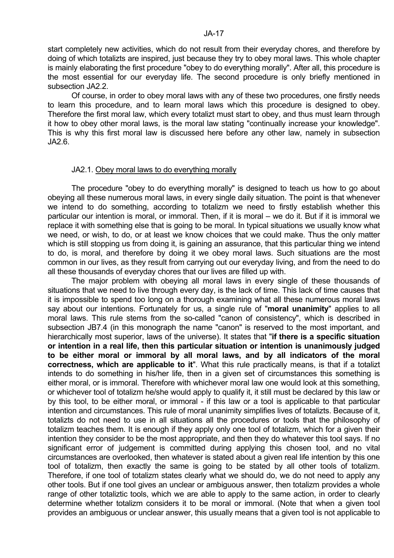start completely new activities, which do not result from their everyday chores, and therefore by doing of which totalizts are inspired, just because they try to obey moral laws. This whole chapter is mainly elaborating the first procedure "obey to do everything morally". After all, this procedure is the most essential for our everyday life. The second procedure is only briefly mentioned in subsection JA2.2.

 Of course, in order to obey moral laws with any of these two procedures, one firstly needs to learn this procedure, and to learn moral laws which this procedure is designed to obey. Therefore the first moral law, which every totalizt must start to obey, and thus must learn through it how to obey other moral laws, is the moral law stating "continually increase your knowledge". This is why this first moral law is discussed here before any other law, namely in subsection JA2.6.

#### JA2.1. Obey moral laws to do everything morally

 The procedure "obey to do everything morally" is designed to teach us how to go about obeying all these numerous moral laws, in every single daily situation. The point is that whenever we intend to do something, according to totalizm we need to firstly establish whether this particular our intention is moral, or immoral. Then, if it is moral – we do it. But if it is immoral we replace it with something else that is going to be moral. In typical situations we usually know what we need, or wish, to do, or at least we know choices that we could make. Thus the only matter which is still stopping us from doing it, is gaining an assurance, that this particular thing we intend to do, is moral, and therefore by doing it we obey moral laws. Such situations are the most common in our lives, as they result from carrying out our everyday living, and from the need to do all these thousands of everyday chores that our lives are filled up with.

 The major problem with obeying all moral laws in every single of these thousands of situations that we need to live through every day, is the lack of time. This lack of time causes that it is impossible to spend too long on a thorough examining what all these numerous moral laws say about our intentions. Fortunately for us, a single rule of "**moral unanimity**" applies to all moral laws. This rule stems from the so-called "canon of consistency", which is described in subsection JB7.4 (in this monograph the name "canon" is reserved to the most important, and hierarchically most superior, laws of the universe). It states that "**if there is a specific situation or intention in a real life, then this particular situation or intention is unanimously judged to be either moral or immoral by all moral laws, and by all indicators of the moral correctness, which are applicable to it**". What this rule practically means, is that if a totalizt intends to do something in his/her life, then in a given set of circumstances this something is either moral, or is immoral. Therefore with whichever moral law one would look at this something, or whichever tool of totalizm he/she would apply to qualify it, it still must be declared by this law or by this tool, to be either moral, or immoral - if this law or a tool is applicable to that particular intention and circumstances. This rule of moral unanimity simplifies lives of totalizts. Because of it, totalizts do not need to use in all situations all the procedures or tools that the philosophy of totalizm teaches them. It is enough if they apply only one tool of totalizm, which for a given their intention they consider to be the most appropriate, and then they do whatever this tool says. If no significant error of judgement is committed during applying this chosen tool, and no vital circumstances are overlooked, then whatever is stated about a given real life intention by this one tool of totalizm, then exactly the same is going to be stated by all other tools of totalizm. Therefore, if one tool of totalizm states clearly what we should do, we do not need to apply any other tools. But if one tool gives an unclear or ambiguous answer, then totalizm provides a whole range of other totaliztic tools, which we are able to apply to the same action, in order to clearly determine whether totalizm considers it to be moral or immoral. (Note that when a given tool provides an ambiguous or unclear answer, this usually means that a given tool is not applicable to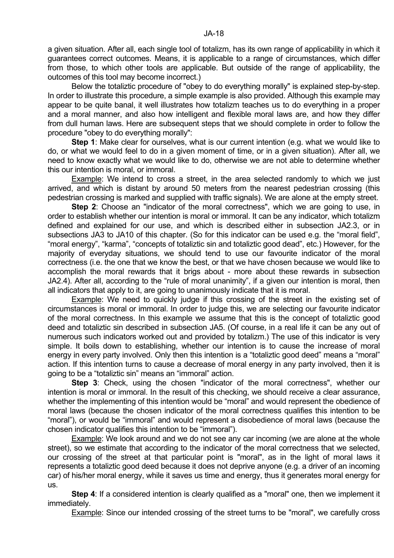a given situation. After all, each single tool of totalizm, has its own range of applicability in which it guarantees correct outcomes. Means, it is applicable to a range of circumstances, which differ from those, to which other tools are applicable. But outside of the range of applicability, the outcomes of this tool may become incorrect.)

 Below the totaliztic procedure of "obey to do everything morally" is explained step-by-step. In order to illustrate this procedure, a simple example is also provided. Although this example may appear to be quite banal, it well illustrates how totalizm teaches us to do everything in a proper and a moral manner, and also how intelligent and flexible moral laws are, and how they differ from dull human laws. Here are subsequent steps that we should complete in order to follow the procedure "obey to do everything morally":

**Step 1:** Make clear for ourselves, what is our current intention (e.g. what we would like to do, or what we would feel to do in a given moment of time, or in a given situation). After all, we need to know exactly what we would like to do, otherwise we are not able to determine whether this our intention is moral, or immoral.

 Example: We intend to cross a street, in the area selected randomly to which we just arrived, and which is distant by around 50 meters from the nearest pedestrian crossing (this pedestrian crossing is marked and supplied with traffic signals). We are alone at the empty street.

**Step 2**: Choose an "indicator of the moral correctness", which we are going to use, in order to establish whether our intention is moral or immoral. It can be any indicator, which totalizm defined and explained for our use, and which is described either in subsection JA2.3, or in subsections JA3 to JA10 of this chapter. (So for this indicator can be used e.g. the "moral field", "moral energy", "karma", "concepts of totaliztic sin and totaliztic good dead", etc.) However, for the majority of everyday situations, we should tend to use our favourite indicator of the moral correctness (i.e. the one that we know the best, or that we have chosen because we would like to accomplish the moral rewards that it brigs about - more about these rewards in subsection JA2.4). After all, according to the "rule of moral unanimity", if a given our intention is moral, then all indicators that apply to it, are going to unanimously indicate that it is moral.

Example: We need to quickly judge if this crossing of the street in the existing set of circumstances is moral or immoral. In order to judge this, we are selecting our favourite indicator of the moral correctness. In this example we assume that this is the concept of totaliztic good deed and totaliztic sin described in subsection JA5. (Of course, in a real life it can be any out of numerous such indicators worked out and provided by totalizm.) The use of this indicator is very simple. It boils down to establishing, whether our intention is to cause the increase of moral energy in every party involved. Only then this intention is a "totaliztic good deed" means a "moral" action. If this intention turns to cause a decrease of moral energy in any party involved, then it is going to be a "totaliztic sin" means an "immoral" action.

**Step 3**: Check, using the chosen "indicator of the moral correctness", whether our intention is moral or immoral. In the result of this checking, we should receive a clear assurance, whether the implementing of this intention would be "moral" and would represent the obedience of moral laws (because the chosen indicator of the moral correctness qualifies this intention to be "moral"), or would be "immoral" and would represent a disobedience of moral laws (because the chosen indicator qualifies this intention to be "immoral").

 Example: We look around and we do not see any car incoming (we are alone at the whole street), so we estimate that according to the indicator of the moral correctness that we selected, our crossing of the street at that particular point is "moral", as in the light of moral laws it represents a totaliztic good deed because it does not deprive anyone (e.g. a driver of an incoming car) of his/her moral energy, while it saves us time and energy, thus it generates moral energy for us.

**Step 4:** If a considered intention is clearly qualified as a "moral" one, then we implement it immediately.

Example: Since our intended crossing of the street turns to be "moral", we carefully cross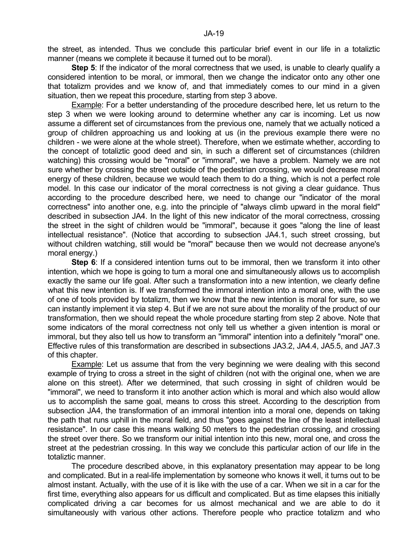the street, as intended. Thus we conclude this particular brief event in our life in a totaliztic manner (means we complete it because it turned out to be moral).

**Step 5:** If the indicator of the moral correctness that we used, is unable to clearly qualify a considered intention to be moral, or immoral, then we change the indicator onto any other one that totalizm provides and we know of, and that immediately comes to our mind in a given situation, then we repeat this procedure, starting from step 3 above.

 Example: For a better understanding of the procedure described here, let us return to the step 3 when we were looking around to determine whether any car is incoming. Let us now assume a different set of circumstances from the previous one, namely that we actually noticed a group of children approaching us and looking at us (in the previous example there were no children - we were alone at the whole street). Therefore, when we estimate whether, according to the concept of totaliztic good deed and sin, in such a different set of circumstances (children watching) this crossing would be "moral" or "immoral", we have a problem. Namely we are not sure whether by crossing the street outside of the pedestrian crossing, we would decrease moral energy of these children, because we would teach them to do a thing, which is not a perfect role model. In this case our indicator of the moral correctness is not giving a clear guidance. Thus according to the procedure described here, we need to change our "indicator of the moral correctness" into another one, e.g. into the principle of "always climb upward in the moral field" described in subsection JA4. In the light of this new indicator of the moral correctness, crossing the street in the sight of children would be "immoral", because it goes "along the line of least intellectual resistance". (Notice that according to subsection JA4.1, such street crossing, but without children watching, still would be "moral" because then we would not decrease anyone's moral energy.)

**Step 6**: If a considered intention turns out to be immoral, then we transform it into other intention, which we hope is going to turn a moral one and simultaneously allows us to accomplish exactly the same our life goal. After such a transformation into a new intention, we clearly define what this new intention is. If we transformed the immoral intention into a moral one, with the use of one of tools provided by totalizm, then we know that the new intention is moral for sure, so we can instantly implement it via step 4. But if we are not sure about the morality of the product of our transformation, then we should repeat the whole procedure starting from step 2 above. Note that some indicators of the moral correctness not only tell us whether a given intention is moral or immoral, but they also tell us how to transform an "immoral" intention into a definitely "moral" one. Effective rules of this transformation are described in subsections JA3.2, JA4.4, JA5.5, and JA7.3 of this chapter.

 Example: Let us assume that from the very beginning we were dealing with this second example of trying to cross a street in the sight of children (not with the original one, when we are alone on this street). After we determined, that such crossing in sight of children would be "immoral", we need to transform it into another action which is moral and which also would allow us to accomplish the same goal, means to cross this street. According to the description from subsection JA4, the transformation of an immoral intention into a moral one, depends on taking the path that runs uphill in the moral field, and thus "goes against the line of the least intellectual resistance". In our case this means walking 50 meters to the pedestrian crossing, and crossing the street over there. So we transform our initial intention into this new, moral one, and cross the street at the pedestrian crossing. In this way we conclude this particular action of our life in the totaliztic manner.

 The procedure described above, in this explanatory presentation may appear to be long and complicated. But in a real-life implementation by someone who knows it well, it turns out to be almost instant. Actually, with the use of it is like with the use of a car. When we sit in a car for the first time, everything also appears for us difficult and complicated. But as time elapses this initially complicated driving a car becomes for us almost mechanical and we are able to do it simultaneously with various other actions. Therefore people who practice totalizm and who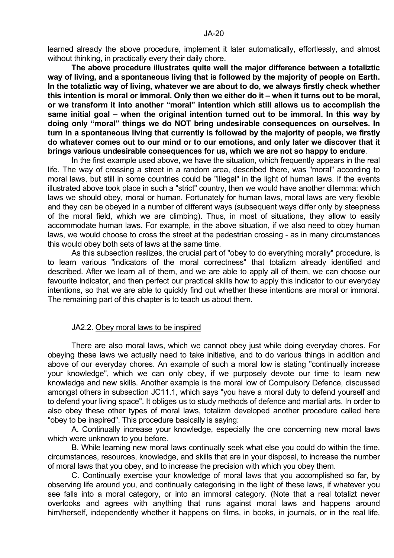**The above procedure illustrates quite well the major difference between a totaliztic way of living, and a spontaneous living that is followed by the majority of people on Earth. In the totaliztic way of living, whatever we are about to do, we always firstly check whether this intention is moral or immoral. Only then we either do it – when it turns out to be moral, or we transform it into another "moral" intention which still allows us to accomplish the same initial goal – when the original intention turned out to be immoral. In this way by doing only "moral" things we do NOT bring undesirable consequences on ourselves. In turn in a spontaneous living that currently is followed by the majority of people, we firstly do whatever comes out to our mind or to our emotions, and only later we discover that it brings various undesirable consequences for us, which we are not so happy to endure**.

 In the first example used above, we have the situation, which frequently appears in the real life. The way of crossing a street in a random area, described there, was "moral" according to moral laws, but still in some countries could be "illegal" in the light of human laws. If the events illustrated above took place in such a "strict" country, then we would have another dilemma: which laws we should obey, moral or human. Fortunately for human laws, moral laws are very flexible and they can be obeyed in a number of different ways (subsequent ways differ only by steepness of the moral field, which we are climbing). Thus, in most of situations, they allow to easily accommodate human laws. For example, in the above situation, if we also need to obey human laws, we would choose to cross the street at the pedestrian crossing - as in many circumstances this would obey both sets of laws at the same time.

 As this subsection realizes, the crucial part of "obey to do everything morally" procedure, is to learn various "indicators of the moral correctness" that totalizm already identified and described. After we learn all of them, and we are able to apply all of them, we can choose our favourite indicator, and then perfect our practical skills how to apply this indicator to our everyday intentions, so that we are able to quickly find out whether these intentions are moral or immoral. The remaining part of this chapter is to teach us about them.

## JA2.2. Obey moral laws to be inspired

 There are also moral laws, which we cannot obey just while doing everyday chores. For obeying these laws we actually need to take initiative, and to do various things in addition and above of our everyday chores. An example of such a moral low is stating "continually increase your knowledge", which we can only obey, if we purposely devote our time to learn new knowledge and new skills. Another example is the moral low of Compulsory Defence, discussed amongst others in subsection JC11.1, which says "you have a moral duty to defend yourself and to defend your living space". It obliges us to study methods of defence and martial arts. In order to also obey these other types of moral laws, totalizm developed another procedure called here "obey to be inspired". This procedure basically is saying:

 A. Continually increase your knowledge, especially the one concerning new moral laws which were unknown to you before.

 B. While learning new moral laws continually seek what else you could do within the time, circumstances, resources, knowledge, and skills that are in your disposal, to increase the number of moral laws that you obey, and to increase the precision with which you obey them.

 C. Continually exercise your knowledge of moral laws that you accomplished so far, by observing life around you, and continually categorising in the light of these laws, if whatever you see falls into a moral category, or into an immoral category. (Note that a real totalizt never overlooks and agrees with anything that runs against moral laws and happens around him/herself, independently whether it happens on films, in books, in journals, or in the real life,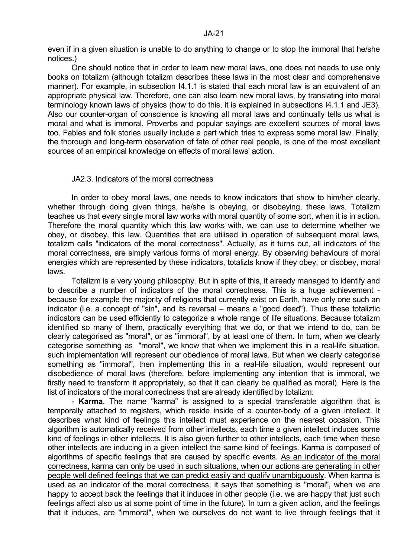even if in a given situation is unable to do anything to change or to stop the immoral that he/she notices.)

 One should notice that in order to learn new moral laws, one does not needs to use only books on totalizm (although totalizm describes these laws in the most clear and comprehensive manner). For example, in subsection 14.1.1 is stated that each moral law is an equivalent of an appropriate physical law. Therefore, one can also learn new moral laws, by translating into moral terminology known laws of physics (how to do this, it is explained in subsections I4.1.1 and JE3). Also our counter-organ of conscience is knowing all moral laws and continually tells us what is moral and what is immoral. Proverbs and popular sayings are excellent sources of moral laws too. Fables and folk stories usually include a part which tries to express some moral law. Finally, the thorough and long-term observation of fate of other real people, is one of the most excellent sources of an empirical knowledge on effects of moral laws' action.

## JA2.3. Indicators of the moral correctness

In order to obey moral laws, one needs to know indicators that show to him/her clearly, whether through doing given things, he/she is obeying, or disobeying, these laws. Totalizm teaches us that every single moral law works with moral quantity of some sort, when it is in action. Therefore the moral quantity which this law works with, we can use to determine whether we obey, or disobey, this law. Quantities that are utilised in operation of subsequent moral laws, totalizm calls "indicators of the moral correctness". Actually, as it turns out, all indicators of the moral correctness, are simply various forms of moral energy. By observing behaviours of moral energies which are represented by these indicators, totalizts know if they obey, or disobey, moral laws.

 Totalizm is a very young philosophy. But in spite of this, it already managed to identify and to describe a number of indicators of the moral correctness. This is a huge achievement because for example the majority of religions that currently exist on Earth, have only one such an indicator (i.e. a concept of "sin", and its reversal – means a "good deed"). Thus these totaliztic indicators can be used efficiently to categorize a whole range of life situations. Because totalizm identified so many of them, practically everything that we do, or that we intend to do, can be clearly categorised as "moral", or as "immoral", by at least one of them. In turn, when we clearly categorise something as "moral", we know that when we implement this in a real-life situation, such implementation will represent our obedience of moral laws. But when we clearly categorise something as "immoral", then implementing this in a real-life situation, would represent our disobedience of moral laws (therefore, before implementing any intention that is immoral, we firstly need to transform it appropriately, so that it can clearly be qualified as moral). Here is the list of indicators of the moral correctness that are already identified by totalizm:

 - **Karma**. The name "karma" is assigned to a special transferable algorithm that is temporally attached to registers, which reside inside of a counter-body of a given intellect. It describes what kind of feelings this intellect must experience on the nearest occasion. This algorithm is automatically received from other intellects, each time a given intellect induces some kind of feelings in other intellects. It is also given further to other intellects, each time when these other intellects are inducing in a given intellect the same kind of feelings. Karma is composed of algorithms of specific feelings that are caused by specific events. As an indicator of the moral correctness, karma can only be used in such situations, when our actions are generating in other people well defined feelings that we can predict easily and qualify unambiguously. When karma is used as an indicator of the moral correctness, it says that something is "moral", when we are happy to accept back the feelings that it induces in other people (i.e. we are happy that just such feelings affect also us at some point of time in the future). In turn a given action, and the feelings that it induces, are "immoral", when we ourselves do not want to live through feelings that it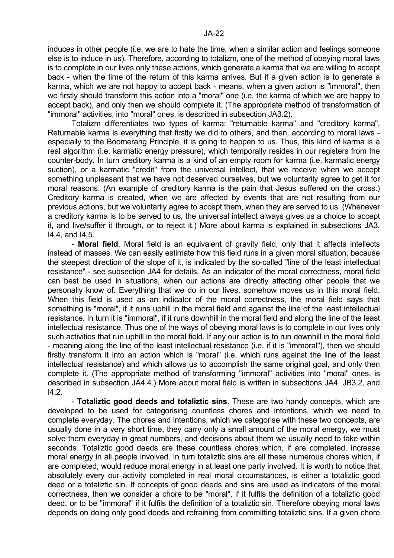induces in other people (i.e. we are to hate the time, when a similar action and feelings someone else is to induce in us). Therefore, according to totalizm, one of the method of obeying moral laws is to complete in our lives only these actions, which generate a karma that we are willing to accept back - when the time of the return of this karma arrives. But if a given action is to generate a karma, which we are not happy to accept back - means, when a given action is "immoral", then we firstly should transform this action into a "moral" one (i.e. the karma of which we are happy to accept back), and only then we should complete it. (The appropriate method of transformation of "immoral" activities, into "moral" ones, is described in subsection JA3.2).

 Totalizm differentiates two types of karma: "returnable karma" and "creditory karma". Returnable karma is everything that firstly we did to others, and then, according to moral laws especially to the Boomerang Principle, it is going to happen to us. Thus, this kind of karma is a real algorithm (i.e. karmatic energy pressure), which temporally resides in our registers from the counter-body. In turn creditory karma is a kind of an empty room for karma (i.e. karmatic energy suction), or a karmatic "credit" from the universal intellect, that we receive when we accept something unpleasant that we have not deserved ourselves, but we voluntarily agree to get it for moral reasons. (An example of creditory karma is the pain that Jesus suffered on the cross.) Creditory karma is created, when we are affected by events that are not resulting from our previous actions, but we voluntarily agree to accept them, when they are served to us. (Whenever a creditory karma is to be served to us, the universal intellect always gives us a choice to accept it, and live/suffer it through, or to reject it.) More about karma is explained in subsections JA3, I4.4, and I4.5.

 - **Moral field**. Moral field is an equivalent of gravity field, only that it affects intellects instead of masses. We can easily estimate how this field runs in a given moral situation, because the steepest direction of the slope of it, is indicated by the so-called "line of the least intellectual resistance" - see subsection JA4 for details. As an indicator of the moral correctness, moral field can best be used in situations, when our actions are directly affecting other people that we personally know of. Everything that we do in our lives, somehow moves us in this moral field. When this field is used as an indicator of the moral correctness, the moral field says that something is "moral", if it runs uphill in the moral field and against the line of the least intellectual resistance. In turn it is "immoral", if it runs downhill in the moral field and along the line of the least intellectual resistance. Thus one of the ways of obeying moral laws is to complete in our lives only such activities that run uphill in the moral field. If any our action is to run downhill in the moral field - meaning along the line of the least intellectual resistance (i.e. if it is "immoral"), then we should firstly transform it into an action which is "moral" (i.e. which runs against the line of the least intellectual resistance) and which allows us to accomplish the same original goal, and only then complete it. (The appropriate method of transforming "immoral" activities into "moral" ones, is described in subsection JA4.4.) More about moral field is written in subsections JA4, JB3.2, and I4.2.

 - **Totaliztic good deeds and totaliztic sins**. These are two handy concepts, which are developed to be used for categorising countless chores and intentions, which we need to complete everyday. The chores and intentions, which we categorise with these two concepts, are usually done in a very short time, they carry only a small amount of the moral energy, we must solve them everyday in great numbers, and decisions about them we usually need to take within seconds. Totaliztic good deeds are these countless chores which, if are completed, increase moral energy in all people involved. In turn totaliztic sins are all these numerous chores which, if are completed, would reduce moral energy in at least one party involved. It is worth to notice that absolutely every our activity completed in real moral circumstances, is either a totaliztic good deed or a totaliztic sin. If concepts of good deeds and sins are used as indicators of the moral correctness, then we consider a chore to be "moral", if it fulfils the definition of a totaliztic good deed, or to be "immoral" if it fulfils the definition of a totaliztic sin. Therefore obeying moral laws depends on doing only good deeds and refraining from committing totaliztic sins. If a given chore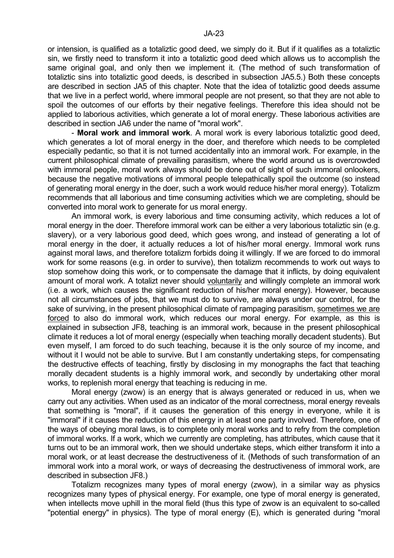or intension, is qualified as a totaliztic good deed, we simply do it. But if it qualifies as a totaliztic sin, we firstly need to transform it into a totaliztic good deed which allows us to accomplish the same original goal, and only then we implement it. (The method of such transformation of totaliztic sins into totaliztic good deeds, is described in subsection JA5.5.) Both these concepts are described in section JA5 of this chapter. Note that the idea of totaliztic good deeds assume that we live in a perfect world, where immoral people are not present, so that they are not able to spoil the outcomes of our efforts by their negative feelings. Therefore this idea should not be applied to laborious activities, which generate a lot of moral energy. These laborious activities are described in section JA6 under the name of "moral work".

 - **Moral work and immoral work**. A moral work is every laborious totaliztic good deed, which generates a lot of moral energy in the doer, and therefore which needs to be completed especially pedantic, so that it is not turned accidentally into an immoral work. For example, in the current philosophical climate of prevailing parasitism, where the world around us is overcrowded with immoral people, moral work always should be done out of sight of such immoral onlookers, because the negative motivations of immoral people telepathically spoil the outcome (so instead of generating moral energy in the doer, such a work would reduce his/her moral energy). Totalizm recommends that all laborious and time consuming activities which we are completing, should be converted into moral work to generate for us moral energy.

 An immoral work, is every laborious and time consuming activity, which reduces a lot of moral energy in the doer. Therefore immoral work can be either a very laborious totaliztic sin (e.g. slavery), or a very laborious good deed, which goes wrong, and instead of generating a lot of moral energy in the doer, it actually reduces a lot of his/her moral energy. Immoral work runs against moral laws, and therefore totalizm forbids doing it willingly. If we are forced to do immoral work for some reasons (e.g. in order to survive), then totalizm recommends to work out ways to stop somehow doing this work, or to compensate the damage that it inflicts, by doing equivalent amount of moral work. A totalizt never should voluntarily and willingly complete an immoral work (i.e. a work, which causes the significant reduction of his/her moral energy). However, because not all circumstances of jobs, that we must do to survive, are always under our control, for the sake of surviving, in the present philosophical climate of rampaging parasitism, sometimes we are forced to also do immoral work, which reduces our moral energy. For example, as this is explained in subsection JF8, teaching is an immoral work, because in the present philosophical climate it reduces a lot of moral energy (especially when teaching morally decadent students). But even myself, I am forced to do such teaching, because it is the only source of my income, and without it I would not be able to survive. But I am constantly undertaking steps, for compensating the destructive effects of teaching, firstly by disclosing in my monographs the fact that teaching morally decadent students is a highly immoral work, and secondly by undertaking other moral works, to replenish moral energy that teaching is reducing in me.

 Moral energy (zwow) is an energy that is always generated or reduced in us, when we carry out any activities. When used as an indicator of the moral correctness, moral energy reveals that something is "moral", if it causes the generation of this energy in everyone, while it is "immoral" if it causes the reduction of this energy in at least one party involved. Therefore, one of the ways of obeying moral laws, is to complete only moral works and to refry from the completion of immoral works. If a work, which we currently are completing, has attributes, which cause that it turns out to be an immoral work, then we should undertake steps, which either transform it into a moral work, or at least decrease the destructiveness of it. (Methods of such transformation of an immoral work into a moral work, or ways of decreasing the destructiveness of immoral work, are described in subsection JF8.)

 Totalizm recognizes many types of moral energy (zwow), in a similar way as physics recognizes many types of physical energy. For example, one type of moral energy is generated, when intellects move uphill in the moral field (thus this type of zwow is an equivalent to so-called "potential energy" in physics). The type of moral energy (E), which is generated during "moral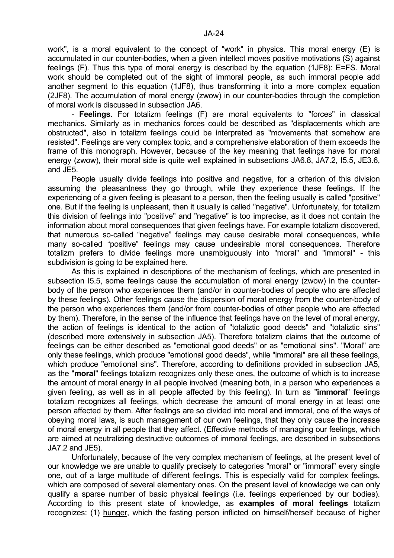work", is a moral equivalent to the concept of "work" in physics. This moral energy (E) is accumulated in our counter-bodies, when a given intellect moves positive motivations (S) against feelings (F). Thus this type of moral energy is described by the equation (1JF8): E=FS. Moral work should be completed out of the sight of immoral people, as such immoral people add another segment to this equation (1JF8), thus transforming it into a more complex equation (2JF8). The accumulation of moral energy (zwow) in our counter-bodies through the completion of moral work is discussed in subsection JA6.

 - **Feelings**. For totalizm feelings (F) are moral equivalents to "forces" in classical mechanics. Similarly as in mechanics forces could be described as "displacements which are obstructed", also in totalizm feelings could be interpreted as "movements that somehow are resisted". Feelings are very complex topic, and a comprehensive elaboration of them exceeds the frame of this monograph. However, because of the key meaning that feelings have for moral energy (zwow), their moral side is quite well explained in subsections JA6.8, JA7.2, I5.5, JE3.6, and JE5.

 People usually divide feelings into positive and negative, for a criterion of this division assuming the pleasantness they go through, while they experience these feelings. If the experiencing of a given feeling is pleasant to a person, then the feeling usually is called "positive" one. But if the feeling is unpleasant, then it usually is called "negative". Unfortunately, for totalizm this division of feelings into "positive" and "negative" is too imprecise, as it does not contain the information about moral consequences that given feelings have. For example totalizm discovered, that numerous so-called "negative" feelings may cause desirable moral consequences, while many so-called "positive" feelings may cause undesirable moral consequences. Therefore totalizm prefers to divide feelings more unambiguously into "moral" and "immoral" - this subdivision is going to be explained here.

 As this is explained in descriptions of the mechanism of feelings, which are presented in subsection I5.5, some feelings cause the accumulation of moral energy (zwow) in the counterbody of the person who experiences them (and/or in counter-bodies of people who are affected by these feelings). Other feelings cause the dispersion of moral energy from the counter-body of the person who experiences them (and/or from counter-bodies of other people who are affected by them). Therefore, in the sense of the influence that feelings have on the level of moral energy, the action of feelings is identical to the action of "totaliztic good deeds" and "totaliztic sins" (described more extensively in subsection JA5). Therefore totalizm claims that the outcome of feelings can be either described as "emotional good deeds" or as "emotional sins". "Moral" are only these feelings, which produce "emotional good deeds", while "immoral" are all these feelings, which produce "emotional sins". Therefore, according to definitions provided in subsection JA5, as the "**moral**" feelings totalizm recognizes only these ones, the outcome of which is to increase the amount of moral energy in all people involved (meaning both, in a person who experiences a given feeling, as well as in all people affected by this feeling). In turn as "**immoral**" feelings totalizm recognizes all feelings, which decrease the amount of moral energy in at least one person affected by them. After feelings are so divided into moral and immoral, one of the ways of obeying moral laws, is such management of our own feelings, that they only cause the increase of moral energy in all people that they affect. (Effective methods of managing our feelings, which are aimed at neutralizing destructive outcomes of immoral feelings, are described in subsections JA7.2 and JE5).

 Unfortunately, because of the very complex mechanism of feelings, at the present level of our knowledge we are unable to qualify precisely to categories "moral" or "immoral" every single one, out of a large multitude of different feelings. This is especially valid for complex feelings, which are composed of several elementary ones. On the present level of knowledge we can only qualify a sparse number of basic physical feelings (i.e. feelings experienced by our bodies). According to this present state of knowledge, as **examples of moral feelings** totalizm recognizes: (1) hunger, which the fasting person inflicted on himself/herself because of higher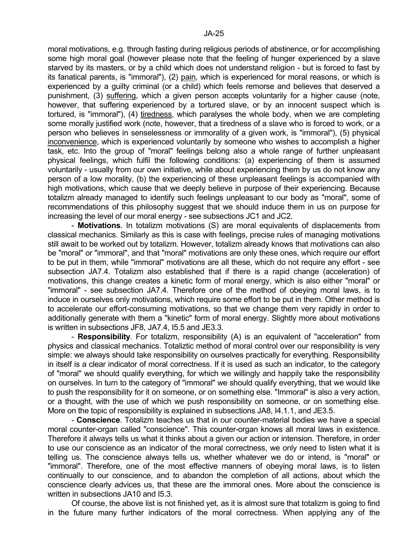moral motivations, e.g. through fasting during religious periods of abstinence, or for accomplishing some high moral goal (however please note that the feeling of hunger experienced by a slave starved by its masters, or by a child which does not understand religion - but is forced to fast by its fanatical parents, is "immoral"), (2) pain, which is experienced for moral reasons, or which is experienced by a guilty criminal (or a child) which feels remorse and believes that deserved a punishment, (3) suffering, which a given person accepts voluntarily for a higher cause (note, however, that suffering experienced by a tortured slave, or by an innocent suspect which is tortured, is "immoral"), (4) tiredness, which paralyses the whole body, when we are completing some morally justified work (note, however, that a tiredness of a slave who is forced to work, or a

person who believes in senselessness or immorality of a given work, is "immoral"), (5) physical inconvenience, which is experienced voluntarily by someone who wishes to accomplish a higher task, etc. Into the group of "moral" feelings belong also a whole range of further unpleasant physical feelings, which fulfil the following conditions: (a) experiencing of them is assumed voluntarily - usually from our own initiative, while about experiencing them by us do not know any person of a low morality, (b) the experiencing of these unpleasant feelings is accompanied with high motivations, which cause that we deeply believe in purpose of their experiencing. Because totalizm already managed to identify such feelings unpleasant to our body as "moral", some of recommendations of this philosophy suggest that we should induce them in us on purpose for increasing the level of our moral energy - see subsections JC1 and JC2.

 - **Motivations**. In totalizm motivations (S) are moral equivalents of displacements from classical mechanics. Similarly as this is case with feelings, precise rules of managing motivations still await to be worked out by totalizm. However, totalizm already knows that motivations can also be "moral" or "immoral", and that "moral" motivations are only these ones, which require our effort to be put in them, while "immoral" motivations are all these, which do not require any effort - see subsection JA7.4. Totalizm also established that if there is a rapid change (acceleration) of motivations, this change creates a kinetic form of moral energy, which is also either "moral" or "immoral" - see subsection JA7.4. Therefore one of the method of obeying moral laws, is to induce in ourselves only motivations, which require some effort to be put in them. Other method is to accelerate our effort-consuming motivations, so that we change them very rapidly in order to additionally generate with them a "kinetic" form of moral energy. Slightly more about motivations is written in subsections JF8, JA7.4, I5.5 and JE3.3.

 - **Responsibility**. For totalizm, responsibility (A) is an equivalent of "acceleration" from physics and classical mechanics. Totaliztic method of moral control over our responsibility is very simple: we always should take responsibility on ourselves practically for everything. Responsibility in itself is a clear indicator of moral correctness. If it is used as such an indicator, to the category of "moral" we should qualify everything, for which we willingly and happily take the responsibility on ourselves. In turn to the category of "immoral" we should qualify everything, that we would like to push the responsibility for it on someone, or on something else. "Immoral" is also a very action, or a thought, with the use of which we push responsibility on someone, or on something else. More on the topic of responsibility is explained in subsections JA8, I4.1.1, and JE3.5.

 - **Conscience**. Totalizm teaches us that in our counter-material bodies we have a special moral counter-organ called "conscience". This counter-organ knows all moral laws in existence. Therefore it always tells us what it thinks about a given our action or intension. Therefore, in order to use our conscience as an indicator of the moral correctness, we only need to listen what it is telling us. The conscience always tells us, whether whatever we do or intend, is "moral" or "immoral". Therefore, one of the most effective manners of obeying moral laws, is to listen continually to our conscience, and to abandon the completion of all actions, about which the conscience clearly advices us, that these are the immoral ones. More about the conscience is written in subsections JA10 and I5.3.

 Of course, the above list is not finished yet, as it is almost sure that totalizm is going to find in the future many further indicators of the moral correctness. When applying any of the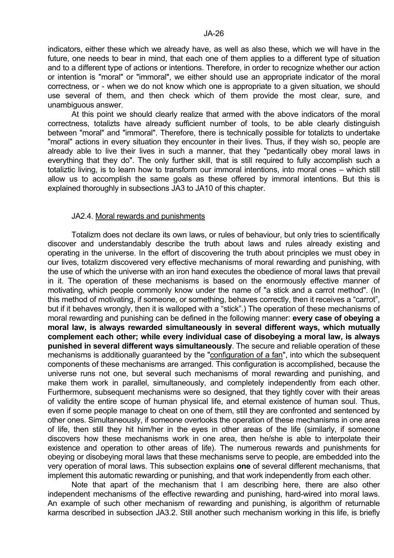indicators, either these which we already have, as well as also these, which we will have in the future, one needs to bear in mind, that each one of them applies to a different type of situation and to a different type of actions or intentions. Therefore, in order to recognize whether our action or intention is "moral" or "immoral", we either should use an appropriate indicator of the moral correctness, or - when we do not know which one is appropriate to a given situation, we should use several of them, and then check which of them provide the most clear, sure, and unambiguous answer.

 At this point we should clearly realize that armed with the above indicators of the moral correctness, totalizts have already sufficient number of tools, to be able clearly distinguish between "moral" and "immoral". Therefore, there is technically possible for totalizts to undertake "moral" actions in every situation they encounter in their lives. Thus, if they wish so, people are already able to live their lives in such a manner, that they "pedantically obey moral laws in everything that they do". The only further skill, that is still required to fully accomplish such a totaliztic living, is to learn how to transform our immoral intentions, into moral ones – which still allow us to accomplish the same goals as these offered by immoral intentions. But this is explained thoroughly in subsections JA3 to JA10 of this chapter.

#### JA2.4. Moral rewards and punishments

 Totalizm does not declare its own laws, or rules of behaviour, but only tries to scientifically discover and understandably describe the truth about laws and rules already existing and operating in the universe. In the effort of discovering the truth about principles we must obey in our lives, totalizm discovered very effective mechanisms of moral rewarding and punishing, with the use of which the universe with an iron hand executes the obedience of moral laws that prevail in it. The operation of these mechanisms is based on the enormously effective manner of motivating, which people commonly know under the name of "a stick and a carrot method". (In this method of motivating, if someone, or something, behaves correctly, then it receives a "carrot", but if it behaves wrongly, then it is walloped with a "stick".) The operation of these mechanisms of moral rewarding and punishing can be defined in the following manner: **every case of obeying a moral law, is always rewarded simultaneously in several different ways, which mutually complement each other; while every individual case of disobeying a moral law, is always punished in several different ways simultaneously**. The secure and reliable operation of these mechanisms is additionally guaranteed by the "configuration of a fan", into which the subsequent components of these mechanisms are arranged. This configuration is accomplished, because the universe runs not one, but several such mechanisms of moral rewarding and punishing, and make them work in parallel, simultaneously, and completely independently from each other. Furthermore, subsequent mechanisms were so designed, that they tightly cover with their areas of validity the entire scope of human physical life, and eternal existence of human soul. Thus, even if some people manage to cheat on one of them, still they are confronted and sentenced by other ones. Simultaneously, if someone overlooks the operation of these mechanisms in one area of life, then still they hit him/her in the eyes in other areas of the life (similarly, if someone discovers how these mechanisms work in one area, then he/she is able to interpolate their existence and operation to other areas of life). The numerous rewards and punishments for obeying or disobeying moral laws that these mechanisms serve to people, are embedded into the very operation of moral laws. This subsection explains **one** of several different mechanisms, that implement this automatic rewarding or punishing, and that work independently from each other.

 Note that apart of the mechanism that I am describing here, there are also other independent mechanisms of the effective rewarding and punishing, hard-wired into moral laws. An example of such other mechanism of rewarding and punishing, is algorithm of returnable karma described in subsection JA3.2. Still another such mechanism working in this life, is briefly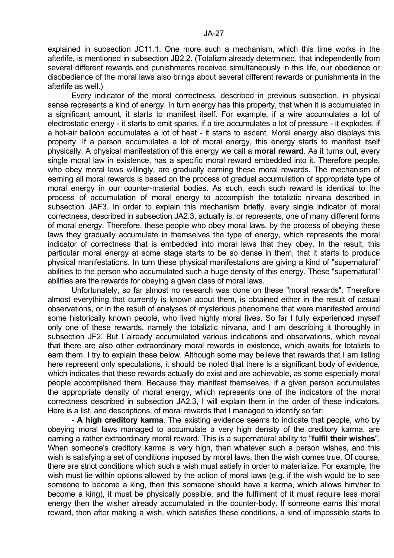explained in subsection JC11.1. One more such a mechanism, which this time works in the afterlife, is mentioned in subsection JB2.2. (Totalizm already determined, that independently from several different rewards and punishments received simultaneously in this life, our obedience or disobedience of the moral laws also brings about several different rewards or punishments in the afterlife as well.)

 Every indicator of the moral correctness, described in previous subsection, in physical sense represents a kind of energy. In turn energy has this property, that when it is accumulated in a significant amount, it starts to manifest itself. For example, if a wire accumulates a lot of electrostatic energy - it starts to emit sparks, if a tire accumulates a lot of pressure - it explodes, if a hot-air balloon accumulates a lot of heat - it starts to ascent. Moral energy also displays this property. If a person accumulates a lot of moral energy, this energy starts to manifest itself physically. A physical manifestation of this energy we call a **moral reward**. As it turns out, every single moral law in existence, has a specific moral reward embedded into it. Therefore people, who obey moral laws willingly, are gradually earning these moral rewards. The mechanism of earning all moral rewards is based on the process of gradual accumulation of appropriate type of moral energy in our counter-material bodies. As such, each such reward is identical to the process of accumulation of moral energy to accomplish the totaliztic nirvana described in subsection JAF3. In order to explain this mechanism briefly, every single indicator of moral correctness, described in subsection JA2.3, actually is, or represents, one of many different forms of moral energy. Therefore, these people who obey moral laws, by the process of obeying these laws they gradually accumulate in themselves the type of energy, which represents the moral indicator of correctness that is embedded into moral laws that they obey. In the result, this particular moral energy at some stage starts to be so dense in them, that it starts to produce physical manifestations. In turn these physical manifestations are giving a kind of "supernatural" abilities to the person who accumulated such a huge density of this energy. These "supernatural" abilities are the rewards for obeying a given class of moral laws.

 Unfortunately, so far almost no research was done on these "moral rewards". Therefore almost everything that currently is known about them, is obtained either in the result of casual observations, or in the result of analyses of mysterious phenomena that were manifested around some historically known people, who lived highly moral lives. So far I fully experienced myself only one of these rewards, namely the totaliztic nirvana, and I am describing it thoroughly in subsection JF2. But I already accumulated various indications and observations, which reveal that there are also other extraordinary moral rewards in existence, which awaits for totalizts to earn them. I try to explain these below. Although some may believe that rewards that I am listing here represent only speculations, it should be noted that there is a significant body of evidence, which indicates that these rewards actually do exist and are achievable, as some especially moral people accomplished them. Because they manifest themselves, if a given person accumulates the appropriate density of moral energy, which represents one of the indicators of the moral correctness described in subsection JA2.3, I will explain them in the order of these indicators. Here is a list, and descriptions, of moral rewards that I managed to identify so far:

 - **A high creditory karma**. The existing evidence seems to indicate that people, who by obeying moral laws managed to accumulate a very high density of the creditory karma, are earning a rather extraordinary moral reward. This is a supernatural ability to "**fulfil their wishes**". When someone's creditory karma is very high, then whatever such a person wishes, and this wish is satisfying a set of conditions imposed by moral laws, then the wish comes true. Of course, there are strict conditions which such a wish must satisfy in order to materialize. For example, the wish must lie within options allowed by the action of moral laws (e.g. if the wish would be to see someone to become a king, then this someone should have a karma, which allows him/her to become a king), it must be physically possible, and the fulfilment of it must require less moral energy then the wisher already accumulated in the counter-body. If someone earns this moral reward, then after making a wish, which satisfies these conditions, a kind of impossible starts to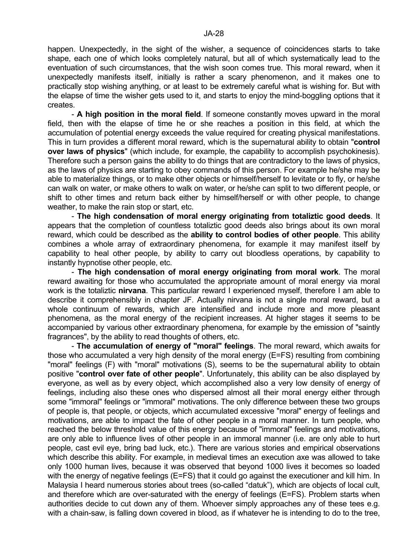happen. Unexpectedly, in the sight of the wisher, a sequence of coincidences starts to take shape, each one of which looks completely natural, but all of which systematically lead to the eventuation of such circumstances, that the wish soon comes true. This moral reward, when it unexpectedly manifests itself, initially is rather a scary phenomenon, and it makes one to practically stop wishing anything, or at least to be extremely careful what is wishing for. But with the elapse of time the wisher gets used to it, and starts to enjoy the mind-boggling options that it creates.

 - **A high position in the moral field**. If someone constantly moves upward in the moral field, then with the elapse of time he or she reaches a position in this field, at which the accumulation of potential energy exceeds the value required for creating physical manifestations. This in turn provides a different moral reward, which is the supernatural ability to obtain "**control over laws of physics**" (which include, for example, the capability to accomplish psychokinesis). Therefore such a person gains the ability to do things that are contradictory to the laws of physics, as the laws of physics are starting to obey commands of this person. For example he/she may be able to materialize things, or to make other objects or himself/herself to levitate or to fly, or he/she can walk on water, or make others to walk on water, or he/she can split to two different people, or shift to other times and return back either by himself/herself or with other people, to change weather, to make the rain stop or start, etc.

 - **The high condensation of moral energy originating from totaliztic good deeds**. It appears that the completion of countless totaliztic good deeds also brings about its own moral reward, which could be described as the **ability to control bodies of other people**. This ability combines a whole array of extraordinary phenomena, for example it may manifest itself by capability to heal other people, by ability to carry out bloodless operations, by capability to instantly hypnotise other people, etc.

 - **The high condensation of moral energy originating from moral work**. The moral reward awaiting for those who accumulated the appropriate amount of moral energy via moral work is the totaliztic **nirvana**. This particular reward I experienced myself, therefore I am able to describe it comprehensibly in chapter JF. Actually nirvana is not a single moral reward, but a whole continuum of rewards, which are intensified and include more and more pleasant phenomena, as the moral energy of the recipient increases. At higher stages it seems to be accompanied by various other extraordinary phenomena, for example by the emission of "saintly fragrances", by the ability to read thoughts of others, etc.

 - **The accumulation of energy of "moral" feelings**. The moral reward, which awaits for those who accumulated a very high density of the moral energy (E=FS) resulting from combining "moral" feelings (F) with "moral" motivations (S), seems to be the supernatural ability to obtain positive "**control over fate of other people**". Unfortunately, this ability can be also displayed by everyone, as well as by every object, which accomplished also a very low density of energy of feelings, including also these ones who dispersed almost all their moral energy either through some "immoral" feelings or "immoral" motivations. The only difference between these two groups of people is, that people, or objects, which accumulated excessive "moral" energy of feelings and motivations, are able to impact the fate of other people in a moral manner. In turn people, who reached the below threshold value of this energy because of "immoral" feelings and motivations, are only able to influence lives of other people in an immoral manner (i.e. are only able to hurt people, cast evil eye, bring bad luck, etc.). There are various stories and empirical observations which describe this ability. For example, in medieval times an execution axe was allowed to take only 1000 human lives, because it was observed that beyond 1000 lives it becomes so loaded with the energy of negative feelings (E=FS) that it could go against the executioner and kill him. In Malaysia I heard numerous stories about trees (so-called "datuk"), which are objects of local cult, and therefore which are over-saturated with the energy of feelings (E=FS). Problem starts when authorities decide to cut down any of them. Whoever simply approaches any of these tees e.g. with a chain-saw, is falling down covered in blood, as if whatever he is intending to do to the tree,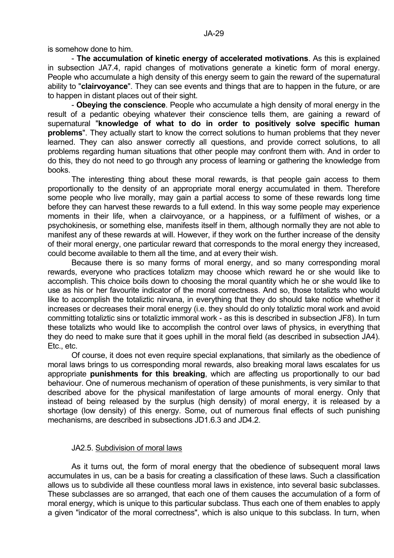is somehow done to him.

 - **The accumulation of kinetic energy of accelerated motivations**. As this is explained in subsection JA7.4, rapid changes of motivations generate a kinetic form of moral energy. People who accumulate a high density of this energy seem to gain the reward of the supernatural ability to "**clairvoyance**". They can see events and things that are to happen in the future, or are to happen in distant places out of their sight.

 - **Obeying the conscience**. People who accumulate a high density of moral energy in the result of a pedantic obeying whatever their conscience tells them, are gaining a reward of supernatural "**knowledge of what to do in order to positively solve specific human problems**". They actually start to know the correct solutions to human problems that they never learned. They can also answer correctly all questions, and provide correct solutions, to all problems regarding human situations that other people may confront them with. And in order to do this, they do not need to go through any process of learning or gathering the knowledge from books.

 The interesting thing about these moral rewards, is that people gain access to them proportionally to the density of an appropriate moral energy accumulated in them. Therefore some people who live morally, may gain a partial access to some of these rewards long time before they can harvest these rewards to a full extend. In this way some people may experience moments in their life, when a clairvoyance, or a happiness, or a fulfilment of wishes, or a psychokinesis, or something else, manifests itself in them, although normally they are not able to manifest any of these rewards at will. However, if they work on the further increase of the density of their moral energy, one particular reward that corresponds to the moral energy they increased, could become available to them all the time, and at every their wish.

 Because there is so many forms of moral energy, and so many corresponding moral rewards, everyone who practices totalizm may choose which reward he or she would like to accomplish. This choice boils down to choosing the moral quantity which he or she would like to use as his or her favourite indicator of the moral correctness. And so, those totalizts who would like to accomplish the totaliztic nirvana, in everything that they do should take notice whether it increases or decreases their moral energy (i.e. they should do only totaliztic moral work and avoid committing totaliztic sins or totaliztic immoral work - as this is described in subsection JF8). In turn these totalizts who would like to accomplish the control over laws of physics, in everything that they do need to make sure that it goes uphill in the moral field (as described in subsection JA4). Etc., etc.

 Of course, it does not even require special explanations, that similarly as the obedience of moral laws brings to us corresponding moral rewards, also breaking moral laws escalates for us appropriate **punishments for this breaking**, which are affecting us proportionally to our bad behaviour. One of numerous mechanism of operation of these punishments, is very similar to that described above for the physical manifestation of large amounts of moral energy. Only that instead of being released by the surplus (high density) of moral energy, it is released by a shortage (low density) of this energy. Some, out of numerous final effects of such punishing mechanisms, are described in subsections JD1.6.3 and JD4.2.

## JA2.5. Subdivision of moral laws

 As it turns out, the form of moral energy that the obedience of subsequent moral laws accumulates in us, can be a basis for creating a classification of these laws. Such a classification allows us to subdivide all these countless moral laws in existence, into several basic subclasses. These subclasses are so arranged, that each one of them causes the accumulation of a form of moral energy, which is unique to this particular subclass. Thus each one of them enables to apply a given "indicator of the moral correctness", which is also unique to this subclass. In turn, when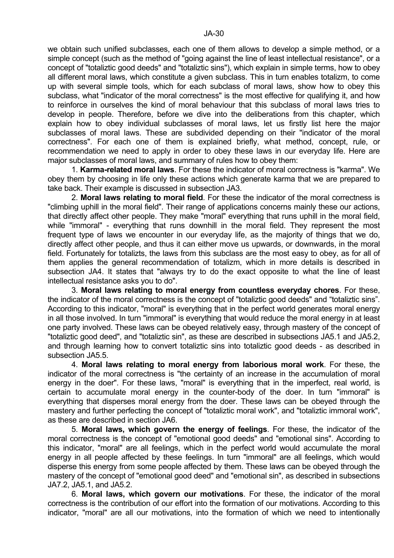we obtain such unified subclasses, each one of them allows to develop a simple method, or a simple concept (such as the method of "going against the line of least intellectual resistance", or a concept of "totaliztic good deeds" and "totaliztic sins"), which explain in simple terms, how to obey all different moral laws, which constitute a given subclass. This in turn enables totalizm, to come up with several simple tools, which for each subclass of moral laws, show how to obey this subclass, what "indicator of the moral correctness" is the most effective for qualifying it, and how to reinforce in ourselves the kind of moral behaviour that this subclass of moral laws tries to develop in people. Therefore, before we dive into the deliberations from this chapter, which explain how to obey individual subclasses of moral laws, let us firstly list here the major subclasses of moral laws. These are subdivided depending on their "indicator of the moral correctness". For each one of them is explained briefly, what method, concept, rule, or recommendation we need to apply in order to obey these laws in our everyday life. Here are major subclasses of moral laws, and summary of rules how to obey them:

 1. **Karma-related moral laws**. For these the indicator of moral correctness is "karma". We obey them by choosing in life only these actions which generate karma that we are prepared to take back. Their example is discussed in subsection JA3.

 2. **Moral laws relating to moral field**. For these the indicator of the moral correctness is "climbing uphill in the moral field". Their range of applications concerns mainly these our actions, that directly affect other people. They make "moral" everything that runs uphill in the moral field, while "immoral" - everything that runs downhill in the moral field. They represent the most frequent type of laws we encounter in our everyday life, as the majority of things that we do, directly affect other people, and thus it can either move us upwards, or downwards, in the moral field. Fortunately for totalizts, the laws from this subclass are the most easy to obey, as for all of them applies the general recommendation of totalizm, which in more details is described in subsection JA4. It states that "always try to do the exact opposite to what the line of least intellectual resistance asks you to do".

 3. **Moral laws relating to moral energy from countless everyday chores**. For these, the indicator of the moral correctness is the concept of "totaliztic good deeds" and "totaliztic sins". According to this indicator, "moral" is everything that in the perfect world generates moral energy in all those involved. In turn "immoral" is everything that would reduce the moral energy in at least one party involved. These laws can be obeyed relatively easy, through mastery of the concept of "totaliztic good deed", and "totaliztic sin", as these are described in subsections JA5.1 and JA5.2, and through learning how to convert totaliztic sins into totaliztic good deeds - as described in subsection JA5.5.

 4. **Moral laws relating to moral energy from laborious moral work**. For these, the indicator of the moral correctness is "the certainty of an increase in the accumulation of moral energy in the doer". For these laws, "moral" is everything that in the imperfect, real world, is certain to accumulate moral energy in the counter-body of the doer. In turn "immoral" is everything that disperses moral energy from the doer. These laws can be obeyed through the mastery and further perfecting the concept of "totaliztic moral work", and "totaliztic immoral work", as these are described in section JA6.

 5. **Moral laws, which govern the energy of feelings**. For these, the indicator of the moral correctness is the concept of "emotional good deeds" and "emotional sins". According to this indicator, "moral" are all feelings, which in the perfect world would accumulate the moral energy in all people affected by these feelings. In turn "immoral" are all feelings, which would disperse this energy from some people affected by them. These laws can be obeyed through the mastery of the concept of "emotional good deed" and "emotional sin", as described in subsections JA7.2, JA5.1, and JA5.2.

 6. **Moral laws, which govern our motivations**. For these, the indicator of the moral correctness is the contribution of our effort into the formation of our motivations. According to this indicator, "moral" are all our motivations, into the formation of which we need to intentionally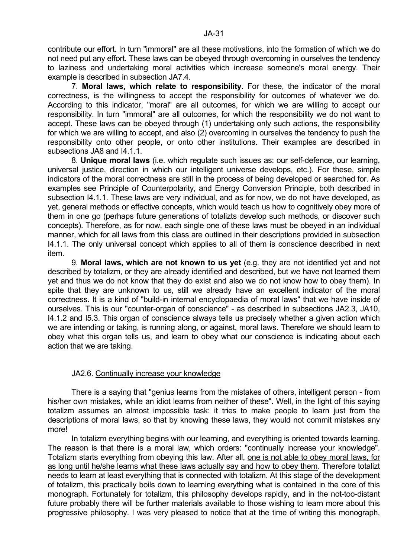contribute our effort. In turn "immoral" are all these motivations, into the formation of which we do not need put any effort. These laws can be obeyed through overcoming in ourselves the tendency to laziness and undertaking moral activities which increase someone's moral energy. Their example is described in subsection JA7.4.

 7. **Moral laws, which relate to responsibility**. For these, the indicator of the moral correctness, is the willingness to accept the responsibility for outcomes of whatever we do. According to this indicator, "moral" are all outcomes, for which we are willing to accept our responsibility. In turn "immoral" are all outcomes, for which the responsibility we do not want to accept. These laws can be obeyed through (1) undertaking only such actions, the responsibility for which we are willing to accept, and also (2) overcoming in ourselves the tendency to push the responsibility onto other people, or onto other institutions. Their examples are described in subsections JA8 and I4.1.1.

 8. **Unique moral laws** (i.e. which regulate such issues as: our self-defence, our learning, universal justice, direction in which our intelligent universe develops, etc.). For these, simple indicators of the moral correctness are still in the process of being developed or searched for. As examples see Principle of Counterpolarity, and Energy Conversion Principle, both described in subsection I4.1.1. These laws are very individual, and as for now, we do not have developed, as yet, general methods or effective concepts, which would teach us how to cognitively obey more of them in one go (perhaps future generations of totalizts develop such methods, or discover such concepts). Therefore, as for now, each single one of these laws must be obeyed in an individual manner, which for all laws from this class are outlined in their descriptions provided in subsection I4.1.1. The only universal concept which applies to all of them is conscience described in next item.

 9. **Moral laws, which are not known to us yet** (e.g. they are not identified yet and not described by totalizm, or they are already identified and described, but we have not learned them yet and thus we do not know that they do exist and also we do not know how to obey them). In spite that they are unknown to us, still we already have an excellent indicator of the moral correctness. It is a kind of "build-in internal encyclopaedia of moral laws" that we have inside of ourselves. This is our "counter-organ of conscience" - as described in subsections JA2.3, JA10, I4.1.2 and I5.3. This organ of conscience always tells us precisely whether a given action which we are intending or taking, is running along, or against, moral laws. Therefore we should learn to obey what this organ tells us, and learn to obey what our conscience is indicating about each action that we are taking.

## JA2.6. Continually increase your knowledge

 There is a saying that "genius learns from the mistakes of others, intelligent person - from his/her own mistakes, while an idiot learns from neither of these". Well, in the light of this saying totalizm assumes an almost impossible task: it tries to make people to learn just from the descriptions of moral laws, so that by knowing these laws, they would not commit mistakes any more!

 In totalizm everything begins with our learning, and everything is oriented towards learning. The reason is that there is a moral law, which orders: "continually increase your knowledge". Totalizm starts everything from obeying this law. After all, one is not able to obey moral laws, for as long until he/she learns what these laws actually say and how to obey them. Therefore totalizt needs to learn at least everything that is connected with totalizm. At this stage of the development of totalizm, this practically boils down to learning everything what is contained in the core of this monograph. Fortunately for totalizm, this philosophy develops rapidly, and in the not-too-distant future probably there will be further materials available to those wishing to learn more about this progressive philosophy. I was very pleased to notice that at the time of writing this monograph,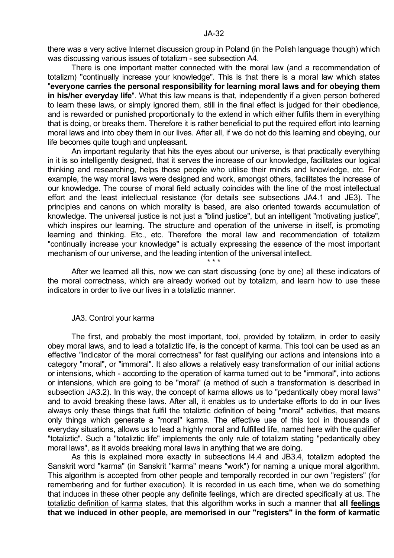there was a very active Internet discussion group in Poland (in the Polish language though) which was discussing various issues of totalizm - see subsection A4.

 There is one important matter connected with the moral law (and a recommendation of totalizm) "continually increase your knowledge". This is that there is a moral law which states "**everyone carries the personal responsibility for learning moral laws and for obeying them in his/her everyday life**". What this law means is that, independently if a given person bothered to learn these laws, or simply ignored them, still in the final effect is judged for their obedience, and is rewarded or punished proportionally to the extend in which either fulfils them in everything that is doing, or breaks them. Therefore it is rather beneficial to put the required effort into learning moral laws and into obey them in our lives. After all, if we do not do this learning and obeying, our life becomes quite tough and unpleasant.

 An important regularity that hits the eyes about our universe, is that practically everything in it is so intelligently designed, that it serves the increase of our knowledge, facilitates our logical thinking and researching, helps those people who utilise their minds and knowledge, etc. For example, the way moral laws were designed and work, amongst others, facilitates the increase of our knowledge. The course of moral field actually coincides with the line of the most intellectual effort and the least intellectual resistance (for details see subsections JA4.1 and JE3). The principles and canons on which morality is based, are also oriented towards accumulation of knowledge. The universal justice is not just a "blind justice", but an intelligent "motivating justice", which inspires our learning. The structure and operation of the universe in itself, is promoting learning and thinking. Etc., etc. Therefore the moral law and recommendation of totalizm "continually increase your knowledge" is actually expressing the essence of the most important mechanism of our universe, and the leading intention of the universal intellect.

 $\star \star \star$  After we learned all this, now we can start discussing (one by one) all these indicators of the moral correctness, which are already worked out by totalizm, and learn how to use these indicators in order to live our lives in a totaliztic manner.

### JA3. Control your karma

 The first, and probably the most important, tool, provided by totalizm, in order to easily obey moral laws, and to lead a totaliztic life, is the concept of karma. This tool can be used as an effective "indicator of the moral correctness" for fast qualifying our actions and intensions into a category "moral", or "immoral". It also allows a relatively easy transformation of our initial actions or intensions, which - according to the operation of karma turned out to be "immoral", into actions or intensions, which are going to be "moral" (a method of such a transformation is described in subsection JA3.2). In this way, the concept of karma allows us to "pedantically obey moral laws" and to avoid breaking these laws. After all, it enables us to undertake efforts to do in our lives always only these things that fulfil the totaliztic definition of being "moral" activities, that means only things which generate a "moral" karma. The effective use of this tool in thousands of everyday situations, allows us to lead a highly moral and fulfilled life, named here with the qualifier "totaliztic". Such a "totaliztic life" implements the only rule of totalizm stating "pedantically obey moral laws", as it avoids breaking moral laws in anything that we are doing.

 As this is explained more exactly in subsections I4.4 and JB3.4, totalizm adopted the Sanskrit word "karma" (in Sanskrit "karma" means "work") for naming a unique moral algorithm. This algorithm is accepted from other people and temporally recorded in our own "registers" (for remembering and for further execution). It is recorded in us each time, when we do something that induces in these other people any definite feelings, which are directed specifically at us. The totaliztic definition of karma states, that this algorithm works in such a manner that **all feelings that we induced in other people, are memorised in our "registers" in the form of karmatic**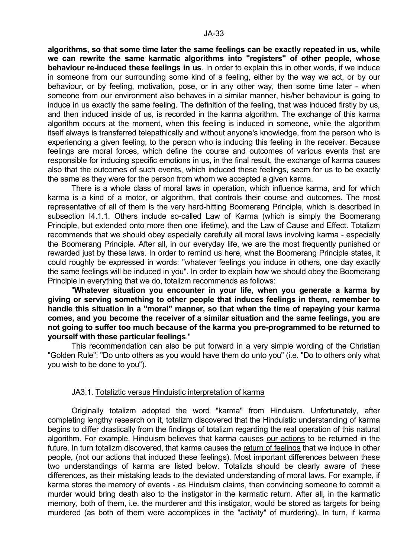**algorithms, so that some time later the same feelings can be exactly repeated in us, while we can rewrite the same karmatic algorithms into "registers" of other people, whose behaviour re-induced these feelings in us**. In order to explain this in other words, if we induce in someone from our surrounding some kind of a feeling, either by the way we act, or by our behaviour, or by feeling, motivation, pose, or in any other way, then some time later - when someone from our environment also behaves in a similar manner, his/her behaviour is going to induce in us exactly the same feeling. The definition of the feeling, that was induced firstly by us, and then induced inside of us, is recorded in the karma algorithm. The exchange of this karma algorithm occurs at the moment, when this feeling is induced in someone, while the algorithm itself always is transferred telepathically and without anyone's knowledge, from the person who is experiencing a given feeling, to the person who is inducing this feeling in the receiver. Because feelings are moral forces, which define the course and outcomes of various events that are responsible for inducing specific emotions in us, in the final result, the exchange of karma causes also that the outcomes of such events, which induced these feelings, seem for us to be exactly the same as they were for the person from whom we accepted a given karma.

 There is a whole class of moral laws in operation, which influence karma, and for which karma is a kind of a motor, or algorithm, that controls their course and outcomes. The most representative of all of them is the very hard-hitting Boomerang Principle, which is described in subsection I4.1.1. Others include so-called Law of Karma (which is simply the Boomerang Principle, but extended onto more then one lifetime), and the Law of Cause and Effect. Totalizm recommends that we should obey especially carefully all moral laws involving karma - especially the Boomerang Principle. After all, in our everyday life, we are the most frequently punished or rewarded just by these laws. In order to remind us here, what the Boomerang Principle states, it could roughly be expressed in words: "whatever feelings you induce in others, one day exactly the same feelings will be induced in you". In order to explain how we should obey the Boomerang Principle in everything that we do, totalizm recommends as follows:

 "**Whatever situation you encounter in your life, when you generate a karma by giving or serving something to other people that induces feelings in them, remember to handle this situation in a "moral" manner, so that when the time of repaying your karma comes, and you become the receiver of a similar situation and the same feelings, you are not going to suffer too much because of the karma you pre-programmed to be returned to yourself with these particular feelings**."

 This recommendation can also be put forward in a very simple wording of the Christian "Golden Rule": "Do unto others as you would have them do unto you" (i.e. "Do to others only what you wish to be done to you").

### JA3.1. Totaliztic versus Hinduistic interpretation of karma

 Originally totalizm adopted the word "karma" from Hinduism. Unfortunately, after completing lengthy research on it, totalizm discovered that the Hinduistic understanding of karma begins to differ drastically from the findings of totalizm regarding the real operation of this natural algorithm. For example, Hinduism believes that karma causes our actions to be returned in the future. In turn totalizm discovered, that karma causes the return of feelings that we induce in other people, (not our actions that induced these feelings). Most important differences between these two understandings of karma are listed below. Totalizts should be clearly aware of these differences, as their mistaking leads to the deviated understanding of moral laws. For example, if karma stores the memory of events - as Hinduism claims, then convincing someone to commit a murder would bring death also to the instigator in the karmatic return. After all, in the karmatic memory, both of them, i.e. the murderer and this instigator, would be stored as targets for being murdered (as both of them were accomplices in the "activity" of murdering). In turn, if karma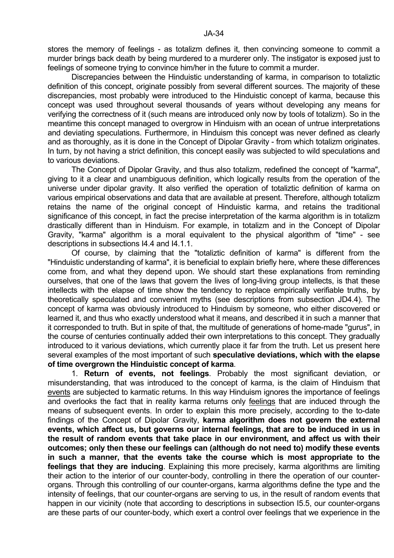stores the memory of feelings - as totalizm defines it, then convincing someone to commit a murder brings back death by being murdered to a murderer only. The instigator is exposed just to feelings of someone trying to convince him/her in the future to commit a murder.

 Discrepancies between the Hinduistic understanding of karma, in comparison to totaliztic definition of this concept, originate possibly from several different sources. The majority of these discrepancies, most probably were introduced to the Hinduistic concept of karma, because this concept was used throughout several thousands of years without developing any means for verifying the correctness of it (such means are introduced only now by tools of totalizm). So in the meantime this concept managed to overgrow in Hinduism with an ocean of untrue interpretations and deviating speculations. Furthermore, in Hinduism this concept was never defined as clearly and as thoroughly, as it is done in the Concept of Dipolar Gravity - from which totalizm originates. In turn, by not having a strict definition, this concept easily was subjected to wild speculations and to various deviations.

 The Concept of Dipolar Gravity, and thus also totalizm, redefined the concept of "karma", giving to it a clear and unambiguous definition, which logically results from the operation of the universe under dipolar gravity. It also verified the operation of totaliztic definition of karma on various empirical observations and data that are available at present. Therefore, although totalizm retains the name of the original concept of Hinduistic karma, and retains the traditional significance of this concept, in fact the precise interpretation of the karma algorithm is in totalizm drastically different than in Hinduism. For example, in totalizm and in the Concept of Dipolar Gravity, "karma" algorithm is a moral equivalent to the physical algorithm of "time" - see descriptions in subsections I4.4 and I4.1.1.

 Of course, by claiming that the "totaliztic definition of karma" is different from the "Hinduistic understanding of karma", it is beneficial to explain briefly here, where these differences come from, and what they depend upon. We should start these explanations from reminding ourselves, that one of the laws that govern the lives of long-living group intellects, is that these intellects with the elapse of time show the tendency to replace empirically verifiable truths, by theoretically speculated and convenient myths (see descriptions from subsection JD4.4). The concept of karma was obviously introduced to Hinduism by someone, who either discovered or learned it, and thus who exactly understood what it means, and described it in such a manner that it corresponded to truth. But in spite of that, the multitude of generations of home-made "gurus", in the course of centuries continually added their own interpretations to this concept. They gradually introduced to it various deviations, which currently place it far from the truth. Let us present here several examples of the most important of such **speculative deviations, which with the elapse of time overgrown the Hinduistic concept of karma**.

 1. **Return of events, not feelings**. Probably the most significant deviation, or misunderstanding, that was introduced to the concept of karma, is the claim of Hinduism that events are subjected to karmatic returns. In this way Hinduism ignores the importance of feelings and overlooks the fact that in reality karma returns only feelings that are induced through the means of subsequent events. In order to explain this more precisely, according to the to-date findings of the Concept of Dipolar Gravity, **karma algorithm does not govern the external events, which affect us, but governs our internal feelings, that are to be induced in us in the result of random events that take place in our environment, and affect us with their outcomes; only then these our feelings can (although do not need to) modify these events in such a manner, that the events take the course which is most appropriate to the feelings that they are inducing**. Explaining this more precisely, karma algorithms are limiting their action to the interior of our counter-body, controlling in there the operation of our counterorgans. Through this controlling of our counter-organs, karma algorithms define the type and the intensity of feelings, that our counter-organs are serving to us, in the result of random events that happen in our vicinity (note that according to descriptions in subsection I5.5, our counter-organs are these parts of our counter-body, which exert a control over feelings that we experience in the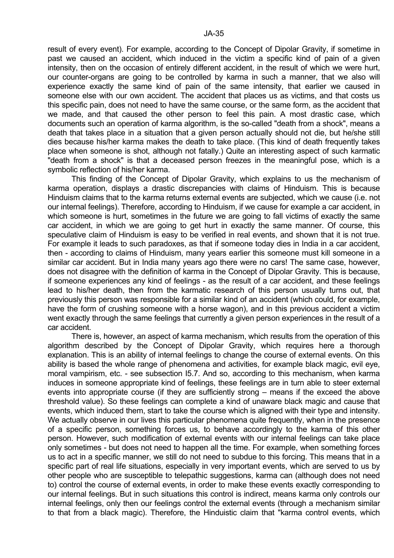result of every event). For example, according to the Concept of Dipolar Gravity, if sometime in past we caused an accident, which induced in the victim a specific kind of pain of a given intensity, then on the occasion of entirely different accident, in the result of which we were hurt, our counter-organs are going to be controlled by karma in such a manner, that we also will experience exactly the same kind of pain of the same intensity, that earlier we caused in someone else with our own accident. The accident that places us as victims, and that costs us this specific pain, does not need to have the same course, or the same form, as the accident that we made, and that caused the other person to feel this pain. A most drastic case, which documents such an operation of karma algorithm, is the so-called "death from a shock", means a death that takes place in a situation that a given person actually should not die, but he/she still dies because his/her karma makes the death to take place. (This kind of death frequently takes place when someone is shot, although not fatally.) Quite an interesting aspect of such karmatic "death from a shock" is that a deceased person freezes in the meaningful pose, which is a symbolic reflection of his/her karma.

 This finding of the Concept of Dipolar Gravity, which explains to us the mechanism of karma operation, displays a drastic discrepancies with claims of Hinduism. This is because Hinduism claims that to the karma returns external events are subjected, which we cause (i.e. not our internal feelings). Therefore, according to Hinduism, if we cause for example a car accident, in which someone is hurt, sometimes in the future we are going to fall victims of exactly the same car accident, in which we are going to get hurt in exactly the same manner. Of course, this speculative claim of Hinduism is easy to be verified in real events, and shown that it is not true. For example it leads to such paradoxes, as that if someone today dies in India in a car accident, then - according to claims of Hinduism, many years earlier this someone must kill someone in a similar car accident. But in India many years ago there were no cars! The same case, however, does not disagree with the definition of karma in the Concept of Dipolar Gravity. This is because, if someone experiences any kind of feelings - as the result of a car accident, and these feelings lead to his/her death, then from the karmatic research of this person usually turns out, that previously this person was responsible for a similar kind of an accident (which could, for example, have the form of crushing someone with a horse wagon), and in this previous accident a victim went exactly through the same feelings that currently a given person experiences in the result of a car accident.

 There is, however, an aspect of karma mechanism, which results from the operation of this algorithm described by the Concept of Dipolar Gravity, which requires here a thorough explanation. This is an ability of internal feelings to change the course of external events. On this ability is based the whole range of phenomena and activities, for example black magic, evil eye, moral vampirism, etc. - see subsection I5.7. And so, according to this mechanism, when karma induces in someone appropriate kind of feelings, these feelings are in turn able to steer external events into appropriate course (if they are sufficiently strong – means if the exceed the above threshold value). So these feelings can complete a kind of unaware black magic and cause that events, which induced them, start to take the course which is aligned with their type and intensity. We actually observe in our lives this particular phenomena quite frequently, when in the presence of a specific person, something forces us, to behave accordingly to the karma of this other person. However, such modification of external events with our internal feelings can take place only sometimes - but does not need to happen all the time. For example, when something forces us to act in a specific manner, we still do not need to subdue to this forcing. This means that in a specific part of real life situations, especially in very important events, which are served to us by other people who are susceptible to telepathic suggestions, karma can (although does not need to) control the course of external events, in order to make these events exactly corresponding to our internal feelings. But in such situations this control is indirect, means karma only controls our internal feelings, only then our feelings control the external events (through a mechanism similar to that from a black magic). Therefore, the Hinduistic claim that "karma control events, which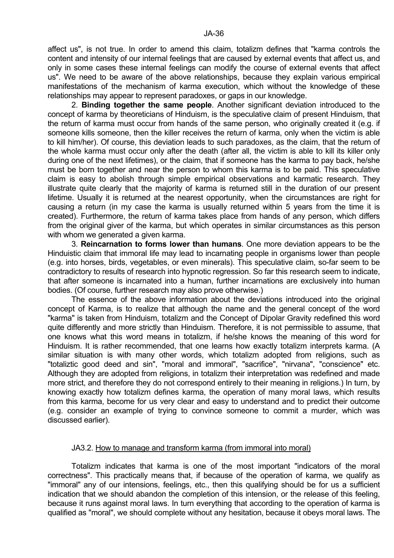affect us", is not true. In order to amend this claim, totalizm defines that "karma controls the content and intensity of our internal feelings that are caused by external events that affect us, and only in some cases these internal feelings can modify the course of external events that affect us". We need to be aware of the above relationships, because they explain various empirical manifestations of the mechanism of karma execution, which without the knowledge of these relationships may appear to represent paradoxes, or gaps in our knowledge.

 2. **Binding together the same people**. Another significant deviation introduced to the concept of karma by theoreticians of Hinduism, is the speculative claim of present Hinduism, that the return of karma must occur from hands of the same person, who originally created it (e.g. if someone kills someone, then the killer receives the return of karma, only when the victim is able to kill him/her). Of course, this deviation leads to such paradoxes, as the claim, that the return of the whole karma must occur only after the death (after all, the victim is able to kill its killer only during one of the next lifetimes), or the claim, that if someone has the karma to pay back, he/she must be born together and near the person to whom this karma is to be paid. This speculative claim is easy to abolish through simple empirical observations and karmatic research. They illustrate quite clearly that the majority of karma is returned still in the duration of our present lifetime. Usually it is returned at the nearest opportunity, when the circumstances are right for causing a return (in my case the karma is usually returned within 5 years from the time it is created). Furthermore, the return of karma takes place from hands of any person, which differs from the original giver of the karma, but which operates in similar circumstances as this person with whom we generated a given karma.

 3. **Reincarnation to forms lower than humans**. One more deviation appears to be the Hinduistic claim that immoral life may lead to incarnating people in organisms lower than people (e.g. into horses, birds, vegetables, or even minerals). This speculative claim, so-far seem to be contradictory to results of research into hypnotic regression. So far this research seem to indicate, that after someone is incarnated into a human, further incarnations are exclusively into human bodies. (Of course, further research may also prove otherwise.)

 The essence of the above information about the deviations introduced into the original concept of Karma, is to realize that although the name and the general concept of the word "karma" is taken from Hinduism, totalizm and the Concept of Dipolar Gravity redefined this word quite differently and more strictly than Hinduism. Therefore, it is not permissible to assume, that one knows what this word means in totalizm, if he/she knows the meaning of this word for Hinduism. It is rather recommended, that one learns how exactly totalizm interprets karma. (A similar situation is with many other words, which totalizm adopted from religions, such as "totaliztic good deed and sin", "moral and immoral", "sacrifice", "nirvana", "conscience" etc. Although they are adopted from religions, in totalizm their interpretation was redefined and made more strict, and therefore they do not correspond entirely to their meaning in religions.) In turn, by knowing exactly how totalizm defines karma, the operation of many moral laws, which results from this karma, become for us very clear and easy to understand and to predict their outcome (e.g. consider an example of trying to convince someone to commit a murder, which was discussed earlier).

### JA3.2. How to manage and transform karma (from immoral into moral)

 Totalizm indicates that karma is one of the most important "indicators of the moral correctness". This practically means that, if because of the operation of karma, we qualify as "immoral" any of our intensions, feelings, etc., then this qualifying should be for us a sufficient indication that we should abandon the completion of this intension, or the release of this feeling, because it runs against moral laws. In turn everything that according to the operation of karma is qualified as "moral", we should complete without any hesitation, because it obeys moral laws. The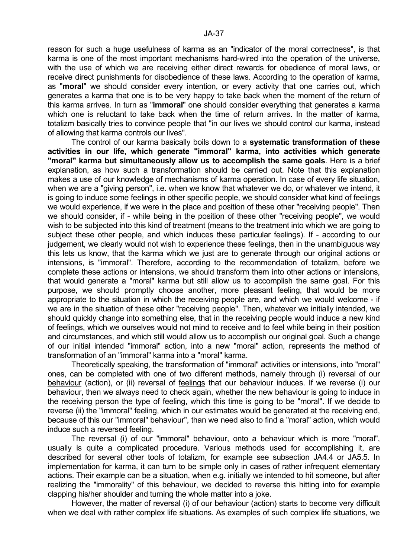reason for such a huge usefulness of karma as an "indicator of the moral correctness", is that karma is one of the most important mechanisms hard-wired into the operation of the universe, with the use of which we are receiving either direct rewards for obedience of moral laws, or receive direct punishments for disobedience of these laws. According to the operation of karma, as "**moral**" we should consider every intention, or every activity that one carries out, which generates a karma that one is to be very happy to take back when the moment of the return of this karma arrives. In turn as "**immoral**" one should consider everything that generates a karma which one is reluctant to take back when the time of return arrives. In the matter of karma, totalizm basically tries to convince people that "in our lives we should control our karma, instead of allowing that karma controls our lives".

 The control of our karma basically boils down to a **systematic transformation of these activities in our life, which generate "immoral" karma, into activities which generate "moral" karma but simultaneously allow us to accomplish the same goals**. Here is a brief explanation, as how such a transformation should be carried out. Note that this explanation makes a use of our knowledge of mechanisms of karma operation. In case of every life situation, when we are a "giving person", i.e. when we know that whatever we do, or whatever we intend, it is going to induce some feelings in other specific people, we should consider what kind of feelings we would experience, if we were in the place and position of these other "receiving people". Then we should consider, if - while being in the position of these other "receiving people", we would wish to be subjected into this kind of treatment (means to the treatment into which we are going to subject these other people, and which induces these particular feelings). If - according to our judgement, we clearly would not wish to experience these feelings, then in the unambiguous way this lets us know, that the karma which we just are to generate through our original actions or intensions, is "immoral". Therefore, according to the recommendation of totalizm, before we complete these actions or intensions, we should transform them into other actions or intensions, that would generate a "moral" karma but still allow us to accomplish the same goal. For this purpose, we should promptly choose another, more pleasant feeling, that would be more appropriate to the situation in which the receiving people are, and which we would welcome - if we are in the situation of these other "receiving people". Then, whatever we initially intended, we should quickly change into something else, that in the receiving people would induce a new kind of feelings, which we ourselves would not mind to receive and to feel while being in their position and circumstances, and which still would allow us to accomplish our original goal. Such a change of our initial intended "immoral" action, into a new "moral" action, represents the method of transformation of an "immoral" karma into a "moral" karma.

 Theoretically speaking, the transformation of "immoral" activities or intensions, into "moral" ones, can be completed with one of two different methods, namely through (i) reversal of our behaviour (action), or (ii) reversal of feelings that our behaviour induces. If we reverse (i) our behaviour, then we always need to check again, whether the new behaviour is going to induce in the receiving person the type of feeling, which this time is going to be "moral". If we decide to reverse (ii) the "immoral" feeling, which in our estimates would be generated at the receiving end, because of this our "immoral" behaviour", than we need also to find a "moral" action, which would induce such a reversed feeling.

 The reversal (i) of our "immoral" behaviour, onto a behaviour which is more "moral", usually is quite a complicated procedure. Various methods used for accomplishing it, are described for several other tools of totalizm, for example see subsection JA4.4 or JA5.5. In implementation for karma, it can turn to be simple only in cases of rather infrequent elementary actions. Their example can be a situation, when e.g. initially we intended to hit someone, but after realizing the "immorality" of this behaviour, we decided to reverse this hitting into for example clapping his/her shoulder and turning the whole matter into a joke.

 However, the matter of reversal (i) of our behaviour (action) starts to become very difficult when we deal with rather complex life situations. As examples of such complex life situations, we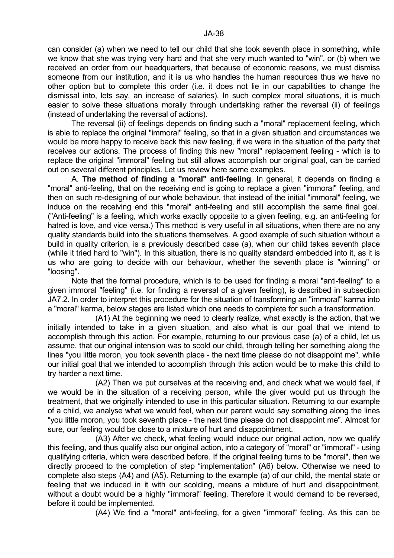can consider (a) when we need to tell our child that she took seventh place in something, while we know that she was trying very hard and that she very much wanted to "win", or (b) when we received an order from our headquarters, that because of economic reasons, we must dismiss someone from our institution, and it is us who handles the human resources thus we have no other option but to complete this order (i.e. it does not lie in our capabilities to change the dismissal into, lets say, an increase of salaries). In such complex moral situations, it is much easier to solve these situations morally through undertaking rather the reversal (ii) of feelings (instead of undertaking the reversal of actions).

 The reversal (ii) of feelings depends on finding such a "moral" replacement feeling, which is able to replace the original "immoral" feeling, so that in a given situation and circumstances we would be more happy to receive back this new feeling, if we were in the situation of the party that receives our actions. The process of finding this new "moral" replacement feeling - which is to replace the original "immoral" feeling but still allows accomplish our original goal, can be carried out on several different principles. Let us review here some examples.

 A. **The method of finding a "moral" anti-feeling**. In general, it depends on finding a "moral" anti-feeling, that on the receiving end is going to replace a given "immoral" feeling, and then on such re-designing of our whole behaviour, that instead of the initial "immoral" feeling, we induce on the receiving end this "moral" anti-feeling and still accomplish the same final goal. ("Anti-feeling" is a feeling, which works exactly opposite to a given feeling, e.g. an anti-feeling for hatred is love, and vice versa.) This method is very useful in all situations, when there are no any quality standards build into the situations themselves. A good example of such situation without a build in quality criterion, is a previously described case (a), when our child takes seventh place (while it tried hard to "win"). In this situation, there is no quality standard embedded into it, as it is us who are going to decide with our behaviour, whether the seventh place is "winning" or "loosing".

 Note that the formal procedure, which is to be used for finding a moral "anti-feeling" to a given immoral "feeling" (i.e. for finding a reversal of a given feeling), is described in subsection JA7.2. In order to interpret this procedure for the situation of transforming an "immoral" karma into a "moral" karma, below stages are listed which one needs to complete for such a transformation.

 (A1) At the beginning we need to clearly realize, what exactly is the action, that we initially intended to take in a given situation, and also what is our goal that we intend to accomplish through this action. For example, returning to our previous case (a) of a child, let us assume, that our original intension was to scold our child, through telling her something along the lines "you little moron, you took seventh place - the next time please do not disappoint me", while our initial goal that we intended to accomplish through this action would be to make this child to try harder a next time.

 (A2) Then we put ourselves at the receiving end, and check what we would feel, if we would be in the situation of a receiving person, while the giver would put us through the treatment, that we originally intended to use in this particular situation. Returning to our example of a child, we analyse what we would feel, when our parent would say something along the lines "you little moron, you took seventh place - the next time please do not disappoint me". Almost for sure, our feeling would be close to a mixture of hurt and disappointment.

 (A3) After we check, what feeling would induce our original action, now we qualify this feeling, and thus qualify also our original action, into a category of "moral" or "immoral" - using qualifying criteria, which were described before. If the original feeling turns to be "moral", then we directly proceed to the completion of step "implementation" (A6) below. Otherwise we need to complete also steps (A4) and (A5). Returning to the example (a) of our child, the mental state or feeling that we induced in it with our scolding, means a mixture of hurt and disappointment, without a doubt would be a highly "immoral" feeling. Therefore it would demand to be reversed, before it could be implemented.

(A4) We find a "moral" anti-feeling, for a given "immoral" feeling. As this can be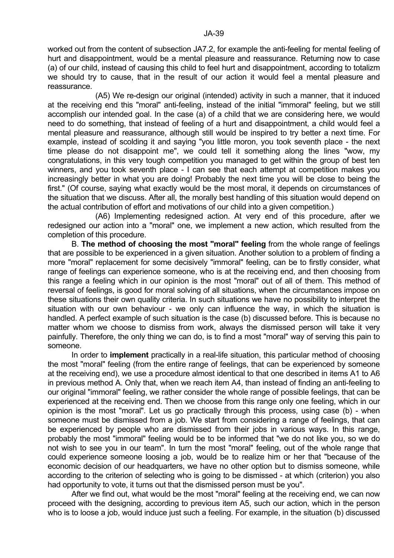worked out from the content of subsection JA7.2, for example the anti-feeling for mental feeling of hurt and disappointment, would be a mental pleasure and reassurance. Returning now to case (a) of our child, instead of causing this child to feel hurt and disappointment, according to totalizm we should try to cause, that in the result of our action it would feel a mental pleasure and reassurance.

 (A5) We re-design our original (intended) activity in such a manner, that it induced at the receiving end this "moral" anti-feeling, instead of the initial "immoral" feeling, but we still accomplish our intended goal. In the case (a) of a child that we are considering here, we would need to do something, that instead of feeling of a hurt and disappointment, a child would feel a mental pleasure and reassurance, although still would be inspired to try better a next time. For example, instead of scolding it and saying "you little moron, you took seventh place - the next time please do not disappoint me", we could tell it something along the lines "wow, my congratulations, in this very tough competition you managed to get within the group of best ten winners, and you took seventh place - I can see that each attempt at competition makes you increasingly better in what you are doing! Probably the next time you will be close to being the first." (Of course, saying what exactly would be the most moral, it depends on circumstances of the situation that we discuss. After all, the morally best handling of this situation would depend on the actual contribution of effort and motivations of our child into a given competition.)

 (A6) Implementing redesigned action. At very end of this procedure, after we redesigned our action into a "moral" one, we implement a new action, which resulted from the completion of this procedure.

 B. **The method of choosing the most "moral" feeling** from the whole range of feelings that are possible to be experienced in a given situation. Another solution to a problem of finding a more "moral" replacement for some decisively "immoral" feeling, can be to firstly consider, what range of feelings can experience someone, who is at the receiving end, and then choosing from this range a feeling which in our opinion is the most "moral" out of all of them. This method of reversal of feelings, is good for moral solving of all situations, when the circumstances impose on these situations their own quality criteria. In such situations we have no possibility to interpret the situation with our own behaviour - we only can influence the way, in which the situation is handled. A perfect example of such situation is the case (b) discussed before. This is because no matter whom we choose to dismiss from work, always the dismissed person will take it very painfully. Therefore, the only thing we can do, is to find a most "moral" way of serving this pain to someone.

 In order to **implement** practically in a real-life situation, this particular method of choosing the most "moral" feeling (from the entire range of feelings, that can be experienced by someone at the receiving end), we use a procedure almost identical to that one described in items A1 to A6 in previous method A. Only that, when we reach item A4, than instead of finding an anti-feeling to our original "immoral" feeling, we rather consider the whole range of possible feelings, that can be experienced at the receiving end. Then we choose from this range only one feeling, which in our opinion is the most "moral". Let us go practically through this process, using case (b) - when someone must be dismissed from a job. We start from considering a range of feelings, that can be experienced by people who are dismissed from their jobs in various ways. In this range, probably the most "immoral" feeling would be to be informed that "we do not like you, so we do not wish to see you in our team". In turn the most "moral" feeling, out of the whole range that could experience someone loosing a job, would be to realize him or her that "because of the economic decision of our headquarters, we have no other option but to dismiss someone, while according to the criterion of selecting who is going to be dismissed - at which (criterion) you also had opportunity to vote, it turns out that the dismissed person must be you".

 After we find out, what would be the most "moral" feeling at the receiving end, we can now proceed with the designing, according to previous item A5, such our action, which in the person who is to loose a job, would induce just such a feeling. For example, in the situation (b) discussed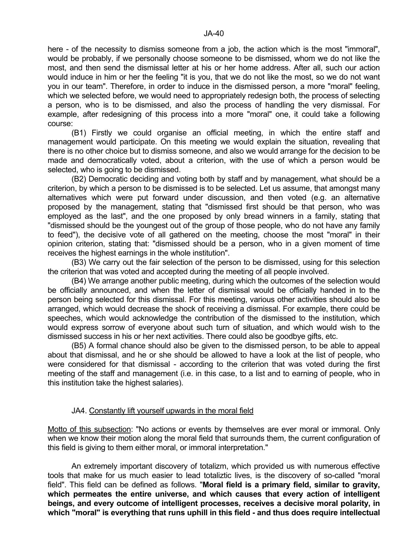here - of the necessity to dismiss someone from a job, the action which is the most "immoral", would be probably, if we personally choose someone to be dismissed, whom we do not like the most, and then send the dismissal letter at his or her home address. After all, such our action would induce in him or her the feeling "it is you, that we do not like the most, so we do not want you in our team". Therefore, in order to induce in the dismissed person, a more "moral" feeling, which we selected before, we would need to appropriately redesign both, the process of selecting a person, who is to be dismissed, and also the process of handling the very dismissal. For example, after redesigning of this process into a more "moral" one, it could take a following course:

 (B1) Firstly we could organise an official meeting, in which the entire staff and management would participate. On this meeting we would explain the situation, revealing that there is no other choice but to dismiss someone, and also we would arrange for the decision to be made and democratically voted, about a criterion, with the use of which a person would be selected, who is going to be dismissed.

 (B2) Democratic deciding and voting both by staff and by management, what should be a criterion, by which a person to be dismissed is to be selected. Let us assume, that amongst many alternatives which were put forward under discussion, and then voted (e.g. an alternative proposed by the management, stating that "dismissed first should be that person, who was employed as the last", and the one proposed by only bread winners in a family, stating that "dismissed should be the youngest out of the group of those people, who do not have any family to feed"), the decisive vote of all gathered on the meeting, choose the most "moral" in their opinion criterion, stating that: "dismissed should be a person, who in a given moment of time receives the highest earnings in the whole institution".

 (B3) We carry out the fair selection of the person to be dismissed, using for this selection the criterion that was voted and accepted during the meeting of all people involved.

 (B4) We arrange another public meeting, during which the outcomes of the selection would be officially announced, and when the letter of dismissal would be officially handed in to the person being selected for this dismissal. For this meeting, various other activities should also be arranged, which would decrease the shock of receiving a dismissal. For example, there could be speeches, which would acknowledge the contribution of the dismissed to the institution, which would express sorrow of everyone about such turn of situation, and which would wish to the dismissed success in his or her next activities. There could also be goodbye gifts, etc.

 (B5) A formal chance should also be given to the dismissed person, to be able to appeal about that dismissal, and he or she should be allowed to have a look at the list of people, who were considered for that dismissal - according to the criterion that was voted during the first meeting of the staff and management (i.e. in this case, to a list and to earning of people, who in this institution take the highest salaries).

# JA4. Constantly lift yourself upwards in the moral field

Motto of this subsection: "No actions or events by themselves are ever moral or immoral. Only when we know their motion along the moral field that surrounds them, the current configuration of this field is giving to them either moral, or immoral interpretation."

 An extremely important discovery of totalizm, which provided us with numerous effective tools that make for us much easier to lead totaliztic lives, is the discovery of so-called "moral field". This field can be defined as follows. "**Moral field is a primary field, similar to gravity, which permeates the entire universe, and which causes that every action of intelligent beings, and every outcome of intelligent processes, receives a decisive moral polarity, in which "moral" is everything that runs uphill in this field - and thus does require intellectual**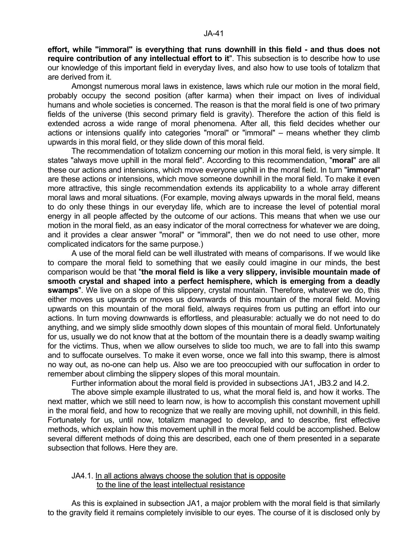**effort, while "immoral" is everything that runs downhill in this field - and thus does not require contribution of any intellectual effort to it**". This subsection is to describe how to use our knowledge of this important field in everyday lives, and also how to use tools of totalizm that are derived from it.

 Amongst numerous moral laws in existence, laws which rule our motion in the moral field, probably occupy the second position (after karma) when their impact on lives of individual humans and whole societies is concerned. The reason is that the moral field is one of two primary fields of the universe (this second primary field is gravity). Therefore the action of this field is extended across a wide range of moral phenomena. After all, this field decides whether our actions or intensions qualify into categories "moral" or "immoral" – means whether they climb upwards in this moral field, or they slide down of this moral field.

 The recommendation of totalizm concerning our motion in this moral field, is very simple. It states "always move uphill in the moral field". According to this recommendation, "**moral**" are all these our actions and intensions, which move everyone uphill in the moral field. In turn "**immoral**" are these actions or intensions, which move someone downhill in the moral field. To make it even more attractive, this single recommendation extends its applicability to a whole array different moral laws and moral situations. (For example, moving always upwards in the moral field, means to do only these things in our everyday life, which are to increase the level of potential moral energy in all people affected by the outcome of our actions. This means that when we use our motion in the moral field, as an easy indicator of the moral correctness for whatever we are doing, and it provides a clear answer "moral" or "immoral", then we do not need to use other, more complicated indicators for the same purpose.)

 A use of the moral field can be well illustrated with means of comparisons. If we would like to compare the moral field to something that we easily could imagine in our minds, the best comparison would be that "**the moral field is like a very slippery, invisible mountain made of smooth crystal and shaped into a perfect hemisphere, which is emerging from a deadly swamps**". We live on a slope of this slippery, crystal mountain. Therefore, whatever we do, this either moves us upwards or moves us downwards of this mountain of the moral field. Moving upwards on this mountain of the moral field, always requires from us putting an effort into our actions. In turn moving downwards is effortless, and pleasurable: actually we do not need to do anything, and we simply slide smoothly down slopes of this mountain of moral field. Unfortunately for us, usually we do not know that at the bottom of the mountain there is a deadly swamp waiting for the victims. Thus, when we allow ourselves to slide too much, we are to fall into this swamp and to suffocate ourselves. To make it even worse, once we fall into this swamp, there is almost no way out, as no-one can help us. Also we are too preoccupied with our suffocation in order to remember about climbing the slippery slopes of this moral mountain.

Further information about the moral field is provided in subsections JA1, JB3.2 and I4.2.

 The above simple example illustrated to us, what the moral field is, and how it works. The next matter, which we still need to learn now, is how to accomplish this constant movement uphill in the moral field, and how to recognize that we really are moving uphill, not downhill, in this field. Fortunately for us, until now, totalizm managed to develop, and to describe, first effective methods, which explain how this movement uphill in the moral field could be accomplished. Below several different methods of doing this are described, each one of them presented in a separate subsection that follows. Here they are.

### JA4.1. In all actions always choose the solution that is opposite to the line of the least intellectual resistance

 As this is explained in subsection JA1, a major problem with the moral field is that similarly to the gravity field it remains completely invisible to our eyes. The course of it is disclosed only by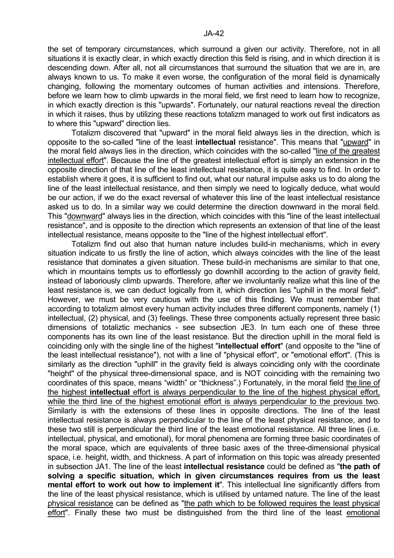the set of temporary circumstances, which surround a given our activity. Therefore, not in all situations it is exactly clear, in which exactly direction this field is rising, and in which direction it is descending down. After all, not all circumstances that surround the situation that we are in, are always known to us. To make it even worse, the configuration of the moral field is dynamically changing, following the momentary outcomes of human activities and intensions. Therefore, before we learn how to climb upwards in the moral field, we first need to learn how to recognize, in which exactly direction is this "upwards". Fortunately, our natural reactions reveal the direction in which it raises, thus by utilizing these reactions totalizm managed to work out first indicators as to where this "upward" direction lies.

 Totalizm discovered that "upward" in the moral field always lies in the direction, which is opposite to the so-called "line of the least **intellectual** resistance". This means that "upward" in the moral field always lies in the direction, which coincides with the so-called "line of the greatest intellectual effort". Because the line of the greatest intellectual effort is simply an extension in the opposite direction of that line of the least intellectual resistance, it is quite easy to find. In order to establish where it goes, it is sufficient to find out, what our natural impulse asks us to do along the line of the least intellectual resistance, and then simply we need to logically deduce, what would be our action, if we do the exact reversal of whatever this line of the least intellectual resistance asked us to do. In a similar way we could determine the direction downward in the moral field. This "downward" always lies in the direction, which coincides with this "line of the least intellectual resistance", and is opposite to the direction which represents an extension of that line of the least intellectual resistance, means opposite to the "line of the highest intellectual effort".

 Totalizm find out also that human nature includes build-in mechanisms, which in every situation indicate to us firstly the line of action, which always coincides with the line of the least resistance that dominates a given situation. These build-in mechanisms are similar to that one, which in mountains tempts us to effortlessly go downhill according to the action of gravity field, instead of laboriously climb upwards. Therefore, after we involuntarily realize what this line of the least resistance is, we can deduct logically from it, which direction lies "uphill in the moral field". However, we must be very cautious with the use of this finding. We must remember that according to totalizm almost every human activity includes three different components, namely (1) intellectual, (2) physical, and (3) feelings. These three components actually represent three basic dimensions of totaliztic mechanics - see subsection JE3. In turn each one of these three components has its own line of the least resistance. But the direction uphill in the moral field is coinciding only with the single line of the highest "**intellectual effort**" (and opposite to the "line of the least intellectual resistance"), not with a line of "physical effort", or "emotional effort". (This is similarly as the direction "uphill" in the gravity field is always coinciding only with the coordinate "height" of the physical three-dimensional space, and is NOT coinciding with the remaining two coordinates of this space, means "width" or "thickness".) Fortunately, in the moral field the line of the highest **intellectual** effort is always perpendicular to the line of the highest physical effort, while the third line of the highest emotional effort is always perpendicular to the previous two. Similarly is with the extensions of these lines in opposite directions. The line of the least intellectual resistance is always perpendicular to the line of the least physical resistance, and to these two still is perpendicular the third line of the least emotional resistance. All three lines (i.e. intellectual, physical, and emotional), for moral phenomena are forming three basic coordinates of the moral space, which are equivalents of three basic axes of the three-dimensional physical space, i.e. height, width, and thickness. A part of information on this topic was already presented in subsection JA1. The line of the least **intellectual resistance** could be defined as "**the path of solving a specific situation, which in given circumstances requires from us the least mental effort to work out how to implement it**". This intellectual line significantly differs from the line of the least physical resistance, which is utilised by untamed nature. The line of the least physical resistance can be defined as "the path which to be followed requires the least physical effort". Finally these two must be distinguished from the third line of the least emotional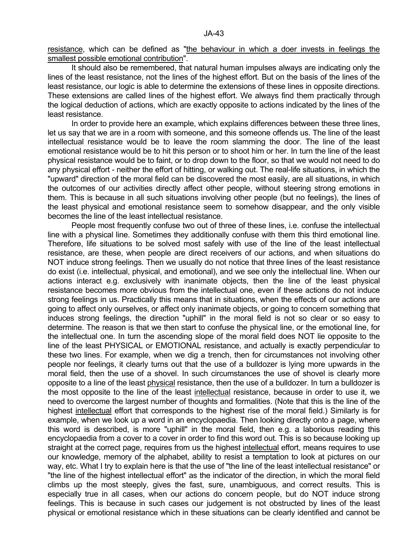resistance, which can be defined as "the behaviour in which a doer invests in feelings the smallest possible emotional contribution".

 It should also be remembered, that natural human impulses always are indicating only the lines of the least resistance, not the lines of the highest effort. But on the basis of the lines of the least resistance, our logic is able to determine the extensions of these lines in opposite directions. These extensions are called lines of the highest effort. We always find them practically through the logical deduction of actions, which are exactly opposite to actions indicated by the lines of the least resistance.

 In order to provide here an example, which explains differences between these three lines, let us say that we are in a room with someone, and this someone offends us. The line of the least intellectual resistance would be to leave the room slamming the door. The line of the least emotional resistance would be to hit this person or to shoot him or her. In turn the line of the least physical resistance would be to faint, or to drop down to the floor, so that we would not need to do any physical effort - neither the effort of hitting, or walking out. The real-life situations, in which the "upward" direction of the moral field can be discovered the most easily, are all situations, in which the outcomes of our activities directly affect other people, without steering strong emotions in them. This is because in all such situations involving other people (but no feelings), the lines of the least physical and emotional resistance seem to somehow disappear, and the only visible becomes the line of the least intellectual resistance.

 People most frequently confuse two out of three of these lines, i.e. confuse the intellectual line with a physical line. Sometimes they additionally confuse with them this third emotional line. Therefore, life situations to be solved most safely with use of the line of the least intellectual resistance, are these, when people are direct receivers of our actions, and when situations do NOT induce strong feelings. Then we usually do not notice that three lines of the least resistance do exist (i.e. intellectual, physical, and emotional), and we see only the intellectual line. When our actions interact e.g. exclusively with inanimate objects, then the line of the least physical resistance becomes more obvious from the intellectual one, even if these actions do not induce strong feelings in us. Practically this means that in situations, when the effects of our actions are going to affect only ourselves, or affect only inanimate objects, or going to concern something that induces strong feelings, the direction "uphill" in the moral field is not so clear or so easy to determine. The reason is that we then start to confuse the physical line, or the emotional line, for the intellectual one. In turn the ascending slope of the moral field does NOT lie opposite to the line of the least PHYSICAL or EMOTIONAL resistance, and actually is exactly perpendicular to these two lines. For example, when we dig a trench, then for circumstances not involving other people nor feelings, it clearly turns out that the use of a bulldozer is lying more upwards in the moral field, then the use of a shovel. In such circumstances the use of shovel is clearly more opposite to a line of the least physical resistance, then the use of a bulldozer. In turn a bulldozer is the most opposite to the line of the least intellectual resistance, because in order to use it, we need to overcome the largest number of thoughts and formalities. (Note that this is the line of the highest intellectual effort that corresponds to the highest rise of the moral field.) Similarly is for example, when we look up a word in an encyclopaedia. Then looking directly onto a page, where this word is described, is more "uphill" in the moral field, then e.g. a laborious reading this encyclopaedia from a cover to a cover in order to find this word out. This is so because looking up straight at the correct page, requires from us the highest intellectual effort, means requires to use our knowledge, memory of the alphabet, ability to resist a temptation to look at pictures on our way, etc. What I try to explain here is that the use of "the line of the least intellectual resistance" or "the line of the highest intellectual effort" as the indicator of the direction, in which the moral field climbs up the most steeply, gives the fast, sure, unambiguous, and correct results. This is especially true in all cases, when our actions do concern people, but do NOT induce strong feelings. This is because in such cases our judgement is not obstructed by lines of the least physical or emotional resistance which in these situations can be clearly identified and cannot be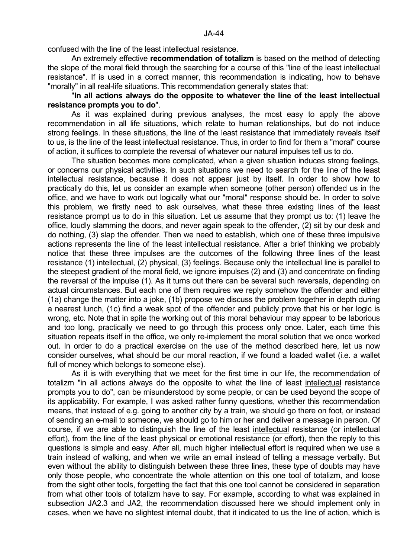confused with the line of the least intellectual resistance.

 An extremely effective **recommendation of totalizm** is based on the method of detecting the slope of the moral field through the searching for a course of this "line of the least intellectual resistance". If is used in a correct manner, this recommendation is indicating, how to behave "morally" in all real-life situations. This recommendation generally states that:

# "**In all actions always do the opposite to whatever the line of the least intellectual resistance prompts you to do**".

 As it was explained during previous analyses, the most easy to apply the above recommendation in all life situations, which relate to human relationships, but do not induce strong feelings. In these situations, the line of the least resistance that immediately reveals itself to us, is the line of the least intellectual resistance. Thus, in order to find for them a "moral" course of action, it suffices to complete the reversal of whatever our natural impulses tell us to do.

 The situation becomes more complicated, when a given situation induces strong feelings, or concerns our physical activities. In such situations we need to search for the line of the least intellectual resistance, because it does not appear just by itself. In order to show how to practically do this, let us consider an example when someone (other person) offended us in the office, and we have to work out logically what our "moral" response should be. In order to solve this problem, we firstly need to ask ourselves, what these three existing lines of the least resistance prompt us to do in this situation. Let us assume that they prompt us to: (1) leave the office, loudly slamming the doors, and never again speak to the offender, (2) sit by our desk and do nothing, (3) slap the offender. Then we need to establish, which one of these three impulsive actions represents the line of the least intellectual resistance. After a brief thinking we probably notice that these three impulses are the outcomes of the following three lines of the least resistance (1) intellectual, (2) physical, (3) feelings. Because only the intellectual line is parallel to the steepest gradient of the moral field, we ignore impulses (2) and (3) and concentrate on finding the reversal of the impulse (1). As it turns out there can be several such reversals, depending on actual circumstances. But each one of them requires we reply somehow the offender and either (1a) change the matter into a joke, (1b) propose we discuss the problem together in depth during a nearest lunch, (1c) find a weak spot of the offender and publicly prove that his or her logic is wrong, etc. Note that in spite the working out of this moral behaviour may appear to be laborious and too long, practically we need to go through this process only once. Later, each time this situation repeats itself in the office, we only re-implement the moral solution that we once worked out. In order to do a practical exercise on the use of the method described here, let us now consider ourselves, what should be our moral reaction, if we found a loaded wallet (i.e. a wallet full of money which belongs to someone else).

 As it is with everything that we meet for the first time in our life, the recommendation of totalizm "in all actions always do the opposite to what the line of least intellectual resistance prompts you to do", can be misunderstood by some people, or can be used beyond the scope of its applicability. For example, I was asked rather funny questions, whether this recommendation means, that instead of e.g. going to another city by a train, we should go there on foot, or instead of sending an e-mail to someone, we should go to him or her and deliver a message in person. Of course, if we are able to distinguish the line of the least intellectual resistance (or intellectual effort), from the line of the least physical or emotional resistance (or effort), then the reply to this questions is simple and easy. After all, much higher intellectual effort is required when we use a train instead of walking, and when we write an email instead of telling a message verbally. But even without the ability to distinguish between these three lines, these type of doubts may have only those people, who concentrate the whole attention on this one tool of totalizm, and loose from the sight other tools, forgetting the fact that this one tool cannot be considered in separation from what other tools of totalizm have to say. For example, according to what was explained in subsection JA2.3 and JA2, the recommendation discussed here we should implement only in cases, when we have no slightest internal doubt, that it indicated to us the line of action, which is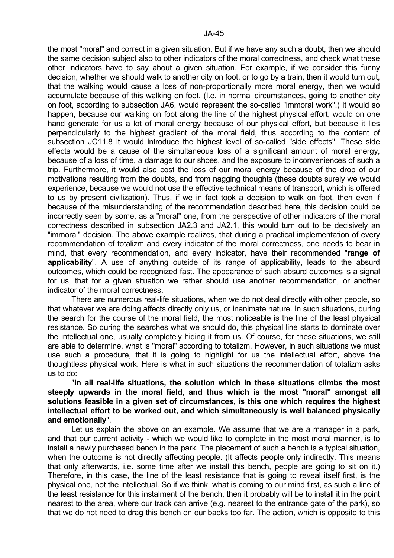the most "moral" and correct in a given situation. But if we have any such a doubt, then we should the same decision subject also to other indicators of the moral correctness, and check what these other indicators have to say about a given situation. For example, if we consider this funny decision, whether we should walk to another city on foot, or to go by a train, then it would turn out, that the walking would cause a loss of non-proportionally more moral energy, then we would accumulate because of this walking on foot. (I.e. in normal circumstances, going to another city on foot, according to subsection JA6, would represent the so-called "immoral work".) It would so happen, because our walking on foot along the line of the highest physical effort, would on one hand generate for us a lot of moral energy because of our physical effort, but because it lies perpendicularly to the highest gradient of the moral field, thus according to the content of subsection JC11.8 it would introduce the highest level of so-called "side effects". These side effects would be a cause of the simultaneous loss of a significant amount of moral energy, because of a loss of time, a damage to our shoes, and the exposure to inconveniences of such a trip. Furthermore, it would also cost the loss of our moral energy because of the drop of our motivations resulting from the doubts, and from nagging thoughts (these doubts surely we would experience, because we would not use the effective technical means of transport, which is offered to us by present civilization). Thus, if we in fact took a decision to walk on foot, then even if because of the misunderstanding of the recommendation described here, this decision could be incorrectly seen by some, as a "moral" one, from the perspective of other indicators of the moral correctness described in subsection JA2.3 and JA2.1, this would turn out to be decisively an "immoral" decision. The above example realizes, that during a practical implementation of every recommendation of totalizm and every indicator of the moral correctness, one needs to bear in mind, that every recommendation, and every indicator, have their recommended "**range of applicability**". A use of anything outside of its range of applicability, leads to the absurd outcomes, which could be recognized fast. The appearance of such absurd outcomes is a signal for us, that for a given situation we rather should use another recommendation, or another indicator of the moral correctness.

 There are numerous real-life situations, when we do not deal directly with other people, so that whatever we are doing affects directly only us, or inanimate nature. In such situations, during the search for the course of the moral field, the most noticeable is the line of the least physical resistance. So during the searches what we should do, this physical line starts to dominate over the intellectual one, usually completely hiding it from us. Of course, for these situations, we still are able to determine, what is "moral" according to totalizm. However, in such situations we must use such a procedure, that it is going to highlight for us the intellectual effort, above the thoughtless physical work. Here is what in such situations the recommendation of totalizm asks us to do:

 "**In all real-life situations, the solution which in these situations climbs the most steeply upwards in the moral field, and thus which is the most "moral" amongst all solutions feasible in a given set of circumstances, is this one which requires the highest intellectual effort to be worked out, and which simultaneously is well balanced physically and emotionally**".

 Let us explain the above on an example. We assume that we are a manager in a park, and that our current activity - which we would like to complete in the most moral manner, is to install a newly purchased bench in the park. The placement of such a bench is a typical situation, when the outcome is not directly affecting people. (It affects people only indirectly. This means that only afterwards, i.e. some time after we install this bench, people are going to sit on it.) Therefore, in this case, the line of the least resistance that is going to reveal itself first, is the physical one, not the intellectual. So if we think, what is coming to our mind first, as such a line of the least resistance for this instalment of the bench, then it probably will be to install it in the point nearest to the area, where our track can arrive (e.g. nearest to the entrance gate of the park), so that we do not need to drag this bench on our backs too far. The action, which is opposite to this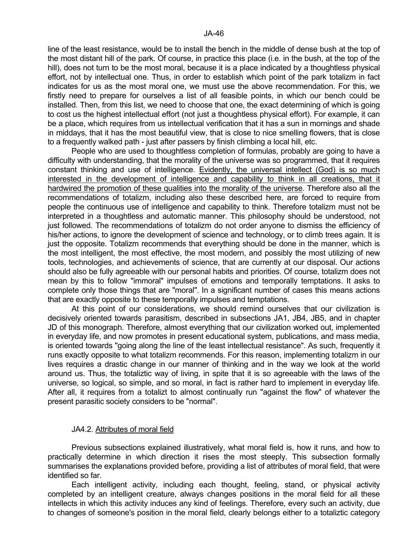line of the least resistance, would be to install the bench in the middle of dense bush at the top of the most distant hill of the park. Of course, in practice this place (i.e. in the bush, at the top of the hill), does not turn to be the most moral, because it is a place indicated by a thoughtless physical effort, not by intellectual one. Thus, in order to establish which point of the park totalizm in fact indicates for us as the most moral one, we must use the above recommendation. For this, we firstly need to prepare for ourselves a list of all feasible points, in which our bench could be installed. Then, from this list, we need to choose that one, the exact determining of which is going to cost us the highest intellectual effort (not just a thoughtless physical effort). For example, it can be a place, which requires from us intellectual verification that it has a sun in mornings and shade in middays, that it has the most beautiful view, that is close to nice smelling flowers, that is close to a frequently walked path - just after passers by finish climbing a local hill, etc.

 People who are used to thoughtless completion of formulas, probably are going to have a difficulty with understanding, that the morality of the universe was so programmed, that it requires constant thinking and use of intelligence. Evidently, the universal intellect (God) is so much interested in the development of intelligence and capability to think in all creations, that it hardwired the promotion of these qualities into the morality of the universe. Therefore also all the recommendations of totalizm, including also these described here, are forced to require from people the continuous use of intelligence and capability to think. Therefore totalizm must not be interpreted in a thoughtless and automatic manner. This philosophy should be understood, not just followed. The recommendations of totalizm do not order anyone to dismiss the efficiency of his/her actions, to ignore the development of science and technology, or to climb trees again. It is just the opposite. Totalizm recommends that everything should be done in the manner, which is the most intelligent, the most effective, the most modern, and possibly the most utilizing of new tools, technologies, and achievements of science, that are currently at our disposal. Our actions should also be fully agreeable with our personal habits and priorities. Of course, totalizm does not mean by this to follow "immoral" impulses of emotions and temporally temptations. It asks to complete only those things that are "moral". In a significant number of cases this means actions that are exactly opposite to these temporally impulses and temptations.

 At this point of our considerations, we should remind ourselves that our civilization is decisively oriented towards parasitism, described in subsections JA1, JB4, JB5, and in chapter JD of this monograph. Therefore, almost everything that our civilization worked out, implemented in everyday life, and now promotes in present educational system, publications, and mass media, is oriented towards "going along the line of the least intellectual resistance". As such, frequently it runs exactly opposite to what totalizm recommends. For this reason, implementing totalizm in our lives requires a drastic change in our manner of thinking and in the way we look at the world around us. Thus, the totaliztic way of living, in spite that it is so agreeable with the laws of the universe, so logical, so simple, and so moral, in fact is rather hard to implement in everyday life. After all, it requires from a totalizt to almost continually run "against the flow" of whatever the present parasitic society considers to be "normal".

### JA4.2. Attributes of moral field

 Previous subsections explained illustratively, what moral field is, how it runs, and how to practically determine in which direction it rises the most steeply. This subsection formally summarises the explanations provided before, providing a list of attributes of moral field, that were identified so far.

 Each intelligent activity, including each thought, feeling, stand, or physical activity completed by an intelligent creature, always changes positions in the moral field for all these intellects in which this activity induces any kind of feelings. Therefore, every such an activity, due to changes of someone's position in the moral field, clearly belongs either to a totaliztic category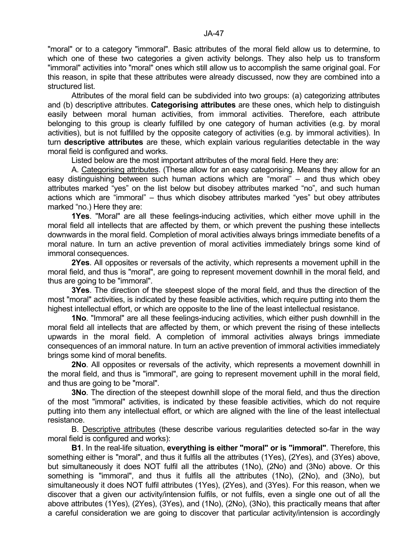"moral" or to a category "immoral". Basic attributes of the moral field allow us to determine, to which one of these two categories a given activity belongs. They also help us to transform "immoral" activities into "moral" ones which still allow us to accomplish the same original goal. For this reason, in spite that these attributes were already discussed, now they are combined into a structured list.

 Attributes of the moral field can be subdivided into two groups: (a) categorizing attributes and (b) descriptive attributes. **Categorising attributes** are these ones, which help to distinguish easily between moral human activities, from immoral activities. Therefore, each attribute belonging to this group is clearly fulfilled by one category of human activities (e.g. by moral activities), but is not fulfilled by the opposite category of activities (e.g. by immoral activities). In turn **descriptive attributes** are these, which explain various regularities detectable in the way moral field is configured and works.

Listed below are the most important attributes of the moral field. Here they are:

 A. Categorising attributes. (These allow for an easy categorising. Means they allow for an easy distinguishing between such human actions which are "moral" – and thus which obey attributes marked "yes" on the list below but disobey attributes marked "no", and such human actions which are "immoral" – thus which disobey attributes marked "yes" but obey attributes marked "no.) Here they are:

 **1Yes**. "Moral" are all these feelings-inducing activities, which either move uphill in the moral field all intellects that are affected by them, or which prevent the pushing these intellects downwards in the moral field. Completion of moral activities always brings immediate benefits of a moral nature. In turn an active prevention of moral activities immediately brings some kind of immoral consequences.

 **2Yes**. All opposites or reversals of the activity, which represents a movement uphill in the moral field, and thus is "moral", are going to represent movement downhill in the moral field, and thus are going to be "immoral".

 **3Yes**. The direction of the steepest slope of the moral field, and thus the direction of the most "moral" activities, is indicated by these feasible activities, which require putting into them the highest intellectual effort, or which are opposite to the line of the least intellectual resistance.

 **1No**. "Immoral" are all these feelings-inducing activities, which either push downhill in the moral field all intellects that are affected by them, or which prevent the rising of these intellects upwards in the moral field. A completion of immoral activities always brings immediate consequences of an immoral nature. In turn an active prevention of immoral activities immediately brings some kind of moral benefits.

 **2No**. All opposites or reversals of the activity, which represents a movement downhill in the moral field, and thus is "immoral", are going to represent movement uphill in the moral field, and thus are going to be "moral".

**3No.** The direction of the steepest downhill slope of the moral field, and thus the direction of the most "immoral" activities, is indicated by these feasible activities, which do not require putting into them any intellectual effort, or which are aligned with the line of the least intellectual resistance.

 B. Descriptive attributes (these describe various regularities detected so-far in the way moral field is configured and works):

 **B1**. In the real-life situation, **everything is either "moral" or is "immoral"**. Therefore, this something either is "moral", and thus it fulfils all the attributes (1Yes), (2Yes), and (3Yes) above, but simultaneously it does NOT fulfil all the attributes (1No), (2No) and (3No) above. Or this something is "immoral", and thus it fulfils all the attributes (1No), (2No), and (3No), but simultaneously it does NOT fulfil attributes (1Yes), (2Yes), and (3Yes). For this reason, when we discover that a given our activity/intension fulfils, or not fulfils, even a single one out of all the above attributes (1Yes), (2Yes), (3Yes), and (1No), (2No), (3No), this practically means that after a careful consideration we are going to discover that particular activity/intension is accordingly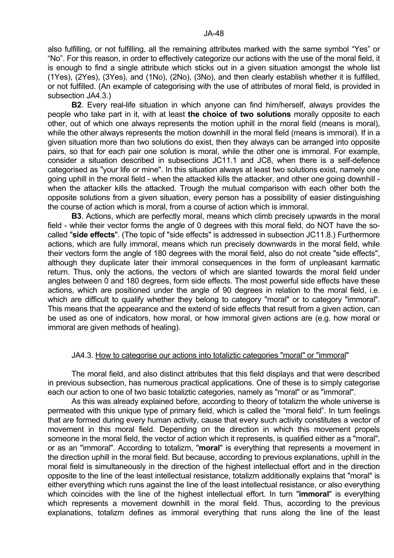also fulfilling, or not fulfilling, all the remaining attributes marked with the same symbol "Yes" or "No". For this reason, in order to effectively categorize our actions with the use of the moral field, it is enough to find a single attribute which sticks out in a given situation amongst the whole list (1Yes), (2Yes), (3Yes), and (1No), (2No), (3No), and then clearly establish whether it is fulfilled, or not fulfilled. (An example of categorising with the use of attributes of moral field, is provided in subsection JA4.3.)

 **B2**. Every real-life situation in which anyone can find him/herself, always provides the people who take part in it, with at least **the choice of two solutions** morally opposite to each other, out of which one always represents the motion uphill in the moral field (means is moral), while the other always represents the motion downhill in the moral field (means is immoral). If in a given situation more than two solutions do exist, then they always can be arranged into opposite pairs, so that for each pair one solution is moral, while the other one is immoral. For example, consider a situation described in subsections JC11.1 and JC8, when there is a self-defence categorised as "your life or mine". In this situation always at least two solutions exist, namely one going uphill in the moral field - when the attacked kills the attacker, and other one going downhill when the attacker kills the attacked. Trough the mutual comparison with each other both the opposite solutions from a given situation, every person has a possibility of easier distinguishing the course of action which is moral, from a course of action which is immoral.

 **B3**. Actions, which are perfectly moral, means which climb precisely upwards in the moral field - while their vector forms the angle of 0 degrees with this moral field, do NOT have the socalled "**side effects**". (The topic of "side effects" is addressed in subsection JC11.8.) Furthermore actions, which are fully immoral, means which run precisely downwards in the moral field, while their vectors form the angle of 180 degrees with the moral field, also do not create "side effects", although they duplicate later their immoral consequences in the form of unpleasant karmatic return. Thus, only the actions, the vectors of which are slanted towards the moral field under angles between 0 and 180 degrees, form side effects. The most powerful side effects have these actions, which are positioned under the angle of 90 degrees in relation to the moral field, i.e. which are difficult to qualify whether they belong to category "moral" or to category "immoral". This means that the appearance and the extend of side effects that result from a given action, can be used as one of indicators, how moral, or how immoral given actions are (e.g. how moral or immoral are given methods of healing).

### JA4.3. How to categorise our actions into totaliztic categories "moral" or "immoral"

 The moral field, and also distinct attributes that this field displays and that were described in previous subsection, has numerous practical applications. One of these is to simply categorise each our action to one of two basic totaliztic categories, namely as "moral" or as "immoral".

 As this was already explained before, according to theory of totalizm the whole universe is permeated with this unique type of primary field, which is called the "moral field". In turn feelings that are formed during every human activity, cause that every such activity constitutes a vector of movement in this moral field. Depending on the direction in which this movement propels someone in the moral field, the vector of action which it represents, is qualified either as a "moral", or as an "immoral". According to totalizm, "**moral**" is everything that represents a movement in the direction uphill in the moral field. But because, according to previous explanations, uphill in the moral field is simultaneously in the direction of the highest intellectual effort and in the direction opposite to the line of the least intellectual resistance, totalizm additionally explains that "moral" is either everything which runs against the line of the least intellectual resistance, or also everything which coincides with the line of the highest intellectual effort. In turn "**immoral**" is everything which represents a movement downhill in the moral field. Thus, according to the previous explanations, totalizm defines as immoral everything that runs along the line of the least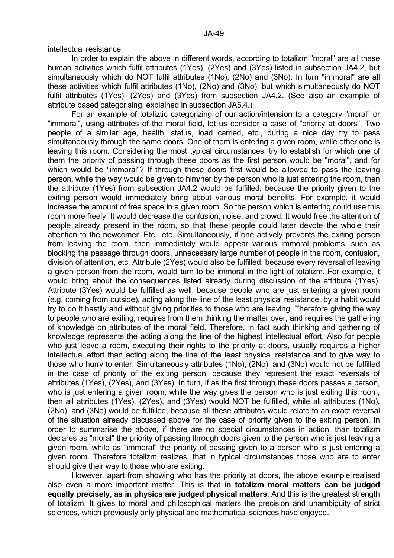intellectual resistance.

 In order to explain the above in different words, according to totalizm "moral" are all these human activities which fulfil attributes (1Yes), (2Yes) and (3Yes) listed in subsection JA4.2, but simultaneously which do NOT fulfil attributes (1No), (2No) and (3No). In turn "immoral" are all these activities which fulfil attributes (1No), (2No) and (3No), but which simultaneously do NOT fulfil attributes (1Yes), (2Yes) and (3Yes) from subsection JA4.2. (See also an example of attribute based categorising, explained in subsection JA5.4.)

 For an example of totaliztic categorizing of our action/intension to a category "moral" or "immoral", using attributes of the moral field, let us consider a case of "priority at doors". Two people of a similar age, health, status, load carried, etc., during a nice day try to pass simultaneously through the same doors. One of them is entering a given room, while other one is leaving this room. Considering the most typical circumstances, try to establish for which one of them the priority of passing through these doors as the first person would be "moral", and for which would be "immoral"? If through these doors first would be allowed to pass the leaving person, while the way would be given to him/her by the person who is just entering the room, then the attribute (1Yes) from subsection JA4.2 would be fulfilled, because the priority given to the exiting person would immediately bring about various moral benefits. For example, it would increase the amount of free space in a given room. So the person which is entering could use this room more freely. It would decrease the confusion, noise, and crowd. It would free the attention of people already present in the room, so that these people could later devote the whole their attention to the newcomer. Etc., etc. Simultaneously, if one actively prevents the exiting person from leaving the room, then immediately would appear various immoral problems, such as blocking the passage through doors, unnecessary large number of people in the room, confusion, division of attention, etc. Attribute (2Yes) would also be fulfilled, because every reversal of leaving a given person from the room, would turn to be immoral in the light of totalizm. For example, it would bring about the consequences listed already during discussion of the attribute (1Yes). Attribute (3Yes) would be fulfilled as well, because people who are just entering a given room (e.g. coming from outside), acting along the line of the least physical resistance, by a habit would try to do it hastily and without giving priorities to those who are leaving. Therefore giving the way to people who are exiting, requires from them thinking the matter over, and requires the gathering of knowledge on attributes of the moral field. Therefore, in fact such thinking and gathering of knowledge represents the acting along the line of the highest intellectual effort. Also for people who just leave a room, executing their rights to the priority at doors, usually requires a higher intellectual effort than acting along the line of the least physical resistance and to give way to those who hurry to enter. Simultaneously attributes (1No), (2No), and (3No) would not be fulfilled in the case of priority of the exiting person, because they represent the exact reversals of attributes (1Yes), (2Yes), and (3Yes). In turn, if as the first through these doors passes a person, who is just entering a given room, while the way gives the person who is just exiting this room, then all attributes (1Yes), (2Yes), and (3Yes) would NOT be fulfilled, while all attributes (1No), (2No), and (3No) would be fulfilled, because all these attributes would relate to an exact reversal of the situation already discussed above for the case of priority given to the exiting person. In order to summarise the above, if there are no special circumstances in action, than totalizm declares as "moral" the priority of passing through doors given to the person who is just leaving a given room, while as "immoral" the priority of passing given to a person who is just entering a given room. Therefore totalizm realizes, that in typical circumstances those who are to enter should give their way to those who are exiting.

 However, apart from showing who has the priority at doors, the above example realised also even a more important matter. This is that **in totalizm moral matters can be judged equally precisely, as in physics are judged physical matters**. And this is the greatest strength of totalizm. It gives to moral and philosophical matters the precision and unambiguity of strict sciences, which previously only physical and mathematical sciences have enjoyed.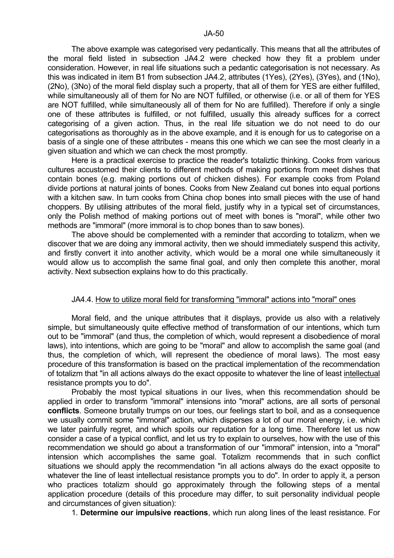The above example was categorised very pedantically. This means that all the attributes of the moral field listed in subsection JA4.2 were checked how they fit a problem under consideration. However, in real life situations such a pedantic categorisation is not necessary. As this was indicated in item B1 from subsection JA4.2, attributes (1Yes), (2Yes), (3Yes), and (1No), (2No), (3No) of the moral field display such a property, that all of them for YES are either fulfilled, while simultaneously all of them for No are NOT fulfilled, or otherwise (i.e. or all of them for YES are NOT fulfilled, while simultaneously all of them for No are fulfilled). Therefore if only a single one of these attributes is fulfilled, or not fulfilled, usually this already suffices for a correct categorising of a given action. Thus, in the real life situation we do not need to do our categorisations as thoroughly as in the above example, and it is enough for us to categorise on a basis of a single one of these attributes - means this one which we can see the most clearly in a given situation and which we can check the most promptly.

 Here is a practical exercise to practice the reader's totaliztic thinking. Cooks from various cultures accustomed their clients to different methods of making portions from meet dishes that contain bones (e.g. making portions out of chicken dishes). For example cooks from Poland divide portions at natural joints of bones. Cooks from New Zealand cut bones into equal portions with a kitchen saw. In turn cooks from China chop bones into small pieces with the use of hand choppers. By utilising attributes of the moral field, justify why in a typical set of circumstances, only the Polish method of making portions out of meet with bones is "moral", while other two methods are "immoral" (more immoral is to chop bones than to saw bones).

 The above should be complemented with a reminder that according to totalizm, when we discover that we are doing any immoral activity, then we should immediately suspend this activity, and firstly convert it into another activity, which would be a moral one while simultaneously it would allow us to accomplish the same final goal, and only then complete this another, moral activity. Next subsection explains how to do this practically.

# JA4.4. How to utilize moral field for transforming "immoral" actions into "moral" ones

 Moral field, and the unique attributes that it displays, provide us also with a relatively simple, but simultaneously quite effective method of transformation of our intentions, which turn out to be "immoral" (and thus, the completion of which, would represent a disobedience of moral laws), into intentions, which are going to be "moral" and allow to accomplish the same goal (and thus, the completion of which, will represent the obedience of moral laws). The most easy procedure of this transformation is based on the practical implementation of the recommendation of totalizm that "in all actions always do the exact opposite to whatever the line of least intellectual resistance prompts you to do".

 Probably the most typical situations in our lives, when this recommendation should be applied in order to transform "immoral" intensions into "moral" actions, are all sorts of personal **conflicts**. Someone brutally trumps on our toes, our feelings start to boil, and as a consequence we usually commit some "immoral" action, which disperses a lot of our moral energy, i.e. which we later painfully regret, and which spoils our reputation for a long time. Therefore let us now consider a case of a typical conflict, and let us try to explain to ourselves, how with the use of this recommendation we should go about a transformation of our "immoral" intension, into a "moral" intension which accomplishes the same goal. Totalizm recommends that in such conflict situations we should apply the recommendation "in all actions always do the exact opposite to whatever the line of least intellectual resistance prompts you to do". In order to apply it, a person who practices totalizm should go approximately through the following steps of a mental application procedure (details of this procedure may differ, to suit personality individual people and circumstances of given situation):

1. **Determine our impulsive reactions**, which run along lines of the least resistance. For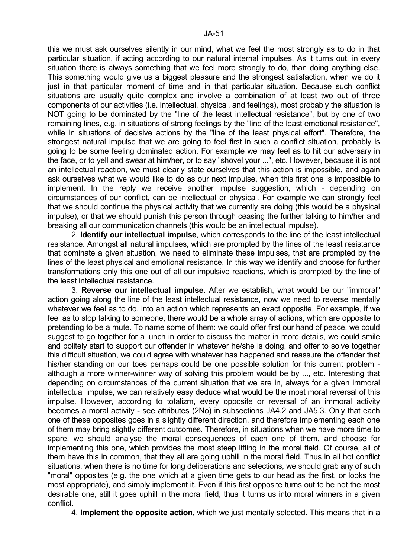this we must ask ourselves silently in our mind, what we feel the most strongly as to do in that particular situation, if acting according to our natural internal impulses. As it turns out, in every situation there is always something that we feel more strongly to do, than doing anything else. This something would give us a biggest pleasure and the strongest satisfaction, when we do it just in that particular moment of time and in that particular situation. Because such conflict situations are usually quite complex and involve a combination of at least two out of three components of our activities (i.e. intellectual, physical, and feelings), most probably the situation is NOT going to be dominated by the "line of the least intellectual resistance", but by one of two remaining lines, e.g. in situations of strong feelings by the "line of the least emotional resistance", while in situations of decisive actions by the "line of the least physical effort". Therefore, the strongest natural impulse that we are going to feel first in such a conflict situation, probably is going to be some feeling dominated action. For example we may feel as to hit our adversary in the face, or to yell and swear at him/her, or to say "shovel your ...", etc. However, because it is not an intellectual reaction, we must clearly state ourselves that this action is impossible, and again ask ourselves what we would like to do as our next impulse, when this first one is impossible to implement. In the reply we receive another impulse suggestion, which - depending on circumstances of our conflict, can be intellectual or physical. For example we can strongly feel that we should continue the physical activity that we currently are doing (this would be a physical impulse), or that we should punish this person through ceasing the further talking to him/her and breaking all our communication channels (this would be an intellectual impulse).

 2. **Identify our intellectual impulse**, which corresponds to the line of the least intellectual resistance. Amongst all natural impulses, which are prompted by the lines of the least resistance that dominate a given situation, we need to eliminate these impulses, that are prompted by the lines of the least physical and emotional resistance. In this way we identify and choose for further transformations only this one out of all our impulsive reactions, which is prompted by the line of the least intellectual resistance.

 3. **Reverse our intellectual impulse**. After we establish, what would be our "immoral" action going along the line of the least intellectual resistance, now we need to reverse mentally whatever we feel as to do, into an action which represents an exact opposite. For example, if we feel as to stop talking to someone, there would be a whole array of actions, which are opposite to pretending to be a mute. To name some of them: we could offer first our hand of peace, we could suggest to go together for a lunch in order to discuss the matter in more details, we could smile and politely start to support our offender in whatever he/she is doing, and offer to solve together this difficult situation, we could agree with whatever has happened and reassure the offender that his/her standing on our toes perhaps could be one possible solution for this current problem although a more winner-winner way of solving this problem would be by ..., etc. Interesting that depending on circumstances of the current situation that we are in, always for a given immoral intellectual impulse, we can relatively easy deduce what would be the most moral reversal of this impulse. However, according to totalizm, every opposite or reversal of an immoral activity becomes a moral activity - see attributes (2No) in subsections JA4.2 and JA5.3. Only that each one of these opposites goes in a slightly different direction, and therefore implementing each one of them may bring slightly different outcomes. Therefore, in situations when we have more time to spare, we should analyse the moral consequences of each one of them, and choose for implementing this one, which provides the most steep lifting in the moral field. Of course, all of them have this in common, that they all are going uphill in the moral field. Thus in all hot conflict situations, when there is no time for long deliberations and selections, we should grab any of such "moral" opposites (e.g. the one which at a given time gets to our head as the first, or looks the most appropriate), and simply implement it. Even if this first opposite turns out to be not the most desirable one, still it goes uphill in the moral field, thus it turns us into moral winners in a given conflict.

4. **Implement the opposite action**, which we just mentally selected. This means that in a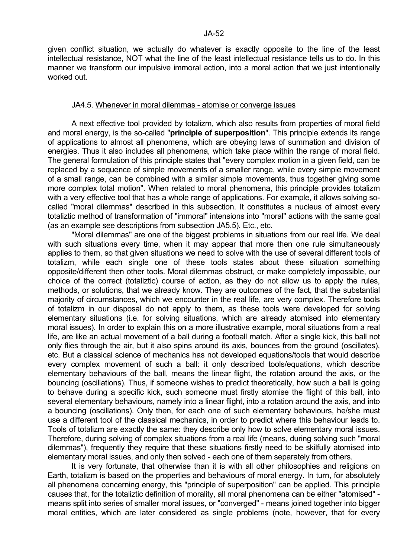given conflict situation, we actually do whatever is exactly opposite to the line of the least intellectual resistance, NOT what the line of the least intellectual resistance tells us to do. In this manner we transform our impulsive immoral action, into a moral action that we just intentionally worked out.

#### JA4.5. Whenever in moral dilemmas - atomise or converge issues

 A next effective tool provided by totalizm, which also results from properties of moral field and moral energy, is the so-called "**principle of superposition**". This principle extends its range of applications to almost all phenomena, which are obeying laws of summation and division of energies. Thus it also includes all phenomena, which take place within the range of moral field. The general formulation of this principle states that "every complex motion in a given field, can be replaced by a sequence of simple movements of a smaller range, while every simple movement of a small range, can be combined with a similar simple movements, thus together giving some more complex total motion". When related to moral phenomena, this principle provides totalizm with a very effective tool that has a whole range of applications. For example, it allows solving socalled "moral dilemmas" described in this subsection. It constitutes a nucleus of almost every totaliztic method of transformation of "immoral" intensions into "moral" actions with the same goal (as an example see descriptions from subsection JA5.5). Etc., etc.

 "Moral dilemmas" are one of the biggest problems in situations from our real life. We deal with such situations every time, when it may appear that more then one rule simultaneously applies to them, so that given situations we need to solve with the use of several different tools of totalizm, while each single one of these tools states about these situation something opposite/different then other tools. Moral dilemmas obstruct, or make completely impossible, our choice of the correct (totaliztic) course of action, as they do not allow us to apply the rules, methods, or solutions, that we already know. They are outcomes of the fact, that the substantial majority of circumstances, which we encounter in the real life, are very complex. Therefore tools of totalizm in our disposal do not apply to them, as these tools were developed for solving elementary situations (i.e. for solving situations, which are already atomised into elementary moral issues). In order to explain this on a more illustrative example, moral situations from a real life, are like an actual movement of a ball during a football match. After a single kick, this ball not only flies through the air, but it also spins around its axis, bounces from the ground (oscillates), etc. But a classical science of mechanics has not developed equations/tools that would describe every complex movement of such a ball: it only described tools/equations, which describe elementary behaviours of the ball, means the linear flight, the rotation around the axis, or the bouncing (oscillations). Thus, if someone wishes to predict theoretically, how such a ball is going to behave during a specific kick, such someone must firstly atomise the flight of this ball, into several elementary behaviours, namely into a linear flight, into a rotation around the axis, and into a bouncing (oscillations). Only then, for each one of such elementary behaviours, he/she must use a different tool of the classical mechanics, in order to predict where this behaviour leads to. Tools of totalizm are exactly the same: they describe only how to solve elementary moral issues. Therefore, during solving of complex situations from a real life (means, during solving such "moral dilemmas"), frequently they require that these situations firstly need to be skilfully atomised into elementary moral issues, and only then solved - each one of them separately from others.

 It is very fortunate, that otherwise than it is with all other philosophies and religions on Earth, totalizm is based on the properties and behaviours of moral energy. In turn, for absolutely all phenomena concerning energy, this "principle of superposition" can be applied. This principle causes that, for the totaliztic definition of morality, all moral phenomena can be either "atomised" means split into series of smaller moral issues, or "converged" - means joined together into bigger moral entities, which are later considered as single problems (note, however, that for every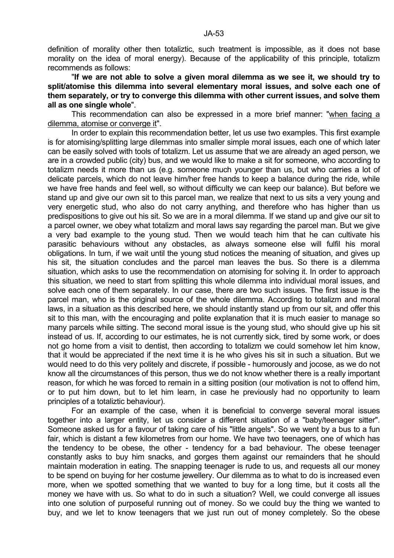definition of morality other then totaliztic, such treatment is impossible, as it does not base morality on the idea of moral energy). Because of the applicability of this principle, totalizm recommends as follows:

 "**If we are not able to solve a given moral dilemma as we see it, we should try to split/atomise this dilemma into several elementary moral issues, and solve each one of them separately, or try to converge this dilemma with other current issues, and solve them all as one single whole**".

 This recommendation can also be expressed in a more brief manner: "when facing a dilemma, atomise or converge it".

 In order to explain this recommendation better, let us use two examples. This first example is for atomising/splitting large dilemmas into smaller simple moral issues, each one of which later can be easily solved with tools of totalizm. Let us assume that we are already an aged person, we are in a crowded public (city) bus, and we would like to make a sit for someone, who according to totalizm needs it more than us (e.g. someone much younger than us, but who carries a lot of delicate parcels, which do not leave him/her free hands to keep a balance during the ride, while we have free hands and feel well, so without difficulty we can keep our balance). But before we stand up and give our own sit to this parcel man, we realize that next to us sits a very young and very energetic stud, who also do not carry anything, and therefore who has higher than us predispositions to give out his sit. So we are in a moral dilemma. If we stand up and give our sit to a parcel owner, we obey what totalizm and moral laws say regarding the parcel man. But we give a very bad example to the young stud. Then we would teach him that he can cultivate his parasitic behaviours without any obstacles, as always someone else will fulfil his moral obligations. In turn, if we wait until the young stud notices the meaning of situation, and gives up his sit, the situation concludes and the parcel man leaves the bus. So there is a dilemma situation, which asks to use the recommendation on atomising for solving it. In order to approach this situation, we need to start from splitting this whole dilemma into individual moral issues, and solve each one of them separately. In our case, there are two such issues. The first issue is the parcel man, who is the original source of the whole dilemma. According to totalizm and moral laws, in a situation as this described here, we should instantly stand up from our sit, and offer this sit to this man, with the encouraging and polite explanation that it is much easier to manage so many parcels while sitting. The second moral issue is the young stud, who should give up his sit instead of us. If, according to our estimates, he is not currently sick, tired by some work, or does not go home from a visit to dentist, then according to totalizm we could somehow let him know, that it would be appreciated if the next time it is he who gives his sit in such a situation. But we would need to do this very politely and discrete, if possible - humorously and jocose, as we do not know all the circumstances of this person, thus we do not know whether there is a really important reason, for which he was forced to remain in a sitting position (our motivation is not to offend him, or to put him down, but to let him learn, in case he previously had no opportunity to learn principles of a totaliztic behaviour).

 For an example of the case, when it is beneficial to converge several moral issues together into a larger entity, let us consider a different situation of a "baby/teenager sitter". Someone asked us for a favour of taking care of his "little angels". So we went by a bus to a fun fair, which is distant a few kilometres from our home. We have two teenagers, one of which has the tendency to be obese, the other - tendency for a bad behaviour. The obese teenager constantly asks to buy him snacks, and gorges them against our remainders that he should maintain moderation in eating. The snapping teenager is rude to us, and requests all our money to be spend on buying for her costume jewellery. Our dilemma as to what to do is increased even more, when we spotted something that we wanted to buy for a long time, but it costs all the money we have with us. So what to do in such a situation? Well, we could converge all issues into one solution of purposeful running out of money. So we could buy the thing we wanted to buy, and we let to know teenagers that we just run out of money completely. So the obese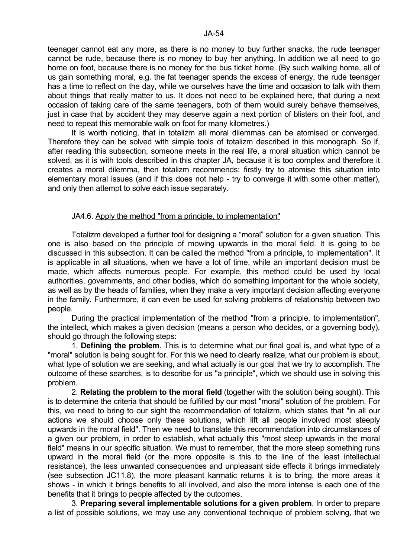teenager cannot eat any more, as there is no money to buy further snacks, the rude teenager cannot be rude, because there is no money to buy her anything. In addition we all need to go home on foot, because there is no money for the bus ticket home. (By such walking home, all of us gain something moral, e.g. the fat teenager spends the excess of energy, the rude teenager has a time to reflect on the day, while we ourselves have the time and occasion to talk with them about things that really matter to us. It does not need to be explained here, that during a next occasion of taking care of the same teenagers, both of them would surely behave themselves, just in case that by accident they may deserve again a next portion of blisters on their foot, and need to repeat this memorable walk on foot for many kilometres.)

 It is worth noticing, that in totalizm all moral dilemmas can be atomised or converged. Therefore they can be solved with simple tools of totalizm described in this monograph. So if, after reading this subsection, someone meets in the real life, a moral situation which cannot be solved, as it is with tools described in this chapter JA, because it is too complex and therefore it creates a moral dilemma, then totalizm recommends: firstly try to atomise this situation into elementary moral issues (and if this does not help - try to converge it with some other matter), and only then attempt to solve each issue separately.

### JA4.6. Apply the method "from a principle, to implementation"

 Totalizm developed a further tool for designing a "moral" solution for a given situation. This one is also based on the principle of mowing upwards in the moral field. It is going to be discussed in this subsection. It can be called the method "from a principle, to implementation". It is applicable in all situations, when we have a lot of time, while an important decision must be made, which affects numerous people. For example, this method could be used by local authorities, governments, and other bodies, which do something important for the whole society, as well as by the heads of families, when they make a very important decision affecting everyone in the family. Furthermore, it can even be used for solving problems of relationship between two people.

 During the practical implementation of the method "from a principle, to implementation", the intellect, which makes a given decision (means a person who decides, or a governing body), should go through the following steps:

 1. **Defining the problem**. This is to determine what our final goal is, and what type of a "moral" solution is being sought for. For this we need to clearly realize, what our problem is about, what type of solution we are seeking, and what actually is our goal that we try to accomplish. The outcome of these searches, is to describe for us "a principle", which we should use in solving this problem.

 2. **Relating the problem to the moral field** (together with the solution being sought). This is to determine the criteria that should be fulfilled by our most "moral" solution of the problem. For this, we need to bring to our sight the recommendation of totalizm, which states that "in all our actions we should choose only these solutions, which lift all people involved most steeply upwards in the moral field". Then we need to translate this recommendation into circumstances of a given our problem, in order to establish, what actually this "most steep upwards in the moral field" means in our specific situation. We must to remember, that the more steep something runs upward in the moral field (or the more opposite is this to the line of the least intellectual resistance), the less unwanted consequences and unpleasant side effects it brings immediately (see subsection JC11.8), the more pleasant karmatic returns it is to bring, the more areas it shows - in which it brings benefits to all involved, and also the more intense is each one of the benefits that it brings to people affected by the outcomes.

 3. **Preparing several implementable solutions for a given problem**. In order to prepare a list of possible solutions, we may use any conventional technique of problem solving, that we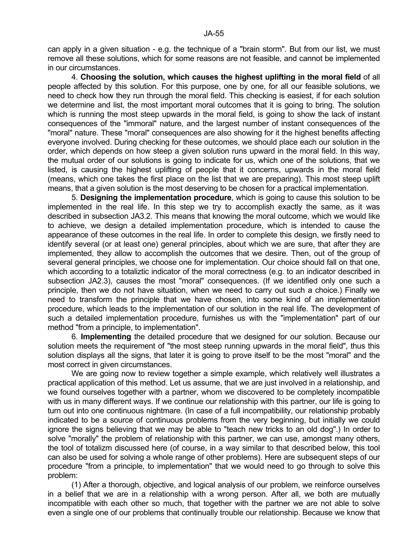can apply in a given situation - e.g. the technique of a "brain storm". But from our list, we must remove all these solutions, which for some reasons are not feasible, and cannot be implemented in our circumstances.

 4. **Choosing the solution, which causes the highest uplifting in the moral field** of all people affected by this solution. For this purpose, one by one, for all our feasible solutions, we need to check how they run through the moral field. This checking is easiest, if for each solution we determine and list, the most important moral outcomes that it is going to bring. The solution which is running the most steep upwards in the moral field, is going to show the lack of instant consequences of the "immoral" nature, and the largest number of instant consequences of the "moral" nature. These "moral" consequences are also showing for it the highest benefits affecting everyone involved. During checking for these outcomes, we should place each our solution in the order, which depends on how steep a given solution runs upward in the moral field. In this way, the mutual order of our solutions is going to indicate for us, which one of the solutions, that we listed, is causing the highest uplifting of people that it concerns, upwards in the moral field (means, which one takes the first place on the list that we are preparing). This most steep uplift means, that a given solution is the most deserving to be chosen for a practical implementation.

 5. **Designing the implementation procedure**, which is going to cause this solution to be implemented in the real life. In this step we try to accomplish exactly the same, as it was described in subsection JA3.2. This means that knowing the moral outcome, which we would like to achieve, we design a detailed implementation procedure, which is intended to cause the appearance of these outcomes in the real life. In order to complete this design, we firstly need to identify several (or at least one) general principles, about which we are sure, that after they are implemented, they allow to accomplish the outcomes that we desire. Then, out of the group of several general principles, we choose one for implementation. Our choice should fall on that one, which according to a totaliztic indicator of the moral correctness (e.g. to an indicator described in subsection JA2.3), causes the most "moral" consequences. (If we identified only one such a principle, then we do not have situation, when we need to carry out such a choice.) Finally we need to transform the principle that we have chosen, into some kind of an implementation procedure, which leads to the implementation of our solution in the real life. The development of such a detailed implementation procedure, furnishes us with the "implementation" part of our method "from a principle, to implementation".

 6. **Implementing** the detailed procedure that we designed for our solution. Because our solution meets the requirement of "the most steep running upwards in the moral field", thus this solution displays all the signs, that later it is going to prove itself to be the most "moral" and the most correct in given circumstances.

We are going now to review together a simple example, which relatively well illustrates a practical application of this method. Let us assume, that we are just involved in a relationship, and we found ourselves together with a partner, whom we discovered to be completely incompatible with us in many different ways. If we continue our relationship with this partner, our life is going to turn out into one continuous nightmare. (In case of a full incompatibility, our relationship probably indicated to be a source of continuous problems from the very beginning, but initially we could ignore the signs believing that we may be able to "teach new tricks to an old dog".) In order to solve "morally" the problem of relationship with this partner, we can use, amongst many others, the tool of totalizm discussed here (of course, in a way similar to that described below, this tool can also be used for solving a whole range of other problems). Here are subsequent steps of our procedure "from a principle, to implementation" that we would need to go through to solve this problem:

 (1) After a thorough, objective, and logical analysis of our problem, we reinforce ourselves in a belief that we are in a relationship with a wrong person. After all, we both are mutually incompatible with each other so much, that together with the partner we are not able to solve even a single one of our problems that continually trouble our relationship. Because we know that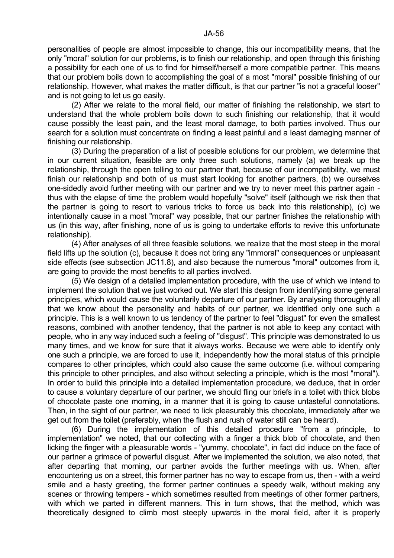personalities of people are almost impossible to change, this our incompatibility means, that the only "moral" solution for our problems, is to finish our relationship, and open through this finishing a possibility for each one of us to find for himself/herself a more compatible partner. This means that our problem boils down to accomplishing the goal of a most "moral" possible finishing of our relationship. However, what makes the matter difficult, is that our partner "is not a graceful looser" and is not going to let us go easily.

 (2) After we relate to the moral field, our matter of finishing the relationship, we start to understand that the whole problem boils down to such finishing our relationship, that it would cause possibly the least pain, and the least moral damage, to both parties involved. Thus our search for a solution must concentrate on finding a least painful and a least damaging manner of finishing our relationship.

 (3) During the preparation of a list of possible solutions for our problem, we determine that in our current situation, feasible are only three such solutions, namely (a) we break up the relationship, through the open telling to our partner that, because of our incompatibility, we must finish our relationship and both of us must start looking for another partners, (b) we ourselves one-sidedly avoid further meeting with our partner and we try to never meet this partner again thus with the elapse of time the problem would hopefully "solve" itself (although we risk then that the partner is going to resort to various tricks to force us back into this relationship), (c) we intentionally cause in a most "moral" way possible, that our partner finishes the relationship with us (in this way, after finishing, none of us is going to undertake efforts to revive this unfortunate relationship).

 (4) After analyses of all three feasible solutions, we realize that the most steep in the moral field lifts up the solution (c), because it does not bring any "immoral" consequences or unpleasant side effects (see subsection JC11.8), and also because the numerous "moral" outcomes from it, are going to provide the most benefits to all parties involved.

 (5) We design of a detailed implementation procedure, with the use of which we intend to implement the solution that we just worked out. We start this design from identifying some general principles, which would cause the voluntarily departure of our partner. By analysing thoroughly all that we know about the personality and habits of our partner, we identified only one such a principle. This is a well known to us tendency of the partner to feel "disgust" for even the smallest reasons, combined with another tendency, that the partner is not able to keep any contact with people, who in any way induced such a feeling of "disgust". This principle was demonstrated to us many times, and we know for sure that it always works. Because we were able to identify only one such a principle, we are forced to use it, independently how the moral status of this principle compares to other principles, which could also cause the same outcome (i.e. without comparing this principle to other principles, and also without selecting a principle, which is the most "moral"). In order to build this principle into a detailed implementation procedure, we deduce, that in order to cause a voluntary departure of our partner, we should fling our briefs in a toilet with thick blobs of chocolate paste one morning, in a manner that it is going to cause untasteful connotations. Then, in the sight of our partner, we need to lick pleasurably this chocolate, immediately after we get out from the toilet (preferably, when the flush and rush of water still can be heard).

 (6) During the implementation of this detailed procedure "from a principle, to implementation" we noted, that our collecting with a finger a thick blob of chocolate, and then licking the finger with a pleasurable words - "yummy, chocolate", in fact did induce on the face of our partner a grimace of powerful disgust. After we implemented the solution, we also noted, that after departing that morning, our partner avoids the further meetings with us. When, after encountering us on a street, this former partner has no way to escape from us, then - with a weird smile and a hasty greeting, the former partner continues a speedy walk, without making any scenes or throwing tempers - which sometimes resulted from meetings of other former partners, with which we parted in different manners. This in turn shows, that the method, which was theoretically designed to climb most steeply upwards in the moral field, after it is properly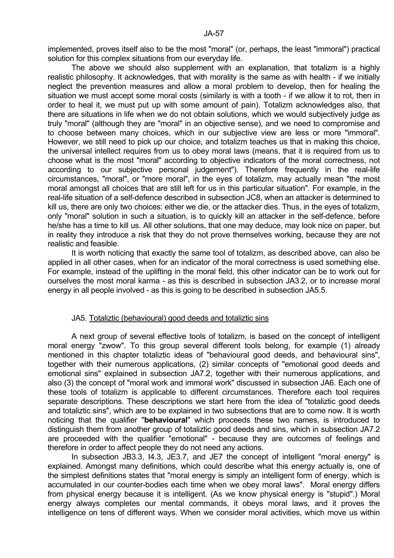The above we should also supplement with an explanation, that totalizm is a highly realistic philosophy. It acknowledges, that with morality is the same as with health - if we initially neglect the prevention measures and allow a moral problem to develop, then for healing the situation we must accept some moral costs (similarly is with a tooth - if we allow it to rot, then in order to heal it, we must put up with some amount of pain). Totalizm acknowledges also, that there are situations in life when we do not obtain solutions, which we would subjectively judge as truly "moral" (although they are "moral" in an objective sense), and we need to compromise and to choose between many choices, which in our subjective view are less or more "immoral". However, we still need to pick up our choice, and totalizm teaches us that in making this choice, the universal intellect requires from us to obey moral laws (means, that it is required from us to choose what is the most "moral" according to objective indicators of the moral correctness, not according to our subjective personal judgement"). Therefore frequently in the real-life circumstances, "moral", or "more moral", in the eyes of totalizm, may actually mean "the most moral amongst all choices that are still left for us in this particular situation". For example, in the real-life situation of a self-defence described in subsection JC8, when an attacker is determined to kill us, there are only two choices: either we die, or the attacker dies. Thus, in the eyes of totalizm, only "moral" solution in such a situation, is to quickly kill an attacker in the self-defence, before he/she has a time to kill us. All other solutions, that one may deduce, may look nice on paper, but in reality they introduce a risk that they do not prove themselves working, because they are not realistic and feasible.

 It is worth noticing that exactly the same tool of totalizm, as described above, can also be applied in all other cases, when for an indicator of the moral correctness is used something else. For example, instead of the uplifting in the moral field, this other indicator can be to work out for ourselves the most moral karma - as this is described in subsection JA3.2, or to increase moral energy in all people involved - as this is going to be described in subsection JA5.5.

# JA5. Totaliztic (behavioural) good deeds and totaliztic sins

 A next group of several effective tools of totalizm, is based on the concept of intelligent moral energy "zwow". To this group several different tools belong, for example (1) already mentioned in this chapter totaliztic ideas of "behavioural good deeds, and behavioural sins", together with their numerous applications, (2) similar concepts of "emotional good deeds and emotional sins" explained in subsection JA7.2, together with their numerous applications, and also (3) the concept of "moral work and immoral work" discussed in subsection JA6. Each one of these tools of totalizm is applicable to different circumstances. Therefore each tool requires separate descriptions. These descriptions we start here from the idea of "totaliztic good deeds and totaliztic sins", which are to be explained in two subsections that are to come now. It is worth noticing that the qualifier "**behavioural**" which proceeds these two names, is introduced to distinguish them from another group of totaliztic good deeds and sins, which in subsection JA7.2 are proceeded with the qualifier "emotional" - because they are outcomes of feelings and therefore in order to affect people they do not need any actions.

In subsection JB3.3, I4.3, JE3.7, and JE7 the concept of intelligent "moral energy" is explained. Amongst many definitions, which could describe what this energy actually is, one of the simplest definitions states that "moral energy is simply an intelligent form of energy, which is accumulated in our counter-bodies each time when we obey moral laws". Moral energy differs from physical energy because it is intelligent. (As we know physical energy is "stupid".) Moral energy always completes our mental commands, it obeys moral laws, and it proves the intelligence on tens of different ways. When we consider moral activities, which move us within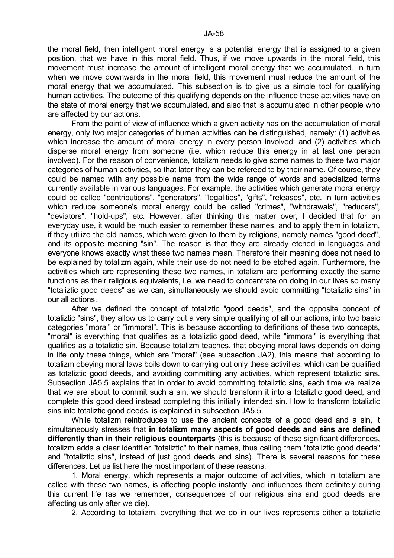the moral field, then intelligent moral energy is a potential energy that is assigned to a given position, that we have in this moral field. Thus, if we move upwards in the moral field, this movement must increase the amount of intelligent moral energy that we accumulated. In turn when we move downwards in the moral field, this movement must reduce the amount of the moral energy that we accumulated. This subsection is to give us a simple tool for qualifying human activities. The outcome of this qualifying depends on the influence these activities have on the state of moral energy that we accumulated, and also that is accumulated in other people who are affected by our actions.

 From the point of view of influence which a given activity has on the accumulation of moral energy, only two major categories of human activities can be distinguished, namely: (1) activities which increase the amount of moral energy in every person involved; and (2) activities which disperse moral energy from someone (i.e. which reduce this energy in at last one person involved). For the reason of convenience, totalizm needs to give some names to these two major categories of human activities, so that later they can be refereed to by their name. Of course, they could be named with any possible name from the wide range of words and specialized terms currently available in various languages. For example, the activities which generate moral energy could be called "contributions", "generators", "legalities", "gifts", "releases", etc. In turn activities which reduce someone's moral energy could be called "crimes", "withdrawals", "reducers", "deviators", "hold-ups", etc. However, after thinking this matter over, I decided that for an everyday use, it would be much easier to remember these names, and to apply them in totalizm, if they utilize the old names, which were given to them by religions, namely names "good deed", and its opposite meaning "sin". The reason is that they are already etched in languages and everyone knows exactly what these two names mean. Therefore their meaning does not need to be explained by totalizm again, while their use do not need to be etched again. Furthermore, the activities which are representing these two names, in totalizm are performing exactly the same functions as their religious equivalents, i.e. we need to concentrate on doing in our lives so many "totaliztic good deeds" as we can, simultaneously we should avoid committing "totaliztic sins" in our all actions.

 After we defined the concept of totaliztic "good deeds", and the opposite concept of totaliztic "sins", they allow us to carry out a very simple qualifying of all our actions, into two basic categories "moral" or "immoral". This is because according to definitions of these two concepts, "moral" is everything that qualifies as a totaliztic good deed, while "immoral" is everything that qualifies as a totaliztic sin. Because totalizm teaches, that obeying moral laws depends on doing in life only these things, which are "moral" (see subsection JA2), this means that according to totalizm obeying moral laws boils down to carrying out only these activities, which can be qualified as totaliztic good deeds, and avoiding committing any activities, which represent totaliztic sins. Subsection JA5.5 explains that in order to avoid committing totaliztic sins, each time we realize that we are about to commit such a sin, we should transform it into a totaliztic good deed, and complete this good deed instead completing this initially intended sin. How to transform totaliztic sins into totaliztic good deeds, is explained in subsection JA5.5.

 While totalizm reintroduces to use the ancient concepts of a good deed and a sin, it simultaneously stresses that **in totalizm many aspects of good deeds and sins are defined differently than in their religious counterparts** (this is because of these significant differences, totalizm adds a clear identifier "totaliztic" to their names, thus calling them "totaliztic good deeds" and "totaliztic sins", instead of just good deeds and sins). There is several reasons for these differences. Let us list here the most important of these reasons:

 1. Moral energy, which represents a major outcome of activities, which in totalizm are called with these two names, is affecting people instantly, and influences them definitely during this current life (as we remember, consequences of our religious sins and good deeds are affecting us only after we die).

2. According to totalizm, everything that we do in our lives represents either a totaliztic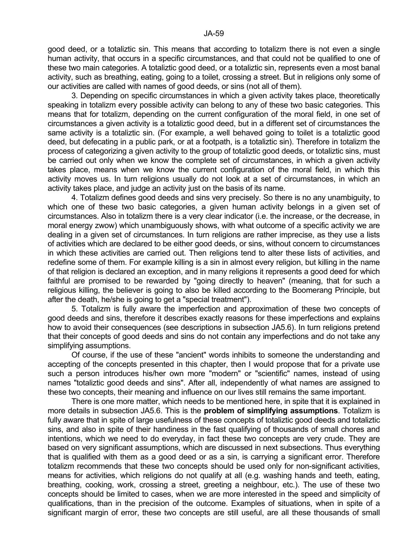good deed, or a totaliztic sin. This means that according to totalizm there is not even a single human activity, that occurs in a specific circumstances, and that could not be qualified to one of these two main categories. A totaliztic good deed, or a totaliztic sin, represents even a most banal activity, such as breathing, eating, going to a toilet, crossing a street. But in religions only some of our activities are called with names of good deeds, or sins (not all of them).

 3. Depending on specific circumstances in which a given activity takes place, theoretically speaking in totalizm every possible activity can belong to any of these two basic categories. This means that for totalizm, depending on the current configuration of the moral field, in one set of circumstances a given activity is a totaliztic good deed, but in a different set of circumstances the same activity is a totaliztic sin. (For example, a well behaved going to toilet is a totaliztic good deed, but defecating in a public park, or at a footpath, is a totaliztic sin). Therefore in totalizm the process of categorizing a given activity to the group of totaliztic good deeds, or totaliztic sins, must be carried out only when we know the complete set of circumstances, in which a given activity takes place, means when we know the current configuration of the moral field, in which this activity moves us. In turn religions usually do not look at a set of circumstances, in which an activity takes place, and judge an activity just on the basis of its name.

 4. Totalizm defines good deeds and sins very precisely. So there is no any unambiguity, to which one of these two basic categories, a given human activity belongs in a given set of circumstances. Also in totalizm there is a very clear indicator (i.e. the increase, or the decrease, in moral energy zwow) which unambiguously shows, with what outcome of a specific activity we are dealing in a given set of circumstances. In turn religions are rather imprecise, as they use a lists of activities which are declared to be either good deeds, or sins, without concern to circumstances in which these activities are carried out. Then religions tend to alter these lists of activities, and redefine some of them. For example killing is a sin in almost every religion, but killing in the name of that religion is declared an exception, and in many religions it represents a good deed for which faithful are promised to be rewarded by "going directly to heaven" (meaning, that for such a religious killing, the believer is going to also be killed according to the Boomerang Principle, but after the death, he/she is going to get a "special treatment").

 5. Totalizm is fully aware the imperfection and approximation of these two concepts of good deeds and sins, therefore it describes exactly reasons for these imperfections and explains how to avoid their consequences (see descriptions in subsection JA5.6). In turn religions pretend that their concepts of good deeds and sins do not contain any imperfections and do not take any simplifying assumptions.

 Of course, if the use of these "ancient" words inhibits to someone the understanding and accepting of the concepts presented in this chapter, then I would propose that for a private use such a person introduces his/her own more "modern" or "scientific" names, instead of using names "totaliztic good deeds and sins". After all, independently of what names are assigned to these two concepts, their meaning and influence on our lives still remains the same important.

 There is one more matter, which needs to be mentioned here, in spite that it is explained in more details in subsection JA5.6. This is the **problem of simplifying assumptions**. Totalizm is fully aware that in spite of large usefulness of these concepts of totaliztic good deeds and totaliztic sins, and also in spite of their handiness in the fast qualifying of thousands of small chores and intentions, which we need to do everyday, in fact these two concepts are very crude. They are based on very significant assumptions, which are discussed in next subsections. Thus everything that is qualified with them as a good deed or as a sin, is carrying a significant error. Therefore totalizm recommends that these two concepts should be used only for non-significant activities, means for activities, which religions do not qualify at all (e.g. washing hands and teeth, eating, breathing, cooking, work, crossing a street, greeting a neighbour, etc.). The use of these two concepts should be limited to cases, when we are more interested in the speed and simplicity of qualifications, than in the precision of the outcome. Examples of situations, when in spite of a significant margin of error, these two concepts are still useful, are all these thousands of small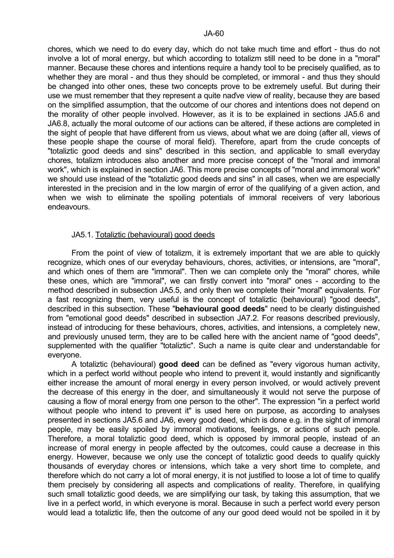chores, which we need to do every day, which do not take much time and effort - thus do not involve a lot of moral energy, but which according to totalizm still need to be done in a "moral" manner. Because these chores and intentions require a handy tool to be precisely qualified, as to whether they are moral - and thus they should be completed, or immoral - and thus they should be changed into other ones, these two concepts prove to be extremely useful. But during their use we must remember that they represent a quite naďve view of reality, because they are based on the simplified assumption, that the outcome of our chores and intentions does not depend on the morality of other people involved. However, as it is to be explained in sections JA5.6 and JA6.8, actually the moral outcome of our actions can be altered, if these actions are completed in the sight of people that have different from us views, about what we are doing (after all, views of these people shape the course of moral field). Therefore, apart from the crude concepts of "totaliztic good deeds and sins" described in this section, and applicable to small everyday chores, totalizm introduces also another and more precise concept of the "moral and immoral work", which is explained in section JA6. This more precise concepts of "moral and immoral work" we should use instead of the "totaliztic good deeds and sins" in all cases, when we are especially interested in the precision and in the low margin of error of the qualifying of a given action, and when we wish to eliminate the spoiling potentials of immoral receivers of very laborious endeavours.

# JA5.1. Totaliztic (behavioural) good deeds

 From the point of view of totalizm, it is extremely important that we are able to quickly recognize, which ones of our everyday behaviours, chores, activities, or intensions, are "moral", and which ones of them are "immoral". Then we can complete only the "moral" chores, while these ones, which are "immoral", we can firstly convert into "moral" ones - according to the method described in subsection JA5.5, and only then we complete their "moral" equivalents. For a fast recognizing them, very useful is the concept of totaliztic (behavioural) "good deeds", described in this subsection. These "**behavioural good deeds**" need to be clearly distinguished from "emotional good deeds" described in subsection JA7.2. For reasons described previously, instead of introducing for these behaviours, chores, activities, and intensions, a completely new, and previously unused term, they are to be called here with the ancient name of "good deeds", supplemented with the qualifier "totaliztic". Such a name is quite clear and understandable for everyone.

 A totaliztic (behavioural) **good deed** can be defined as "every vigorous human activity, which in a perfect world without people who intend to prevent it, would instantly and significantly either increase the amount of moral energy in every person involved, or would actively prevent the decrease of this energy in the doer, and simultaneously it would not serve the purpose of causing a flow of moral energy from one person to the other". The expression "in a perfect world without people who intend to prevent it" is used here on purpose, as according to analyses presented in sections JA5.6 and JA6, every good deed, which is done e.g. in the sight of immoral people, may be easily spoiled by immoral motivations, feelings, or actions of such people. Therefore, a moral totaliztic good deed, which is opposed by immoral people, instead of an increase of moral energy in people affected by the outcomes, could cause a decrease in this energy. However, because we only use the concept of totaliztic good deeds to qualify quickly thousands of everyday chores or intensions, which take a very short time to complete, and therefore which do not carry a lot of moral energy, it is not justified to loose a lot of time to qualify them precisely by considering all aspects and complications of reality. Therefore, in qualifying such small totaliztic good deeds, we are simplifying our task, by taking this assumption, that we live in a perfect world, in which everyone is moral. Because in such a perfect world every person would lead a totaliztic life, then the outcome of any our good deed would not be spoiled in it by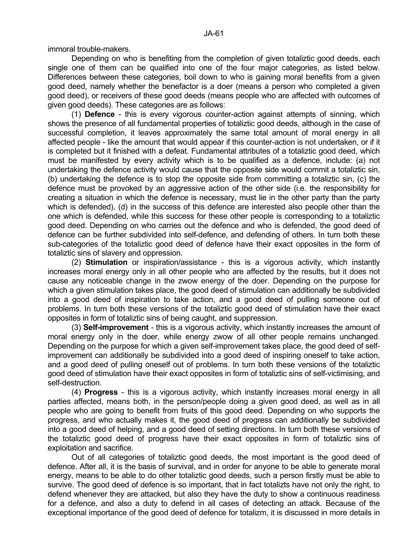immoral trouble-makers.

 Depending on who is benefiting from the completion of given totaliztic good deeds, each single one of them can be qualified into one of the four major categories, as listed below. Differences between these categories, boil down to who is gaining moral benefits from a given good deed, namely whether the benefactor is a doer (means a person who completed a given good deed), or receivers of these good deeds (means people who are affected with outcomes of given good deeds). These categories are as follows:

 (1) **Defence** - this is every vigorous counter-action against attempts of sinning, which shows the presence of all fundamental properties of totaliztic good deeds, although in the case of successful completion, it leaves approximately the same total amount of moral energy in all affected people - like the amount that would appear if this counter-action is not undertaken, or if it is completed but it finished with a defeat. Fundamental attributes of a totaliztic good deed, which must be manifested by every activity which is to be qualified as a defence, include: (a) not undertaking the defence activity would cause that the opposite side would commit a totaliztic sin, (b) undertaking the defence is to stop the opposite side from committing a totaliztic sin, (c) the defence must be provoked by an aggressive action of the other side (i.e. the responsibility for creating a situation in which the defence is necessary, must lie in the other party than the party which is defended), (d) in the success of this defence are interested also people other than the one which is defended, while this success for these other people is corresponding to a totaliztic good deed. Depending on who carries out the defence and who is defended, the good deed of defence can be further subdivided into self-defence, and defending of others. In turn both these sub-categories of the totaliztic good deed of defence have their exact opposites in the form of totaliztic sins of slavery and oppression.

 (2) **Stimulation** or inspiration/assistance - this is a vigorous activity, which instantly increases moral energy only in all other people who are affected by the results, but it does not cause any noticeable change in the zwow energy of the doer. Depending on the purpose for which a given stimulation takes place, the good deed of stimulation can additionally be subdivided into a good deed of inspiration to take action, and a good deed of pulling someone out of problems. In turn both these versions of the totaliztic good deed of stimulation have their exact opposites in form of totaliztic sins of being caught, and suppression.

 (3) **Self-improvement** - this is a vigorous activity, which instantly increases the amount of moral energy only in the doer, while energy zwow of all other people remains unchanged. Depending on the purpose for which a given self-improvement takes place, the good deed of selfimprovement can additionally be subdivided into a good deed of inspiring oneself to take action, and a good deed of pulling oneself out of problems. In turn both these versions of the totaliztic good deed of stimulation have their exact opposites in form of totaliztic sins of self-victimising, and self-destruction.

 (4) **Progress** - this is a vigorous activity, which instantly increases moral energy in all parties affected, means both, in the person/people doing a given good deed, as well as in all people who are going to benefit from fruits of this good deed. Depending on who supports the progress, and who actually makes it, the good deed of progress can additionally be subdivided into a good deed of helping, and a good deed of setting directions. In turn both these versions of the totaliztic good deed of progress have their exact opposites in form of totaliztic sins of exploitation and sacrifice.

 Out of all categories of totaliztic good deeds, the most important is the good deed of defence. After all, it is the basis of survival, and in order for anyone to be able to generate moral energy, means to be able to do other totaliztic good deeds, such a person firstly must be able to survive. The good deed of defence is so important, that in fact totalizts have not only the right, to defend whenever they are attacked, but also they have the duty to show a continuous readiness for a defence, and also a duty to defend in all cases of detecting an attack. Because of the exceptional importance of the good deed of defence for totalizm, it is discussed in more details in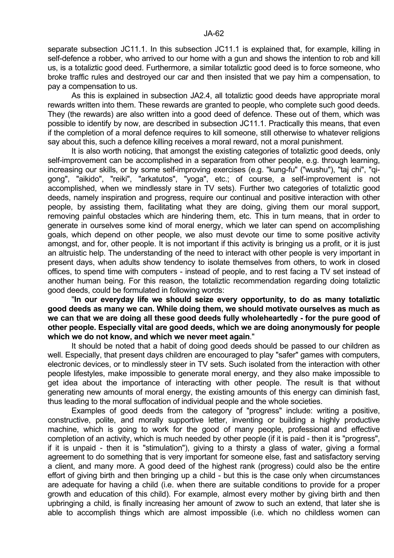separate subsection JC11.1. In this subsection JC11.1 is explained that, for example, killing in self-defence a robber, who arrived to our home with a gun and shows the intention to rob and kill us, is a totaliztic good deed. Furthermore, a similar totaliztic good deed is to force someone, who broke traffic rules and destroyed our car and then insisted that we pay him a compensation, to pay a compensation to us.

 As this is explained in subsection JA2.4, all totaliztic good deeds have appropriate moral rewards written into them. These rewards are granted to people, who complete such good deeds. They (the rewards) are also written into a good deed of defence. These out of them, which was possible to identify by now, are described in subsection JC11.1. Practically this means, that even if the completion of a moral defence requires to kill someone, still otherwise to whatever religions say about this, such a defence killing receives a moral reward, not a moral punishment.

 It is also worth noticing, that amongst the existing categories of totaliztic good deeds, only self-improvement can be accomplished in a separation from other people, e.g. through learning, increasing our skills, or by some self-improving exercises (e.g. "kung-fu" ("wushu"), "taj chi", "qigong", "aikido", "reiki", "arkatutos", "yoga", etc.; of course, a self-improvement is not accomplished, when we mindlessly stare in TV sets). Further two categories of totaliztic good deeds, namely inspiration and progress, require our continual and positive interaction with other people, by assisting them, facilitating what they are doing, giving them our moral support, removing painful obstacles which are hindering them, etc. This in turn means, that in order to generate in ourselves some kind of moral energy, which we later can spend on accomplishing goals, which depend on other people, we also must devote our time to some positive activity amongst, and for, other people. It is not important if this activity is bringing us a profit, or it is just an altruistic help. The understanding of the need to interact with other people is very important in present days, when adults show tendency to isolate themselves from others, to work in closed offices, to spend time with computers - instead of people, and to rest facing a TV set instead of another human being. For this reason, the totaliztic recommendation regarding doing totaliztic good deeds, could be formulated in following words:

 "**In our everyday life we should seize every opportunity, to do as many totaliztic good deeds as many we can. While doing them, we should motivate ourselves as much as we can that we are doing all these good deeds fully wholeheartedly - for the pure good of other people. Especially vital are good deeds, which we are doing anonymously for people which we do not know, and which we never meet again**."

 It should be noted that a habit of doing good deeds should be passed to our children as well. Especially, that present days children are encouraged to play "safer" games with computers, electronic devices, or to mindlessly steer in TV sets. Such isolated from the interaction with other people lifestyles, make impossible to generate moral energy, and they also make impossible to get idea about the importance of interacting with other people. The result is that without generating new amounts of moral energy, the existing amounts of this energy can diminish fast, thus leading to the moral suffocation of individual people and the whole societies.

 Examples of good deeds from the category of "progress" include: writing a positive, constructive, polite, and morally supportive letter, inventing or building a highly productive machine, which is going to work for the good of many people, professional and effective completion of an activity, which is much needed by other people (if it is paid - then it is "progress", if it is unpaid - then it is "stimulation"), giving to a thirsty a glass of water, giving a formal agreement to do something that is very important for someone else, fast and satisfactory serving a client, and many more. A good deed of the highest rank (progress) could also be the entire effort of giving birth and then bringing up a child - but this is the case only when circumstances are adequate for having a child (i.e. when there are suitable conditions to provide for a proper growth and education of this child). For example, almost every mother by giving birth and then upbringing a child, is finally increasing her amount of zwow to such an extend, that later she is able to accomplish things which are almost impossible (i.e. which no childless women can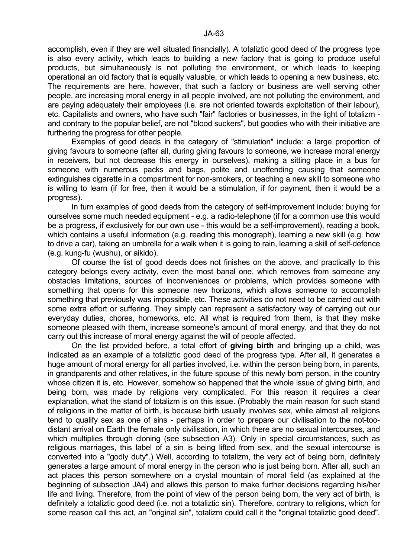accomplish, even if they are well situated financially). A totaliztic good deed of the progress type is also every activity, which leads to building a new factory that is going to produce useful products, but simultaneously is not polluting the environment, or which leads to keeping operational an old factory that is equally valuable, or which leads to opening a new business, etc. The requirements are here, however, that such a factory or business are well serving other people, are increasing moral energy in all people involved, are not polluting the environment, and are paying adequately their employees (i.e. are not oriented towards exploitation of their labour), etc. Capitalists and owners, who have such "fair" factories or businesses, in the light of totalizm and contrary to the popular belief, are not "blood suckers", but goodies who with their initiative are furthering the progress for other people.

 Examples of good deeds in the category of "stimulation" include: a large proportion of giving favours to someone (after all, during giving favours to someone, we increase moral energy in receivers, but not decrease this energy in ourselves), making a sitting place in a bus for someone with numerous packs and bags, polite and unoffending causing that someone extinguishes cigarette in a compartment for non-smokers, or teaching a new skill to someone who is willing to learn (if for free, then it would be a stimulation, if for payment, then it would be a progress).

 In turn examples of good deeds from the category of self-improvement include: buying for ourselves some much needed equipment - e.g. a radio-telephone (if for a common use this would be a progress, if exclusively for our own use - this would be a self-improvement), reading a book, which contains a useful information (e.g. reading this monograph), learning a new skill (e.g. how to drive a car), taking an umbrella for a walk when it is going to rain, learning a skill of self-defence (e.g. kung-fu (wushu), or aikido).

 Of course the list of good deeds does not finishes on the above, and practically to this category belongs every activity, even the most banal one, which removes from someone any obstacles limitations, sources of inconveniences or problems, which provides someone with something that opens for this someone new horizons, which allows someone to accomplish something that previously was impossible, etc. These activities do not need to be carried out with some extra effort or suffering. They simply can represent a satisfactory way of carrying out our everyday duties, chores, homeworks, etc. All what is required from them, is that they make someone pleased with them, increase someone's amount of moral energy, and that they do not carry out this increase of moral energy against the will of people affected.

 On the list provided before, a total effort of **giving birth** and bringing up a child, was indicated as an example of a totaliztic good deed of the progress type. After all, it generates a huge amount of moral energy for all parties involved, i.e. within the person being born, in parents, in grandparents and other relatives, in the future spouse of this newly born person, in the country whose citizen it is, etc. However, somehow so happened that the whole issue of giving birth, and being born, was made by religions very complicated. For this reason it requires a clear explanation, what the stand of totalizm is on this issue. (Probably the main reason for such stand of religions in the matter of birth, is because birth usually involves sex, while almost all religions tend to qualify sex as one of sins - perhaps in order to prepare our civilisation to the not-toodistant arrival on Earth the female only civilisation, in which there are no sexual intercourses, and which multiplies through cloning (see subsection A3). Only in special circumstances, such as religious marriages, this label of a sin is being lifted from sex, and the sexual intercourse is converted into a "godly duty".) Well, according to totalizm, the very act of being born, definitely generates a large amount of moral energy in the person who is just being born. After all, such an act places this person somewhere on a crystal mountain of moral field (as explained at the beginning of subsection JA4) and allows this person to make further decisions regarding his/her life and living. Therefore, from the point of view of the person being born, the very act of birth, is definitely a totaliztic good deed (i.e. not a totaliztic sin). Therefore, contrary to religions, which for some reason call this act, an "original sin", totalizm could call it the "original totaliztic good deed".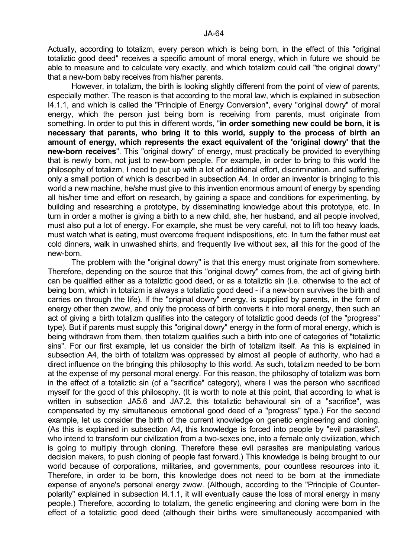Actually, according to totalizm, every person which is being born, in the effect of this "original totaliztic good deed" receives a specific amount of moral energy, which in future we should be able to measure and to calculate very exactly, and which totalizm could call "the original dowry" that a new-born baby receives from his/her parents.

 However, in totalizm, the birth is looking slightly different from the point of view of parents, especially mother. The reason is that according to the moral law, which is explained in subsection I4.1.1, and which is called the "Principle of Energy Conversion", every "original dowry" of moral energy, which the person just being born is receiving from parents, must originate from something. In order to put this in different words, "**in order something new could be born, it is necessary that parents, who bring it to this world, supply to the process of birth an amount of energy, which represents the exact equivalent of the 'original dowry' that the new-born receives**". This "original dowry" of energy, must practically be provided to everything that is newly born, not just to new-born people. For example, in order to bring to this world the philosophy of totalizm, I need to put up with a lot of additional effort, discrimination, and suffering, only a small portion of which is described in subsection A4. In order an inventor is bringing to this world a new machine, he/she must give to this invention enormous amount of energy by spending all his/her time and effort on research, by gaining a space and conditions for experimenting, by building and researching a prototype, by disseminating knowledge about this prototype, etc. In turn in order a mother is giving a birth to a new child, she, her husband, and all people involved, must also put a lot of energy. For example, she must be very careful, not to lift too heavy loads, must watch what is eating, must overcome frequent indispositions, etc. In turn the father must eat cold dinners, walk in unwashed shirts, and frequently live without sex, all this for the good of the new-born.

 The problem with the "original dowry" is that this energy must originate from somewhere. Therefore, depending on the source that this "original dowry" comes from, the act of giving birth can be qualified either as a totaliztic good deed, or as a totaliztic sin (i.e. otherwise to the act of being born, which in totalizm is always a totaliztic good deed - if a new-born survives the birth and carries on through the life). If the "original dowry" energy, is supplied by parents, in the form of energy other then zwow, and only the process of birth converts it into moral energy, then such an act of giving a birth totalizm qualifies into the category of totaliztic good deeds (of the "progress" type). But if parents must supply this "original dowry" energy in the form of moral energy, which is being withdrawn from them, then totalizm qualifies such a birth into one of categories of "totaliztic sins". For our first example, let us consider the birth of totalizm itself. As this is explained in subsection A4, the birth of totalizm was oppressed by almost all people of authority, who had a direct influence on the bringing this philosophy to this world. As such, totalizm needed to be born at the expense of my personal moral energy. For this reason, the philosophy of totalizm was born in the effect of a totaliztic sin (of a "sacrifice" category), where I was the person who sacrificed myself for the good of this philosophy. (It is worth to note at this point, that according to what is written in subsection JA5.6 and JA7.2, this totaliztic behavioural sin of a "sacrifice", was compensated by my simultaneous emotional good deed of a "progress" type.) For the second example, let us consider the birth of the current knowledge on genetic engineering and cloning. (As this is explained in subsection A4, this knowledge is forced into people by "evil parasites", who intend to transform our civilization from a two-sexes one, into a female only civilization, which is going to multiply through cloning. Therefore these evil parasites are manipulating various decision makers, to push cloning of people fast forward.) This knowledge is being brought to our world because of corporations, militaries, and governments, pour countless resources into it. Therefore, in order to be born, this knowledge does not need to be born at the immediate expense of anyone's personal energy zwow. (Although, according to the "Principle of Counterpolarity" explained in subsection I4.1.1, it will eventually cause the loss of moral energy in many people.) Therefore, according to totalizm, the genetic engineering and cloning were born in the effect of a totaliztic good deed (although their births were simultaneously accompanied with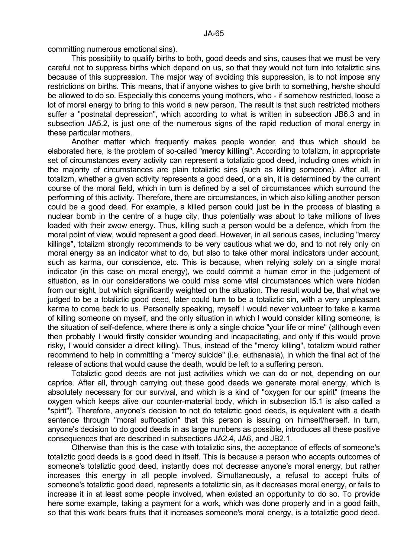committing numerous emotional sins).

 This possibility to qualify births to both, good deeds and sins, causes that we must be very careful not to suppress births which depend on us, so that they would not turn into totaliztic sins because of this suppression. The major way of avoiding this suppression, is to not impose any restrictions on births. This means, that if anyone wishes to give birth to something, he/she should be allowed to do so. Especially this concerns young mothers, who - if somehow restricted, loose a lot of moral energy to bring to this world a new person. The result is that such restricted mothers suffer a "postnatal depression", which according to what is written in subsection JB6.3 and in subsection JA5.2, is just one of the numerous signs of the rapid reduction of moral energy in these particular mothers.

 Another matter which frequently makes people wonder, and thus which should be elaborated here, is the problem of so-called "**mercy killing**". According to totalizm, in appropriate set of circumstances every activity can represent a totaliztic good deed, including ones which in the majority of circumstances are plain totaliztic sins (such as killing someone). After all, in totalizm, whether a given activity represents a good deed, or a sin, it is determined by the current course of the moral field, which in turn is defined by a set of circumstances which surround the performing of this activity. Therefore, there are circumstances, in which also killing another person could be a good deed. For example, a killed person could just be in the process of blasting a nuclear bomb in the centre of a huge city, thus potentially was about to take millions of lives loaded with their zwow energy. Thus, killing such a person would be a defence, which from the moral point of view, would represent a good deed. However, in all serious cases, including "mercy killings", totalizm strongly recommends to be very cautious what we do, and to not rely only on moral energy as an indicator what to do, but also to take other moral indicators under account, such as karma, our conscience, etc. This is because, when relying solely on a single moral indicator (in this case on moral energy), we could commit a human error in the judgement of situation, as in our considerations we could miss some vital circumstances which were hidden from our sight, but which significantly weighted on the situation. The result would be, that what we judged to be a totaliztic good deed, later could turn to be a totaliztic sin, with a very unpleasant karma to come back to us. Personally speaking, myself I would never volunteer to take a karma of killing someone on myself, and the only situation in which I would consider killing someone, is the situation of self-defence, where there is only a single choice "your life or mine" (although even then probably I would firstly consider wounding and incapacitating, and only if this would prove risky, I would consider a direct killing). Thus, instead of the "mercy killing", totalizm would rather recommend to help in committing a "mercy suicide" (i.e. euthanasia), in which the final act of the release of actions that would cause the death, would be left to a suffering person.

Totaliztic good deeds are not just activities which we can do or not, depending on our caprice. After all, through carrying out these good deeds we generate moral energy, which is absolutely necessary for our survival, and which is a kind of "oxygen for our spirit" (means the oxygen which keeps alive our counter-material body, which in subsection I5.1 is also called a "spirit"). Therefore, anyone's decision to not do totaliztic good deeds, is equivalent with a death sentence through "moral suffocation" that this person is issuing on himself/herself. In turn, anyone's decision to do good deeds in as large numbers as possible, introduces all these positive consequences that are described in subsections JA2.4, JA6, and JB2.1.

 Otherwise than this is the case with totaliztic sins, the acceptance of effects of someone's totaliztic good deeds is a good deed in itself. This is because a person who accepts outcomes of someone's totaliztic good deed, instantly does not decrease anyone's moral energy, but rather increases this energy in all people involved. Simultaneously, a refusal to accept fruits of someone's totaliztic good deed, represents a totaliztic sin, as it decreases moral energy, or fails to increase it in at least some people involved, when existed an opportunity to do so. To provide here some example, taking a payment for a work, which was done properly and in a good faith, so that this work bears fruits that it increases someone's moral energy, is a totaliztic good deed.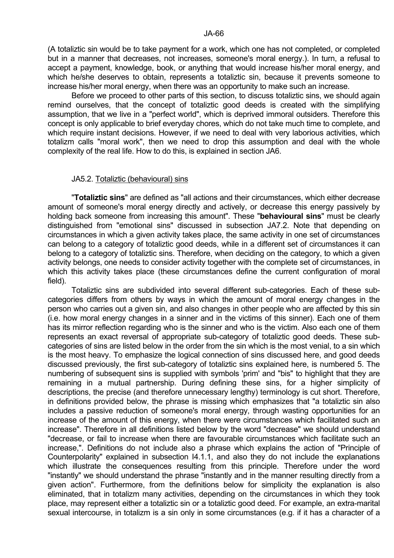(A totaliztic sin would be to take payment for a work, which one has not completed, or completed but in a manner that decreases, not increases, someone's moral energy.). In turn, a refusal to accept a payment, knowledge, book, or anything that would increase his/her moral energy, and which he/she deserves to obtain, represents a totaliztic sin, because it prevents someone to increase his/her moral energy, when there was an opportunity to make such an increase.

 Before we proceed to other parts of this section, to discuss totaliztic sins, we should again remind ourselves, that the concept of totaliztic good deeds is created with the simplifying assumption, that we live in a "perfect world", which is deprived immoral outsiders. Therefore this concept is only applicable to brief everyday chores, which do not take much time to complete, and which require instant decisions. However, if we need to deal with very laborious activities, which totalizm calls "moral work", then we need to drop this assumption and deal with the whole complexity of the real life. How to do this, is explained in section JA6.

#### JA5.2. Totaliztic (behavioural) sins

 "**Totaliztic sins**" are defined as "all actions and their circumstances, which either decrease amount of someone's moral energy directly and actively, or decrease this energy passively by holding back someone from increasing this amount". These "**behavioural sins**" must be clearly distinguished from "emotional sins" discussed in subsection JA7.2. Note that depending on circumstances in which a given activity takes place, the same activity in one set of circumstances can belong to a category of totaliztic good deeds, while in a different set of circumstances it can belong to a category of totaliztic sins. Therefore, when deciding on the category, to which a given activity belongs, one needs to consider activity together with the complete set of circumstances, in which this activity takes place (these circumstances define the current configuration of moral field).

 Totaliztic sins are subdivided into several different sub-categories. Each of these subcategories differs from others by ways in which the amount of moral energy changes in the person who carries out a given sin, and also changes in other people who are affected by this sin (i.e. how moral energy changes in a sinner and in the victims of this sinner). Each one of them has its mirror reflection regarding who is the sinner and who is the victim. Also each one of them represents an exact reversal of appropriate sub-category of totaliztic good deeds. These subcategories of sins are listed below in the order from the sin which is the most venial, to a sin which is the most heavy. To emphasize the logical connection of sins discussed here, and good deeds discussed previously, the first sub-category of totaliztic sins explained here, is numbered 5. The numbering of subsequent sins is supplied with symbols 'prim' and "bis" to highlight that they are remaining in a mutual partnership. During defining these sins, for a higher simplicity of descriptions, the precise (and therefore unnecessary lengthy) terminology is cut short. Therefore, in definitions provided below, the phrase is missing which emphasizes that "a totaliztic sin also includes a passive reduction of someone's moral energy, through wasting opportunities for an increase of the amount of this energy, when there were circumstances which facilitated such an increase". Therefore in all definitions listed below by the word "decrease" we should understand "decrease, or fail to increase when there are favourable circumstances which facilitate such an increase,". Definitions do not include also a phrase which explains the action of "Principle of Counterpolarity" explained in subsection I4.1.1, and also they do not include the explanations which illustrate the consequences resulting from this principle. Therefore under the word "instantly" we should understand the phrase "instantly and in the manner resulting directly from a given action". Furthermore, from the definitions below for simplicity the explanation is also eliminated, that in totalizm many activities, depending on the circumstances in which they took place, may represent either a totaliztic sin or a totaliztic good deed. For example, an extra-marital sexual intercourse, in totalizm is a sin only in some circumstances (e.g. if it has a character of a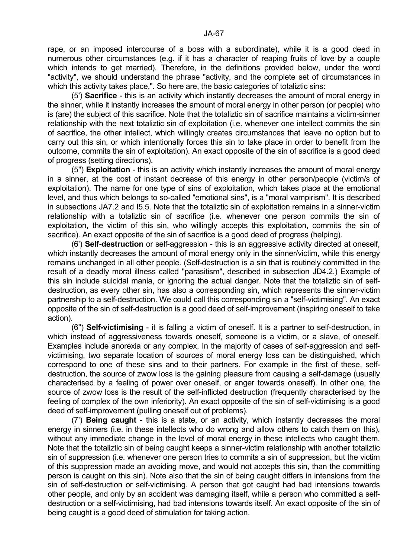rape, or an imposed intercourse of a boss with a subordinate), while it is a good deed in numerous other circumstances (e.g. if it has a character of reaping fruits of love by a couple which intends to get married). Therefore, in the definitions provided below, under the word "activity", we should understand the phrase "activity, and the complete set of circumstances in which this activity takes place,". So here are, the basic categories of totaliztic sins:

 (5') **Sacrifice** - this is an activity which instantly decreases the amount of moral energy in the sinner, while it instantly increases the amount of moral energy in other person (or people) who is (are) the subject of this sacrifice. Note that the totaliztic sin of sacrifice maintains a victim-sinner relationship with the next totaliztic sin of exploitation (i.e. whenever one intellect commits the sin of sacrifice, the other intellect, which willingly creates circumstances that leave no option but to carry out this sin, or which intentionally forces this sin to take place in order to benefit from the outcome, commits the sin of exploitation). An exact opposite of the sin of sacrifice is a good deed of progress (setting directions).

 (5") **Exploitation** - this is an activity which instantly increases the amount of moral energy in a sinner, at the cost of instant decrease of this energy in other person/people (victim/s of exploitation). The name for one type of sins of exploitation, which takes place at the emotional level, and thus which belongs to so-called "emotional sins", is a "moral vampirism". It is described in subsections JA7.2 and I5.5. Note that the totaliztic sin of exploitation remains in a sinner-victim relationship with a totaliztic sin of sacrifice (i.e. whenever one person commits the sin of exploitation, the victim of this sin, who willingly accepts this exploitation, commits the sin of sacrifice). An exact opposite of the sin of sacrifice is a good deed of progress (helping).

 (6') **Self-destruction** or self-aggression - this is an aggressive activity directed at oneself, which instantly decreases the amount of moral energy only in the sinner/victim, while this energy remains unchanged in all other people. (Self-destruction is a sin that is routinely committed in the result of a deadly moral illness called "parasitism", described in subsection JD4.2.) Example of this sin include suicidal mania, or ignoring the actual danger. Note that the totaliztic sin of selfdestruction, as every other sin, has also a corresponding sin, which represents the sinner-victim partnership to a self-destruction. We could call this corresponding sin a "self-victimising". An exact opposite of the sin of self-destruction is a good deed of self-improvement (inspiring oneself to take action).

 (6") **Self-victimising** - it is falling a victim of oneself. It is a partner to self-destruction, in which instead of aggressiveness towards oneself, someone is a victim, or a slave, of oneself. Examples include anorexia or any complex. In the majority of cases of self-aggression and selfvictimising, two separate location of sources of moral energy loss can be distinguished, which correspond to one of these sins and to their partners. For example in the first of these, selfdestruction, the source of zwow loss is the gaining pleasure from causing a self-damage (usually characterised by a feeling of power over oneself, or anger towards oneself). In other one, the source of zwow loss is the result of the self-inflicted destruction (frequently characterised by the feeling of complex of the own inferiority). An exact opposite of the sin of self-victimising is a good deed of self-improvement (pulling oneself out of problems).

 (7') **Being caught** - this is a state, or an activity, which instantly decreases the moral energy in sinners (i.e. in these intellects who do wrong and allow others to catch them on this), without any immediate change in the level of moral energy in these intellects who caught them. Note that the totaliztic sin of being caught keeps a sinner-victim relationship with another totaliztic sin of suppression (i.e. whenever one person tries to commits a sin of suppression, but the victim of this suppression made an avoiding move, and would not accepts this sin, than the committing person is caught on this sin). Note also that the sin of being caught differs in intensions from the sin of self-destruction or self-victimising. A person that got caught had bad intensions towards other people, and only by an accident was damaging itself, while a person who committed a selfdestruction or a self-victimising, had bad intensions towards itself. An exact opposite of the sin of being caught is a good deed of stimulation for taking action.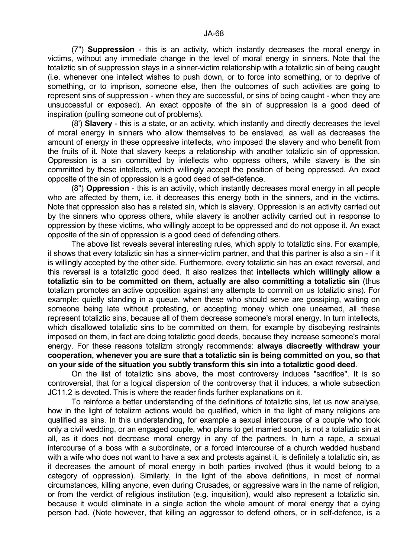(7") **Suppression** - this is an activity, which instantly decreases the moral energy in victims, without any immediate change in the level of moral energy in sinners. Note that the totaliztic sin of suppression stays in a sinner-victim relationship with a totaliztic sin of being caught (i.e. whenever one intellect wishes to push down, or to force into something, or to deprive of something, or to imprison, someone else, then the outcomes of such activities are going to represent sins of suppression - when they are successful, or sins of being caught - when they are unsuccessful or exposed). An exact opposite of the sin of suppression is a good deed of inspiration (pulling someone out of problems).

 (8') **Slavery** - this is a state, or an activity, which instantly and directly decreases the level of moral energy in sinners who allow themselves to be enslaved, as well as decreases the amount of energy in these oppressive intellects, who imposed the slavery and who benefit from the fruits of it. Note that slavery keeps a relationship with another totaliztic sin of oppression. Oppression is a sin committed by intellects who oppress others, while slavery is the sin committed by these intellects, which willingly accept the position of being oppressed. An exact opposite of the sin of oppression is a good deed of self-defence.

 (8") **Oppression** - this is an activity, which instantly decreases moral energy in all people who are affected by them, i.e. it decreases this energy both in the sinners, and in the victims. Note that oppression also has a related sin, which is slavery. Oppression is an activity carried out by the sinners who oppress others, while slavery is another activity carried out in response to oppression by these victims, who willingly accept to be oppressed and do not oppose it. An exact opposite of the sin of oppression is a good deed of defending others.

 The above list reveals several interesting rules, which apply to totaliztic sins. For example, it shows that every totaliztic sin has a sinner-victim partner, and that this partner is also a sin - if it is willingly accepted by the other side. Furthermore, every totaliztic sin has an exact reversal, and this reversal is a totaliztic good deed. It also realizes that **intellects which willingly allow a totaliztic sin to be committed on them, actually are also committing a totaliztic sin** (thus totalizm promotes an active opposition against any attempts to commit on us totaliztic sins). For example: quietly standing in a queue, when these who should serve are gossiping, waiting on someone being late without protesting, or accepting money which one unearned, all these represent totaliztic sins, because all of them decrease someone's moral energy. In turn intellects, which disallowed totaliztic sins to be committed on them, for example by disobeying restraints imposed on them, in fact are doing totaliztic good deeds, because they increase someone's moral energy. For these reasons totalizm strongly recommends: **always discreetly withdraw your cooperation, whenever you are sure that a totaliztic sin is being committed on you, so that on your side of the situation you subtly transform this sin into a totaliztic good deed**.

 On the list of totaliztic sins above, the most controversy induces "sacrifice". It is so controversial, that for a logical dispersion of the controversy that it induces, a whole subsection JC11.2 is devoted. This is where the reader finds further explanations on it.

 To reinforce a better understanding of the definitions of totaliztic sins, let us now analyse, how in the light of totalizm actions would be qualified, which in the light of many religions are qualified as sins. In this understanding, for example a sexual intercourse of a couple who took only a civil wedding, or an engaged couple, who plans to get married soon, is not a totaliztic sin at all, as it does not decrease moral energy in any of the partners. In turn a rape, a sexual intercourse of a boss with a subordinate, or a forced intercourse of a church wedded husband with a wife who does not want to have a sex and protests against it, is definitely a totaliztic sin, as it decreases the amount of moral energy in both parties involved (thus it would belong to a category of oppression). Similarly, in the light of the above definitions, in most of normal circumstances, killing anyone, even during Crusades, or aggressive wars in the name of religion, or from the verdict of religious institution (e.g. inquisition), would also represent a totaliztic sin, because it would eliminate in a single action the whole amount of moral energy that a dying person had. (Note however, that killing an aggressor to defend others, or in self-defence, is a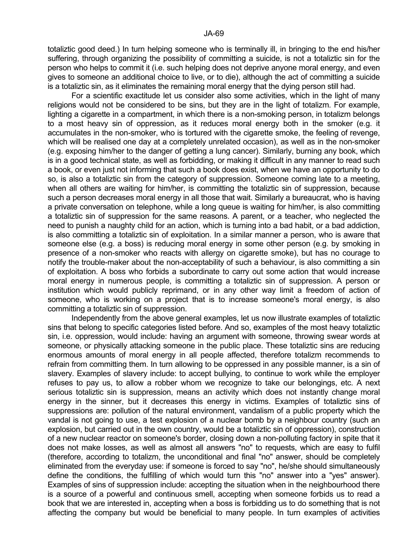totaliztic good deed.) In turn helping someone who is terminally ill, in bringing to the end his/her suffering, through organizing the possibility of committing a suicide, is not a totaliztic sin for the person who helps to commit it (i.e. such helping does not deprive anyone moral energy, and even gives to someone an additional choice to live, or to die), although the act of committing a suicide is a totaliztic sin, as it eliminates the remaining moral energy that the dying person still had.

 For a scientific exactitude let us consider also some activities, which in the light of many religions would not be considered to be sins, but they are in the light of totalizm. For example, lighting a cigarette in a compartment, in which there is a non-smoking person, in totalizm belongs to a most heavy sin of oppression, as it reduces moral energy both in the smoker (e.g. it accumulates in the non-smoker, who is tortured with the cigarette smoke, the feeling of revenge, which will be realised one day at a completely unrelated occasion), as well as in the non-smoker (e.g. exposing him/her to the danger of getting a lung cancer). Similarly, burning any book, which is in a good technical state, as well as forbidding, or making it difficult in any manner to read such a book, or even just not informing that such a book does exist, when we have an opportunity to do so, is also a totaliztic sin from the category of suppression. Someone coming late to a meeting, when all others are waiting for him/her, is committing the totaliztic sin of suppression, because such a person decreases moral energy in all those that wait. Similarly a bureaucrat, who is having a private conversation on telephone, while a long queue is waiting for him/her, is also committing a totaliztic sin of suppression for the same reasons. A parent, or a teacher, who neglected the need to punish a naughty child for an action, which is turning into a bad habit, or a bad addiction, is also committing a totaliztic sin of exploitation. In a similar manner a person, who is aware that someone else (e.g. a boss) is reducing moral energy in some other person (e.g. by smoking in presence of a non-smoker who reacts with allergy on cigarette smoke), but has no courage to notify the trouble-maker about the non-acceptability of such a behaviour, is also committing a sin of exploitation. A boss who forbids a subordinate to carry out some action that would increase moral energy in numerous people, is committing a totaliztic sin of suppression. A person or institution which would publicly reprimand, or in any other way limit a freedom of action of someone, who is working on a project that is to increase someone's moral energy, is also committing a totaliztic sin of suppression.

 Independently from the above general examples, let us now illustrate examples of totaliztic sins that belong to specific categories listed before. And so, examples of the most heavy totaliztic sin, i.e. oppression, would include: having an argument with someone, throwing swear words at someone, or physically attacking someone in the public place. These totaliztic sins are reducing enormous amounts of moral energy in all people affected, therefore totalizm recommends to refrain from committing them. In turn allowing to be oppressed in any possible manner, is a sin of slavery. Examples of slavery include: to accept bullying, to continue to work while the employer refuses to pay us, to allow a robber whom we recognize to take our belongings, etc. A next serious totaliztic sin is suppression, means an activity which does not instantly change moral energy in the sinner, but it decreases this energy in victims. Examples of totaliztic sins of suppressions are: pollution of the natural environment, vandalism of a public property which the vandal is not going to use, a test explosion of a nuclear bomb by a neighbour country (such an explosion, but carried out in the own country, would be a totaliztic sin of oppression), construction of a new nuclear reactor on someone's border, closing down a non-polluting factory in spite that it does not make losses, as well as almost all answers "no" to requests, which are easy to fulfil (therefore, according to totalizm, the unconditional and final "no" answer, should be completely eliminated from the everyday use: if someone is forced to say "no", he/she should simultaneously define the conditions, the fulfilling of which would turn this "no" answer into a "yes" answer). Examples of sins of suppression include: accepting the situation when in the neighbourhood there is a source of a powerful and continuous smell, accepting when someone forbids us to read a book that we are interested in, accepting when a boss is forbidding us to do something that is not affecting the company but would be beneficial to many people. In turn examples of activities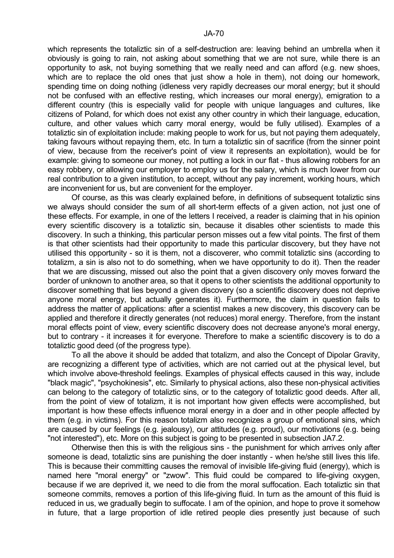which represents the totaliztic sin of a self-destruction are: leaving behind an umbrella when it obviously is going to rain, not asking about something that we are not sure, while there is an opportunity to ask, not buying something that we really need and can afford (e.g. new shoes, which are to replace the old ones that just show a hole in them), not doing our homework, spending time on doing nothing (idleness very rapidly decreases our moral energy; but it should not be confused with an effective resting, which increases our moral energy), emigration to a different country (this is especially valid for people with unique languages and cultures, like citizens of Poland, for which does not exist any other country in which their language, education, culture, and other values which carry moral energy, would be fully utilised). Examples of a totaliztic sin of exploitation include: making people to work for us, but not paying them adequately, taking favours without repaying them, etc. In turn a totaliztic sin of sacrifice (from the sinner point of view, because from the receiver's point of view it represents an exploitation), would be for example: giving to someone our money, not putting a lock in our flat - thus allowing robbers for an easy robbery, or allowing our employer to employ us for the salary, which is much lower from our real contribution to a given institution, to accept, without any pay increment, working hours, which are inconvenient for us, but are convenient for the employer.

 Of course, as this was clearly explained before, in definitions of subsequent totaliztic sins we always should consider the sum of all short-term effects of a given action, not just one of these effects. For example, in one of the letters I received, a reader is claiming that in his opinion every scientific discovery is a totaliztic sin, because it disables other scientists to made this discovery. In such a thinking, this particular person misses out a few vital points. The first of them is that other scientists had their opportunity to made this particular discovery, but they have not utilised this opportunity - so it is them, not a discoverer, who commit totaliztic sins (according to totalizm, a sin is also not to do something, when we have opportunity to do it). Then the reader that we are discussing, missed out also the point that a given discovery only moves forward the border of unknown to another area, so that it opens to other scientists the additional opportunity to discover something that lies beyond a given discovery (so a scientific discovery does not deprive anyone moral energy, but actually generates it). Furthermore, the claim in question fails to address the matter of applications: after a scientist makes a new discovery, this discovery can be applied and therefore it directly generates (not reduces) moral energy. Therefore, from the instant moral effects point of view, every scientific discovery does not decrease anyone's moral energy, but to contrary - it increases it for everyone. Therefore to make a scientific discovery is to do a totaliztic good deed (of the progress type).

 To all the above it should be added that totalizm, and also the Concept of Dipolar Gravity, are recognizing a different type of activities, which are not carried out at the physical level, but which involve above-threshold feelings. Examples of physical effects caused in this way, include "black magic", "psychokinesis", etc. Similarly to physical actions, also these non-physical activities can belong to the category of totaliztic sins, or to the category of totaliztic good deeds. After all, from the point of view of totalizm, it is not important how given effects were accomplished, but important is how these effects influence moral energy in a doer and in other people affected by them (e.g. in victims). For this reason totalizm also recognizes a group of emotional sins, which are caused by our feelings (e.g. jealousy), our attitudes (e.g. proud), our motivations (e.g. being "not interested"), etc. More on this subject is going to be presented in subsection JA7.2.

 Otherwise then this is with the religious sins - the punishment for which arrives only after someone is dead, totaliztic sins are punishing the doer instantly - when he/she still lives this life. This is because their committing causes the removal of invisible life-giving fluid (energy), which is named here "moral energy" or "zwow". This fluid could be compared to life-giving oxygen, because if we are deprived it, we need to die from the moral suffocation. Each totaliztic sin that someone commits, removes a portion of this life-giving fluid. In turn as the amount of this fluid is reduced in us, we gradually begin to suffocate. I am of the opinion, and hope to prove it somehow in future, that a large proportion of idle retired people dies presently just because of such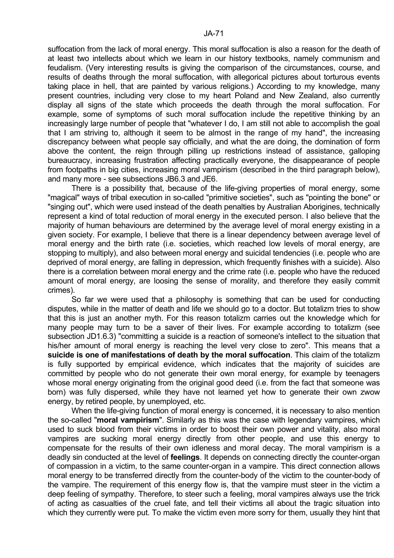suffocation from the lack of moral energy. This moral suffocation is also a reason for the death of at least two intellects about which we learn in our history textbooks, namely communism and feudalism. (Very interesting results is giving the comparison of the circumstances, course, and results of deaths through the moral suffocation, with allegorical pictures about torturous events taking place in hell, that are painted by various religions.) According to my knowledge, many present countries, including very close to my heart Poland and New Zealand, also currently display all signs of the state which proceeds the death through the moral suffocation. For example, some of symptoms of such moral suffocation include the repetitive thinking by an increasingly large number of people that "whatever I do, I am still not able to accomplish the goal that I am striving to, although it seem to be almost in the range of my hand", the increasing discrepancy between what people say officially, and what the are doing, the domination of form above the content, the reign through pilling up restrictions instead of assistance, galloping bureaucracy, increasing frustration affecting practically everyone, the disappearance of people from footpaths in big cities, increasing moral vampirism (described in the third paragraph below), and many more - see subsections JB6.3 and JE6.

 There is a possibility that, because of the life-giving properties of moral energy, some "magical" ways of tribal execution in so-called "primitive societies", such as "pointing the bone" or "singing out", which were used instead of the death penalties by Australian Aborigines, technically represent a kind of total reduction of moral energy in the executed person. I also believe that the majority of human behaviours are determined by the average level of moral energy existing in a given society. For example, I believe that there is a linear dependency between average level of moral energy and the birth rate (i.e. societies, which reached low levels of moral energy, are stopping to multiply), and also between moral energy and suicidal tendencies (i.e. people who are deprived of moral energy, are falling in depression, which frequently finishes with a suicide). Also there is a correlation between moral energy and the crime rate (i.e. people who have the reduced amount of moral energy, are loosing the sense of morality, and therefore they easily commit crimes).

 So far we were used that a philosophy is something that can be used for conducting disputes, while in the matter of death and life we should go to a doctor. But totalizm tries to show that this is just an another myth. For this reason totalizm carries out the knowledge which for many people may turn to be a saver of their lives. For example according to totalizm (see subsection JD1.6.3) "committing a suicide is a reaction of someone's intellect to the situation that his/her amount of moral energy is reaching the level very close to zero". This means that a **suicide is one of manifestations of death by the moral suffocation**. This claim of the totalizm is fully supported by empirical evidence, which indicates that the majority of suicides are committed by people who do not generate their own moral energy, for example by teenagers whose moral energy originating from the original good deed (i.e. from the fact that someone was born) was fully dispersed, while they have not learned yet how to generate their own zwow energy, by retired people, by unemployed, etc.

 When the life-giving function of moral energy is concerned, it is necessary to also mention the so-called "**moral vampirism**". Similarly as this was the case with legendary vampires, which used to suck blood from their victims in order to boost their own power and vitality, also moral vampires are sucking moral energy directly from other people, and use this energy to compensate for the results of their own idleness and moral decay. The moral vampirism is a deadly sin conducted at the level of **feelings**. It depends on connecting directly the counter-organ of compassion in a victim, to the same counter-organ in a vampire. This direct connection allows moral energy to be transferred directly from the counter-body of the victim to the counter-body of the vampire. The requirement of this energy flow is, that the vampire must steer in the victim a deep feeling of sympathy. Therefore, to steer such a feeling, moral vampires always use the trick of acting as casualties of the cruel fate, and tell their victims all about the tragic situation into which they currently were put. To make the victim even more sorry for them, usually they hint that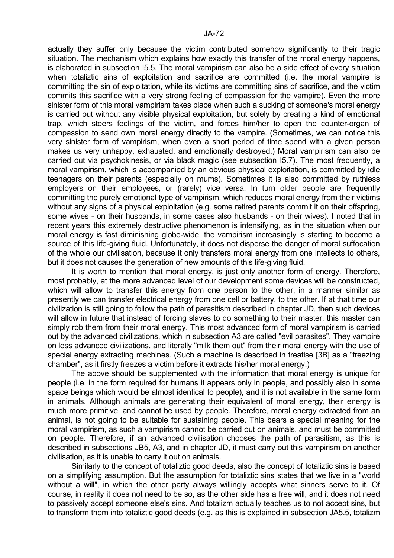actually they suffer only because the victim contributed somehow significantly to their tragic situation. The mechanism which explains how exactly this transfer of the moral energy happens, is elaborated in subsection I5.5. The moral vampirism can also be a side effect of every situation when totaliztic sins of exploitation and sacrifice are committed (i.e. the moral vampire is committing the sin of exploitation, while its victims are committing sins of sacrifice, and the victim commits this sacrifice with a very strong feeling of compassion for the vampire). Even the more sinister form of this moral vampirism takes place when such a sucking of someone's moral energy is carried out without any visible physical exploitation, but solely by creating a kind of emotional trap, which steers feelings of the victim, and forces him/her to open the counter-organ of compassion to send own moral energy directly to the vampire. (Sometimes, we can notice this very sinister form of vampirism, when even a short period of time spend with a given person makes us very unhappy, exhausted, and emotionally destroyed.) Moral vampirism can also be carried out via psychokinesis, or via black magic (see subsection I5.7). The most frequently, a moral vampirism, which is accompanied by an obvious physical exploitation, is committed by idle teenagers on their parents (especially on mums). Sometimes it is also committed by ruthless employers on their employees, or (rarely) vice versa. In turn older people are frequently committing the purely emotional type of vampirism, which reduces moral energy from their victims without any signs of a physical exploitation (e.g. some retired parents commit it on their offspring, some wives - on their husbands, in some cases also husbands - on their wives). I noted that in recent years this extremely destructive phenomenon is intensifying, as in the situation when our moral energy is fast diminishing globe-wide, the vampirism increasingly is starting to become a source of this life-giving fluid. Unfortunately, it does not disperse the danger of moral suffocation of the whole our civilisation, because it only transfers moral energy from one intellects to others, but it does not causes the generation of new amounts of this life-giving fluid.

 It is worth to mention that moral energy, is just only another form of energy. Therefore, most probably, at the more advanced level of our development some devices will be constructed, which will allow to transfer this energy from one person to the other, in a manner similar as presently we can transfer electrical energy from one cell or battery, to the other. If at that time our civilization is still going to follow the path of parasitism described in chapter JD, then such devices will allow in future that instead of forcing slaves to do something to their master, this master can simply rob them from their moral energy. This most advanced form of moral vampirism is carried out by the advanced civilizations, which in subsection A3 are called "evil parasites". They vampire on less advanced civilizations, and literally "milk them out" from their moral energy with the use of special energy extracting machines. (Such a machine is described in treatise [3B] as a "freezing chamber", as it firstly freezes a victim before it extracts his/her moral energy.)

 The above should be supplemented with the information that moral energy is unique for people (i.e. in the form required for humans it appears only in people, and possibly also in some space beings which would be almost identical to people), and it is not available in the same form in animals. Although animals are generating their equivalent of moral energy, their energy is much more primitive, and cannot be used by people. Therefore, moral energy extracted from an animal, is not going to be suitable for sustaining people. This bears a special meaning for the moral vampirism, as such a vampirism cannot be carried out on animals, and must be committed on people. Therefore, if an advanced civilisation chooses the path of parasitism, as this is described in subsections JB5, A3, and in chapter JD, it must carry out this vampirism on another civilisation, as it is unable to carry it out on animals.

 Similarly to the concept of totaliztic good deeds, also the concept of totaliztic sins is based on a simplifying assumption. But the assumption for totaliztic sins states that we live in a "world without a will", in which the other party always willingly accepts what sinners serve to it. Of course, in reality it does not need to be so, as the other side has a free will, and it does not need to passively accept someone else's sins. And totalizm actually teaches us to not accept sins, but to transform them into totaliztic good deeds (e.g. as this is explained in subsection JA5.5, totalizm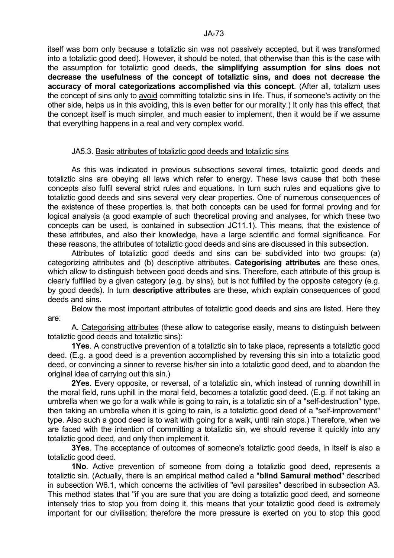itself was born only because a totaliztic sin was not passively accepted, but it was transformed into a totaliztic good deed). However, it should be noted, that otherwise than this is the case with the assumption for totaliztic good deeds, **the simplifying assumption for sins does not decrease the usefulness of the concept of totaliztic sins, and does not decrease the accuracy of moral categorizations accomplished via this concept**. (After all, totalizm uses the concept of sins only to avoid committing totaliztic sins in life. Thus, if someone's activity on the other side, helps us in this avoiding, this is even better for our morality.) It only has this effect, that the concept itself is much simpler, and much easier to implement, then it would be if we assume that everything happens in a real and very complex world.

### JA5.3. Basic attributes of totaliztic good deeds and totaliztic sins

 As this was indicated in previous subsections several times, totaliztic good deeds and totaliztic sins are obeying all laws which refer to energy. These laws cause that both these concepts also fulfil several strict rules and equations. In turn such rules and equations give to totaliztic good deeds and sins several very clear properties. One of numerous consequences of the existence of these properties is, that both concepts can be used for formal proving and for logical analysis (a good example of such theoretical proving and analyses, for which these two concepts can be used, is contained in subsection JC11.1). This means, that the existence of these attributes, and also their knowledge, have a large scientific and formal significance. For these reasons, the attributes of totaliztic good deeds and sins are discussed in this subsection.

 Attributes of totaliztic good deeds and sins can be subdivided into two groups: (a) categorizing attributes and (b) descriptive attributes. **Categorising attributes** are these ones, which allow to distinguish between good deeds and sins. Therefore, each attribute of this group is clearly fulfilled by a given category (e.g. by sins), but is not fulfilled by the opposite category (e.g. by good deeds). In turn **descriptive attributes** are these, which explain consequences of good deeds and sins.

 Below the most important attributes of totaliztic good deeds and sins are listed. Here they are:

 A. Categorising attributes (these allow to categorise easily, means to distinguish between totaliztic good deeds and totaliztic sins):

 **1Yes**. A constructive prevention of a totaliztic sin to take place, represents a totaliztic good deed. (E.g. a good deed is a prevention accomplished by reversing this sin into a totaliztic good deed, or convincing a sinner to reverse his/her sin into a totaliztic good deed, and to abandon the original idea of carrying out this sin.)

 **2Yes**. Every opposite, or reversal, of a totaliztic sin, which instead of running downhill in the moral field, runs uphill in the moral field, becomes a totaliztic good deed. (E.g. if not taking an umbrella when we go for a walk while is going to rain, is a totaliztic sin of a "self-destruction" type, then taking an umbrella when it is going to rain, is a totaliztic good deed of a "self-improvement" type. Also such a good deed is to wait with going for a walk, until rain stops.) Therefore, when we are faced with the intention of committing a totaliztic sin, we should reverse it quickly into any totaliztic good deed, and only then implement it.

 **3Yes**. The acceptance of outcomes of someone's totaliztic good deeds, in itself is also a totaliztic good deed.

 **1No**. Active prevention of someone from doing a totaliztic good deed, represents a totaliztic sin. (Actually, there is an empirical method called a "**blind Samurai method**" described in subsection W6.1, which concerns the activities of "evil parasites" described in subsection A3. This method states that "if you are sure that you are doing a totaliztic good deed, and someone intensely tries to stop you from doing it, this means that your totaliztic good deed is extremely important for our civilisation; therefore the more pressure is exerted on you to stop this good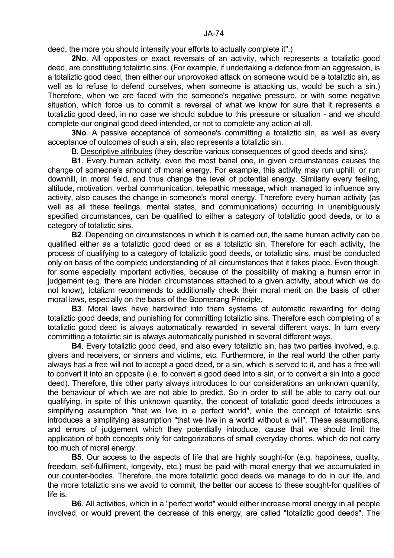deed, the more you should intensify your efforts to actually complete it".)

 **2No**. All opposites or exact reversals of an activity, which represents a totaliztic good deed, are constituting totaliztic sins. (For example, if undertaking a defence from an aggression, is a totaliztic good deed, then either our unprovoked attack on someone would be a totaliztic sin, as well as to refuse to defend ourselves, when someone is attacking us, would be such a sin.) Therefore, when we are faced with the someone's negative pressure, or with some negative situation, which force us to commit a reversal of what we know for sure that it represents a totaliztic good deed, in no case we should subdue to this pressure or situation - and we should complete our original good deed intended, or not to complete any action at all.

**3No.** A passive acceptance of someone's committing a totaliztic sin, as well as every acceptance of outcomes of such a sin, also represents a totaliztic sin.

B. Descriptive attributes (they describe various consequences of good deeds and sins):

 **B1**. Every human activity, even the most banal one, in given circumstances causes the change of someone's amount of moral energy. For example, this activity may run uphill, or run downhill, in moral field, and thus change the level of potential energy. Similarly every feeling, altitude, motivation, verbal communication, telepathic message, which managed to influence any activity, also causes the change in someone's moral energy. Therefore every human activity (as well as all these feelings, mental states, and communications) occurring in unambiguously specified circumstances, can be qualified to either a category of totaliztic good deeds, or to a category of totaliztic sins.

 **B2**. Depending on circumstances in which it is carried out, the same human activity can be qualified either as a totaliztic good deed or as a totaliztic sin. Therefore for each activity, the process of qualifying to a category of totaliztic good deeds, or totaliztic sins, must be conducted only on basis of the complete understanding of all circumstances that it takes place. Even though, for some especially important activities, because of the possibility of making a human error in judgement (e.g. there are hidden circumstances attached to a given activity, about which we do not know), totalizm recommends to additionally check their moral merit on the basis of other moral laws, especially on the basis of the Boomerang Principle.

 **B3**. Moral laws have hardwired into them systems of automatic rewarding for doing totaliztic good deeds, and punishing for committing totaliztic sins. Therefore each completing of a totaliztic good deed is always automatically rewarded in several different ways. In turn every committing a totaliztic sin is always automatically punished in several different ways.

**B4**. Every totaliztic good deed, and also every totaliztic sin, has two parties involved, e.g. givers and receivers, or sinners and victims, etc. Furthermore, in the real world the other party always has a free will not to accept a good deed, or a sin, which is served to it, and has a free will to convert it into an opposite (i.e. to convert a good deed into a sin, or to convert a sin into a good deed). Therefore, this other party always introduces to our considerations an unknown quantity, the behaviour of which we are not able to predict. So in order to still be able to carry out our qualifying, in spite of this unknown quantity, the concept of totaliztic good deeds introduces a simplifying assumption "that we live in a perfect world", while the concept of totaliztic sins introduces a simplifying assumption "that we live in a world without a will". These assumptions, and errors of judgement which they potentially introduce, cause that we should limit the application of both concepts only for categorizations of small everyday chores, which do not carry too much of moral energy.

**B5**. Our access to the aspects of life that are highly sought-for (e.g. happiness, quality, freedom, self-fulfilment, longevity, etc.) must be paid with moral energy that we accumulated in our counter-bodies. Therefore, the more totaliztic good deeds we manage to do in our life, and the more totaliztic sins we avoid to commit, the better our access to these sought-for qualities of life is.

 **B6**. All activities, which in a "perfect world" would either increase moral energy in all people involved, or would prevent the decrease of this energy, are called "totaliztic good deeds". The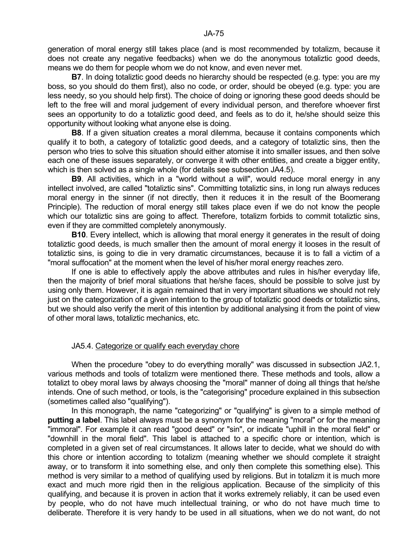generation of moral energy still takes place (and is most recommended by totalizm, because it does not create any negative feedbacks) when we do the anonymous totaliztic good deeds, means we do them for people whom we do not know, and even never met.

**B7**. In doing totaliztic good deeds no hierarchy should be respected (e.g. type: you are my boss, so you should do them first), also no code, or order, should be obeyed (e.g. type: you are less needy, so you should help first). The choice of doing or ignoring these good deeds should be left to the free will and moral judgement of every individual person, and therefore whoever first sees an opportunity to do a totaliztic good deed, and feels as to do it, he/she should seize this opportunity without looking what anyone else is doing.

 **B8**. If a given situation creates a moral dilemma, because it contains components which qualify it to both, a category of totaliztic good deeds, and a category of totaliztic sins, then the person who tries to solve this situation should either atomise it into smaller issues, and then solve each one of these issues separately, or converge it with other entities, and create a bigger entity, which is then solved as a single whole (for details see subsection JA4.5).

 **B9**. All activities, which in a "world without a will", would reduce moral energy in any intellect involved, are called "totaliztic sins". Committing totaliztic sins, in long run always reduces moral energy in the sinner (if not directly, then it reduces it in the result of the Boomerang Principle). The reduction of moral energy still takes place even if we do not know the people which our totaliztic sins are going to affect. Therefore, totalizm forbids to commit totaliztic sins, even if they are committed completely anonymously.

**B10**. Every intellect, which is allowing that moral energy it generates in the result of doing totaliztic good deeds, is much smaller then the amount of moral energy it looses in the result of totaliztic sins, is going to die in very dramatic circumstances, because it is to fall a victim of a "moral suffocation" at the moment when the level of his/her moral energy reaches zero.

 If one is able to effectively apply the above attributes and rules in his/her everyday life, then the majority of brief moral situations that he/she faces, should be possible to solve just by using only them. However, it is again remained that in very important situations we should not rely just on the categorization of a given intention to the group of totaliztic good deeds or totaliztic sins, but we should also verify the merit of this intention by additional analysing it from the point of view of other moral laws, totaliztic mechanics, etc.

# JA5.4. Categorize or qualify each everyday chore

 When the procedure "obey to do everything morally" was discussed in subsection JA2.1, various methods and tools of totalizm were mentioned there. These methods and tools, allow a totalizt to obey moral laws by always choosing the "moral" manner of doing all things that he/she intends. One of such method, or tools, is the "categorising" procedure explained in this subsection (sometimes called also "qualifying").

 In this monograph, the name "categorizing" or "qualifying" is given to a simple method of **putting a label**. This label always must be a synonym for the meaning "moral" or for the meaning "immoral". For example it can read "good deed" or "sin", or indicate "uphill in the moral field" or "downhill in the moral field". This label is attached to a specific chore or intention, which is completed in a given set of real circumstances. It allows later to decide, what we should do with this chore or intention according to totalizm (meaning whether we should complete it straight away, or to transform it into something else, and only then complete this something else). This method is very similar to a method of qualifying used by religions. But in totalizm it is much more exact and much more rigid then in the religious application. Because of the simplicity of this qualifying, and because it is proven in action that it works extremely reliably, it can be used even by people, who do not have much intellectual training, or who do not have much time to deliberate. Therefore it is very handy to be used in all situations, when we do not want, do not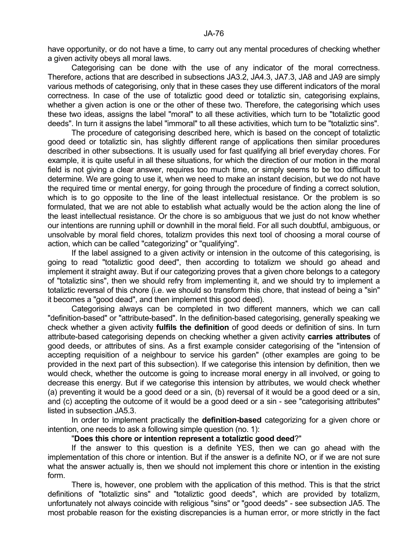have opportunity, or do not have a time, to carry out any mental procedures of checking whether a given activity obeys all moral laws.

 Categorising can be done with the use of any indicator of the moral correctness. Therefore, actions that are described in subsections JA3.2, JA4.3, JA7.3, JA8 and JA9 are simply various methods of categorising, only that in these cases they use different indicators of the moral correctness. In case of the use of totaliztic good deed or totaliztic sin, categorising explains, whether a given action is one or the other of these two. Therefore, the categorising which uses these two ideas, assigns the label "moral" to all these activities, which turn to be "totaliztic good deeds". In turn it assigns the label "immoral" to all these activities, which turn to be "totaliztic sins".

 The procedure of categorising described here, which is based on the concept of totaliztic good deed or totaliztic sin, has slightly different range of applications then similar procedures described in other subsections. It is usually used for fast qualifying all brief everyday chores. For example, it is quite useful in all these situations, for which the direction of our motion in the moral field is not giving a clear answer, requires too much time, or simply seems to be too difficult to determine. We are going to use it, when we need to make an instant decision, but we do not have the required time or mental energy, for going through the procedure of finding a correct solution, which is to go opposite to the line of the least intellectual resistance. Or the problem is so formulated, that we are not able to establish what actually would be the action along the line of the least intellectual resistance. Or the chore is so ambiguous that we just do not know whether our intentions are running uphill or downhill in the moral field. For all such doubtful, ambiguous, or unsolvable by moral field chores, totalizm provides this next tool of choosing a moral course of action, which can be called "categorizing" or "qualifying".

 If the label assigned to a given activity or intension in the outcome of this categorising, is going to read "totaliztic good deed", then according to totalizm we should go ahead and implement it straight away. But if our categorizing proves that a given chore belongs to a category of "totaliztic sins", then we should refry from implementing it, and we should try to implement a totaliztic reversal of this chore (i.e. we should so transform this chore, that instead of being a "sin" it becomes a "good dead", and then implement this good deed).

 Categorising always can be completed in two different manners, which we can call "definition-based" or "attribute-based". In the definition-based categorising, generally speaking we check whether a given activity **fulfils the definition** of good deeds or definition of sins. In turn attribute-based categorising depends on checking whether a given activity **carries attributes** of good deeds, or attributes of sins. As a first example consider categorising of the "intension of accepting requisition of a neighbour to service his garden" (other examples are going to be provided in the next part of this subsection). If we categorise this intension by definition, then we would check, whether the outcome is going to increase moral energy in all involved, or going to decrease this energy. But if we categorise this intension by attributes, we would check whether (a) preventing it would be a good deed or a sin, (b) reversal of it would be a good deed or a sin, and (c) accepting the outcome of it would be a good deed or a sin - see "categorising attributes" listed in subsection JA5.3.

 In order to implement practically the **definition-based** categorizing for a given chore or intention, one needs to ask a following simple question (no. 1):

#### "**Does this chore or intention represent a totaliztic good deed**?"

 If the answer to this question is a definite YES, then we can go ahead with the implementation of this chore or intention. But if the answer is a definite NO, or if we are not sure what the answer actually is, then we should not implement this chore or intention in the existing form.

 There is, however, one problem with the application of this method. This is that the strict definitions of "totaliztic sins" and "totaliztic good deeds", which are provided by totalizm, unfortunately not always coincide with religious "sins" or "good deeds" - see subsection JA5. The most probable reason for the existing discrepancies is a human error, or more strictly in the fact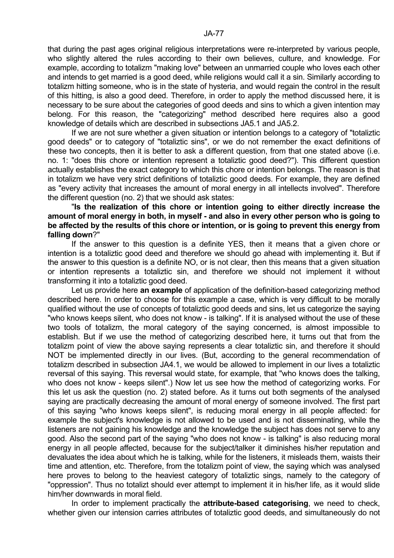that during the past ages original religious interpretations were re-interpreted by various people, who slightly altered the rules according to their own believes, culture, and knowledge. For example, according to totalizm "making love" between an unmarried couple who loves each other and intends to get married is a good deed, while religions would call it a sin. Similarly according to totalizm hitting someone, who is in the state of hysteria, and would regain the control in the result of this hitting, is also a good deed. Therefore, in order to apply the method discussed here, it is necessary to be sure about the categories of good deeds and sins to which a given intention may belong. For this reason, the "categorizing" method described here requires also a good knowledge of details which are described in subsections JA5.1 and JA5.2.

 If we are not sure whether a given situation or intention belongs to a category of "totaliztic good deeds" or to category of "totaliztic sins", or we do not remember the exact definitions of these two concepts, then it is better to ask a different question, from that one stated above (i.e. no. 1: "does this chore or intention represent a totaliztic good deed?"). This different question actually establishes the exact category to which this chore or intention belongs. The reason is that in totalizm we have very strict definitions of totaliztic good deeds. For example, they are defined as "every activity that increases the amount of moral energy in all intellects involved". Therefore the different question (no. 2) that we should ask states:

### "**Is the realization of this chore or intention going to either directly increase the amount of moral energy in both, in myself - and also in every other person who is going to be affected by the results of this chore or intention, or is going to prevent this energy from falling down**?"

 If the answer to this question is a definite YES, then it means that a given chore or intention is a totaliztic good deed and therefore we should go ahead with implementing it. But if the answer to this question is a definite NO, or is not clear, then this means that a given situation or intention represents a totaliztic sin, and therefore we should not implement it without transforming it into a totaliztic good deed.

 Let us provide here **an example** of application of the definition-based categorizing method described here. In order to choose for this example a case, which is very difficult to be morally qualified without the use of concepts of totaliztic good deeds and sins, let us categorize the saying "who knows keeps silent, who does not know - is talking". If it is analysed without the use of these two tools of totalizm, the moral category of the saying concerned, is almost impossible to establish. But if we use the method of categorizing described here, it turns out that from the totalizm point of view the above saying represents a clear totaliztic sin, and therefore it should NOT be implemented directly in our lives. (But, according to the general recommendation of totalizm described in subsection JA4.1, we would be allowed to implement in our lives a totaliztic reversal of this saying. This reversal would state, for example, that "who knows does the talking, who does not know - keeps silent".) Now let us see how the method of categorizing works. For this let us ask the question (no. 2) stated before. As it turns out both segments of the analysed saying are practically decreasing the amount of moral energy of someone involved. The first part of this saying "who knows keeps silent", is reducing moral energy in all people affected: for example the subject's knowledge is not allowed to be used and is not disseminating, while the listeners are not gaining his knowledge and the knowledge the subject has does not serve to any good. Also the second part of the saying "who does not know - is talking" is also reducing moral energy in all people affected, because for the subject/talker it diminishes his/her reputation and devaluates the idea about which he is talking, while for the listeners, it misleads them, waists their time and attention, etc. Therefore, from the totalizm point of view, the saying which was analysed here proves to belong to the heaviest category of totaliztic sings, namely to the category of "oppression". Thus no totalizt should ever attempt to implement it in his/her life, as it would slide him/her downwards in moral field.

 In order to implement practically the **attribute-based categorising**, we need to check, whether given our intension carries attributes of totaliztic good deeds, and simultaneously do not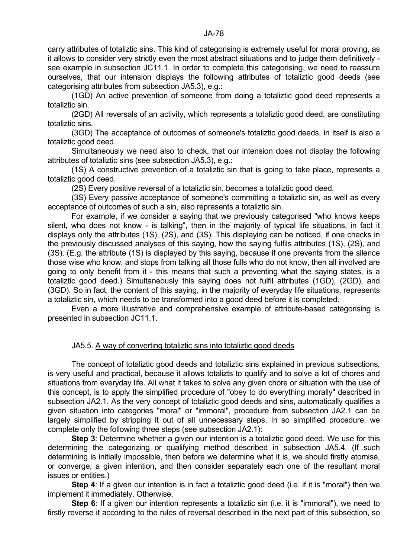(1GD) An active prevention of someone from doing a totaliztic good deed represents a totaliztic sin.

 (2GD) All reversals of an activity, which represents a totaliztic good deed, are constituting totaliztic sins.

 (3GD) The acceptance of outcomes of someone's totaliztic good deeds, in itself is also a totaliztic good deed.

 Simultaneously we need also to check, that our intension does not display the following attributes of totaliztic sins (see subsection JA5.3), e.g.:

 (1S) A constructive prevention of a totaliztic sin that is going to take place, represents a totaliztic good deed.

(2S) Every positive reversal of a totaliztic sin, becomes a totaliztic good deed.

 (3S) Every passive acceptance of someone's committing a totaliztic sin, as well as every acceptance of outcomes of such a sin, also represents a totaliztic sin.

 For example, if we consider a saying that we previously categorised "who knows keeps silent, who does not know - is talking", then in the majority of typical life situations, in fact it displays only the attributes (1S), (2S), and (3S). This displaying can be noticed, if one checks in the previously discussed analyses of this saying, how the saying fulfils attributes (1S), (2S), and (3S). (E.g. the attribute (1S) is displayed by this saying, because if one prevents from the silence those wise who know, and stops from talking all those fulls who do not know, then all involved are going to only benefit from it - this means that such a preventing what the saying states, is a totaliztic good deed.) Simultaneously this saying does not fulfil attributes (1GD), (2GD), and (3GD). So in fact, the content of this saying, in the majority of everyday life situations, represents a totaliztic sin, which needs to be transformed into a good deed before it is completed.

 Even a more illustrative and comprehensive example of attribute-based categorising is presented in subsection JC11.1.

# JA5.5. A way of converting totaliztic sins into totaliztic good deeds

 The concept of totaliztic good deeds and totaliztic sins explained in previous subsections, is very useful and practical, because it allows totalizts to qualify and to solve a lot of chores and situations from everyday life. All what it takes to solve any given chore or situation with the use of this concept, is to apply the simplified procedure of "obey to do everything morally" described in subsection JA2.1. As the very concept of totaliztic good deeds and sins, automatically qualifies a given situation into categories "moral" or "immoral", procedure from subsection JA2.1 can be largely simplified by stripping it out of all unnecessary steps. In so simplified procedure, we complete only the following three steps (see subsection JA2.1):

**Step 3**: Determine whether a given our intention is a totaliztic good deed. We use for this determining the categorizing or qualifying method described in subsection JA5.4. (If such determining is initially impossible, then before we determine what it is, we should firstly atomise, or converge, a given intention, and then consider separately each one of the resultant moral issues or entities.)

**Step 4:** If a given our intention is in fact a totaliztic good deed (i.e. if it is "moral") then we implement it immediately. Otherwise,

**Step 6**: If a given our intention represents a totaliztic sin (i.e. it is "immoral"), we need to firstly reverse it according to the rules of reversal described in the next part of this subsection, so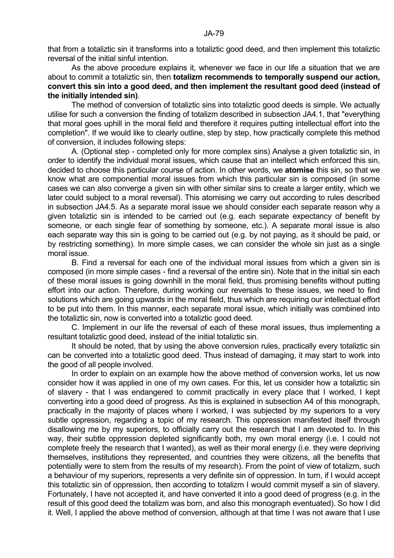that from a totaliztic sin it transforms into a totaliztic good deed, and then implement this totaliztic reversal of the initial sinful intention.

 As the above procedure explains it, whenever we face in our life a situation that we are about to commit a totaliztic sin, then **totalizm recommends to temporally suspend our action, convert this sin into a good deed, and then implement the resultant good deed (instead of the initially intended sin)**.

 The method of conversion of totaliztic sins into totaliztic good deeds is simple. We actually utilise for such a conversion the finding of totalizm described in subsection JA4.1, that "everything that moral goes uphill in the moral field and therefore it requires putting intellectual effort into the completion". If we would like to clearly outline, step by step, how practically complete this method of conversion, it includes following steps:

 A. (Optional step - completed only for more complex sins) Analyse a given totaliztic sin, in order to identify the individual moral issues, which cause that an intellect which enforced this sin, decided to choose this particular course of action. In other words, we **atomise** this sin, so that we know what are componential moral issues from which this particular sin is composed (in some cases we can also converge a given sin with other similar sins to create a larger entity, which we later could subject to a moral reversal). This atomising we carry out according to rules described in subsection JA4.5. As a separate moral issue we should consider each separate reason why a given totaliztic sin is intended to be carried out (e.g. each separate expectancy of benefit by someone, or each single fear of something by someone, etc.). A separate moral issue is also each separate way this sin is going to be carried out (e.g. by not paying, as it should be paid, or by restricting something). In more simple cases, we can consider the whole sin just as a single moral issue.

 B. Find a reversal for each one of the individual moral issues from which a given sin is composed (in more simple cases - find a reversal of the entire sin). Note that in the initial sin each of these moral issues is going downhill in the moral field, thus promising benefits without putting effort into our action. Therefore, during working our reversals to these issues, we need to find solutions which are going upwards in the moral field, thus which are requiring our intellectual effort to be put into them. In this manner, each separate moral issue, which initially was combined into the totaliztic sin, now is converted into a totaliztic good deed.

 C. Implement in our life the reversal of each of these moral issues, thus implementing a resultant totaliztic good deed, instead of the initial totaliztic sin.

It should be noted, that by using the above conversion rules, practically every totaliztic sin can be converted into a totaliztic good deed. Thus instead of damaging, it may start to work into the good of all people involved.

 In order to explain on an example how the above method of conversion works, let us now consider how it was applied in one of my own cases. For this, let us consider how a totaliztic sin of slavery - that I was endangered to commit practically in every place that I worked, I kept converting into a good deed of progress. As this is explained in subsection A4 of this monograph, practically in the majority of places where I worked, I was subjected by my superiors to a very subtle oppression, regarding a topic of my research. This oppression manifested itself through disallowing me by my superiors, to officially carry out the research that I am devoted to. In this way, their subtle oppression depleted significantly both, my own moral energy (i.e. I could not complete freely the research that I wanted), as well as their moral energy (i.e. they were depriving themselves, institutions they represented, and countries they were citizens, all the benefits that potentially were to stem from the results of my research). From the point of view of totalizm, such a behaviour of my superiors, represents a very definite sin of oppression. In turn, if I would accept this totaliztic sin of oppression, then according to totalizm I would commit myself a sin of slavery. Fortunately, I have not accepted it, and have converted it into a good deed of progress (e.g. in the result of this good deed the totalizm was born, and also this monograph eventuated). So how I did it. Well, I applied the above method of conversion, although at that time I was not aware that I use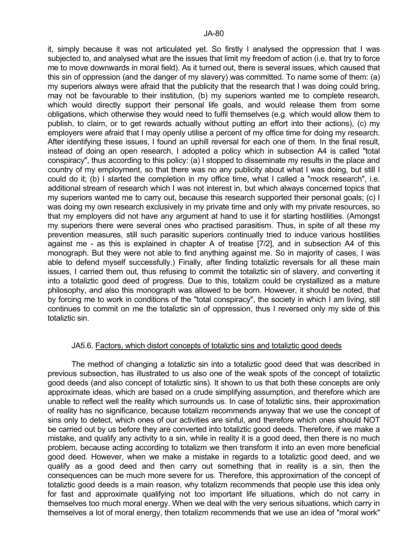it, simply because it was not articulated yet. So firstly I analysed the oppression that I was subjected to, and analysed what are the issues that limit my freedom of action (i.e. that try to force me to move downwards in moral field). As it turned out, there is several issues, which caused that this sin of oppression (and the danger of my slavery) was committed. To name some of them: (a) my superiors always were afraid that the publicity that the research that I was doing could bring, may not be favourable to their institution, (b) my superiors wanted me to complete research, which would directly support their personal life goals, and would release them from some obligations, which otherwise they would need to fulfil themselves (e.g. which would allow them to publish, to claim, or to get rewards actually without putting an effort into their actions), (c) my employers were afraid that I may openly utilise a percent of my office time for doing my research. After identifying these issues, I found an uphill reversal for each one of them. In the final result, instead of doing an open research, I adopted a policy which in subsection A4 is called "total conspiracy", thus according to this policy: (a) I stopped to disseminate my results in the place and country of my employment, so that there was no any publicity about what I was doing, but still I could do it; (b) I started the completion in my office time, what I called a "mock research", i.e. additional stream of research which I was not interest in, but which always concerned topics that my superiors wanted me to carry out, because this research supported their personal goals; (c) I was doing my own research exclusively in my private time and only with my private resources, so that my employers did not have any argument at hand to use it for starting hostilities. (Amongst my superiors there were several ones who practised parasitism. Thus, in spite of all these my prevention measures, still such parasitic superiors continually tried to induce various hostilities against me - as this is explained in chapter A of treatise [7/2], and in subsection A4 of this monograph. But they were not able to find anything against me. So in majority of cases, I was able to defend myself successfully.) Finally, after finding totaliztic reversals for all these main issues, I carried them out, thus refusing to commit the totaliztic sin of slavery, and converting it into a totaliztic good deed of progress. Due to this, totalizm could be crystallized as a mature philosophy, and also this monograph was allowed to be born. However, it should be noted, that by forcing me to work in conditions of the "total conspiracy", the society in which I am living, still continues to commit on me the totaliztic sin of oppression, thus I reversed only my side of this totaliztic sin.

#### JA5.6. Factors, which distort concepts of totaliztic sins and totaliztic good deeds

 The method of changing a totaliztic sin into a totaliztic good deed that was described in previous subsection, has illustrated to us also one of the weak spots of the concept of totaliztic good deeds (and also concept of totaliztic sins). It shown to us that both these concepts are only approximate ideas, which are based on a crude simplifying assumption, and therefore which are unable to reflect well the reality which surrounds us. In case of totaliztic sins, their approximation of reality has no significance, because totalizm recommends anyway that we use the concept of sins only to detect, which ones of our activities are sinful, and therefore which ones should NOT be carried out by us before they are converted into totaliztic good deeds. Therefore, if we make a mistake, and qualify any activity to a sin, while in reality it is a good deed, then there is no much problem, because acting according to totalizm we then transform it into an even more beneficial good deed. However, when we make a mistake in regards to a totaliztic good deed, and we qualify as a good deed and then carry out something that in reality is a sin, then the consequences can be much more severe for us. Therefore, this approximation of the concept of totaliztic good deeds is a main reason, why totalizm recommends that people use this idea only for fast and approximate qualifying not too important life situations, which do not carry in themselves too much moral energy. When we deal with the very serious situations, which carry in themselves a lot of moral energy, then totalizm recommends that we use an idea of "moral work"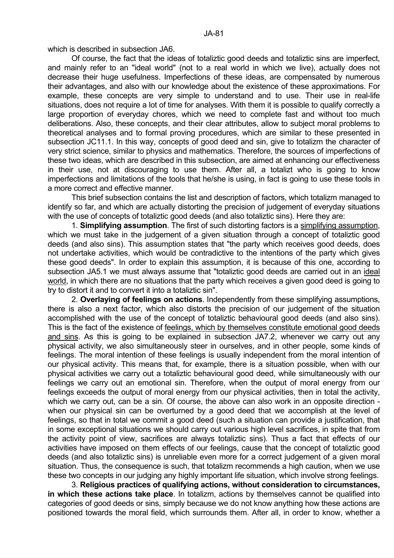which is described in subsection JA6.

 Of course, the fact that the ideas of totaliztic good deeds and totaliztic sins are imperfect, and mainly refer to an "ideal world" (not to a real world in which we live), actually does not decrease their huge usefulness. Imperfections of these ideas, are compensated by numerous their advantages, and also with our knowledge about the existence of these approximations. For example, these concepts are very simple to understand and to use. Their use in real-life situations, does not require a lot of time for analyses. With them it is possible to qualify correctly a large proportion of everyday chores, which we need to complete fast and without too much deliberations. Also, these concepts, and their clear attributes, allow to subject moral problems to theoretical analyses and to formal proving procedures, which are similar to these presented in subsection JC11.1. In this way, concepts of good deed and sin, give to totalizm the character of very strict science, similar to physics and mathematics. Therefore, the sources of imperfections of these two ideas, which are described in this subsection, are aimed at enhancing our effectiveness in their use, not at discouraging to use them. After all, a totalizt who is going to know imperfections and limitations of the tools that he/she is using, in fact is going to use these tools in a more correct and effective manner.

 This brief subsection contains the list and description of factors, which totalizm managed to identify so far, and which are actually distorting the precision of judgement of everyday situations with the use of concepts of totaliztic good deeds (and also totaliztic sins). Here they are:

 1. **Simplifying assumption**. The first of such distorting factors is a simplifying assumption, which we must take in the judgement of a given situation through a concept of totaliztic good deeds (and also sins). This assumption states that "the party which receives good deeds, does not undertake activities, which would be contradictive to the intentions of the party which gives these good deeds". In order to explain this assumption, it is because of this one, according to subsection JA5.1 we must always assume that "totaliztic good deeds are carried out in an ideal world, in which there are no situations that the party which receives a given good deed is going to try to distort it and to convert it into a totaliztic sin".

 2. **Overlaying of feelings on actions**. Independently from these simplifying assumptions, there is also a next factor, which also distorts the precision of our judgement of the situation accomplished with the use of the concept of totaliztic behavioural good deeds (and also sins). This is the fact of the existence of feelings, which by themselves constitute emotional good deeds and sins. As this is going to be explained in subsection JA7.2, whenever we carry out any physical activity, we also simultaneously steer in ourselves, and in other people, some kinds of feelings. The moral intention of these feelings is usually independent from the moral intention of our physical activity. This means that, for example, there is a situation possible, when with our physical activities we carry out a totaliztic behavioural good deed, while simultaneously with our feelings we carry out an emotional sin. Therefore, when the output of moral energy from our feelings exceeds the output of moral energy from our physical activities, then in total the activity, which we carry out, can be a sin. Of course, the above can also work in an opposite direction when our physical sin can be overturned by a good deed that we accomplish at the level of feelings, so that in total we commit a good deed (such a situation can provide a justification, that in some exceptional situations we should carry out various high level sacrifices, in spite that from the activity point of view, sacrifices are always totaliztic sins). Thus a fact that effects of our activities have imposed on them effects of our feelings, cause that the concept of totaliztic good deeds (and also totaliztic sins) is unreliable even more for a correct judgement of a given moral situation. Thus, the consequence is such, that totalizm recommends a high caution, when we use these two concepts in our judging any highly important life situation, which involve strong feelings.

 3. **Religious practices of qualifying actions, without consideration to circumstances, in which these actions take place**. In totalizm, actions by themselves cannot be qualified into categories of good deeds or sins, simply because we do not know anything how these actions are positioned towards the moral field, which surrounds them. After all, in order to know, whether a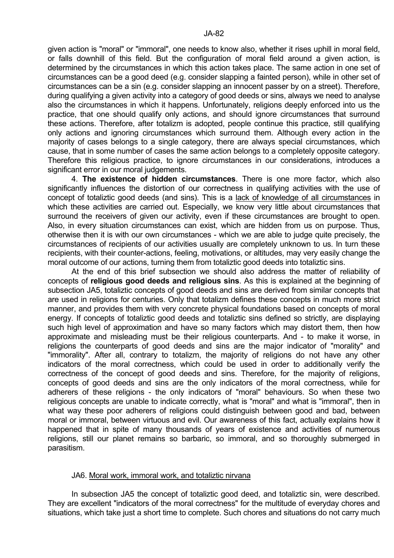given action is "moral" or "immoral", one needs to know also, whether it rises uphill in moral field, or falls downhill of this field. But the configuration of moral field around a given action, is determined by the circumstances in which this action takes place. The same action in one set of circumstances can be a good deed (e.g. consider slapping a fainted person), while in other set of circumstances can be a sin (e.g. consider slapping an innocent passer by on a street). Therefore, during qualifying a given activity into a category of good deeds or sins, always we need to analyse also the circumstances in which it happens. Unfortunately, religions deeply enforced into us the practice, that one should qualify only actions, and should ignore circumstances that surround these actions. Therefore, after totalizm is adopted, people continue this practice, still qualifying only actions and ignoring circumstances which surround them. Although every action in the majority of cases belongs to a single category, there are always special circumstances, which cause, that in some number of cases the same action belongs to a completely opposite category. Therefore this religious practice, to ignore circumstances in our considerations, introduces a significant error in our moral judgements.

 4. **The existence of hidden circumstances**. There is one more factor, which also significantly influences the distortion of our correctness in qualifying activities with the use of concept of totaliztic good deeds (and sins). This is a lack of knowledge of all circumstances in which these activities are carried out. Especially, we know very little about circumstances that surround the receivers of given our activity, even if these circumstances are brought to open. Also, in every situation circumstances can exist, which are hidden from us on purpose. Thus, otherwise then it is with our own circumstances - which we are able to judge quite precisely, the circumstances of recipients of our activities usually are completely unknown to us. In turn these recipients, with their counter-actions, feeling, motivations, or altitudes, may very easily change the moral outcome of our actions, turning them from totaliztic good deeds into totaliztic sins.

 At the end of this brief subsection we should also address the matter of reliability of concepts of **religious good deeds and religious sins**. As this is explained at the beginning of subsection JA5, totaliztic concepts of good deeds and sins are derived from similar concepts that are used in religions for centuries. Only that totalizm defines these concepts in much more strict manner, and provides them with very concrete physical foundations based on concepts of moral energy. If concepts of totaliztic good deeds and totaliztic sins defined so strictly, are displaying such high level of approximation and have so many factors which may distort them, then how approximate and misleading must be their religious counterparts. And - to make it worse, in religions the counterparts of good deeds and sins are the major indicator of "morality" and "immorality". After all, contrary to totalizm, the majority of religions do not have any other indicators of the moral correctness, which could be used in order to additionally verify the correctness of the concept of good deeds and sins. Therefore, for the majority of religions, concepts of good deeds and sins are the only indicators of the moral correctness, while for adherers of these religions - the only indicators of "moral" behaviours. So when these two religious concepts are unable to indicate correctly, what is "moral" and what is "immoral", then in what way these poor adherers of religions could distinguish between good and bad, between moral or immoral, between virtuous and evil. Our awareness of this fact, actually explains how it happened that in spite of many thousands of years of existence and activities of numerous religions, still our planet remains so barbaric, so immoral, and so thoroughly submerged in parasitism.

#### JA6. Moral work, immoral work, and totaliztic nirvana

 In subsection JA5 the concept of totaliztic good deed, and totaliztic sin, were described. They are excellent "indicators of the moral correctness" for the multitude of everyday chores and situations, which take just a short time to complete. Such chores and situations do not carry much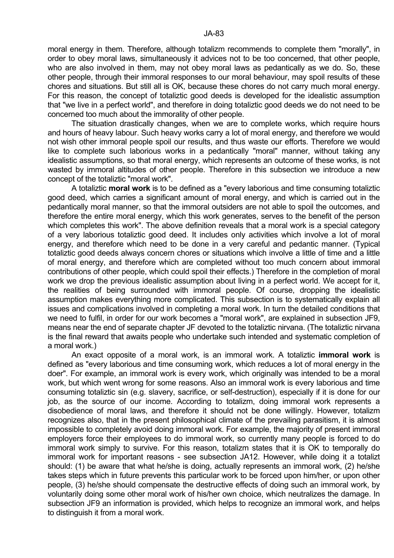moral energy in them. Therefore, although totalizm recommends to complete them "morally", in order to obey moral laws, simultaneously it advices not to be too concerned, that other people, who are also involved in them, may not obey moral laws as pedantically as we do. So, these other people, through their immoral responses to our moral behaviour, may spoil results of these chores and situations. But still all is OK, because these chores do not carry much moral energy. For this reason, the concept of totaliztic good deeds is developed for the idealistic assumption that "we live in a perfect world", and therefore in doing totaliztic good deeds we do not need to be concerned too much about the immorality of other people.

 The situation drastically changes, when we are to complete works, which require hours and hours of heavy labour. Such heavy works carry a lot of moral energy, and therefore we would not wish other immoral people spoil our results, and thus waste our efforts. Therefore we would like to complete such laborious works in a pedantically "moral" manner, without taking any idealistic assumptions, so that moral energy, which represents an outcome of these works, is not wasted by immoral altitudes of other people. Therefore in this subsection we introduce a new concept of the totaliztic "moral work".

 A totaliztic **moral work** is to be defined as a "every laborious and time consuming totaliztic good deed, which carries a significant amount of moral energy, and which is carried out in the pedantically moral manner, so that the immoral outsiders are not able to spoil the outcomes, and therefore the entire moral energy, which this work generates, serves to the benefit of the person which completes this work". The above definition reveals that a moral work is a special category of a very laborious totaliztic good deed. It includes only activities which involve a lot of moral energy, and therefore which need to be done in a very careful and pedantic manner. (Typical totaliztic good deeds always concern chores or situations which involve a little of time and a little of moral energy, and therefore which are completed without too much concern about immoral contributions of other people, which could spoil their effects.) Therefore in the completion of moral work we drop the previous idealistic assumption about living in a perfect world. We accept for it, the realities of being surrounded with immoral people. Of course, dropping the idealistic assumption makes everything more complicated. This subsection is to systematically explain all issues and complications involved in completing a moral work. In turn the detailed conditions that we need to fulfil, in order for our work becomes a "moral work", are explained in subsection JF9, means near the end of separate chapter JF devoted to the totaliztic nirvana. (The totaliztic nirvana is the final reward that awaits people who undertake such intended and systematic completion of a moral work.)

 An exact opposite of a moral work, is an immoral work. A totaliztic **immoral work** is defined as "every laborious and time consuming work, which reduces a lot of moral energy in the doer". For example, an immoral work is every work, which originally was intended to be a moral work, but which went wrong for some reasons. Also an immoral work is every laborious and time consuming totaliztic sin (e.g. slavery, sacrifice, or self-destruction), especially if it is done for our job, as the source of our income. According to totalizm, doing immoral work represents a disobedience of moral laws, and therefore it should not be done willingly. However, totalizm recognizes also, that in the present philosophical climate of the prevailing parasitism, it is almost impossible to completely avoid doing immoral work. For example, the majority of present immoral employers force their employees to do immoral work, so currently many people is forced to do immoral work simply to survive. For this reason, totalizm states that it is OK to temporally do immoral work for important reasons - see subsection JA12. However, while doing it a totalizt should: (1) be aware that what he/she is doing, actually represents an immoral work, (2) he/she takes steps which in future prevents this particular work to be forced upon him/her, or upon other people, (3) he/she should compensate the destructive effects of doing such an immoral work, by voluntarily doing some other moral work of his/her own choice, which neutralizes the damage. In subsection JF9 an information is provided, which helps to recognize an immoral work, and helps to distinguish it from a moral work.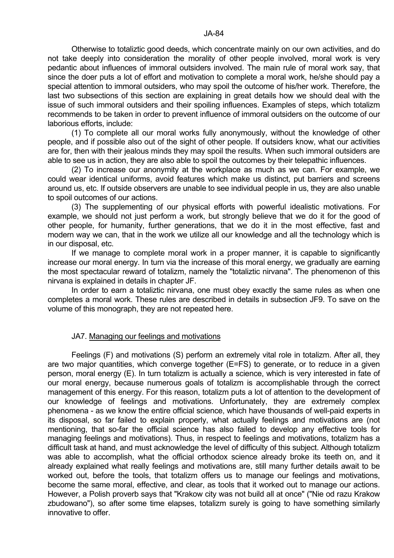Otherwise to totaliztic good deeds, which concentrate mainly on our own activities, and do not take deeply into consideration the morality of other people involved, moral work is very pedantic about influences of immoral outsiders involved. The main rule of moral work say, that since the doer puts a lot of effort and motivation to complete a moral work, he/she should pay a special attention to immoral outsiders, who may spoil the outcome of his/her work. Therefore, the last two subsections of this section are explaining in great details how we should deal with the issue of such immoral outsiders and their spoiling influences. Examples of steps, which totalizm recommends to be taken in order to prevent influence of immoral outsiders on the outcome of our laborious efforts, include:

 (1) To complete all our moral works fully anonymously, without the knowledge of other people, and if possible also out of the sight of other people. If outsiders know, what our activities are for, then with their jealous minds they may spoil the results. When such immoral outsiders are able to see us in action, they are also able to spoil the outcomes by their telepathic influences.

 (2) To increase our anonymity at the workplace as much as we can. For example, we could wear identical uniforms, avoid features which make us distinct, put barriers and screens around us, etc. If outside observers are unable to see individual people in us, they are also unable to spoil outcomes of our actions.

 (3) The supplementing of our physical efforts with powerful idealistic motivations. For example, we should not just perform a work, but strongly believe that we do it for the good of other people, for humanity, further generations, that we do it in the most effective, fast and modern way we can, that in the work we utilize all our knowledge and all the technology which is in our disposal, etc.

 If we manage to complete moral work in a proper manner, it is capable to significantly increase our moral energy. In turn via the increase of this moral energy, we gradually are earning the most spectacular reward of totalizm, namely the "totaliztic nirvana". The phenomenon of this nirvana is explained in details in chapter JF.

 In order to earn a totaliztic nirvana, one must obey exactly the same rules as when one completes a moral work. These rules are described in details in subsection JF9. To save on the volume of this monograph, they are not repeated here.

# JA7. Managing our feelings and motivations

 Feelings (F) and motivations (S) perform an extremely vital role in totalizm. After all, they are two major quantities, which converge together (E=FS) to generate, or to reduce in a given person, moral energy (E). In turn totalizm is actually a science, which is very interested in fate of our moral energy, because numerous goals of totalizm is accomplishable through the correct management of this energy. For this reason, totalizm puts a lot of attention to the development of our knowledge of feelings and motivations. Unfortunately, they are extremely complex phenomena - as we know the entire official science, which have thousands of well-paid experts in its disposal, so far failed to explain properly, what actually feelings and motivations are (not mentioning, that so-far the official science has also failed to develop any effective tools for managing feelings and motivations). Thus, in respect to feelings and motivations, totalizm has a difficult task at hand, and must acknowledge the level of difficulty of this subject. Although totalizm was able to accomplish, what the official orthodox science already broke its teeth on, and it already explained what really feelings and motivations are, still many further details await to be worked out, before the tools, that totalizm offers us to manage our feelings and motivations, become the same moral, effective, and clear, as tools that it worked out to manage our actions. However, a Polish proverb says that "Krakow city was not build all at once" ("Nie od razu Krakow zbudowano"), so after some time elapses, totalizm surely is going to have something similarly innovative to offer.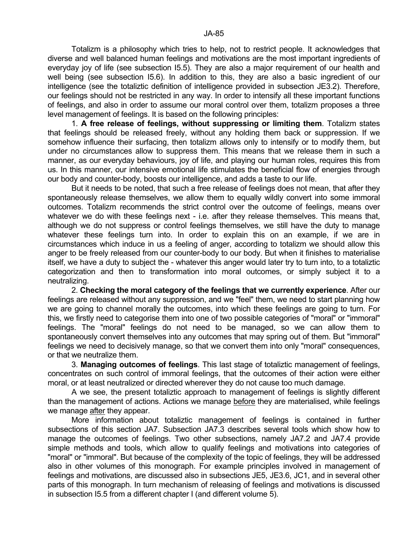Totalizm is a philosophy which tries to help, not to restrict people. It acknowledges that diverse and well balanced human feelings and motivations are the most important ingredients of everyday joy of life (see subsection I5.5). They are also a major requirement of our health and well being (see subsection I5.6). In addition to this, they are also a basic ingredient of our intelligence (see the totaliztic definition of intelligence provided in subsection JE3.2). Therefore, our feelings should not be restricted in any way. In order to intensify all these important functions of feelings, and also in order to assume our moral control over them, totalizm proposes a three level management of feelings. It is based on the following principles:

 1. **A free release of feelings, without suppressing or limiting them**. Totalizm states that feelings should be released freely, without any holding them back or suppression. If we somehow influence their surfacing, then totalizm allows only to intensify or to modify them, but under no circumstances allow to suppress them. This means that we release them in such a manner, as our everyday behaviours, joy of life, and playing our human roles, requires this from us. In this manner, our intensive emotional life stimulates the beneficial flow of energies through our body and counter-body, boosts our intelligence, and adds a taste to our life.

 But it needs to be noted, that such a free release of feelings does not mean, that after they spontaneously release themselves, we allow them to equally wildly convert into some immoral outcomes. Totalizm recommends the strict control over the outcome of feelings, means over whatever we do with these feelings next - i.e. after they release themselves. This means that, although we do not suppress or control feelings themselves, we still have the duty to manage whatever these feelings turn into. In order to explain this on an example, if we are in circumstances which induce in us a feeling of anger, according to totalizm we should allow this anger to be freely released from our counter-body to our body. But when it finishes to materialise itself, we have a duty to subject the - whatever this anger would later try to turn into, to a totaliztic categorization and then to transformation into moral outcomes, or simply subject it to a neutralizing.

 2. **Checking the moral category of the feelings that we currently experience**. After our feelings are released without any suppression, and we "feel" them, we need to start planning how we are going to channel morally the outcomes, into which these feelings are going to turn. For this, we firstly need to categorise them into one of two possible categories of "moral" or "immoral" feelings. The "moral" feelings do not need to be managed, so we can allow them to spontaneously convert themselves into any outcomes that may spring out of them. But "immoral" feelings we need to decisively manage, so that we convert them into only "moral" consequences, or that we neutralize them.

 3. **Managing outcomes of feelings**. This last stage of totaliztic management of feelings, concentrates on such control of immoral feelings, that the outcomes of their action were either moral, or at least neutralized or directed wherever they do not cause too much damage.

 A we see, the present totaliztic approach to management of feelings is slightly different than the management of actions. Actions we manage before they are materialised, while feelings we manage after they appear.

 More information about totaliztic management of feelings is contained in further subsections of this section JA7. Subsection JA7.3 describes several tools which show how to manage the outcomes of feelings. Two other subsections, namely JA7.2 and JA7.4 provide simple methods and tools, which allow to qualify feelings and motivations into categories of "moral" or "immoral". But because of the complexity of the topic of feelings, they will be addressed also in other volumes of this monograph. For example principles involved in management of feelings and motivations, are discussed also in subsections JE5, JE3.6, JC1, and in several other parts of this monograph. In turn mechanism of releasing of feelings and motivations is discussed in subsection I5.5 from a different chapter I (and different volume 5).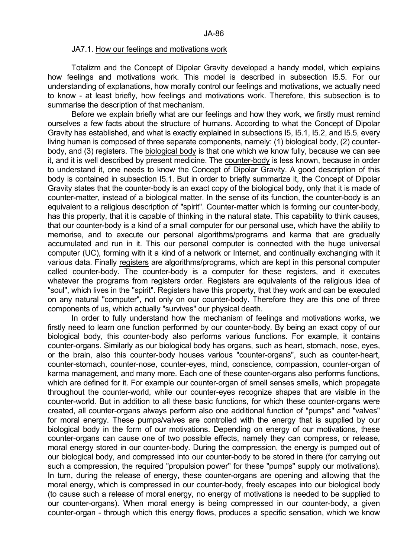#### JA7.1. How our feelings and motivations work

 Totalizm and the Concept of Dipolar Gravity developed a handy model, which explains how feelings and motivations work. This model is described in subsection I5.5. For our understanding of explanations, how morally control our feelings and motivations, we actually need to know - at least briefly, how feelings and motivations work. Therefore, this subsection is to summarise the description of that mechanism.

 Before we explain briefly what are our feelings and how they work, we firstly must remind ourselves a few facts about the structure of humans. According to what the Concept of Dipolar Gravity has established, and what is exactly explained in subsections I5, I5.1, I5.2, and I5.5, every living human is composed of three separate components, namely: (1) biological body, (2) counterbody, and (3) registers. The biological body is that one which we know fully, because we can see it, and it is well described by present medicine. The counter-body is less known, because in order to understand it, one needs to know the Concept of Dipolar Gravity. A good description of this body is contained in subsection I5.1. But in order to briefly summarize it, the Concept of Dipolar Gravity states that the counter-body is an exact copy of the biological body, only that it is made of counter-matter, instead of a biological matter. In the sense of its function, the counter-body is an equivalent to a religious description of "spirit". Counter-matter which is forming our counter-body, has this property, that it is capable of thinking in the natural state. This capability to think causes, that our counter-body is a kind of a small computer for our personal use, which have the ability to memorise, and to execute our personal algorithms/programs and karma that are gradually accumulated and run in it. This our personal computer is connected with the huge universal computer (UC), forming with it a kind of a network or Internet, and continually exchanging with it various data. Finally registers are algorithms/programs, which are kept in this personal computer called counter-body. The counter-body is a computer for these registers, and it executes whatever the programs from registers order. Registers are equivalents of the religious idea of "soul", which lives in the "spirit". Registers have this property, that they work and can be executed on any natural "computer", not only on our counter-body. Therefore they are this one of three components of us, which actually "survives" our physical death.

 In order to fully understand how the mechanism of feelings and motivations works, we firstly need to learn one function performed by our counter-body. By being an exact copy of our biological body, this counter-body also performs various functions. For example, it contains counter-organs. Similarly as our biological body has organs, such as heart, stomach, nose, eyes, or the brain, also this counter-body houses various "counter-organs", such as counter-heart, counter-stomach, counter-nose, counter-eyes, mind, conscience, compassion, counter-organ of karma management, and many more. Each one of these counter-organs also performs functions, which are defined for it. For example our counter-organ of smell senses smells, which propagate throughout the counter-world, while our counter-eyes recognize shapes that are visible in the counter-world. But in addition to all these basic functions, for which these counter-organs were created, all counter-organs always perform also one additional function of "pumps" and "valves" for moral energy. These pumps/valves are controlled with the energy that is supplied by our biological body in the form of our motivations. Depending on energy of our motivations, these counter-organs can cause one of two possible effects, namely they can compress, or release, moral energy stored in our counter-body. During the compression, the energy is pumped out of our biological body, and compressed into our counter-body to be stored in there (for carrying out such a compression, the required "propulsion power" for these "pumps" supply our motivations). In turn, during the release of energy, these counter-organs are opening and allowing that the moral energy, which is compressed in our counter-body, freely escapes into our biological body (to cause such a release of moral energy, no energy of motivations is needed to be supplied to our counter-organs). When moral energy is being compressed in our counter-body, a given counter-organ - through which this energy flows, produces a specific sensation, which we know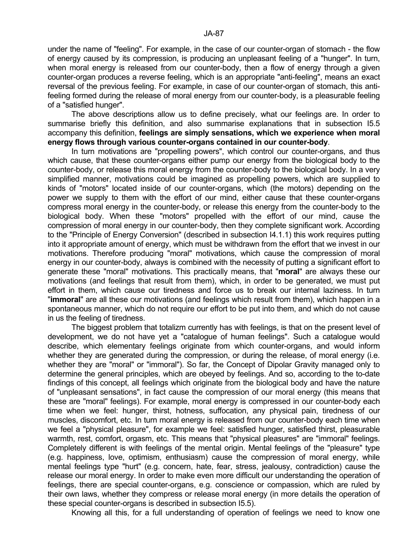under the name of "feeling". For example, in the case of our counter-organ of stomach - the flow of energy caused by its compression, is producing an unpleasant feeling of a "hunger". In turn, when moral energy is released from our counter-body, then a flow of energy through a given counter-organ produces a reverse feeling, which is an appropriate "anti-feeling", means an exact reversal of the previous feeling. For example, in case of our counter-organ of stomach, this antifeeling formed during the release of moral energy from our counter-body, is a pleasurable feeling of a "satisfied hunger".

 The above descriptions allow us to define precisely, what our feelings are. In order to summarise briefly this definition, and also summarise explanations that in subsection I5.5 accompany this definition, **feelings are simply sensations, which we experience when moral energy flows through various counter-organs contained in our counter-body**.

In turn motivations are "propelling powers", which control our counter-organs, and thus which cause, that these counter-organs either pump our energy from the biological body to the counter-body, or release this moral energy from the counter-body to the biological body. In a very simplified manner, motivations could be imagined as propelling powers, which are supplied to kinds of "motors" located inside of our counter-organs, which (the motors) depending on the power we supply to them with the effort of our mind, either cause that these counter-organs compress moral energy in the counter-body, or release this energy from the counter-body to the biological body. When these "motors" propelled with the effort of our mind, cause the compression of moral energy in our counter-body, then they complete significant work. According to the "Principle of Energy Conversion" (described in subsection I4.1.1) this work requires putting into it appropriate amount of energy, which must be withdrawn from the effort that we invest in our motivations. Therefore producing "moral" motivations, which cause the compression of moral energy in our counter-body, always is combined with the necessity of putting a significant effort to generate these "moral" motivations. This practically means, that "**moral**" are always these our motivations (and feelings that result from them), which, in order to be generated, we must put effort in them, which cause our tiredness and force us to break our internal laziness. In turn "**immoral**" are all these our motivations (and feelings which result from them), which happen in a spontaneous manner, which do not require our effort to be put into them, and which do not cause in us the feeling of tiredness.

 The biggest problem that totalizm currently has with feelings, is that on the present level of development, we do not have yet a "catalogue of human feelings". Such a catalogue would describe, which elementary feelings originate from which counter-organs, and would inform whether they are generated during the compression, or during the release, of moral energy (i.e. whether they are "moral" or "immoral"). So far, the Concept of Dipolar Gravity managed only to determine the general principles, which are obeyed by feelings. And so, according to the to-date findings of this concept, all feelings which originate from the biological body and have the nature of "unpleasant sensations", in fact cause the compression of our moral energy (this means that these are "moral" feelings). For example, moral energy is compressed in our counter-body each time when we feel: hunger, thirst, hotness, suffocation, any physical pain, tiredness of our muscles, discomfort, etc. In turn moral energy is released from our counter-body each time when we feel a "physical pleasure", for example we feel: satisfied hunger, satisfied thirst, pleasurable warmth, rest, comfort, orgasm, etc. This means that "physical pleasures" are "immoral" feelings. Completely different is with feelings of the mental origin. Mental feelings of the "pleasure" type (e.g. happiness, love, optimism, enthusiasm) cause the compression of moral energy, while mental feelings type "hurt" (e.g. concern, hate, fear, stress, jealousy, contradiction) cause the release our moral energy. In order to make even more difficult our understanding the operation of feelings, there are special counter-organs, e.g. conscience or compassion, which are ruled by their own laws, whether they compress or release moral energy (in more details the operation of these special counter-organs is described in subsection I5.5).

Knowing all this, for a full understanding of operation of feelings we need to know one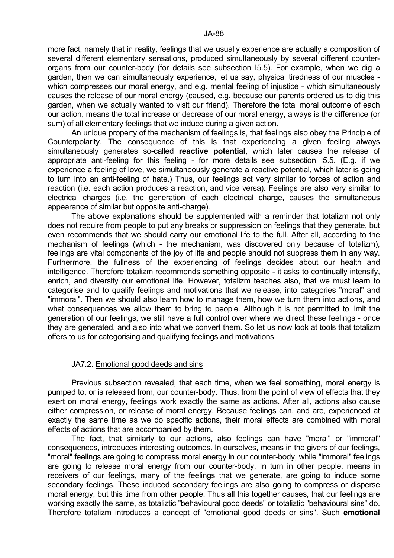more fact, namely that in reality, feelings that we usually experience are actually a composition of several different elementary sensations, produced simultaneously by several different counterorgans from our counter-body (for details see subsection I5.5). For example, when we dig a garden, then we can simultaneously experience, let us say, physical tiredness of our muscles which compresses our moral energy, and e.g. mental feeling of injustice - which simultaneously causes the release of our moral energy (caused, e.g. because our parents ordered us to dig this garden, when we actually wanted to visit our friend). Therefore the total moral outcome of each our action, means the total increase or decrease of our moral energy, always is the difference (or sum) of all elementary feelings that we induce during a given action.

 An unique property of the mechanism of feelings is, that feelings also obey the Principle of Counterpolarity. The consequence of this is that experiencing a given feeling always simultaneously generates so-called **reactive potential**, which later causes the release of appropriate anti-feeling for this feeling - for more details see subsection I5.5. (E.g. if we experience a feeling of love, we simultaneously generate a reactive potential, which later is going to turn into an anti-feeling of hate.) Thus, our feelings act very similar to forces of action and reaction (i.e. each action produces a reaction, and vice versa). Feelings are also very similar to electrical charges (i.e. the generation of each electrical charge, causes the simultaneous appearance of similar but opposite anti-charge).

 The above explanations should be supplemented with a reminder that totalizm not only does not require from people to put any breaks or suppression on feelings that they generate, but even recommends that we should carry our emotional life to the full. After all, according to the mechanism of feelings (which - the mechanism, was discovered only because of totalizm), feelings are vital components of the joy of life and people should not suppress them in any way. Furthermore, the fullness of the experiencing of feelings decides about our health and intelligence. Therefore totalizm recommends something opposite - it asks to continually intensify, enrich, and diversify our emotional life. However, totalizm teaches also, that we must learn to categorise and to qualify feelings and motivations that we release, into categories "moral" and "immoral". Then we should also learn how to manage them, how we turn them into actions, and what consequences we allow them to bring to people. Although it is not permitted to limit the generation of our feelings, we still have a full control over where we direct these feelings - once they are generated, and also into what we convert them. So let us now look at tools that totalizm offers to us for categorising and qualifying feelings and motivations.

#### JA7.2. Emotional good deeds and sins

 Previous subsection revealed, that each time, when we feel something, moral energy is pumped to, or is released from, our counter-body. Thus, from the point of view of effects that they exert on moral energy, feelings work exactly the same as actions. After all, actions also cause either compression, or release of moral energy. Because feelings can, and are, experienced at exactly the same time as we do specific actions, their moral effects are combined with moral effects of actions that are accompanied by them.

 The fact, that similarly to our actions, also feelings can have "moral" or "immoral" consequences, introduces interesting outcomes. In ourselves, means in the givers of our feelings, "moral" feelings are going to compress moral energy in our counter-body, while "immoral" feelings are going to release moral energy from our counter-body. In turn in other people, means in receivers of our feelings, many of the feelings that we generate, are going to induce some secondary feelings. These induced secondary feelings are also going to compress or disperse moral energy, but this time from other people. Thus all this together causes, that our feelings are working exactly the same, as totaliztic "behavioural good deeds" or totaliztic "behavioural sins" do. Therefore totalizm introduces a concept of "emotional good deeds or sins". Such **emotional**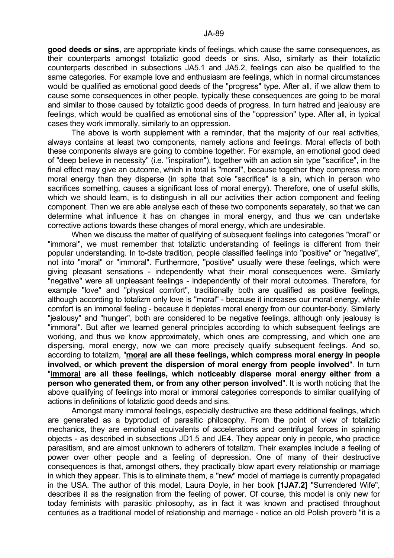**good deeds or sins**, are appropriate kinds of feelings, which cause the same consequences, as their counterparts amongst totaliztic good deeds or sins. Also, similarly as their totaliztic counterparts described in subsections JA5.1 and JA5.2, feelings can also be qualified to the same categories. For example love and enthusiasm are feelings, which in normal circumstances would be qualified as emotional good deeds of the "progress" type. After all, if we allow them to cause some consequences in other people, typically these consequences are going to be moral and similar to those caused by totaliztic good deeds of progress. In turn hatred and jealousy are feelings, which would be qualified as emotional sins of the "oppression" type. After all, in typical cases they work immorally, similarly to an oppression.

 The above is worth supplement with a reminder, that the majority of our real activities, always contains at least two components, namely actions and feelings. Moral effects of both these components always are going to combine together. For example, an emotional good deed of "deep believe in necessity" (i.e. "inspiration"), together with an action sin type "sacrifice", in the final effect may give an outcome, which in total is "moral", because together they compress more moral energy than they disperse (in spite that sole "sacrifice" is a sin, which in person who sacrifices something, causes a significant loss of moral energy). Therefore, one of useful skills, which we should learn, is to distinguish in all our activities their action component and feeling component. Then we are able analyse each of these two components separately, so that we can determine what influence it has on changes in moral energy, and thus we can undertake corrective actions towards these changes of moral energy, which are undesirable.

 When we discuss the matter of qualifying of subsequent feelings into categories "moral" or "immoral", we must remember that totaliztic understanding of feelings is different from their popular understanding. In to-date tradition, people classified feelings into "positive" or "negative", not into "moral" or "immoral". Furthermore, "positive" usually were these feelings, which were giving pleasant sensations - independently what their moral consequences were. Similarly "negative" were all unpleasant feelings - independently of their moral outcomes. Therefore, for example "love" and "physical comfort", traditionally both are qualified as positive feelings, although according to totalizm only love is "moral" - because it increases our moral energy, while comfort is an immoral feeling - because it depletes moral energy from our counter-body. Similarly "jealousy" and "hunger", both are considered to be negative feelings, although only jealousy is "immoral". But after we learned general principles according to which subsequent feelings are working, and thus we know approximately, which ones are compressing, and which one are dispersing, moral energy, now we can more precisely qualify subsequent feelings. And so, according to totalizm, "**moral are all these feelings, which compress moral energy in people involved, or which prevent the dispersion of moral energy from people involved**". In turn "**immoral are all these feelings, which noticeably disperse moral energy either from a person who generated them, or from any other person involved**". It is worth noticing that the above qualifying of feelings into moral or immoral categories corresponds to similar qualifying of actions in definitions of totaliztic good deeds and sins.

 Amongst many immoral feelings, especially destructive are these additional feelings, which are generated as a byproduct of parasitic philosophy. From the point of view of totaliztic mechanics, they are emotional equivalents of accelerations and centrifugal forces in spinning objects - as described in subsections JD1.5 and JE4. They appear only in people, who practice parasitism, and are almost unknown to adherers of totalizm. Their examples include a feeling of power over other people and a feeling of depression. One of many of their destructive consequences is that, amongst others, they practically blow apart every relationship or marriage in which they appear. This is to eliminate them, a "new" model of marriage is currently propagated in the USA. The author of this model, Laura Doyle, in her book **[1JA7.2]** "Surrendered Wife", describes it as the resignation from the feeling of power. Of course, this model is only new for today feminists with parasitic philosophy, as in fact it was known and practised throughout centuries as a traditional model of relationship and marriage - notice an old Polish proverb "it is a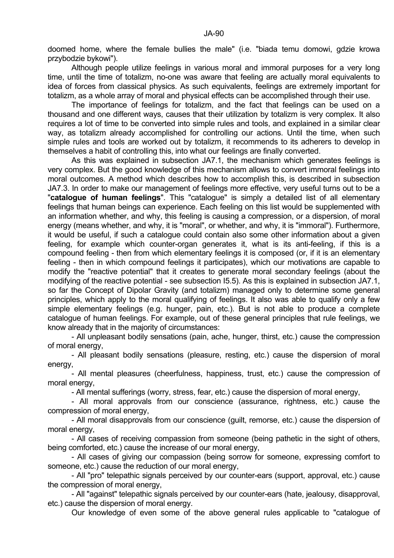doomed home, where the female bullies the male" (i.e. "biada temu domowi, gdzie krowa przybodzie bykowi").

 Although people utilize feelings in various moral and immoral purposes for a very long time, until the time of totalizm, no-one was aware that feeling are actually moral equivalents to idea of forces from classical physics. As such equivalents, feelings are extremely important for totalizm, as a whole array of moral and physical effects can be accomplished through their use.

 The importance of feelings for totalizm, and the fact that feelings can be used on a thousand and one different ways, causes that their utilization by totalizm is very complex. It also requires a lot of time to be converted into simple rules and tools, and explained in a similar clear way, as totalizm already accomplished for controlling our actions. Until the time, when such simple rules and tools are worked out by totalizm, it recommends to its adherers to develop in themselves a habit of controlling this, into what our feelings are finally converted.

 As this was explained in subsection JA7.1, the mechanism which generates feelings is very complex. But the good knowledge of this mechanism allows to convert immoral feelings into moral outcomes. A method which describes how to accomplish this, is described in subsection JA7.3. In order to make our management of feelings more effective, very useful turns out to be a "**catalogue of human feelings**". This "catalogue" is simply a detailed list of all elementary feelings that human beings can experience. Each feeling on this list would be supplemented with an information whether, and why, this feeling is causing a compression, or a dispersion, of moral energy (means whether, and why, it is "moral", or whether, and why, it is "immoral"). Furthermore, it would be useful, if such a catalogue could contain also some other information about a given feeling, for example which counter-organ generates it, what is its anti-feeling, if this is a compound feeling - then from which elementary feelings it is composed (or, if it is an elementary feeling - then in which compound feelings it participates), which our motivations are capable to modify the "reactive potential" that it creates to generate moral secondary feelings (about the modifying of the reactive potential - see subsection I5.5). As this is explained in subsection JA7.1, so far the Concept of Dipolar Gravity (and totalizm) managed only to determine some general principles, which apply to the moral qualifying of feelings. It also was able to qualify only a few simple elementary feelings (e.g. hunger, pain, etc.). But is not able to produce a complete catalogue of human feelings. For example, out of these general principles that rule feelings, we know already that in the majority of circumstances:

 - All unpleasant bodily sensations (pain, ache, hunger, thirst, etc.) cause the compression of moral energy,

 - All pleasant bodily sensations (pleasure, resting, etc.) cause the dispersion of moral energy,

 - All mental pleasures (cheerfulness, happiness, trust, etc.) cause the compression of moral energy,

- All mental sufferings (worry, stress, fear, etc.) cause the dispersion of moral energy,

 - All moral approvals from our conscience (assurance, rightness, etc.) cause the compression of moral energy,

 - All moral disapprovals from our conscience (guilt, remorse, etc.) cause the dispersion of moral energy,

 - All cases of receiving compassion from someone (being pathetic in the sight of others, being comforted, etc.) cause the increase of our moral energy,

 - All cases of giving our compassion (being sorrow for someone, expressing comfort to someone, etc.) cause the reduction of our moral energy,

 - All "pro" telepathic signals perceived by our counter-ears (support, approval, etc.) cause the compression of moral energy,

 - All "against" telepathic signals perceived by our counter-ears (hate, jealousy, disapproval, etc.) cause the dispersion of moral energy.

Our knowledge of even some of the above general rules applicable to "catalogue of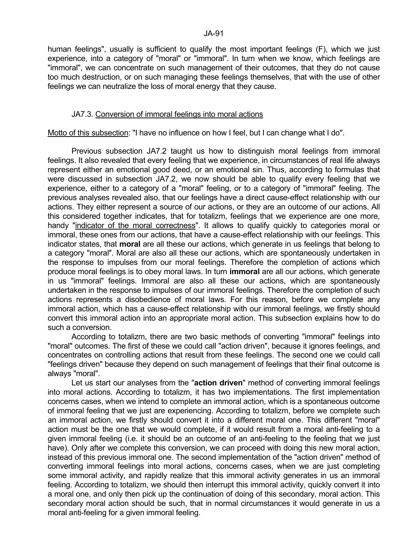human feelings", usually is sufficient to qualify the most important feelings (F), which we just experience, into a category of "moral" or "immoral". In turn when we know, which feelings are "immoral", we can concentrate on such management of their outcomes, that they do not cause too much destruction, or on such managing these feelings themselves, that with the use of other feelings we can neutralize the loss of moral energy that they cause.

# JA7.3. Conversion of immoral feelings into moral actions

Motto of this subsection: "I have no influence on how I feel, but I can change what I do".

 Previous subsection JA7.2 taught us how to distinguish moral feelings from immoral feelings. It also revealed that every feeling that we experience, in circumstances of real life always represent either an emotional good deed, or an emotional sin. Thus, according to formulas that were discussed in subsection JA7.2, we now should be able to qualify every feeling that we experience, either to a category of a "moral" feeling, or to a category of "immoral" feeling. The previous analyses revealed also, that our feelings have a direct cause-effect relationship with our actions. They either represent a source of our actions, or they are an outcome of our actions. All this considered together indicates, that for totalizm, feelings that we experience are one more, handy "indicator of the moral correctness". It allows to qualify quickly to categories moral or immoral, these ones from our actions, that have a cause-effect relationship with our feelings. This indicator states, that **moral** are all these our actions, which generate in us feelings that belong to a category "moral". Moral are also all these our actions, which are spontaneously undertaken in the response to impulses from our moral feelings. Therefore the completion of actions which produce moral feelings is to obey moral laws. In turn **immoral** are all our actions, which generate in us "immoral" feelings. Immoral are also all these our actions, which are spontaneously undertaken in the response to impulses of our immoral feelings. Therefore the completion of such actions represents a disobedience of moral laws. For this reason, before we complete any immoral action, which has a cause-effect relationship with our immoral feelings, we firstly should convert this immoral action into an appropriate moral action. This subsection explains how to do such a conversion.

 According to totalizm, there are two basic methods of converting "immoral" feelings into "moral" outcomes. The first of these we could call "action driven", because it ignores feelings, and concentrates on controlling actions that result from these feelings. The second one we could call "feelings driven" because they depend on such management of feelings that their final outcome is always "moral".

 Let us start our analyses from the "**action driven**" method of converting immoral feelings into moral actions. According to totalizm, it has two implementations. The first implementation concerns cases, when we intend to complete an immoral action, which is a spontaneous outcome of immoral feeling that we just are experiencing. According to totalizm, before we complete such an immoral action, we firstly should convert it into a different moral one. This different "moral" action must be the one that we would complete, if it would result from a moral anti-feeling to a given immoral feeling (i.e. it should be an outcome of an anti-feeling to the feeling that we just have). Only after we complete this conversion, we can proceed with doing this new moral action, instead of this previous immoral one. The second implementation of the "action driven" method of converting immoral feelings into moral actions, concerns cases, when we are just completing some immoral activity, and rapidly realize that this immoral activity generates in us an immoral feeling. According to totalizm, we should then interrupt this immoral activity, quickly convert it into a moral one, and only then pick up the continuation of doing of this secondary, moral action. This secondary moral action should be such, that in normal circumstances it would generate in us a moral anti-feeling for a given immoral feeling.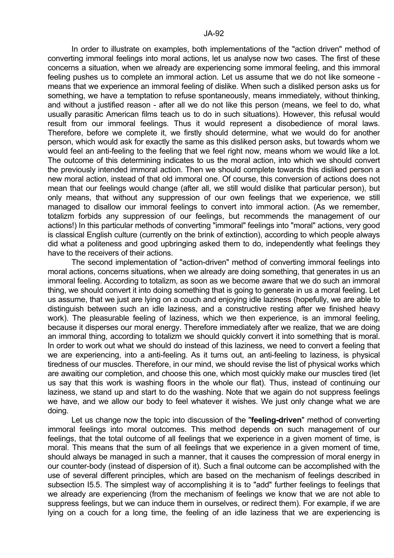In order to illustrate on examples, both implementations of the "action driven" method of converting immoral feelings into moral actions, let us analyse now two cases. The first of these concerns a situation, when we already are experiencing some immoral feeling, and this immoral feeling pushes us to complete an immoral action. Let us assume that we do not like someone means that we experience an immoral feeling of dislike. When such a disliked person asks us for something, we have a temptation to refuse spontaneously, means immediately, without thinking, and without a justified reason - after all we do not like this person (means, we feel to do, what usually parasitic American films teach us to do in such situations). However, this refusal would result from our immoral feelings. Thus it would represent a disobedience of moral laws. Therefore, before we complete it, we firstly should determine, what we would do for another person, which would ask for exactly the same as this disliked person asks, but towards whom we would feel an anti-feeling to the feeling that we feel right now, means whom we would like a lot. The outcome of this determining indicates to us the moral action, into which we should convert the previously intended immoral action. Then we should complete towards this disliked person a new moral action, instead of that old immoral one. Of course, this conversion of actions does not mean that our feelings would change (after all, we still would dislike that particular person), but only means, that without any suppression of our own feelings that we experience, we still managed to disallow our immoral feelings to convert into immoral action. (As we remember, totalizm forbids any suppression of our feelings, but recommends the management of our actions!) In this particular methods of converting "immoral" feelings into "moral" actions, very good is classical English culture (currently on the brink of extinction), according to which people always did what a politeness and good upbringing asked them to do, independently what feelings they have to the receivers of their actions.

 The second implementation of "action-driven" method of converting immoral feelings into moral actions, concerns situations, when we already are doing something, that generates in us an immoral feeling. According to totalizm, as soon as we become aware that we do such an immoral thing, we should convert it into doing something that is going to generate in us a moral feeling. Let us assume, that we just are lying on a couch and enjoying idle laziness (hopefully, we are able to distinguish between such an idle laziness, and a constructive resting after we finished heavy work). The pleasurable feeling of laziness, which we then experience, is an immoral feeling, because it disperses our moral energy. Therefore immediately after we realize, that we are doing an immoral thing, according to totalizm we should quickly convert it into something that is moral. In order to work out what we should do instead of this laziness, we need to convert a feeling that we are experiencing, into a anti-feeling. As it turns out, an anti-feeling to laziness, is physical tiredness of our muscles. Therefore, in our mind, we should revise the list of physical works which are awaiting our completion, and choose this one, which most quickly make our muscles tired (let us say that this work is washing floors in the whole our flat). Thus, instead of continuing our laziness, we stand up and start to do the washing. Note that we again do not suppress feelings we have, and we allow our body to feel whatever it wishes. We just only change what we are doing.

 Let us change now the topic into discussion of the "**feeling-driven**" method of converting immoral feelings into moral outcomes. This method depends on such management of our feelings, that the total outcome of all feelings that we experience in a given moment of time, is moral. This means that the sum of all feelings that we experience in a given moment of time, should always be managed in such a manner, that it causes the compression of moral energy in our counter-body (instead of dispersion of it). Such a final outcome can be accomplished with the use of several different principles, which are based on the mechanism of feelings described in subsection I5.5. The simplest way of accomplishing it is to "add" further feelings to feelings that we already are experiencing (from the mechanism of feelings we know that we are not able to suppress feelings, but we can induce them in ourselves, or redirect them). For example, if we are lying on a couch for a long time, the feeling of an idle laziness that we are experiencing is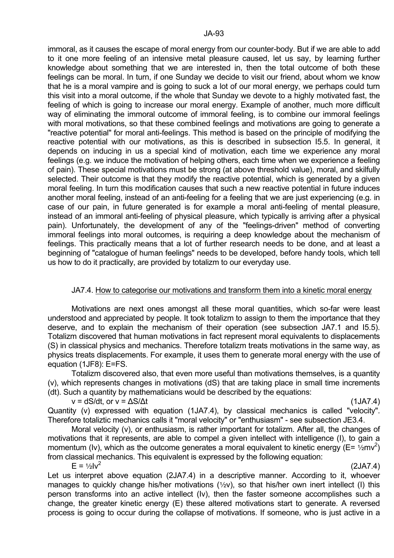immoral, as it causes the escape of moral energy from our counter-body. But if we are able to add to it one more feeling of an intensive metal pleasure caused, let us say, by learning further knowledge about something that we are interested in, then the total outcome of both these feelings can be moral. In turn, if one Sunday we decide to visit our friend, about whom we know that he is a moral vampire and is going to suck a lot of our moral energy, we perhaps could turn this visit into a moral outcome, if the whole that Sunday we devote to a highly motivated fast, the feeling of which is going to increase our moral energy. Example of another, much more difficult way of eliminating the immoral outcome of immoral feeling, is to combine our immoral feelings with moral motivations, so that these combined feelings and motivations are going to generate a "reactive potential" for moral anti-feelings. This method is based on the principle of modifying the reactive potential with our motivations, as this is described in subsection I5.5. In general, it depends on inducing in us a special kind of motivation, each time we experience any moral feelings (e.g. we induce the motivation of helping others, each time when we experience a feeling of pain). These special motivations must be strong (at above threshold value), moral, and skilfully selected. Their outcome is that they modify the reactive potential, which is generated by a given moral feeling. In turn this modification causes that such a new reactive potential in future induces another moral feeling, instead of an anti-feeling for a feeling that we are just experiencing (e.g. in case of our pain, in future generated is for example a moral anti-feeling of mental pleasure, instead of an immoral anti-feeling of physical pleasure, which typically is arriving after a physical pain). Unfortunately, the development of any of the "feelings-driven" method of converting immoral feelings into moral outcomes, is requiring a deep knowledge about the mechanism of feelings. This practically means that a lot of further research needs to be done, and at least a beginning of "catalogue of human feelings" needs to be developed, before handy tools, which tell us how to do it practically, are provided by totalizm to our everyday use.

# JA7.4. How to categorise our motivations and transform them into a kinetic moral energy

 Motivations are next ones amongst all these moral quantities, which so-far were least understood and appreciated by people. It took totalizm to assign to them the importance that they deserve, and to explain the mechanism of their operation (see subsection JA7.1 and I5.5). Totalizm discovered that human motivations in fact represent moral equivalents to displacements (S) in classical physics and mechanics. Therefore totalizm treats motivations in the same way, as physics treats displacements. For example, it uses them to generate moral energy with the use of equation (1JF8): E=FS.

 Totalizm discovered also, that even more useful than motivations themselves, is a quantity (v), which represents changes in motivations (dS) that are taking place in small time increments (dt). Such a quantity by mathematicians would be described by the equations:

 $v = dS/dt$ , or  $v = \Delta S/\Delta t$  (1JA7.4)

Quantity (v) expressed with equation (1JA7.4), by classical mechanics is called "velocity". Therefore totaliztic mechanics calls it "moral velocity" or "enthusiasm" - see subsection JE3.4.

 Moral velocity (v), or enthusiasm, is rather important for totalizm. After all, the changes of motivations that it represents, are able to compel a given intellect with intelligence (I), to gain a momentum (Iv), which as the outcome generates a moral equivalent to kinetic energy ( $E = \frac{1}{2}mv^2$ ) from classical mechanics. This equivalent is expressed by the following equation:  $E = \frac{1}{2} |v^2|$ 

(2JA7.4)

Let us interpret above equation (2JA7.4) in a descriptive manner. According to it, whoever manages to quickly change his/her motivations  $(1/2V)$ , so that his/her own inert intellect (I) this person transforms into an active intellect (Iv), then the faster someone accomplishes such a change, the greater kinetic energy (E) these altered motivations start to generate. A reversed process is going to occur during the collapse of motivations. If someone, who is just active in a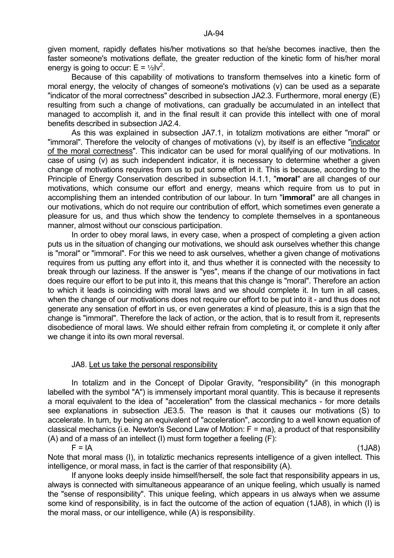given moment, rapidly deflates his/her motivations so that he/she becomes inactive, then the faster someone's motivations deflate, the greater reduction of the kinetic form of his/her moral energy is going to occur:  $E = \frac{1}{2}Iv^2$ .

 Because of this capability of motivations to transform themselves into a kinetic form of moral energy, the velocity of changes of someone's motivations (v) can be used as a separate "indicator of the moral correctness" described in subsection JA2.3. Furthermore, moral energy (E) resulting from such a change of motivations, can gradually be accumulated in an intellect that managed to accomplish it, and in the final result it can provide this intellect with one of moral benefits described in subsection JA2.4.

 As this was explained in subsection JA7.1, in totalizm motivations are either "moral" or "immoral". Therefore the velocity of changes of motivations (v), by itself is an effective "indicator of the moral correctness". This indicator can be used for moral qualifying of our motivations. In case of using (v) as such independent indicator, it is necessary to determine whether a given change of motivations requires from us to put some effort in it. This is because, according to the Principle of Energy Conservation described in subsection I4.1.1, "**moral**" are all changes of our motivations, which consume our effort and energy, means which require from us to put in accomplishing them an intended contribution of our labour. In turn "**immoral**" are all changes in our motivations, which do not require our contribution of effort, which sometimes even generate a pleasure for us, and thus which show the tendency to complete themselves in a spontaneous manner, almost without our conscious participation.

 In order to obey moral laws, in every case, when a prospect of completing a given action puts us in the situation of changing our motivations, we should ask ourselves whether this change is "moral" or "immoral". For this we need to ask ourselves, whether a given change of motivations requires from us putting any effort into it, and thus whether it is connected with the necessity to break through our laziness. If the answer is "yes", means if the change of our motivations in fact does require our effort to be put into it, this means that this change is "moral". Therefore an action to which it leads is coinciding with moral laws and we should complete it. In turn in all cases, when the change of our motivations does not require our effort to be put into it - and thus does not generate any sensation of effort in us, or even generates a kind of pleasure, this is a sign that the change is "immoral". Therefore the lack of action, or the action, that is to result from it, represents disobedience of moral laws. We should either refrain from completing it, or complete it only after we change it into its own moral reversal.

#### JA8. Let us take the personal responsibility

 In totalizm and in the Concept of Dipolar Gravity, "responsibility" (in this monograph labelled with the symbol "A") is immensely important moral quantity. This is because it represents a moral equivalent to the idea of "acceleration" from the classical mechanics - for more details see explanations in subsection JE3.5. The reason is that it causes our motivations (S) to accelerate. In turn, by being an equivalent of "acceleration", according to a well known equation of classical mechanics (i.e. Newton's Second Law of Motion:  $F = ma$ ), a product of that responsibility (A) and of a mass of an intellect (I) must form together a feeling (F):

 $F = IA$  (1JA8)

Note that moral mass (I), in totaliztic mechanics represents intelligence of a given intellect. This intelligence, or moral mass, in fact is the carrier of that responsibility (A).

 If anyone looks deeply inside himself/herself, the sole fact that responsibility appears in us, always is connected with simultaneous appearance of an unique feeling, which usually is named the "sense of responsibility". This unique feeling, which appears in us always when we assume some kind of responsibility, is in fact the outcome of the action of equation (1JA8), in which (I) is the moral mass, or our intelligence, while (A) is responsibility.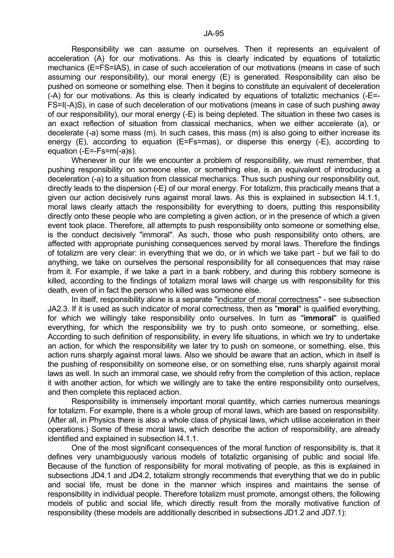Responsibility we can assume on ourselves. Then it represents an equivalent of acceleration (A) for our motivations. As this is clearly indicated by equations of totaliztic mechanics (E=FS=IAS), in case of such acceleration of our motivations (means in case of such assuming our responsibility), our moral energy (E) is generated. Responsibility can also be pushed on someone or something else. Then it begins to constitute an equivalent of deceleration (-A) for our motivations. As this is clearly indicated by equations of totaliztic mechanics (-E=- FS=I(-A)S), in case of such deceleration of our motivations (means in case of such pushing away of our responsibility), our moral energy (-E) is being depleted. The situation in these two cases is an exact reflection of situation from classical mechanics, when we either accelerate (a), or decelerate (-a) some mass (m). In such cases, this mass (m) is also going to either increase its energy (E), according to equation (E=Fs=mas), or disperse this energy (-E), according to equation (-E=-Fs=m(-a)s).

 Whenever in our life we encounter a problem of responsibility, we must remember, that pushing responsibility on someone else, or something else, is an equivalent of introducing a deceleration (-a) to a situation from classical mechanics. Thus such pushing our responsibility out, directly leads to the dispersion (-E) of our moral energy. For totalizm, this practically means that a given our action decisively runs against moral laws. As this is explained in subsection I4.1.1, moral laws clearly attach the responsibility for everything to doers, putting this responsibility directly onto these people who are completing a given action, or in the presence of which a given event took place. Therefore, all attempts to push responsibility onto someone or something else, is the conduct decisively "immoral". As such, those who push responsibility onto others, are affected with appropriate punishing consequences served by moral laws. Therefore the findings of totalizm are very clear: in everything that we do, or in which we take part - but we fail to do anything, we take on ourselves the personal responsibility for all consequences that may raise from it. For example, if we take a part in a bank robbery, and during this robbery someone is killed, according to the findings of totalizm moral laws will charge us with responsibility for this death, even of in fact the person who killed was someone else.

 In itself, responsibility alone is a separate "indicator of moral correctness" - see subsection JA2.3. If it is used as such indicator of moral correctness, then as "**moral**" is qualified everything, for which we willingly take responsibility onto ourselves. In turn as "**immoral**" is qualified everything, for which the responsibility we try to push onto someone, or something, else. According to such definition of responsibility, in every life situations, in which we try to undertake an action, for which the responsibility we later try to push on someone, or something, else, this action runs sharply against moral laws. Also we should be aware that an action, which in itself is the pushing of responsibility on someone else, or on something else, runs sharply against moral laws as well. In such an immoral case, we should refry from the completion of this action, replace it with another action, for which we willingly are to take the entire responsibility onto ourselves, and then complete this replaced action.

 Responsibility is immensely important moral quantity, which carries numerous meanings for totalizm. For example, there is a whole group of moral laws, which are based on responsibility. (After all, in Physics there is also a whole class of physical laws, which utilise acceleration in their operations.) Some of these moral laws, which describe the action of responsibility, are already identified and explained in subsection I4.1.1.

 One of the most significant consequences of the moral function of responsibility is, that it defines very unambiguously various models of totaliztic organising of public and social life. Because of the function of responsibility for moral motivating of people, as this is explained in subsections JD4.1 and JD4.2, totalizm strongly recommends that everything that we do in public and social life, must be done in the manner which inspires and maintains the sense of responsibility in individual people. Therefore totalizm must promote, amongst others, the following models of public and social life, which directly result from the morally motivative function of responsibility (these models are additionally described in subsections JD1.2 and JD7.1):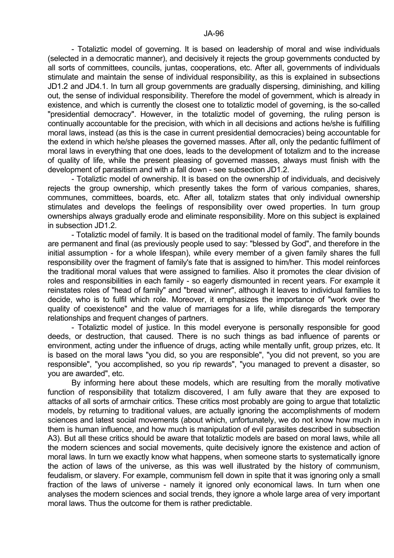- Totaliztic model of governing. It is based on leadership of moral and wise individuals (selected in a democratic manner), and decisively it rejects the group governments conducted by all sorts of committees, councils, juntas, cooperations, etc. After all, governments of individuals stimulate and maintain the sense of individual responsibility, as this is explained in subsections JD1.2 and JD4.1. In turn all group governments are gradually dispersing, diminishing, and killing out, the sense of individual responsibility. Therefore the model of government, which is already in existence, and which is currently the closest one to totaliztic model of governing, is the so-called "presidential democracy". However, in the totaliztic model of governing, the ruling person is continually accountable for the precision, with which in all decisions and actions he/she is fulfilling moral laws, instead (as this is the case in current presidential democracies) being accountable for the extend in which he/she pleases the governed masses. After all, only the pedantic fulfilment of moral laws in everything that one does, leads to the development of totalizm and to the increase of quality of life, while the present pleasing of governed masses, always must finish with the

development of parasitism and with a fall down - see subsection JD1.2. - Totaliztic model of ownership. It is based on the ownership of individuals, and decisively rejects the group ownership, which presently takes the form of various companies, shares, communes, committees, boards, etc. After all, totalizm states that only individual ownership stimulates and develops the feelings of responsibility over owed properties. In turn group ownerships always gradually erode and eliminate responsibility. More on this subject is explained in subsection JD1.2.

 - Totaliztic model of family. It is based on the traditional model of family. The family bounds are permanent and final (as previously people used to say: "blessed by God", and therefore in the initial assumption - for a whole lifespan), while every member of a given family shares the full responsibility over the fragment of family's fate that is assigned to him/her. This model reinforces the traditional moral values that were assigned to families. Also it promotes the clear division of roles and responsibilities in each family - so eagerly dismounted in recent years. For example it reinstates roles of "head of family" and "bread winner", although it leaves to individual families to decide, who is to fulfil which role. Moreover, it emphasizes the importance of "work over the quality of coexistence" and the value of marriages for a life, while disregards the temporary relationships and frequent changes of partners.

 - Totaliztic model of justice. In this model everyone is personally responsible for good deeds, or destruction, that caused. There is no such things as bad influence of parents or environment, acting under the influence of drugs, acting while mentally unfit, group prizes, etc. It is based on the moral laws "you did, so you are responsible", "you did not prevent, so you are responsible", "you accomplished, so you rip rewards", "you managed to prevent a disaster, so you are awarded", etc.

 By informing here about these models, which are resulting from the morally motivative function of responsibility that totalizm discovered, I am fully aware that they are exposed to attacks of all sorts of armchair critics. These critics most probably are going to argue that totaliztic models, by returning to traditional values, are actually ignoring the accomplishments of modern sciences and latest social movements (about which, unfortunately, we do not know how much in them is human influence, and how much is manipulation of evil parasites described in subsection A3). But all these critics should be aware that totaliztic models are based on moral laws, while all the modern sciences and social movements, quite decisively ignore the existence and action of moral laws. In turn we exactly know what happens, when someone starts to systematically ignore the action of laws of the universe, as this was well illustrated by the history of communism, feudalism, or slavery. For example, communism fell down in spite that it was ignoring only a small fraction of the laws of universe - namely it ignored only economical laws. In turn when one analyses the modern sciences and social trends, they ignore a whole large area of very important moral laws. Thus the outcome for them is rather predictable.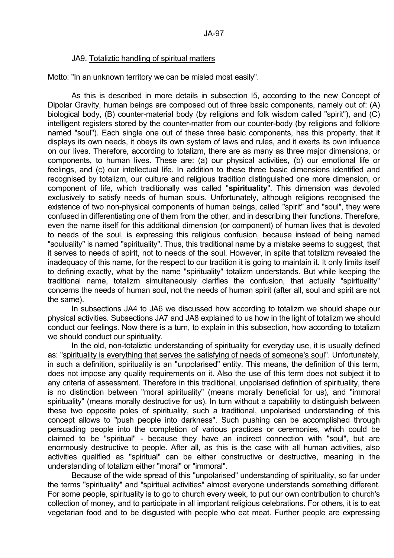### JA9. Totaliztic handling of spiritual matters

Motto: "In an unknown territory we can be misled most easily".

 As this is described in more details in subsection I5, according to the new Concept of Dipolar Gravity, human beings are composed out of three basic components, namely out of: (A) biological body, (B) counter-material body (by religions and folk wisdom called "spirit"), and (C) intelligent registers stored by the counter-matter from our counter-body (by religions and folklore named "soul"). Each single one out of these three basic components, has this property, that it displays its own needs, it obeys its own system of laws and rules, and it exerts its own influence on our lives. Therefore, according to totalizm, there are as many as three major dimensions, or components, to human lives. These are: (a) our physical activities, (b) our emotional life or feelings, and (c) our intellectual life. In addition to these three basic dimensions identified and recognised by totalizm, our culture and religious tradition distinguished one more dimension, or component of life, which traditionally was called "**spirituality**". This dimension was devoted exclusively to satisfy needs of human souls. Unfortunately, although religions recognised the existence of two non-physical components of human beings, called "spirit" and "soul", they were confused in differentiating one of them from the other, and in describing their functions. Therefore, even the name itself for this additional dimension (or component) of human lives that is devoted to needs of the soul, is expressing this religious confusion, because instead of being named "souluality" is named "spirituality". Thus, this traditional name by a mistake seems to suggest, that it serves to needs of spirit, not to needs of the soul. However, in spite that totalizm revealed the inadequacy of this name, for the respect to our tradition it is going to maintain it. It only limits itself to defining exactly, what by the name "spirituality" totalizm understands. But while keeping the traditional name, totalizm simultaneously clarifies the confusion, that actually "spirituality" concerns the needs of human soul, not the needs of human spirit (after all, soul and spirit are not the same).

 In subsections JA4 to JA6 we discussed how according to totalizm we should shape our physical activities. Subsections JA7 and JA8 explained to us how in the light of totalizm we should conduct our feelings. Now there is a turn, to explain in this subsection, how according to totalizm we should conduct our spirituality.

 In the old, non-totaliztic understanding of spirituality for everyday use, it is usually defined as: "spirituality is everything that serves the satisfying of needs of someone's soul". Unfortunately, in such a definition, spirituality is an "unpolarised" entity. This means, the definition of this term, does not impose any quality requirements on it. Also the use of this term does not subject it to any criteria of assessment. Therefore in this traditional, unpolarised definition of spirituality, there is no distinction between "moral spirituality" (means morally beneficial for us), and "immoral spirituality" (means morally destructive for us). In turn without a capability to distinguish between these two opposite poles of spirituality, such a traditional, unpolarised understanding of this concept allows to "push people into darkness". Such pushing can be accomplished through persuading people into the completion of various practices or ceremonies, which could be claimed to be "spiritual" - because they have an indirect connection with "soul", but are enormously destructive to people. After all, as this is the case with all human activities, also activities qualified as "spiritual" can be either constructive or destructive, meaning in the understanding of totalizm either "moral" or "immoral".

 Because of the wide spread of this "unpolarised" understanding of spirituality, so far under the terms "spirituality" and "spiritual activities" almost everyone understands something different. For some people, spirituality is to go to church every week, to put our own contribution to church's collection of money, and to participate in all important religious celebrations. For others, it is to eat vegetarian food and to be disgusted with people who eat meat. Further people are expressing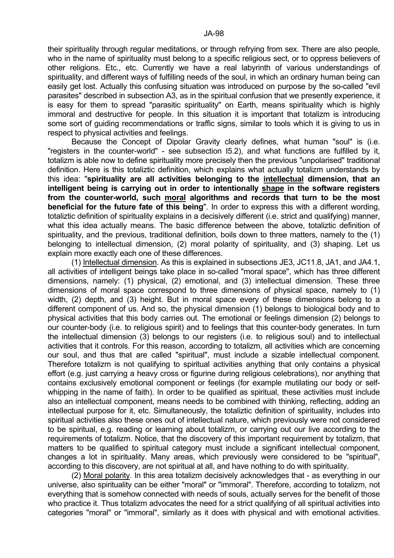their spirituality through regular meditations, or through refrying from sex. There are also people, who in the name of spirituality must belong to a specific religious sect, or to oppress believers of other religions. Etc., etc. Currently we have a real labyrinth of various understandings of spirituality, and different ways of fulfilling needs of the soul, in which an ordinary human being can easily get lost. Actually this confusing situation was introduced on purpose by the so-called "evil parasites" described in subsection A3, as in the spiritual confusion that we presently experience, it is easy for them to spread "parasitic spirituality" on Earth, means spirituality which is highly immoral and destructive for people. In this situation it is important that totalizm is introducing some sort of guiding recommendations or traffic signs, similar to tools which it is giving to us in respect to physical activities and feelings.

 Because the Concept of Dipolar Gravity clearly defines, what human "soul" is (i.e. "registers in the counter-world" - see subsection I5.2), and what functions are fulfilled by it, totalizm is able now to define spirituality more precisely then the previous "unpolarised" traditional definition. Here is this totaliztic definition, which explains what actually totalizm understands by this idea: "**spirituality are all activities belonging to the intellectual dimension, that an intelligent being is carrying out in order to intentionally shape in the software registers from the counter-world, such moral algorithms and records that turn to be the most beneficial for the future fate of this being**". In order to express this with a different wording, totaliztic definition of spirituality explains in a decisively different (i.e. strict and qualifying) manner, what this idea actually means. The basic difference between the above, totaliztic definition of spirituality, and the previous, traditional definition, boils down to three matters, namely to the (1) belonging to intellectual dimension, (2) moral polarity of spirituality, and (3) shaping. Let us explain more exactly each one of these differences.

 (1) Intellectual dimension. As this is explained in subsections JE3, JC11.8, JA1, and JA4.1, all activities of intelligent beings take place in so-called "moral space", which has three different dimensions, namely: (1) physical, (2) emotional, and (3) intellectual dimension. These three dimensions of moral space correspond to three dimensions of physical space, namely to (1) width, (2) depth, and (3) height. But in moral space every of these dimensions belong to a different component of us. And so, the physical dimension (1) belongs to biological body and to physical activities that this body carries out. The emotional or feelings dimension (2) belongs to our counter-body (i.e. to religious spirit) and to feelings that this counter-body generates. In turn the intellectual dimension (3) belongs to our registers (i.e. to religious soul) and to intellectual activities that it controls. For this reason, according to totalizm, all activities which are concerning our soul, and thus that are called "spiritual", must include a sizable intellectual component. Therefore totalizm is not qualifying to spiritual activities anything that only contains a physical effort (e.g. just carrying a heavy cross or figurine during religious celebrations), nor anything that contains exclusively emotional component or feelings (for example mutilating our body or selfwhipping in the name of faith). In order to be qualified as spiritual, these activities must include also an intellectual component, means needs to be combined with thinking, reflecting, adding an intellectual purpose for it, etc. Simultaneously, the totaliztic definition of spirituality, includes into spiritual activities also these ones out of intellectual nature, which previously were not considered to be spiritual, e.g. reading or learning about totalizm, or carrying out our live according to the requirements of totalizm. Notice, that the discovery of this important requirement by totalizm, that matters to be qualified to spiritual category must include a significant intellectual component, changes a lot in spirituality. Many areas, which previously were considered to be "spiritual", according to this discovery, are not spiritual at all, and have nothing to do with spirituality.

 (2) Moral polarity. In this area totalizm decisively acknowledges that - as everything in our universe, also spirituality can be either "moral" or "immoral". Therefore, according to totalizm, not everything that is somehow connected with needs of souls, actually serves for the benefit of those who practice it. Thus totalizm advocates the need for a strict qualifying of all spiritual activities into categories "moral" or "immoral", similarly as it does with physical and with emotional activities.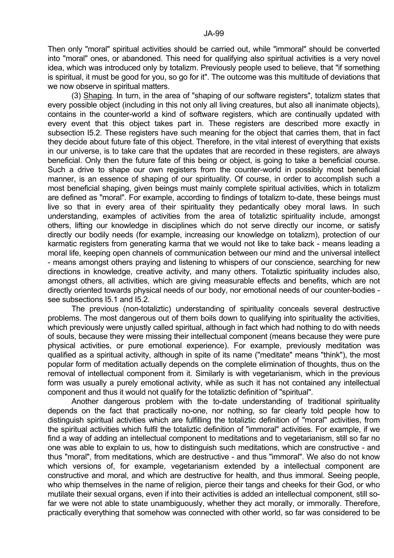Then only "moral" spiritual activities should be carried out, while "immoral" should be converted into "moral" ones, or abandoned. This need for qualifying also spiritual activities is a very novel idea, which was introduced only by totalizm. Previously people used to believe, that "if something is spiritual, it must be good for you, so go for it". The outcome was this multitude of deviations that we now observe in spiritual matters.

 (3) Shaping. In turn, in the area of "shaping of our software registers", totalizm states that every possible object (including in this not only all living creatures, but also all inanimate objects), contains in the counter-world a kind of software registers, which are continually updated with every event that this object takes part in. These registers are described more exactly in subsection I5.2. These registers have such meaning for the object that carries them, that in fact they decide about future fate of this object. Therefore, in the vital interest of everything that exists in our universe, is to take care that the updates that are recorded in these registers, are always beneficial. Only then the future fate of this being or object, is going to take a beneficial course. Such a drive to shape our own registers from the counter-world in possibly most beneficial manner, is an essence of shaping of our spirituality. Of course, in order to accomplish such a most beneficial shaping, given beings must mainly complete spiritual activities, which in totalizm are defined as "moral". For example, according to findings of totalizm to-date, these beings must live so that in every area of their spirituality they pedantically obey moral laws. In such understanding, examples of activities from the area of totaliztic spirituality include, amongst others, lifting our knowledge in disciplines which do not serve directly our income, or satisfy directly our bodily needs (for example, increasing our knowledge on totalizm), protection of our karmatic registers from generating karma that we would not like to take back - means leading a moral life, keeping open channels of communication between our mind and the universal intellect - means amongst others praying and listening to whispers of our conscience, searching for new directions in knowledge, creative activity, and many others. Totaliztic spirituality includes also, amongst others, all activities, which are giving measurable effects and benefits, which are not directly oriented towards physical needs of our body, nor emotional needs of our counter-bodies see subsections I5.1 and I5.2.

 The previous (non-totaliztic) understanding of spirituality conceals several destructive problems. The most dangerous out of them boils down to qualifying into spirituality the activities, which previously were unjustly called spiritual, although in fact which had nothing to do with needs of souls, because they were missing their intellectual component (means because they were pure physical activities, or pure emotional experience). For example, previously meditation was qualified as a spiritual activity, although in spite of its name ("meditate" means "think"), the most popular form of meditation actually depends on the complete elimination of thoughts, thus on the removal of intellectual component from it. Similarly is with vegetarianism, which in the previous form was usually a purely emotional activity, while as such it has not contained any intellectual component and thus it would not qualify for the totaliztic definition of "spiritual".

 Another dangerous problem with the to-date understanding of traditional spirituality depends on the fact that practically no-one, nor nothing, so far clearly told people how to distinguish spiritual activities which are fulfilling the totaliztic definition of "moral" activities, from the spiritual activities which fulfil the totaliztic definition of "immoral" activities. For example, if we find a way of adding an intellectual component to meditations and to vegetarianism, still so far no one was able to explain to us, how to distinguish such meditations, which are constructive - and thus "moral", from meditations, which are destructive - and thus "immoral". We also do not know which versions of, for example, vegetarianism extended by a intellectual component are constructive and moral, and which are destructive for health, and thus immoral. Seeing people, who whip themselves in the name of religion, pierce their tangs and cheeks for their God, or who mutilate their sexual organs, even if into their activities is added an intellectual component, still sofar we were not able to state unambiguously, whether they act morally, or immorally. Therefore, practically everything that somehow was connected with other world, so far was considered to be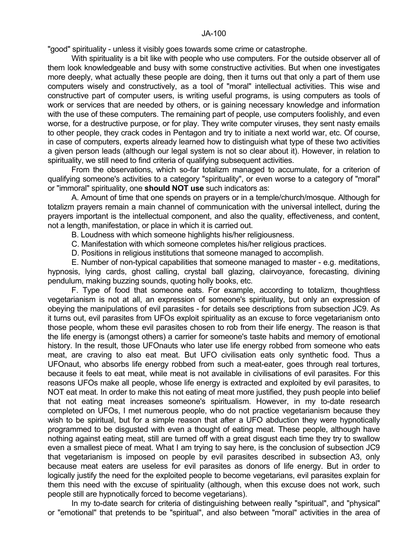"good" spirituality - unless it visibly goes towards some crime or catastrophe.

 With spirituality is a bit like with people who use computers. For the outside observer all of them look knowledgeable and busy with some constructive activities. But when one investigates more deeply, what actually these people are doing, then it turns out that only a part of them use computers wisely and constructively, as a tool of "moral" intellectual activities. This wise and constructive part of computer users, is writing useful programs, is using computers as tools of work or services that are needed by others, or is gaining necessary knowledge and information with the use of these computers. The remaining part of people, use computers foolishly, and even worse, for a destructive purpose, or for play. They write computer viruses, they sent nasty emails to other people, they crack codes in Pentagon and try to initiate a next world war, etc. Of course, in case of computers, experts already learned how to distinguish what type of these two activities a given person leads (although our legal system is not so clear about it). However, in relation to spirituality, we still need to find criteria of qualifying subsequent activities.

 From the observations, which so-far totalizm managed to accumulate, for a criterion of qualifying someone's activities to a category "spirituality", or even worse to a category of "moral" or "immoral" spirituality, one **should NOT use** such indicators as:

 A. Amount of time that one spends on prayers or in a temple/church/mosque. Although for totalizm prayers remain a main channel of communication with the universal intellect, during the prayers important is the intellectual component, and also the quality, effectiveness, and content, not a length, manifestation, or place in which it is carried out.

B. Loudness with which someone highlights his/her religiousness.

C. Manifestation with which someone completes his/her religious practices.

D. Positions in religious institutions that someone managed to accomplish.

 E. Number of non-typical capabilities that someone managed to master - e.g. meditations, hypnosis, lying cards, ghost calling, crystal ball glazing, clairvoyance, forecasting, divining pendulum, making buzzing sounds, quoting holly books, etc.

 F. Type of food that someone eats. For example, according to totalizm, thoughtless vegetarianism is not at all, an expression of someone's spirituality, but only an expression of obeying the manipulations of evil parasites - for details see descriptions from subsection JC9. As it turns out, evil parasites from UFOs exploit spirituality as an excuse to force vegetarianism onto those people, whom these evil parasites chosen to rob from their life energy. The reason is that the life energy is (amongst others) a carrier for someone's taste habits and memory of emotional history. In the result, those UFOnauts who later use life energy robbed from someone who eats meat, are craving to also eat meat. But UFO civilisation eats only synthetic food. Thus a UFOnaut, who absorbs life energy robbed from such a meat-eater, goes through real tortures, because it feels to eat meat, while meat is not available in civilisations of evil parasites. For this reasons UFOs make all people, whose life energy is extracted and exploited by evil parasites, to NOT eat meat. In order to make this not eating of meat more justified, they push people into belief that not eating meat increases someone's spiritualism. However, in my to-date research completed on UFOs, I met numerous people, who do not practice vegetarianism because they wish to be spiritual, but for a simple reason that after a UFO abduction they were hypnotically programmed to be disgusted with even a thought of eating meat. These people, although have nothing against eating meat, still are turned off with a great disgust each time they try to swallow even a smallest piece of meat. What I am trying to say here, is the conclusion of subsection JC9 that vegetarianism is imposed on people by evil parasites described in subsection A3, only because meat eaters are useless for evil parasites as donors of life energy. But in order to logically justify the need for the exploited people to become vegetarians, evil parasites explain for them this need with the excuse of spirituality (although, when this excuse does not work, such people still are hypnotically forced to become vegetarians).

 In my to-date search for criteria of distinguishing between really "spiritual", and "physical" or "emotional" that pretends to be "spiritual", and also between "moral" activities in the area of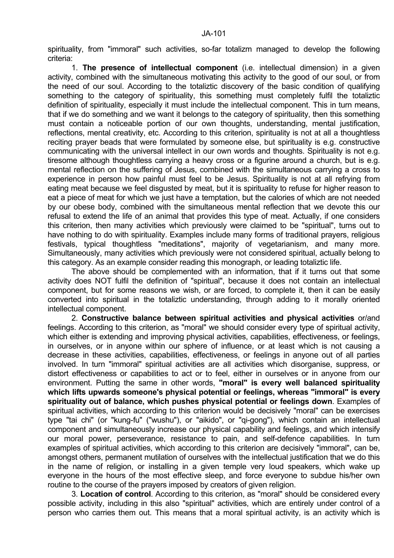spirituality, from "immoral" such activities, so-far totalizm managed to develop the following criteria:

 1. **The presence of intellectual component** (i.e. intellectual dimension) in a given activity, combined with the simultaneous motivating this activity to the good of our soul, or from the need of our soul. According to the totaliztic discovery of the basic condition of qualifying something to the category of spirituality, this something must completely fulfil the totaliztic definition of spirituality, especially it must include the intellectual component. This in turn means, that if we do something and we want it belongs to the category of spirituality, then this something must contain a noticeable portion of our own thoughts, understanding, mental justification, reflections, mental creativity, etc. According to this criterion, spirituality is not at all a thoughtless reciting prayer beads that were formulated by someone else, but spirituality is e.g. constructive communicating with the universal intellect in our own words and thoughts. Spirituality is not e.g. tiresome although thoughtless carrying a heavy cross or a figurine around a church, but is e.g. mental reflection on the suffering of Jesus, combined with the simultaneous carrying a cross to experience in person how painful must feel to be Jesus. Spirituality is not at all refrying from eating meat because we feel disgusted by meat, but it is spirituality to refuse for higher reason to eat a piece of meat for which we just have a temptation, but the calories of which are not needed by our obese body, combined with the simultaneous mental reflection that we devote this our refusal to extend the life of an animal that provides this type of meat. Actually, if one considers this criterion, then many activities which previously were claimed to be "spiritual", turns out to have nothing to do with spirituality. Examples include many forms of traditional prayers, religious festivals, typical thoughtless "meditations", majority of vegetarianism, and many more. Simultaneously, many activities which previously were not considered spiritual, actually belong to this category. As an example consider reading this monograph, or leading totaliztic life.

 The above should be complemented with an information, that if it turns out that some activity does NOT fulfil the definition of "spiritual", because it does not contain an intellectual component, but for some reasons we wish, or are forced, to complete it, then it can be easily converted into spiritual in the totaliztic understanding, through adding to it morally oriented intellectual component.

 2. **Constructive balance between spiritual activities and physical activities** or/and feelings. According to this criterion, as "moral" we should consider every type of spiritual activity, which either is extending and improving physical activities, capabilities, effectiveness, or feelings, in ourselves, or in anyone within our sphere of influence, or at least which is not causing a decrease in these activities, capabilities, effectiveness, or feelings in anyone out of all parties involved. In turn "immoral" spiritual activities are all activities which disorganise, suppress, or distort effectiveness or capabilities to act or to feel, either in ourselves or in anyone from our environment. Putting the same in other words, **"moral" is every well balanced spirituality which lifts upwards someone's physical potential or feelings, whereas "immoral" is every spirituality out of balance, which pushes physical potential or feelings down**. Examples of spiritual activities, which according to this criterion would be decisively "moral" can be exercises type "tai chi" (or "kung-fu" ("wushu"), or "aikido", or "qi-gong"), which contain an intellectual component and simultaneously increase our physical capability and feelings, and which intensify our moral power, perseverance, resistance to pain, and self-defence capabilities. In turn examples of spiritual activities, which according to this criterion are decisively "immoral", can be, amongst others, permanent mutilation of ourselves with the intellectual justification that we do this in the name of religion, or installing in a given temple very loud speakers, which wake up everyone in the hours of the most effective sleep, and force everyone to subdue his/her own routine to the course of the prayers imposed by creators of given religion.

 3. **Location of control**. According to this criterion, as "moral" should be considered every possible activity, including in this also "spiritual" activities, which are entirely under control of a person who carries them out. This means that a moral spiritual activity, is an activity which is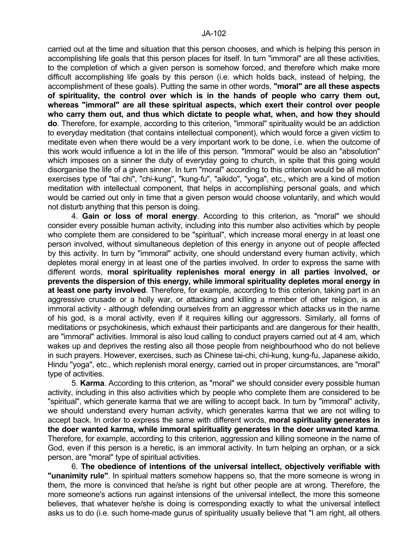carried out at the time and situation that this person chooses, and which is helping this person in accomplishing life goals that this person places for itself. In turn "immoral" are all these activities, to the completion of which a given person is somehow forced, and therefore which make more difficult accomplishing life goals by this person (i.e. which holds back, instead of helping, the accomplishment of these goals). Putting the same in other words, **"moral" are all these aspects of spirituality, the control over which is in the hands of people who carry them out, whereas "immoral" are all these spiritual aspects, which exert their control over people who carry them out, and thus which dictate to people what, when, and how they should do**. Therefore, for example, according to this criterion, "immoral" spirituality would be an addiction to everyday meditation (that contains intellectual component), which would force a given victim to meditate even when there would be a very important work to be done, i.e. when the outcome of this work would influence a lot in the life of this person. "Immoral" would be also an "absolution" which imposes on a sinner the duty of everyday going to church, in spite that this going would disorganise the life of a given sinner. In turn "moral" according to this criterion would be all motion exercises type of "tai chi", "chi-kung", "kung-fu", "aikido", "yoga", etc., which are a kind of motion meditation with intellectual component, that helps in accomplishing personal goals, and which would be carried out only in time that a given person would choose voluntarily, and which would not disturb anything that this person is doing.

 4. **Gain or loss of moral energy**. According to this criterion, as "moral" we should consider every possible human activity, including into this number also activities which by people who complete them are considered to be "spiritual", which increase moral energy in at least one person involved, without simultaneous depletion of this energy in anyone out of people affected by this activity. In turn by "immoral" activity, one should understand every human activity, which depletes moral energy in at least one of the parties involved. In order to express the same with different words, **moral spirituality replenishes moral energy in all parties involved, or prevents the dispersion of this energy, while immoral spirituality depletes moral energy in at least one party involved**. Therefore, for example, according to this criterion, taking part in an aggressive crusade or a holly war, or attacking and killing a member of other religion, is an immoral activity - although defending ourselves from an aggressor which attacks us in the name of his god, is a moral activity, even if it requires killing our aggressors. Similarly, all forms of meditations or psychokinesis, which exhaust their participants and are dangerous for their health, are "immoral" activities. Immoral is also loud calling to conduct prayers carried out at 4 am, which wakes up and deprives the resting also all those people from neighbourhood who do not believe in such prayers. However, exercises, such as Chinese tai-chi, chi-kung, kung-fu, Japanese aikido, Hindu "yoga", etc., which replenish moral energy, carried out in proper circumstances, are "moral" type of activities.

 5. **Karma**. According to this criterion, as "moral" we should consider every possible human activity, including in this also activities which by people who complete them are considered to be "spiritual", which generate karma that we are willing to accept back. In turn by "immoral" activity, we should understand every human activity, which generates karma that we are not willing to accept back. In order to express the same with different words, **moral spirituality generates in the doer wanted karma, while immoral spirituality generates in the doer unwanted karma**. Therefore, for example, according to this criterion, aggression and killing someone in the name of God, even if this person is a heretic, is an immoral activity. In turn helping an orphan, or a sick person, are "moral" type of spiritual activities.

 6. **The obedience of intentions of the universal intellect, objectively verifiable with "unanimity rule"**. In spiritual matters somehow happens so, that the more someone is wrong in them, the more is convinced that he/she is right but other people are at wrong. Therefore, the more someone's actions run against intensions of the universal intellect, the more this someone believes, that whatever he/she is doing is corresponding exactly to what the universal intellect asks us to do (i.e. such home-made gurus of spirituality usually believe that "I am right, all others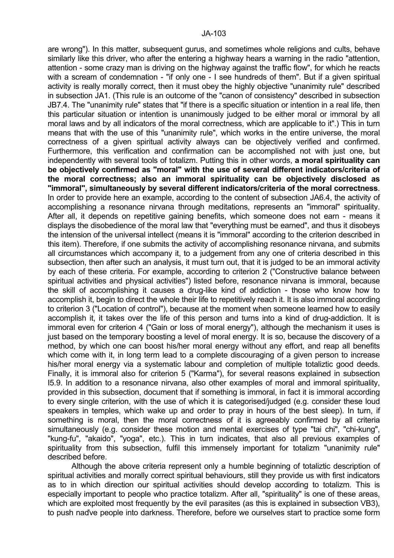are wrong"). In this matter, subsequent gurus, and sometimes whole religions and cults, behave similarly like this driver, who after the entering a highway hears a warning in the radio "attention, attention - some crazy man is driving on the highway against the traffic flow", for which he reacts with a scream of condemnation - "if only one - I see hundreds of them". But if a given spiritual activity is really morally correct, then it must obey the highly objective "unanimity rule" described in subsection JA1. (This rule is an outcome of the "canon of consistency" described in subsection JB7.4. The "unanimity rule" states that "if there is a specific situation or intention in a real life, then this particular situation or intention is unanimously judged to be either moral or immoral by all moral laws and by all indicators of the moral correctness, which are applicable to it".) This in turn means that with the use of this "unanimity rule", which works in the entire universe, the moral correctness of a given spiritual activity always can be objectively verified and confirmed. Furthermore, this verification and confirmation can be accomplished not with just one, but independently with several tools of totalizm. Putting this in other words, **a moral spirituality can be objectively confirmed as "moral" with the use of several different indicators/criteria of the moral correctness; also an immoral spirituality can be objectively disclosed as "immoral", simultaneously by several different indicators/criteria of the moral correctness**. In order to provide here an example, according to the content of subsection JA6.4, the activity of accomplishing a resonance nirvana through meditations, represents an "immoral" spirituality. After all, it depends on repetitive gaining benefits, which someone does not earn - means it displays the disobedience of the moral law that "everything must be earned", and thus it disobeys the intension of the universal intellect (means it is "immoral" according to the criterion described in this item). Therefore, if one submits the activity of accomplishing resonance nirvana, and submits all circumstances which accompany it, to a judgement from any one of criteria described in this subsection, then after such an analysis, it must turn out, that it is judged to be an immoral activity by each of these criteria. For example, according to criterion 2 ("Constructive balance between spiritual activities and physical activities") listed before, resonance nirvana is immoral, because the skill of accomplishing it causes a drug-like kind of addiction - those who know how to accomplish it, begin to direct the whole their life to repetitively reach it. It is also immoral according to criterion 3 ("Location of control"), because at the moment when someone learned how to easily accomplish it, it takes over the life of this person and turns into a kind of drug-addiction. It is immoral even for criterion 4 ("Gain or loss of moral energy"), although the mechanism it uses is just based on the temporary boosting a level of moral energy. It is so, because the discovery of a method, by which one can boost his/her moral energy without any effort, and reap all benefits which come with it, in long term lead to a complete discouraging of a given person to increase his/her moral energy via a systematic labour and completion of multiple totaliztic good deeds. Finally, it is immoral also for criterion 5 ("Karma"), for several reasons explained in subsection I5.9. In addition to a resonance nirvana, also other examples of moral and immoral spirituality, provided in this subsection, document that if something is immoral, in fact it is immoral according to every single criterion, with the use of which it is categorised/judged (e.g. consider these loud speakers in temples, which wake up and order to pray in hours of the best sleep). In turn, if something is moral, then the moral correctness of it is agreeably confirmed by all criteria simultaneously (e.g. consider these motion and mental exercises of type "tai chi", "chi-kung", "kung-fu", "akaido", "yoga", etc.). This in turn indicates, that also all previous examples of spirituality from this subsection, fulfil this immensely important for totalizm "unanimity rule" described before.

 Although the above criteria represent only a humble beginning of totaliztic description of spiritual activities and morally correct spiritual behaviours, still they provide us with first indicators as to in which direction our spiritual activities should develop according to totalizm. This is especially important to people who practice totalizm. After all, "spirituality" is one of these areas, which are exploited most frequently by the evil parasites (as this is explained in subsection VB3), to push naďve people into darkness. Therefore, before we ourselves start to practice some form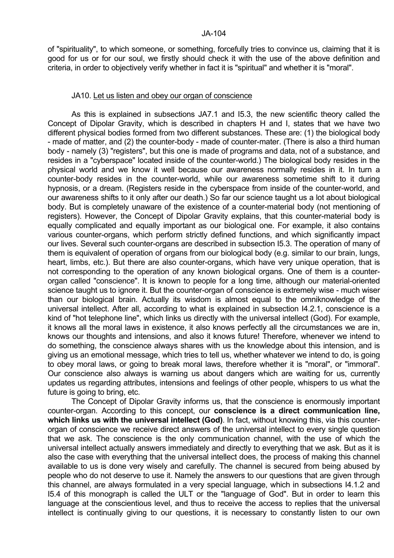of "spirituality", to which someone, or something, forcefully tries to convince us, claiming that it is good for us or for our soul, we firstly should check it with the use of the above definition and criteria, in order to objectively verify whether in fact it is "spiritual" and whether it is "moral".

### JA10. Let us listen and obey our organ of conscience

 As this is explained in subsections JA7.1 and I5.3, the new scientific theory called the Concept of Dipolar Gravity, which is described in chapters H and I, states that we have two different physical bodies formed from two different substances. These are: (1) the biological body - made of matter, and (2) the counter-body - made of counter-mater. (There is also a third human body - namely (3) "registers", but this one is made of programs and data, not of a substance, and resides in a "cyberspace" located inside of the counter-world.) The biological body resides in the physical world and we know it well because our awareness normally resides in it. In turn a counter-body resides in the counter-world, while our awareness sometime shift to it during hypnosis, or a dream. (Registers reside in the cyberspace from inside of the counter-world, and our awareness shifts to it only after our death.) So far our science taught us a lot about biological body. But is completely unaware of the existence of a counter-material body (not mentioning of registers). However, the Concept of Dipolar Gravity explains, that this counter-material body is equally complicated and equally important as our biological one. For example, it also contains various counter-organs, which perform strictly defined functions, and which significantly impact our lives. Several such counter-organs are described in subsection I5.3. The operation of many of them is equivalent of operation of organs from our biological body (e.g. similar to our brain, lungs, heart, limbs, etc.). But there are also counter-organs, which have very unique operation, that is not corresponding to the operation of any known biological organs. One of them is a counterorgan called "conscience". It is known to people for a long time, although our material-oriented science taught us to ignore it. But the counter-organ of conscience is extremely wise - much wiser than our biological brain. Actually its wisdom is almost equal to the omniknowledge of the universal intellect. After all, according to what is explained in subsection I4.2.1, conscience is a kind of "hot telephone line", which links us directly with the universal intellect (God). For example, it knows all the moral laws in existence, it also knows perfectly all the circumstances we are in, knows our thoughts and intensions, and also it knows future! Therefore, whenever we intend to do something, the conscience always shares with us the knowledge about this intension, and is giving us an emotional message, which tries to tell us, whether whatever we intend to do, is going to obey moral laws, or going to break moral laws, therefore whether it is "moral", or "immoral". Our conscience also always is warning us about dangers which are waiting for us, currently updates us regarding attributes, intensions and feelings of other people, whispers to us what the future is going to bring, etc.

 The Concept of Dipolar Gravity informs us, that the conscience is enormously important counter-organ. According to this concept, our **conscience is a direct communication line, which links us with the universal intellect (God)**. In fact, without knowing this, via this counterorgan of conscience we receive direct answers of the universal intellect to every single question that we ask. The conscience is the only communication channel, with the use of which the universal intellect actually answers immediately and directly to everything that we ask. But as it is also the case with everything that the universal intellect does, the process of making this channel available to us is done very wisely and carefully. The channel is secured from being abused by people who do not deserve to use it. Namely the answers to our questions that are given through this channel, are always formulated in a very special language, which in subsections I4.1.2 and I5.4 of this monograph is called the ULT or the "language of God". But in order to learn this language at the conscientious level, and thus to receive the access to replies that the universal intellect is continually giving to our questions, it is necessary to constantly listen to our own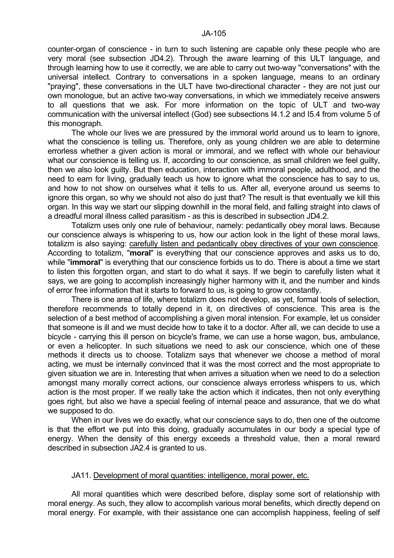counter-organ of conscience - in turn to such listening are capable only these people who are very moral (see subsection JD4.2). Through the aware learning of this ULT language, and through learning how to use it correctly, we are able to carry out two-way "conversations" with the universal intellect. Contrary to conversations in a spoken language, means to an ordinary "praying", these conversations in the ULT have two-directional character - they are not just our own monologue, but an active two-way conversations, in which we immediately receive answers to all questions that we ask. For more information on the topic of ULT and two-way communication with the universal intellect (God) see subsections I4.1.2 and I5.4 from volume 5 of this monograph.

 The whole our lives we are pressured by the immoral world around us to learn to ignore, what the conscience is telling us. Therefore, only as young children we are able to determine errorless whether a given action is moral or immoral, and we reflect with whole our behaviour what our conscience is telling us. If, according to our conscience, as small children we feel guilty, then we also look guilty. But then education, interaction with immoral people, adulthood, and the need to earn for living, gradually teach us how to ignore what the conscience has to say to us, and how to not show on ourselves what it tells to us. After all, everyone around us seems to ignore this organ, so why we should not also do just that? The result is that eventually we kill this organ. In this way we start our slipping downhill in the moral field, and falling straight into claws of a dreadful moral illness called parasitism - as this is described in subsection JD4.2.

 Totalizm uses only one rule of behaviour, namely: pedantically obey moral laws. Because our conscience always is whispering to us, how our action look in the light of these moral laws, totalizm is also saying: carefully listen and pedantically obey directives of your own conscience. According to totalizm, "**moral**" is everything that our conscience approves and asks us to do, while "**immoral**" is everything that our conscience forbids us to do. There is about a time we start to listen this forgotten organ, and start to do what it says. If we begin to carefully listen what it says, we are going to accomplish increasingly higher harmony with it, and the number and kinds of error free information that it starts to forward to us, is going to grow constantly.

 There is one area of life, where totalizm does not develop, as yet, formal tools of selection, therefore recommends to totally depend in it, on directives of conscience. This area is the selection of a best method of accomplishing a given moral intension. For example, let us consider that someone is ill and we must decide how to take it to a doctor. After all, we can decide to use a bicycle - carrying this ill person on bicycle's frame, we can use a horse wagon, bus, ambulance, or even a helicopter. In such situations we need to ask our conscience, which one of these methods it directs us to choose. Totalizm says that whenever we choose a method of moral acting, we must be internally convinced that it was the most correct and the most appropriate to given situation we are in. Interesting that when arrives a situation when we need to do a selection amongst many morally correct actions, our conscience always errorless whispers to us, which action is the most proper. If we really take the action which it indicates, then not only everything goes right, but also we have a special feeling of internal peace and assurance, that we do what we supposed to do.

 When in our lives we do exactly, what our conscience says to do, then one of the outcome is that the effort we put into this doing, gradually accumulates in our body a special type of energy. When the density of this energy exceeds a threshold value, then a moral reward described in subsection JA2.4 is granted to us.

## JA11. Development of moral quantities: intelligence, moral power, etc.

 All moral quantities which were described before, display some sort of relationship with moral energy. As such, they allow to accomplish various moral benefits, which directly depend on moral energy. For example, with their assistance one can accomplish happiness, feeling of self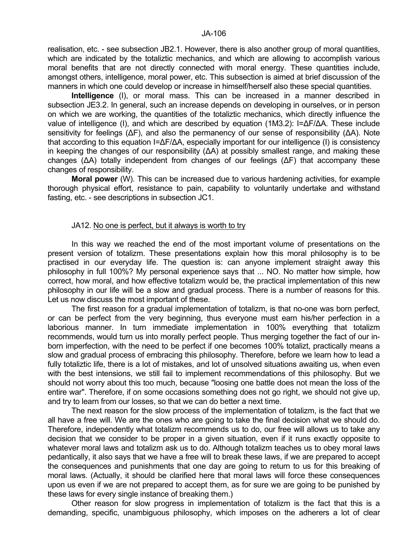realisation, etc. - see subsection JB2.1. However, there is also another group of moral quantities, which are indicated by the totaliztic mechanics, and which are allowing to accomplish various moral benefits that are not directly connected with moral energy. These quantities include, amongst others, intelligence, moral power, etc. This subsection is aimed at brief discussion of the manners in which one could develop or increase in himself/herself also these special quantities.

**Intelligence** (I), or moral mass. This can be increased in a manner described in subsection JE3.2. In general, such an increase depends on developing in ourselves, or in person on which we are working, the quantities of the totaliztic mechanics, which directly influence the value of intelligence (I), and which are described by equation (1M3.2): I=ΔF/ΔA. These include sensitivity for feelings (ΔF), and also the permanency of our sense of responsibility (ΔA). Note that according to this equation I=∆F/∆A, especially important for our intelligence (I) is consistency in keeping the changes of our responsibility (∆A) at possibly smallest range, and making these changes (∆A) totally independent from changes of our feelings (∆F) that accompany these changes of responsibility.

 **Moral power** (W). This can be increased due to various hardening activities, for example thorough physical effort, resistance to pain, capability to voluntarily undertake and withstand fasting, etc. - see descriptions in subsection JC1.

## JA12. No one is perfect, but it always is worth to try

 In this way we reached the end of the most important volume of presentations on the present version of totalizm. These presentations explain how this moral philosophy is to be practised in our everyday life. The question is: can anyone implement straight away this philosophy in full 100%? My personal experience says that ... NO. No matter how simple, how correct, how moral, and how effective totalizm would be, the practical implementation of this new philosophy in our life will be a slow and gradual process. There is a number of reasons for this. Let us now discuss the most important of these.

 The first reason for a gradual implementation of totalizm, is that no-one was born perfect, or can be perfect from the very beginning, thus everyone must earn his/her perfection in a laborious manner. In turn immediate implementation in 100% everything that totalizm recommends, would turn us into morally perfect people. Thus merging together the fact of our inborn imperfection, with the need to be perfect if one becomes 100% totalizt, practically means a slow and gradual process of embracing this philosophy. Therefore, before we learn how to lead a fully totaliztic life, there is a lot of mistakes, and lot of unsolved situations awaiting us, when even with the best intensions, we still fail to implement recommendations of this philosophy. But we should not worry about this too much, because "loosing one battle does not mean the loss of the entire war". Therefore, if on some occasions something does not go right, we should not give up, and try to learn from our losses, so that we can do better a next time.

 The next reason for the slow process of the implementation of totalizm, is the fact that we all have a free will. We are the ones who are going to take the final decision what we should do. Therefore, independently what totalizm recommends us to do, our free will allows us to take any decision that we consider to be proper in a given situation, even if it runs exactly opposite to whatever moral laws and totalizm ask us to do. Although totalizm teaches us to obey moral laws pedantically, it also says that we have a free will to break these laws, if we are prepared to accept the consequences and punishments that one day are going to return to us for this breaking of moral laws. (Actually, it should be clarified here that moral laws will force these consequences upon us even if we are not prepared to accept them, as for sure we are going to be punished by these laws for every single instance of breaking them.)

 Other reason for slow progress in implementation of totalizm is the fact that this is a demanding, specific, unambiguous philosophy, which imposes on the adherers a lot of clear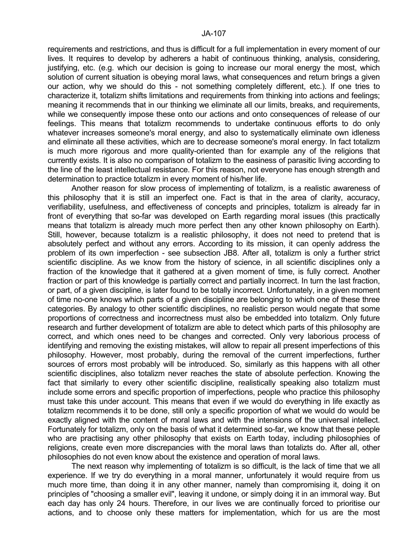requirements and restrictions, and thus is difficult for a full implementation in every moment of our lives. It requires to develop by adherers a habit of continuous thinking, analysis, considering, justifying, etc. (e.g. which our decision is going to increase our moral energy the most, which solution of current situation is obeying moral laws, what consequences and return brings a given our action, why we should do this - not something completely different, etc.). If one tries to characterize it, totalizm shifts limitations and requirements from thinking into actions and feelings; meaning it recommends that in our thinking we eliminate all our limits, breaks, and requirements, while we consequently impose these onto our actions and onto consequences of release of our feelings. This means that totalizm recommends to undertake continuous efforts to do only whatever increases someone's moral energy, and also to systematically eliminate own idleness and eliminate all these activities, which are to decrease someone's moral energy. In fact totalizm is much more rigorous and more quality-oriented than for example any of the religions that currently exists. It is also no comparison of totalizm to the easiness of parasitic living according to the line of the least intellectual resistance. For this reason, not everyone has enough strength and determination to practice totalizm in every moment of his/her life.

 Another reason for slow process of implementing of totalizm, is a realistic awareness of this philosophy that it is still an imperfect one. Fact is that in the area of clarity, accuracy, verifiability, usefulness, and effectiveness of concepts and principles, totalizm is already far in front of everything that so-far was developed on Earth regarding moral issues (this practically means that totalizm is already much more perfect then any other known philosophy on Earth). Still, however, because totalizm is a realistic philosophy, it does not need to pretend that is absolutely perfect and without any errors. According to its mission, it can openly address the problem of its own imperfection - see subsection JB8. After all, totalizm is only a further strict scientific discipline. As we know from the history of science, in all scientific disciplines only a fraction of the knowledge that it gathered at a given moment of time, is fully correct. Another fraction or part of this knowledge is partially correct and partially incorrect. In turn the last fraction, or part, of a given discipline, is later found to be totally incorrect. Unfortunately, in a given moment of time no-one knows which parts of a given discipline are belonging to which one of these three categories. By analogy to other scientific disciplines, no realistic person would negate that some proportions of correctness and incorrectness must also be embedded into totalizm. Only future research and further development of totalizm are able to detect which parts of this philosophy are correct, and which ones need to be changes and corrected. Only very laborious process of identifying and removing the existing mistakes, will allow to repair all present imperfections of this philosophy. However, most probably, during the removal of the current imperfections, further sources of errors most probably will be introduced. So, similarly as this happens with all other scientific disciplines, also totalizm never reaches the state of absolute perfection. Knowing the fact that similarly to every other scientific discipline, realistically speaking also totalizm must include some errors and specific proportion of imperfections, people who practice this philosophy must take this under account. This means that even if we would do everything in life exactly as totalizm recommends it to be done, still only a specific proportion of what we would do would be exactly aligned with the content of moral laws and with the intensions of the universal intellect. Fortunately for totalizm, only on the basis of what it determined so-far, we know that these people who are practising any other philosophy that exists on Earth today, including philosophies of religions, create even more discrepancies with the moral laws than totalizts do. After all, other philosophies do not even know about the existence and operation of moral laws.

 The next reason why implementing of totalizm is so difficult, is the lack of time that we all experience. If we try do everything in a moral manner, unfortunately it would require from us much more time, than doing it in any other manner, namely than compromising it, doing it on principles of "choosing a smaller evil", leaving it undone, or simply doing it in an immoral way. But each day has only 24 hours. Therefore, in our lives we are continually forced to prioritise our actions, and to choose only these matters for implementation, which for us are the most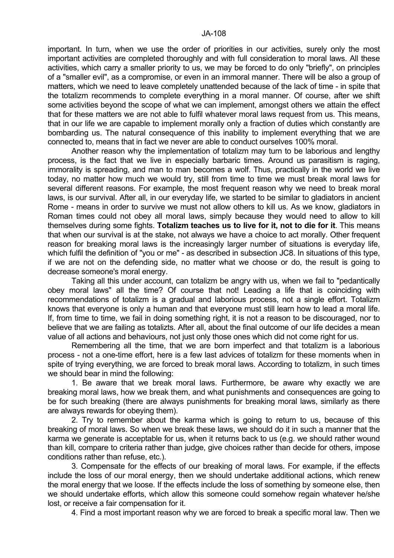important. In turn, when we use the order of priorities in our activities, surely only the most important activities are completed thoroughly and with full consideration to moral laws. All these activities, which carry a smaller priority to us, we may be forced to do only "briefly", on principles of a "smaller evil", as a compromise, or even in an immoral manner. There will be also a group of matters, which we need to leave completely unattended because of the lack of time - in spite that the totalizm recommends to complete everything in a moral manner. Of course, after we shift some activities beyond the scope of what we can implement, amongst others we attain the effect that for these matters we are not able to fulfil whatever moral laws request from us. This means, that in our life we are capable to implement morally only a fraction of duties which constantly are bombarding us. The natural consequence of this inability to implement everything that we are connected to, means that in fact we never are able to conduct ourselves 100% moral.

 Another reason why the implementation of totalizm may turn to be laborious and lengthy process, is the fact that we live in especially barbaric times. Around us parasitism is raging, immorality is spreading, and man to man becomes a wolf. Thus, practically in the world we live today, no matter how much we would try, still from time to time we must break moral laws for several different reasons. For example, the most frequent reason why we need to break moral laws, is our survival. After all, in our everyday life, we started to be similar to gladiators in ancient Rome - means in order to survive we must not allow others to kill us. As we know, gladiators in Roman times could not obey all moral laws, simply because they would need to allow to kill themselves during some fights. **Totalizm teaches us to live for it, not to die for it**. This means that when our survival is at the stake, not always we have a choice to act morally. Other frequent reason for breaking moral laws is the increasingly larger number of situations is everyday life, which fulfil the definition of "you or me" - as described in subsection JC8. In situations of this type, if we are not on the defending side, no matter what we choose or do, the result is going to decrease someone's moral energy.

 Taking all this under account, can totalizm be angry with us, when we fail to "pedantically obey moral laws" all the time? Of course that not! Leading a life that is coinciding with recommendations of totalizm is a gradual and laborious process, not a single effort. Totalizm knows that everyone is only a human and that everyone must still learn how to lead a moral life. If, from time to time, we fail in doing something right, it is not a reason to be discouraged, nor to believe that we are failing as totalizts. After all, about the final outcome of our life decides a mean value of all actions and behaviours, not just only those ones which did not come right for us.

 Remembering all the time, that we are born imperfect and that totalizm is a laborious process - not a one-time effort, here is a few last advices of totalizm for these moments when in spite of trying everything, we are forced to break moral laws. According to totalizm, in such times we should bear in mind the following:

 1. Be aware that we break moral laws. Furthermore, be aware why exactly we are breaking moral laws, how we break them, and what punishments and consequences are going to be for such breaking (there are always punishments for breaking moral laws, similarly as there are always rewards for obeying them).

 2. Try to remember about the karma which is going to return to us, because of this breaking of moral laws. So when we break these laws, we should do it in such a manner that the karma we generate is acceptable for us, when it returns back to us (e.g. we should rather wound than kill, compare to criteria rather than judge, give choices rather than decide for others, impose conditions rather than refuse, etc.).

 3. Compensate for the effects of our breaking of moral laws. For example, if the effects include the loss of our moral energy, then we should undertake additional actions, which renew the moral energy that we loose. If the effects include the loss of something by someone else, then we should undertake efforts, which allow this someone could somehow regain whatever he/she lost, or receive a fair compensation for it.

4. Find a most important reason why we are forced to break a specific moral law. Then we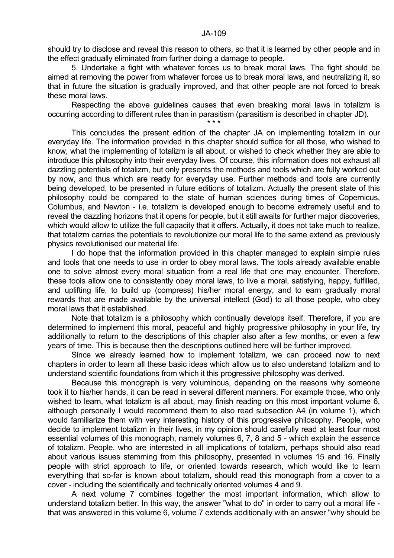should try to disclose and reveal this reason to others, so that it is learned by other people and in the effect gradually eliminated from further doing a damage to people.

 5. Undertake a fight with whatever forces us to break moral laws. The fight should be aimed at removing the power from whatever forces us to break moral laws, and neutralizing it, so that in future the situation is gradually improved, and that other people are not forced to break these moral laws.

 Respecting the above guidelines causes that even breaking moral laws in totalizm is occurring according to different rules than in parasitism (parasitism is described in chapter JD).

 $\star \star \star$ 

 This concludes the present edition of the chapter JA on implementing totalizm in our everyday life. The information provided in this chapter should suffice for all those, who wished to know, what the implementing of totalizm is all about, or wished to check whether they are able to introduce this philosophy into their everyday lives. Of course, this information does not exhaust all dazzling potentials of totalizm, but only presents the methods and tools which are fully worked out by now, and thus which are ready for everyday use. Further methods and tools are currently being developed, to be presented in future editions of totalizm. Actually the present state of this philosophy could be compared to the state of human sciences during times of Copernicus, Columbus, and Newton - i.e. totalizm is developed enough to become extremely useful and to reveal the dazzling horizons that it opens for people, but it still awaits for further major discoveries, which would allow to utilize the full capacity that it offers. Actually, it does not take much to realize, that totalizm carries the potentials to revolutionize our moral life to the same extend as previously physics revolutionised our material life.

 I do hope that the information provided in this chapter managed to explain simple rules and tools that one needs to use in order to obey moral laws. The tools already available enable one to solve almost every moral situation from a real life that one may encounter. Therefore, these tools allow one to consistently obey moral laws, to live a moral, satisfying, happy, fulfilled, and uplifting life, to build up (compress) his/her moral energy, and to earn gradually moral rewards that are made available by the universal intellect (God) to all those people, who obey moral laws that it established.

 Note that totalizm is a philosophy which continually develops itself. Therefore, if you are determined to implement this moral, peaceful and highly progressive philosophy in your life, try additionally to return to the descriptions of this chapter also after a few months, or even a few years of time. This is because then the descriptions outlined here will be further improved.

 Since we already learned how to implement totalizm, we can proceed now to next chapters in order to learn all these basic ideas which allow us to also understand totalizm and to understand scientific foundations from which it this progressive philosophy was derived.

 Because this monograph is very voluminous, depending on the reasons why someone took it to his/her hands, it can be read in several different manners. For example those, who only wished to learn, what totalizm is all about, may finish reading on this most important volume 6, although personally I would recommend them to also read subsection A4 (in volume 1), which would familiarize them with very interesting history of this progressive philosophy. People, who decide to implement totalizm in their lives, in my opinion should carefully read at least four most essential volumes of this monograph, namely volumes 6, 7, 8 and 5 - which explain the essence of totalizm. People, who are interested in all implications of totalizm, perhaps should also read about various issues stemming from this philosophy, presented in volumes 15 and 16. Finally people with strict approach to life, or oriented towards research, which would like to learn everything that so-far is known about totalizm, should read this monograph from a cover to a cover - including the scientifically and technically oriented volumes 4 and 9.

 A next volume 7 combines together the most important information, which allow to understand totalizm better. In this way, the answer "what to do" in order to carry out a moral life that was answered in this volume 6, volume 7 extends additionally with an answer "why should be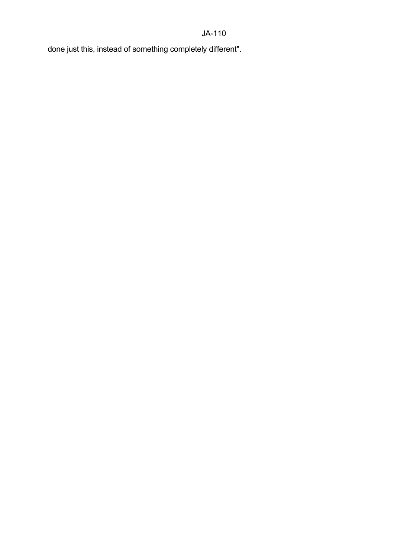## JA-110

done just this, instead of something completely different".